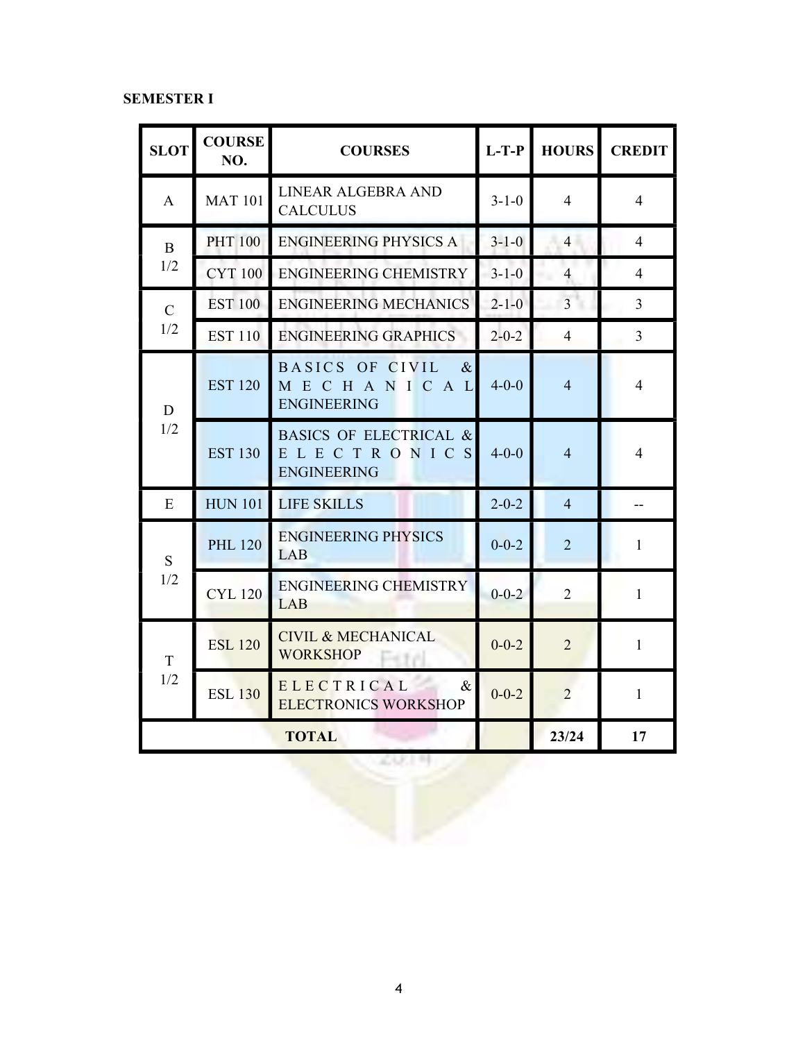# SEMESTER I

| <b>SLOT</b>   | <b>COURSE</b><br>NO. | <b>COURSES</b>                                                         | $L-T-P$     | <b>HOURS</b>   | <b>CREDIT</b>  |
|---------------|----------------------|------------------------------------------------------------------------|-------------|----------------|----------------|
| A             | <b>MAT 101</b>       | LINEAR ALGEBRA AND<br><b>CALCULUS</b>                                  | $3 - 1 - 0$ | $\overline{4}$ | $\overline{4}$ |
| $\mathbf{B}$  | <b>PHT 100</b>       | <b>ENGINEERING PHYSICS A</b>                                           | $3 - 1 - 0$ | $\overline{4}$ | $\overline{4}$ |
| 1/2           | <b>CYT 100</b>       | <b>ENGINEERING CHEMISTRY</b>                                           | $3 - 1 - 0$ | $\overline{4}$ | $\overline{4}$ |
| $\mathcal{C}$ | <b>EST 100</b>       | <b>ENGINEERING MECHANICS</b>                                           | $2 - 1 - 0$ | $\overline{3}$ | $\overline{3}$ |
| 1/2           | <b>EST 110</b>       | <b>ENGINEERING GRAPHICS</b>                                            | $2 - 0 - 2$ | $\overline{4}$ | $\overline{3}$ |
| D             | <b>EST 120</b>       | BASICS OF CIVIL<br>$\&$<br>MECHANICAL<br><b>ENGINEERING</b>            | $4 - 0 - 0$ | $\overline{4}$ | $\overline{4}$ |
| 1/2           | <b>EST 130</b>       | <b>BASICS OF ELECTRICAL &amp;</b><br>ELECTRONICS<br><b>ENGINEERING</b> | $4 - 0 - 0$ | $\overline{4}$ | $\overline{4}$ |
| E             | <b>HUN 101</b>       | <b>LIFE SKILLS</b>                                                     | $2 - 0 - 2$ | $\overline{4}$ | --             |
| S             | <b>PHL 120</b>       | <b>ENGINEERING PHYSICS</b><br>LAB                                      | $0 - 0 - 2$ | $\overline{2}$ | $\mathbf{1}$   |
| 1/2           | <b>CYL 120</b>       | <b>ENGINEERING CHEMISTRY</b><br>LAB                                    | $0 - 0 - 2$ | $\overline{2}$ | $\mathbf{1}$   |
| T             | <b>ESL 120</b>       | <b>CIVIL &amp; MECHANICAL</b><br><b>WORKSHOP</b><br>$-1 + 1$           | $0 - 0 - 2$ | $\overline{2}$ | $\mathbf{1}$   |
| 1/2           | <b>ESL 130</b>       | ELECTRICAL<br>$\&$<br><b>ELECTRONICS WORKSHOP</b>                      | $0 - 0 - 2$ | $\overline{2}$ | $\mathbf{1}$   |
|               |                      | <b>TOTAL</b>                                                           |             | 23/24          | 17             |

49. B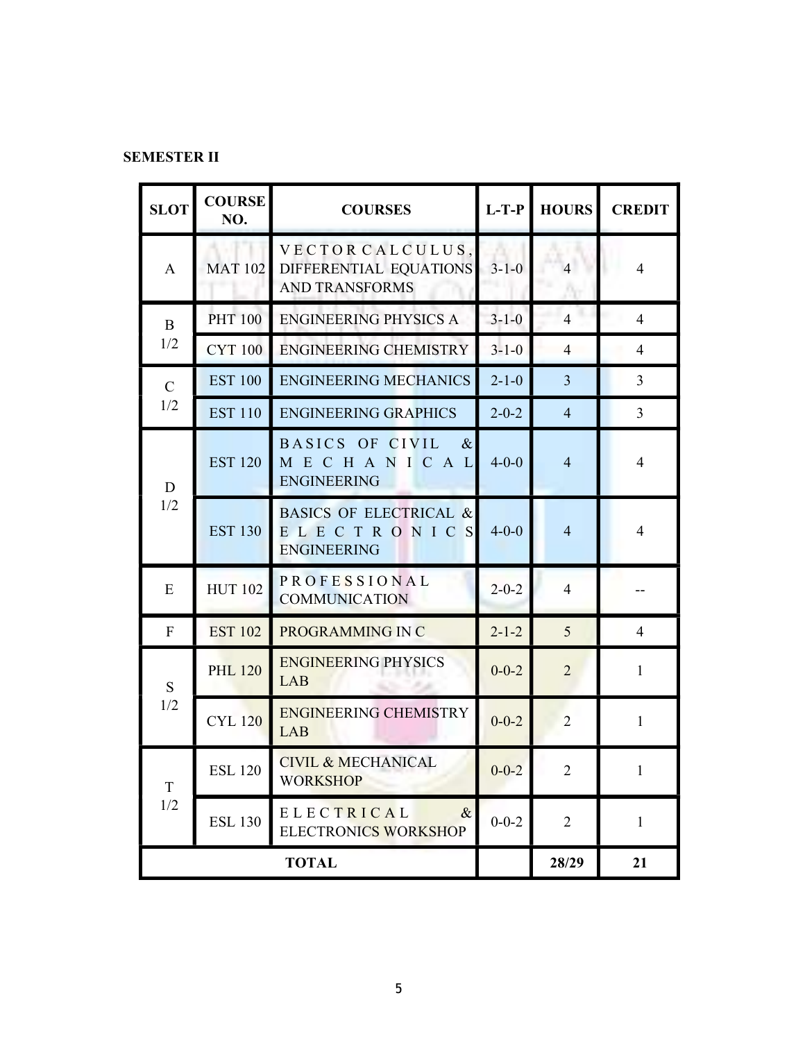# SEMESTER II

| <b>SLOT</b>  | <b>COURSE</b><br>NO. | <b>COURSES</b>                                                         | $L-T-P$     | <b>HOURS</b>   | <b>CREDIT</b>  |
|--------------|----------------------|------------------------------------------------------------------------|-------------|----------------|----------------|
| A            | <b>MAT 102</b>       | VECTOR CALCULUS,<br>DIFFERENTIAL EQUATIONS<br><b>AND TRANSFORMS</b>    | $3 - 1 - 0$ | 4              | $\overline{4}$ |
| $\mathbf{B}$ | <b>PHT 100</b>       | <b>ENGINEERING PHYSICS A</b>                                           | $3 - 1 - 0$ | $\overline{4}$ | $\overline{4}$ |
| 1/2          | <b>CYT 100</b>       | <b>ENGINEERING CHEMISTRY</b>                                           | $3 - 1 - 0$ | $\overline{4}$ | $\overline{4}$ |
| $\mathbf C$  | <b>EST 100</b>       | <b>ENGINEERING MECHANICS</b>                                           | $2 - 1 - 0$ | $\overline{3}$ | $\overline{3}$ |
| 1/2          | <b>EST 110</b>       | <b>ENGINEERING GRAPHICS</b>                                            | $2 - 0 - 2$ | $\overline{4}$ | $\overline{3}$ |
| D            | <b>EST 120</b>       | BASICS OF CIVIL<br>$\mathcal{R}$<br>MECHANICAL<br><b>ENGINEERING</b>   | $4 - 0 - 0$ | $\overline{4}$ | $\overline{4}$ |
| 1/2          | <b>EST 130</b>       | <b>BASICS OF ELECTRICAL &amp;</b><br>ELECTRONICS<br><b>ENGINEERING</b> | $4 - 0 - 0$ | $\overline{4}$ | $\overline{4}$ |
| E            | <b>HUT 102</b>       | PROFESSIONAL<br><b>COMMUNICATION</b>                                   | $2 - 0 - 2$ | $\overline{4}$ |                |
| $\mathbf{F}$ | <b>EST 102</b>       | PROGRAMMING IN C                                                       | $2 - 1 - 2$ | 5              | $\overline{4}$ |
| ${\bf S}$    | <b>PHL 120</b>       | <b>ENGINEERING PHYSICS</b><br><b>LAB</b>                               | $0 - 0 - 2$ | $\overline{2}$ | $\mathbf{1}$   |
| 1/2          | <b>CYL 120</b>       | <b>ENGINEERING CHEMISTRY</b><br><b>LAB</b>                             | $0 - 0 - 2$ | $\overline{2}$ | $\mathbf{1}$   |
| $\rm T$      | <b>ESL 120</b>       | <b>CIVIL &amp; MECHANICAL</b><br><b>WORKSHOP</b>                       | $0 - 0 - 2$ | $\overline{2}$ |                |
| 1/2          | <b>ESL 130</b>       | ELECTRICAL<br>$\alpha$<br><b>ELECTRONICS WORKSHOP</b>                  | $0 - 0 - 2$ | $\overline{2}$ | $\mathbf{1}$   |
|              |                      | <b>TOTAL</b>                                                           |             | 28/29          | 21             |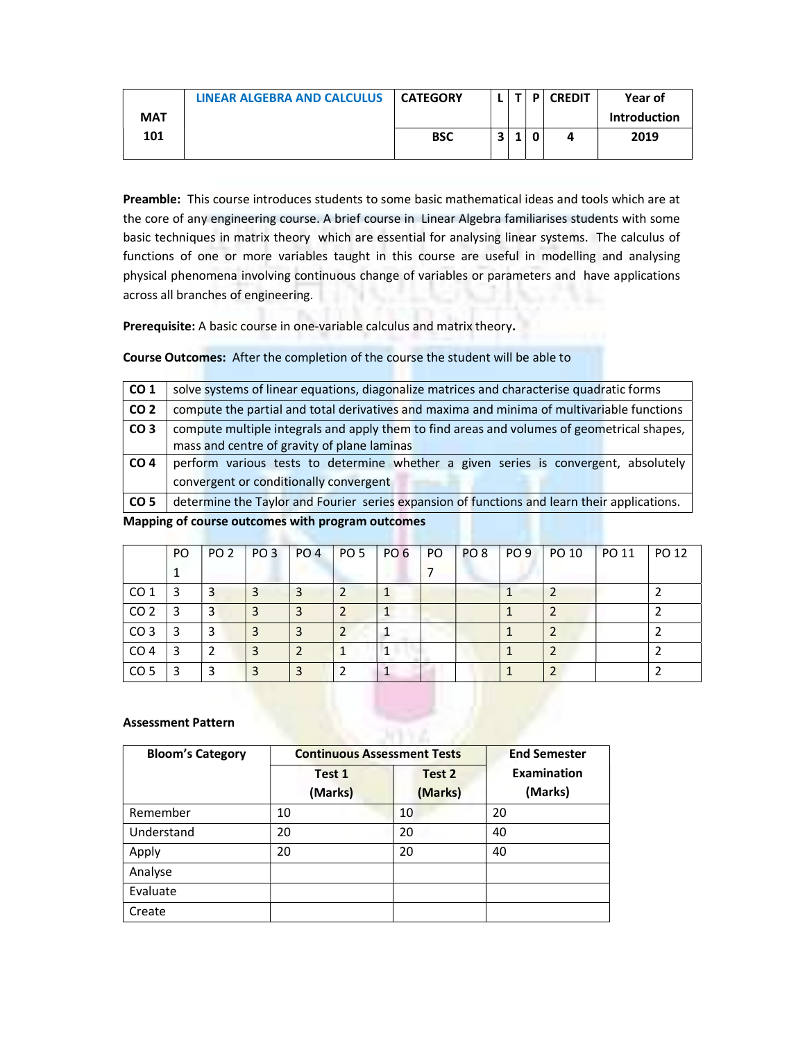|            | LINEAR ALGEBRA AND CALCULUS | $\mid$ CATEGORY |   | D | <b>CREDIT</b> | Year of             |
|------------|-----------------------------|-----------------|---|---|---------------|---------------------|
| <b>MAT</b> |                             |                 |   |   |               | <b>Introduction</b> |
| 101        |                             | <b>BSC</b>      | ◠ | 0 |               | 2019                |
|            |                             |                 |   |   |               |                     |

Preamble: This course introduces students to some basic mathematical ideas and tools which are at the core of any engineering course. A brief course in Linear Algebra familiarises students with some basic techniques in matrix theory which are essential for analysing linear systems. The calculus of functions of one or more variables taught in this course are useful in modelling and analysing physical phenomena involving continuous change of variables or parameters and have applications across all branches of engineering.

Prerequisite: A basic course in one-variable calculus and matrix theory.

Course Outcomes: After the completion of the course the student will be able to

| CO <sub>1</sub> | solve systems of linear equations, diagonalize matrices and characterise quadratic forms     |
|-----------------|----------------------------------------------------------------------------------------------|
| CO <sub>2</sub> | compute the partial and total derivatives and maxima and minima of multivariable functions   |
| CO <sub>3</sub> | compute multiple integrals and apply them to find areas and volumes of geometrical shapes,   |
|                 | mass and centre of gravity of plane laminas                                                  |
| CO <sub>4</sub> | perform various tests to determine whether a given series is convergent, absolutely          |
|                 | convergent or conditionally convergent                                                       |
| CO <sub>5</sub> | determine the Taylor and Fourier series expansion of functions and learn their applications. |

Mapping of course outcomes with program outcomes

|                 | PO | PO <sub>2</sub> | <b>PO 3</b> | $PO4   PO5   PO6$ |  | $ $ PO | PO <sub>8</sub> | PO 9 | PO 10 | PO 11 | PO 12 |
|-----------------|----|-----------------|-------------|-------------------|--|--------|-----------------|------|-------|-------|-------|
|                 |    |                 |             |                   |  |        |                 |      |       |       |       |
| CO <sub>1</sub> | 3  | 3               |             | З                 |  |        |                 |      |       |       |       |
| CO <sub>2</sub> | 3  | 2               |             |                   |  |        |                 |      |       |       |       |
| CO <sub>3</sub> | 3  | 2               |             |                   |  |        |                 |      |       |       |       |
| CO <sub>4</sub> | 3  |                 |             |                   |  |        |                 |      |       |       |       |
| CO <sub>5</sub> | 3  |                 |             |                   |  |        |                 |      |       |       |       |

# Assessment Pattern

| <b>Bloom's Category</b> | <b>Continuous Assessment Tests</b> | <b>End Semester</b> |                               |
|-------------------------|------------------------------------|---------------------|-------------------------------|
|                         | Test 1<br>(Marks)                  | Test 2<br>(Marks)   | <b>Examination</b><br>(Marks) |
| Remember                | 10                                 | 10                  | 20                            |
| Understand              | 20                                 | 20                  | 40                            |
| Apply                   | 20                                 | 20                  | 40                            |
| Analyse                 |                                    |                     |                               |
| Evaluate                |                                    |                     |                               |
| Create                  |                                    |                     |                               |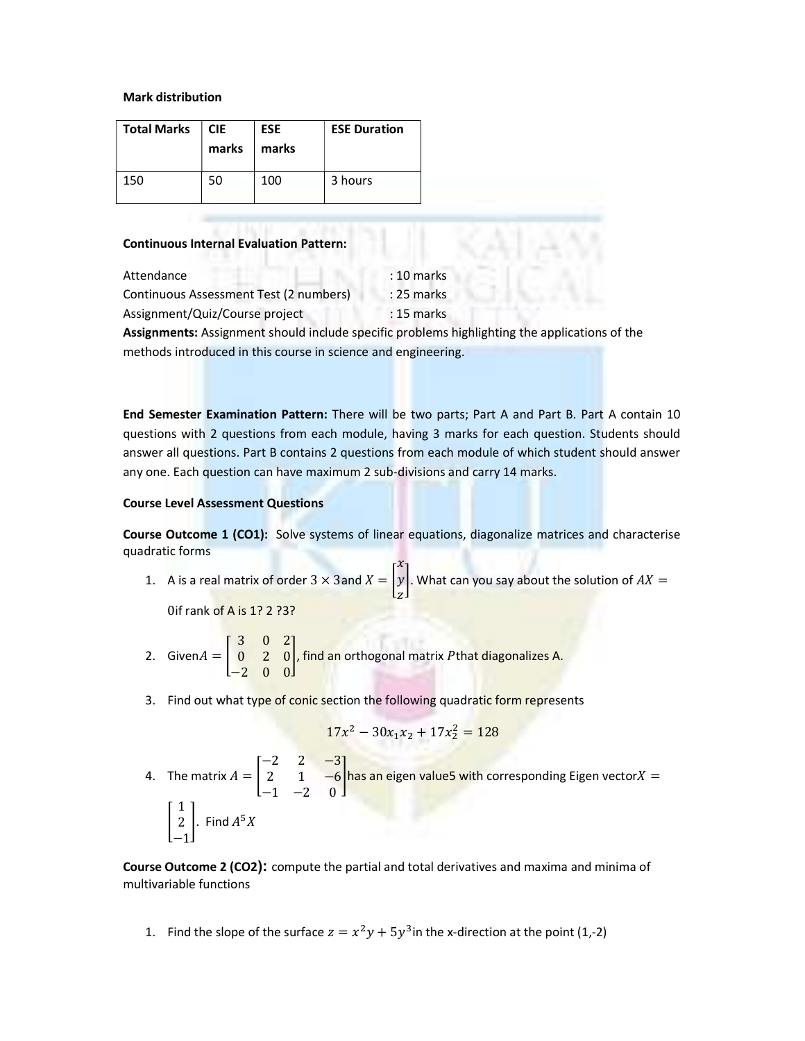#### Mark distribution

| <b>Total Marks</b> | <b>CIE</b><br>marks | <b>ESE</b><br>marks | <b>ESE Duration</b> |
|--------------------|---------------------|---------------------|---------------------|
| 150                | 50                  | 100                 | 3 hours             |

## Continuous Internal Evaluation Pattern:

| Attendance                             | $: 10$ marks |
|----------------------------------------|--------------|
| Continuous Assessment Test (2 numbers) | $: 25$ marks |
| Assignment/Quiz/Course project         | $: 15$ marks |

Assignments: Assignment should include specific problems highlighting the applications of the methods introduced in this course in science and engineering.

End Semester Examination Pattern: There will be two parts; Part A and Part B. Part A contain 10 questions with 2 questions from each module, having 3 marks for each question. Students should answer all questions. Part B contains 2 questions from each module of which student should answer any one. Each question can have maximum 2 sub-divisions and carry 14 marks.

### Course Level Assessment Questions

Course Outcome 1 (CO1): Solve systems of linear equations, diagonalize matrices and characterise quadratic forms

1. A is a real matrix of order  $3 \times 3$  and  $X = \frac{1}{2}$  $\chi$ .  $\mathcal{Y}$  $\mathbf{z}$ . What can you say about the solution of  $AX =$ 

0if rank of A is 1? 2 ?3?

- 2. Given $A = \vert$  $3 \t 0 \t 2$  $0 \quad 2 \quad 0$ ,  $-2$  0 0  $\frac{1}{2}$ , find an orthogonal matrix Pthat diagonalizes A.
- 3. Find out what type of conic section the following quadratic form represents

$$
17x^2 - 30x_1x_2 + 17x_2^2 = 128
$$

4. The matrix  $A = \vert$  $-2$  2  $-3$  $2 \t1 -6$  $-1$   $-2$  0 **has an eigen value5 with corresponding Eigen vector**  $X =$  $\vert 2 \vert$ . Find  $A^5X$ 1 −1

Course Outcome 2 (CO2): compute the partial and total derivatives and maxima and minima of multivariable functions

1. Find the slope of the surface  $z = x^2y + 5y^3$  in the x-direction at the point (1,-2)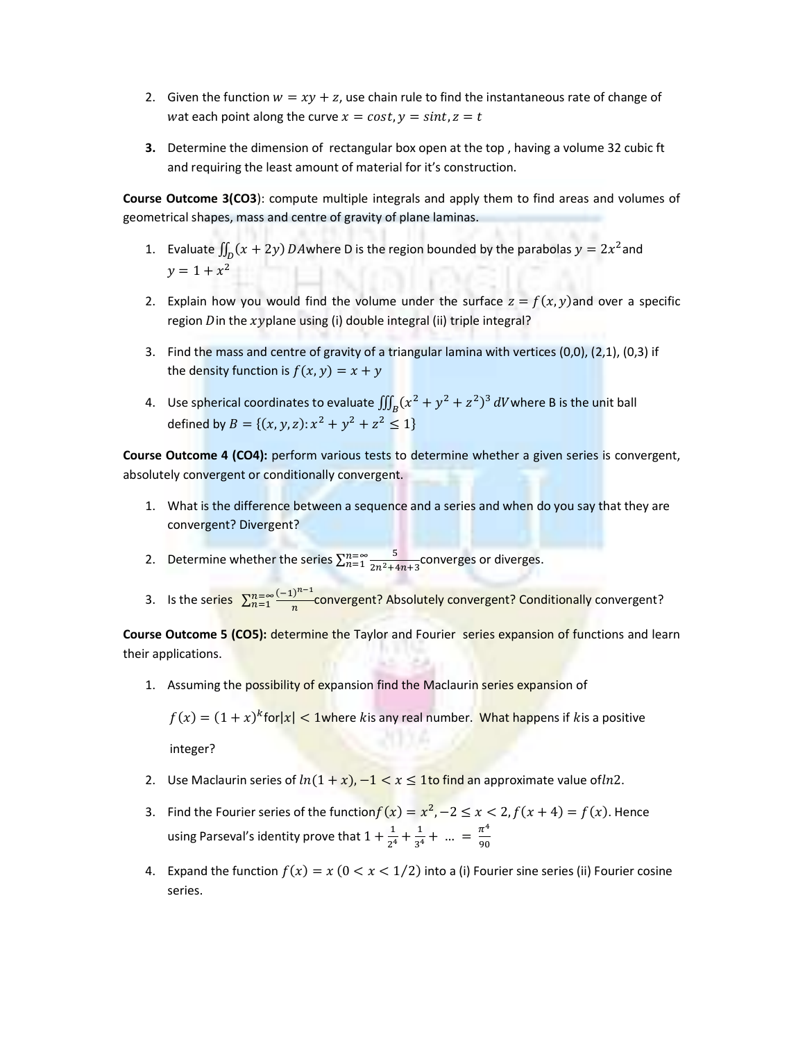- 2. Given the function  $w = xy + z$ , use chain rule to find the instantaneous rate of change of wat each point along the curve  $x = cost$ ,  $y = sint$ ,  $z = t$
- 3. Determine the dimension of rectangular box open at the top , having a volume 32 cubic ft and requiring the least amount of material for it's construction.

Course Outcome 3(CO3): compute multiple integrals and apply them to find areas and volumes of geometrical shapes, mass and centre of gravity of plane laminas.

- 1. Evaluate  $\iint_D (x + 2y) D A$  where D is the region bounded by the parabolas  $y = 2x^2$  and  $y = 1 + x^2$
- 2. Explain how you would find the volume under the surface  $z = f(x, y)$ and over a specific region Din the xyplane using (i) double integral (ii) triple integral?
- 3. Find the mass and centre of gravity of a triangular lamina with vertices (0,0), (2,1), (0,3) if the density function is  $f(x, y) = x + y$
- 4. Use spherical coordinates to evaluate  $\iiint_R (x^2 + y^2 + z^2)^3$  $\int_B (x^2 + y^2 + z^2)^3 dV$  where B is the unit ball defined by  $B = \{(x, y, z): x^2 + y^2 + z^2 \le 1\}$

Course Outcome 4 (CO4): perform various tests to determine whether a given series is convergent, absolutely convergent or conditionally convergent.

- 1. What is the difference between a sequence and a series and when do you say that they are convergent? Divergent?
- 2. Determine whether the series  $\sum_{n=1}^{\infty} \frac{5}{2n^2+4}$  $n = \infty$   $\frac{5}{2n^2 + 4n + 3}$ converges or diverges.
- 3. Is the series  $\sum_{n=1}^{\infty} \frac{(-1)^{n-1}}{n}$  $\boldsymbol{n}$  $\frac{n}{n=1}^{\infty}$  convergent? Absolutely convergent? Conditionally convergent?

Course Outcome 5 (CO5): determine the Taylor and Fourier series expansion of functions and learn their applications.

1. Assuming the possibility of expansion find the Maclaurin series expansion of

 $f(x) = (1 + x)^k$  for  $|x| < 1$  where kis any real number. What happens if kis a positive

integer?

- 2. Use Maclaurin series of  $ln(1 + x)$ ,  $-1 < x \le 1$ to find an approximate value of ln2.
- 3. Find the Fourier series of the function $f(x) = x^2, -2 \le x < 2, f(x + 4) = f(x)$ . Hence using Parseval's identity prove that  $1+\frac{1}{2^4}+\frac{1}{3^4}$  $\frac{1}{3^4} + ... = \frac{\pi^4}{90}$ ଽ
- 4. Expand the function  $f(x) = x (0 < x < 1/2)$  into a (i) Fourier sine series (ii) Fourier cosine series.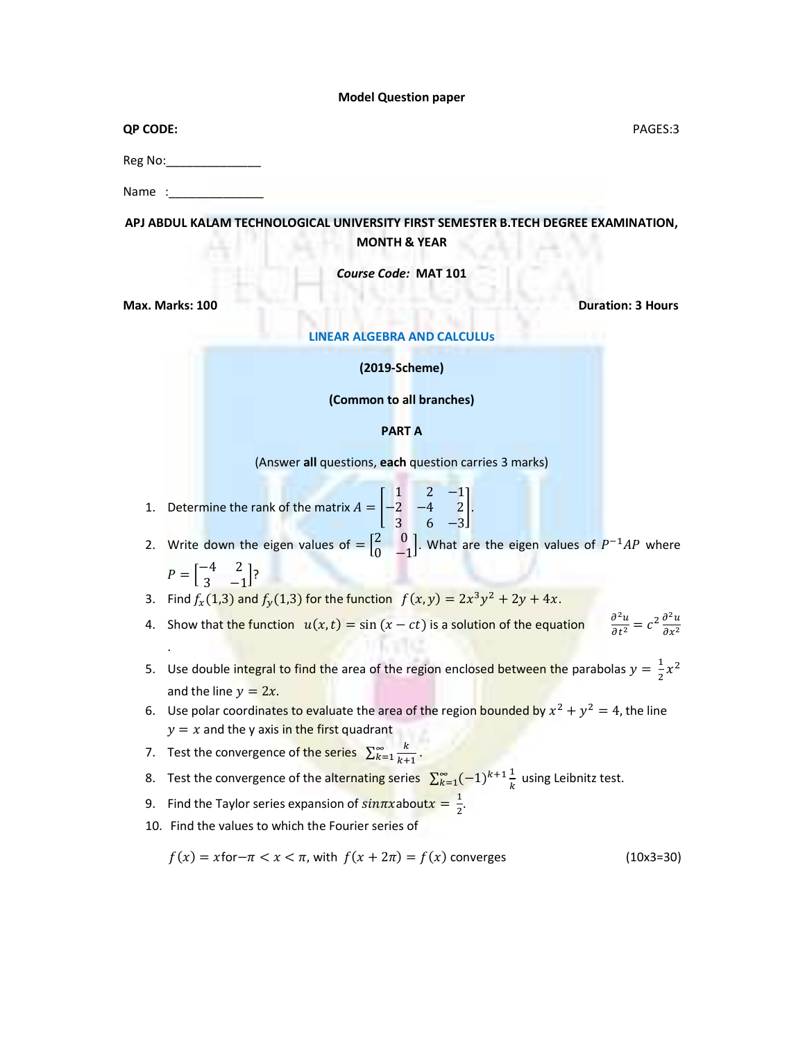#### Model Question paper

#### **QP CODE:** PAGES:3

Reg No:\_\_\_\_\_\_\_\_\_\_\_\_\_\_

Name :

APJ ABDUL KALAM TECHNOLOGICAL UNIVERSITY FIRST SEMESTER B.TECH DEGREE EXAMINATION, MONTH & YEAR

Course Code: MAT 101

Max. Marks: 100 Duration: 3 Hours

.

### LINEAR ALGEBRA AND CALCULUs

(2019-Scheme)

### (Common to all branches)

### PART A

(Answer all questions, each question carries 3 marks)

- 1. Determine the rank of the matrix  $A = \vert$  1 2 −1  $-2$   $-4$  2  $3 \t 6 \t -3$ ൩.
- 2. Write down the eigen values of  $=[\begin{matrix} 2 & 0 \\ 0 & 1 \end{matrix}]$  $\begin{bmatrix} 2 & 0 \\ 0 & -1 \end{bmatrix}$ . What are the eigen values of  $P^{-1}AP$  where  $P = \begin{bmatrix} -4 & 2 \\ 2 & 1 \end{bmatrix}$  $\begin{bmatrix} 3 & -1 \end{bmatrix}$ ?

3. Find  $f_x(1,3)$  and  $f_y(1,3)$  for the function  $f(x,y) = 2x^3y^2 + 2y + 4x$ .

- 4. Show that the function  $u(x,t) = \sin (x ct)$  is a solution of the equation  $\frac{\partial^2 u}{\partial t^2} = c^2 \frac{\partial^2 u}{\partial x^2}$  $\partial x^2$
- 5. Use double integral to find the area of the region enclosed between the parabolas  $y = \frac{1}{2}x$  $\frac{1}{2}x^2$ and the line  $y = 2x$ .
- 6. Use polar coordinates to evaluate the area of the region bounded by  $x^2 + y^2 = 4$ , the line  $y = x$  and the y axis in the first quadrant
- 7. Test the convergence of the series  $\sum_{k=1}^{\infty} \frac{k}{k+1}$  $k+1$  $\sum_{k=1}^{\infty} \frac{k}{k+1}$ .
- 8. Test the convergence of the alternating series  $\sum_{k=1}^{\infty}(-1)^{k+1}\frac{1}{k}$  $\sum_{k=1}^{\infty} (-1)^{k+1} \frac{1}{k}$  using Leibnitz test.
- 9. Find the Taylor series expansion of  $sin\pi x$ about $x = \frac{1}{2}$ .  $\frac{1}{2}$ .
- 10. Find the values to which the Fourier series of

$$
f(x) = x \text{for } -\pi < x < \pi \text{, with } f(x + 2\pi) = f(x) \text{ converges} \tag{10x3=30}
$$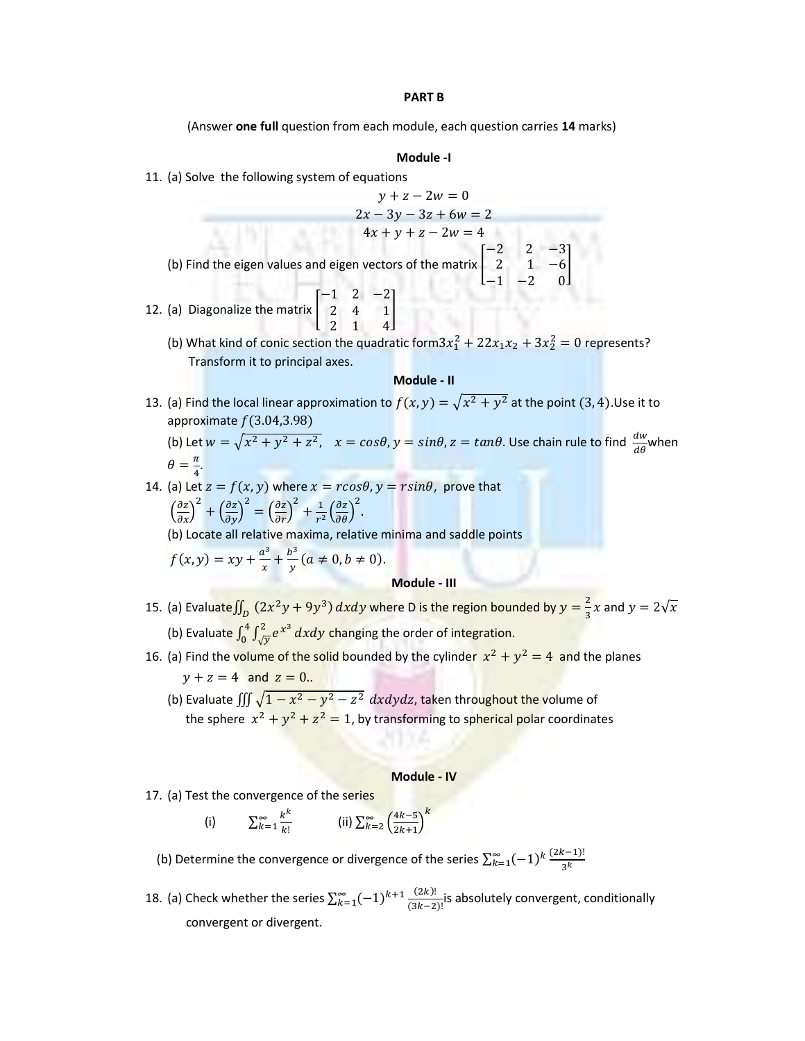#### PART B

(Answer one full question from each module, each question carries 14 marks)

#### Module -I

- 11. (a) Solve the following system of equations
	- $y + z 2w = 0$  $2x - 3y - 3z + 6w = 2$  $4x + y + z - 2w = 4$ (b) Find the eigen values and eigen vectors of the matrix  $-2$  2  $-3$ <sup>-</sup>  $2 \t1 -6$  $-1$   $-2$  0. ൩  $-1$  2  $-2$
- 12. (a) Diagonalize the matrix 2 4 1  $2 \quad 1 \quad 4$ 
	- (b) What kind of conic section the quadratic form $3x_1^2 + 22x_1x_2 + 3x_2^2 = 0$  represents? Transform it to principal axes.

൩

#### Module - II

13. (a) Find the local linear approximation to  $f(x, y) = \sqrt{x^2 + y^2}$  at the point  $(3, 4)$ .Use it to approximate  $f(3.04, 3.98)$ 

(b) Let  $w = \sqrt{x^2 + y^2 + z^2}$ ,  $x = cos\theta$ ,  $y = sin\theta$ ,  $z = tan\theta$ . Use chain rule to find  $\frac{dw}{d\theta}$ when  $\theta = \frac{\pi}{4}$ .  $\overline{\mathbf{r}}$ 

Module - III

14. (a) Let  $z = f(x, y)$  where  $x = r \cos \theta$ ,  $y = r \sin \theta$ , prove that  $\left(\frac{\partial z}{\partial x}\right)^2 + \left(\frac{\partial z}{\partial y}\right)^2 = \left(\frac{\partial z}{\partial r}\right)^2 + \frac{1}{r^2}$  $rac{1}{r^2} \left(\frac{\partial z}{\partial \theta}\right)^2$ . (b) Locate all relative maxima, relative minima and saddle points య య

$$
f(x,y) = xy + \frac{a^3}{x} + \frac{b^3}{y} (a \neq 0, b \neq 0).
$$

- 15. (a) Evaluate $\iint_D (2x^2y + 9y^3) dx dy$  where D is the region bounded by  $y = \frac{2}{3}$  $\frac{2}{3}x$  and  $y = 2\sqrt{x}$ 
	- (b) Evaluate  $\int_0^4 \int_{\sqrt{y}}^2 e^{x^3}$  $\sqrt{y}$  $\overline{\mathbf{r}}$  $\int_0^{4} \int_{\sqrt{y}}^x e^{x^3} dx dy$  changing the order of integration.
	- 16. (a) Find the volume of the solid bounded by the cylinder  $x^2 + y^2 = 4$  and the planes  $y + z = 4$  and  $z = 0$ ..
		- (b) Evaluate  $\iiint \sqrt{1-x^2-y^2-z^2} dx dy dz$ , taken throughout the volume of the sphere  $x^2 + y^2 + z^2 = 1$ , by transforming to spherical polar coordinates

#### Module - IV

17. (a) Test the convergence of the series

(i) 
$$
\sum_{k=1}^{\infty} \frac{k^k}{k!}
$$
 (ii) 
$$
\sum_{k=2}^{\infty} \left(\frac{4k-5}{2k+1}\right)^k
$$

(b) Determine the convergence or divergence of the series  $\sum_{k=1}^{\infty}(-1)^k$  $(2k-1)!$  $3^k$ 

18. (a) Check whether the series  $\sum_{k=1}^{\infty}(-1)^{k+1}$  $(2k)!$  $\frac{(2\kappa)!}{(3k-2)!}$  is absolutely convergent, conditionally convergent or divergent.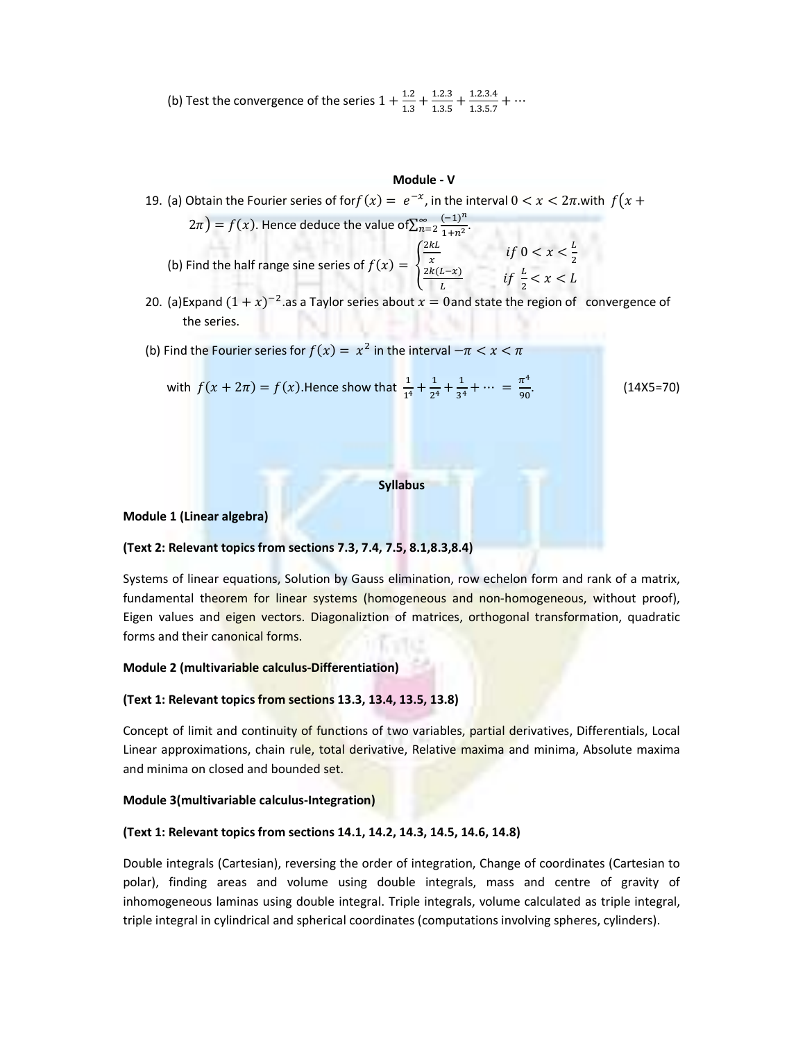(b) Test the convergence of the series  $1 + \frac{1.2}{1.3} + \frac{1.2.3}{1.3.5}$  $\frac{1.2.3}{1.3.5} + \frac{1.2.3.4}{1.3.5.7}$  $\frac{1.2.3.4}{1.3.5.7} + \cdots$ 

### Module - V

19. (a) Obtain the Fourier series of for $f(x) = e^{-x}$ , in the interval  $0 < x < 2\pi$  with  $f(x +$  $2\pi$ ) =  $f(x)$ . Hence deduce the value of $\sum_{n=2}^{\infty} \frac{(-1)^n}{(n+1)^n}$  $1 + n^2$  $m=2\frac{(-1)^n}{1+n^2}$ . (b) Find the half range sine series of  $f(x) = \begin{cases} 1 & x \end{cases}$  $2kL$  $rac{kL}{x}$  if  $0 < x < \frac{L}{2}$ ଶ  $2k(L-x)$  $\frac{L-x}{L}$  if  $\frac{L}{2} < x < L$ 

20. (a) Expand  $(1 + x)^{-2}$  as a Taylor series about  $x = 0$  and state the region of convergence of the series.

(b) Find the Fourier series for  $f(x) = x^2$  in the interval  $-\pi < x < \pi$ 

with 
$$
f(x + 2\pi) = f(x)
$$
. Hence show that  $\frac{1}{1^4} + \frac{1}{2^4} + \frac{1}{3^4} + \dots = \frac{\pi^4}{90}$ . (14X5=70)

Syllabus

#### Module 1 (Linear algebra)

### (Text 2: Relevant topics from sections 7.3, 7.4, 7.5, 8.1,8.3,8.4)

Systems of linear equations, Solution by Gauss elimination, row echelon form and rank of a matrix, fundamental theorem for linear systems (homogeneous and non-homogeneous, without proof), Eigen values and eigen vectors. Diagonaliztion of matrices, orthogonal transformation, quadratic forms and their canonical forms.

### Module 2 (multivariable calculus-Differentiation)

### (Text 1: Relevant topics from sections 13.3, 13.4, 13.5, 13.8)

Concept of limit and continuity of functions of two variables, partial derivatives, Differentials, Local Linear approximations, chain rule, total derivative, Relative maxima and minima, Absolute maxima and minima on closed and bounded set.

# Module 3(multivariable calculus-Integration)

#### (Text 1: Relevant topics from sections 14.1, 14.2, 14.3, 14.5, 14.6, 14.8)

Double integrals (Cartesian), reversing the order of integration, Change of coordinates (Cartesian to polar), finding areas and volume using double integrals, mass and centre of gravity of inhomogeneous laminas using double integral. Triple integrals, volume calculated as triple integral, triple integral in cylindrical and spherical coordinates (computations involving spheres, cylinders).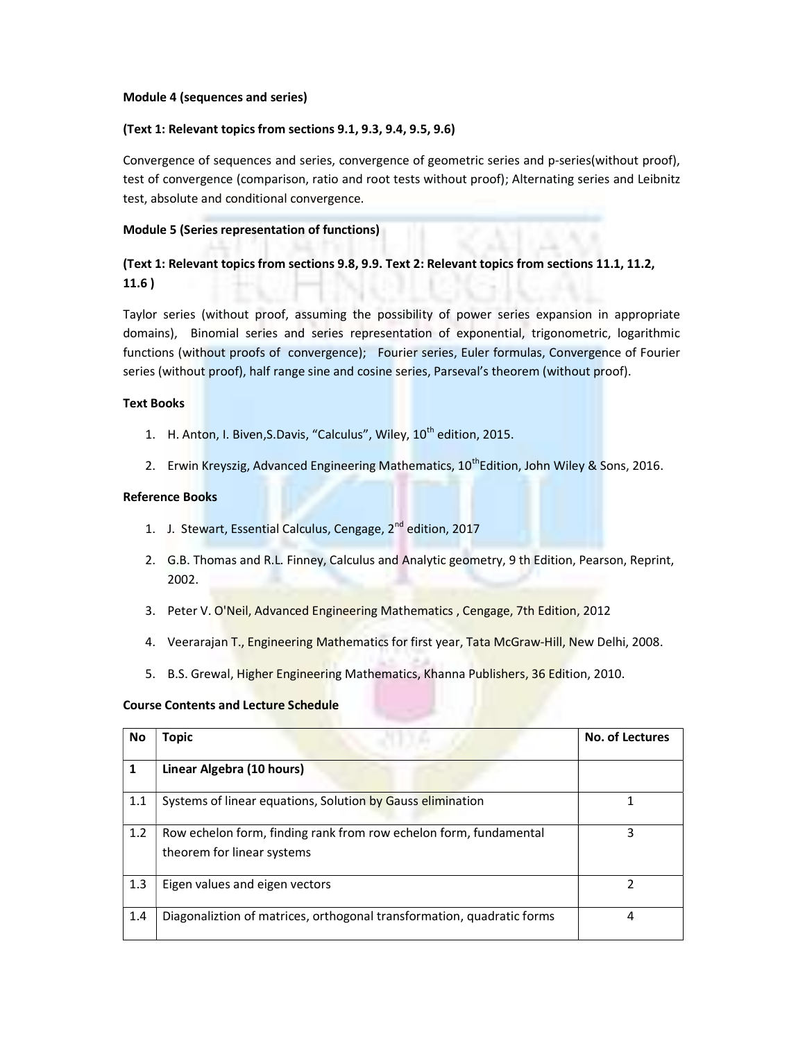### Module 4 (sequences and series)

### (Text 1: Relevant topics from sections 9.1, 9.3, 9.4, 9.5, 9.6)

Convergence of sequences and series, convergence of geometric series and p-series(without proof), test of convergence (comparison, ratio and root tests without proof); Alternating series and Leibnitz test, absolute and conditional convergence.

### Module 5 (Series representation of functions)

# (Text 1: Relevant topics from sections 9.8, 9.9. Text 2: Relevant topics from sections 11.1, 11.2, 11.6 )

Taylor series (without proof, assuming the possibility of power series expansion in appropriate domains), Binomial series and series representation of exponential, trigonometric, logarithmic functions (without proofs of convergence); Fourier series, Euler formulas, Convergence of Fourier series (without proof), half range sine and cosine series, Parseval's theorem (without proof).

### Text Books

- 1. H. Anton, I. Biven, S. Davis, "Calculus", Wiley, 10<sup>th</sup> edition, 2015.
- 2. Erwin Kreyszig, Advanced Engineering Mathematics, 10<sup>th</sup>Edition, John Wiley & Sons, 2016.

### Reference Books

- 1. J. Stewart, Essential Calculus, Cengage, 2<sup>nd</sup> edition, 2017
- 2. G.B. Thomas and R.L. Finney, Calculus and Analytic geometry, 9 th Edition, Pearson, Reprint, 2002.
- 3. Peter V. O'Neil, Advanced Engineering Mathematics , Cengage, 7th Edition, 2012
- 4. Veerarajan T., Engineering Mathematics for first year, Tata McGraw-Hill, New Delhi, 2008.
- 5. B.S. Grewal, Higher Engineering Mathematics, Khanna Publishers, 36 Edition, 2010.

### Course Contents and Lecture Schedule

| No  | Topic                                                                                           | No. of Lectures |
|-----|-------------------------------------------------------------------------------------------------|-----------------|
| 1   | Linear Algebra (10 hours)                                                                       |                 |
| 1.1 | Systems of linear equations, Solution by Gauss elimination                                      |                 |
| 1.2 | Row echelon form, finding rank from row echelon form, fundamental<br>theorem for linear systems | 3               |
| 1.3 | Eigen values and eigen vectors                                                                  |                 |
| 1.4 | Diagonaliztion of matrices, orthogonal transformation, quadratic forms                          | 4               |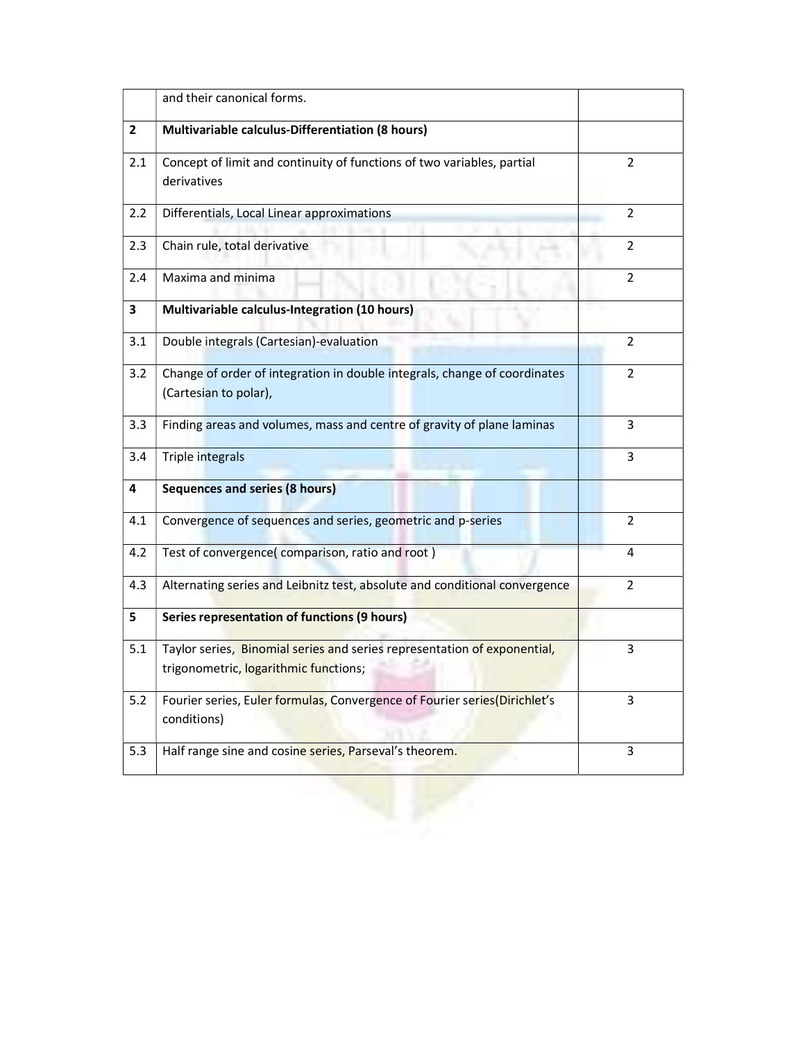|              | and their canonical forms.                                                                                        |                |
|--------------|-------------------------------------------------------------------------------------------------------------------|----------------|
| $\mathbf{2}$ | Multivariable calculus-Differentiation (8 hours)                                                                  |                |
| 2.1          | Concept of limit and continuity of functions of two variables, partial<br>derivatives                             | $\overline{2}$ |
| 2.2          | Differentials, Local Linear approximations                                                                        | $\overline{2}$ |
| 2.3          | Chain rule, total derivative                                                                                      | 2              |
| 2.4          | Maxima and minima                                                                                                 | $\overline{2}$ |
| 3            | Multivariable calculus-Integration (10 hours)                                                                     |                |
| 3.1          | Double integrals (Cartesian)-evaluation                                                                           | $\overline{2}$ |
| 3.2          | Change of order of integration in double integrals, change of coordinates<br>(Cartesian to polar),                | 2              |
| 3.3          | Finding areas and volumes, mass and centre of gravity of plane laminas                                            | 3              |
| 3.4          | Triple integrals                                                                                                  | 3              |
| 4            | <b>Sequences and series (8 hours)</b>                                                                             |                |
| 4.1          | Convergence of sequences and series, geometric and p-series                                                       | $\overline{2}$ |
| 4.2          | Test of convergence(comparison, ratio and root)                                                                   | 4              |
| 4.3          | Alternating series and Leibnitz test, absolute and conditional convergence                                        | $\overline{2}$ |
| 5            | <b>Series representation of functions (9 hours)</b>                                                               |                |
| 5.1          | Taylor series, Binomial series and series representation of exponential,<br>trigonometric, logarithmic functions; | 3              |
| 5.2          | Fourier series, Euler formulas, Convergence of Fourier series(Dirichlet's<br>conditions)                          | 3              |
| 5.3          | Half range sine and cosine series, Parseval's theorem.                                                            | 3              |
|              |                                                                                                                   |                |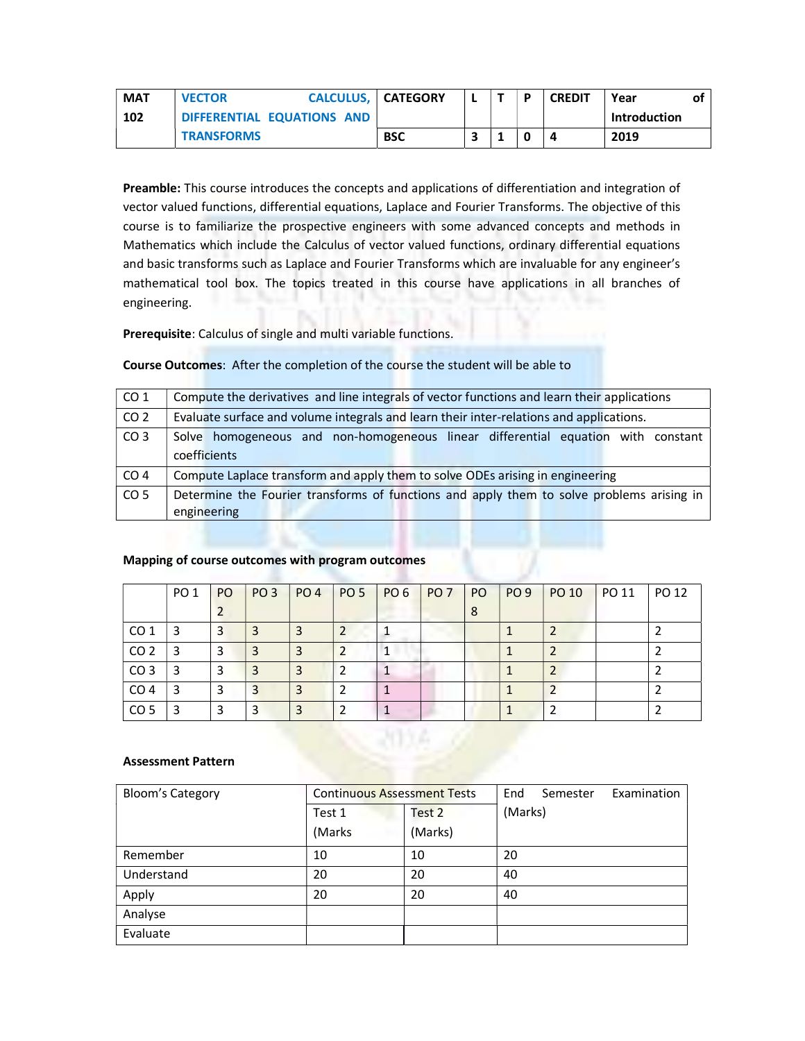| <b>MAT</b> | <b>VECTOR</b>     | <b>CALCULUS,   CATEGORY</b> |            |  |   | <b>CREDIT</b> | Year                | οt |
|------------|-------------------|-----------------------------|------------|--|---|---------------|---------------------|----|
| 102        |                   | DIFFERENTIAL EQUATIONS AND  |            |  |   |               | <b>Introduction</b> |    |
|            | <b>TRANSFORMS</b> |                             | <b>BSC</b> |  | O |               | 2019                |    |

Preamble: This course introduces the concepts and applications of differentiation and integration of vector valued functions, differential equations, Laplace and Fourier Transforms. The objective of this course is to familiarize the prospective engineers with some advanced concepts and methods in Mathematics which include the Calculus of vector valued functions, ordinary differential equations and basic transforms such as Laplace and Fourier Transforms which are invaluable for any engineer's mathematical tool box. The topics treated in this course have applications in all branches of engineering.

Prerequisite: Calculus of single and multi variable functions.

Course Outcomes: After the completion of the course the student will be able to

| CO <sub>1</sub> | Compute the derivatives and line integrals of vector functions and learn their applications |
|-----------------|---------------------------------------------------------------------------------------------|
| CO <sub>2</sub> | Evaluate surface and volume integrals and learn their inter-relations and applications.     |
| CO <sub>3</sub> | Solve homogeneous and non-homogeneous linear differential equation with constant            |
|                 | coefficients                                                                                |
| CO <sub>4</sub> | Compute Laplace transform and apply them to solve ODEs arising in engineering               |
| CO <sub>5</sub> | Determine the Fourier transforms of functions and apply them to solve problems arising in   |
|                 | engineering                                                                                 |

# Mapping of course outcomes with program outcomes

|                 | PO <sub>1</sub> | P <sub>O</sub> | PO <sub>3</sub> | PO <sub>4</sub> | PO <sub>5</sub> | PO6 | <b>PO 7</b> | <b>PO</b> | PO <sub>9</sub> | PO 10 | <b>PO 11</b> | PO 12 |
|-----------------|-----------------|----------------|-----------------|-----------------|-----------------|-----|-------------|-----------|-----------------|-------|--------------|-------|
|                 |                 |                |                 |                 |                 |     |             | 8         |                 |       |              |       |
| CO <sub>1</sub> | 3               |                |                 |                 |                 |     |             |           |                 |       |              |       |
| CO <sub>2</sub> | 3               |                |                 |                 |                 |     |             |           |                 |       |              |       |
| CO <sub>3</sub> | 3               |                |                 |                 |                 |     |             |           |                 |       |              |       |
| CO <sub>4</sub> | 3               |                |                 |                 |                 |     |             |           |                 |       |              |       |
| CO <sub>5</sub> | ੨               |                |                 |                 |                 |     |             |           |                 |       |              |       |

# Assessment Pattern

| <b>Bloom's Category</b> | <b>Continuous Assessment Tests</b> |         | Examination<br>End<br>Semester |
|-------------------------|------------------------------------|---------|--------------------------------|
|                         | Test 1                             | Test 2  | (Marks)                        |
|                         | (Marks                             | (Marks) |                                |
| Remember                | 10                                 | 10      | 20                             |
| Understand              | 20                                 | 20      | 40                             |
| Apply                   | 20                                 | 20      | 40                             |
| Analyse                 |                                    |         |                                |
| Evaluate                |                                    |         |                                |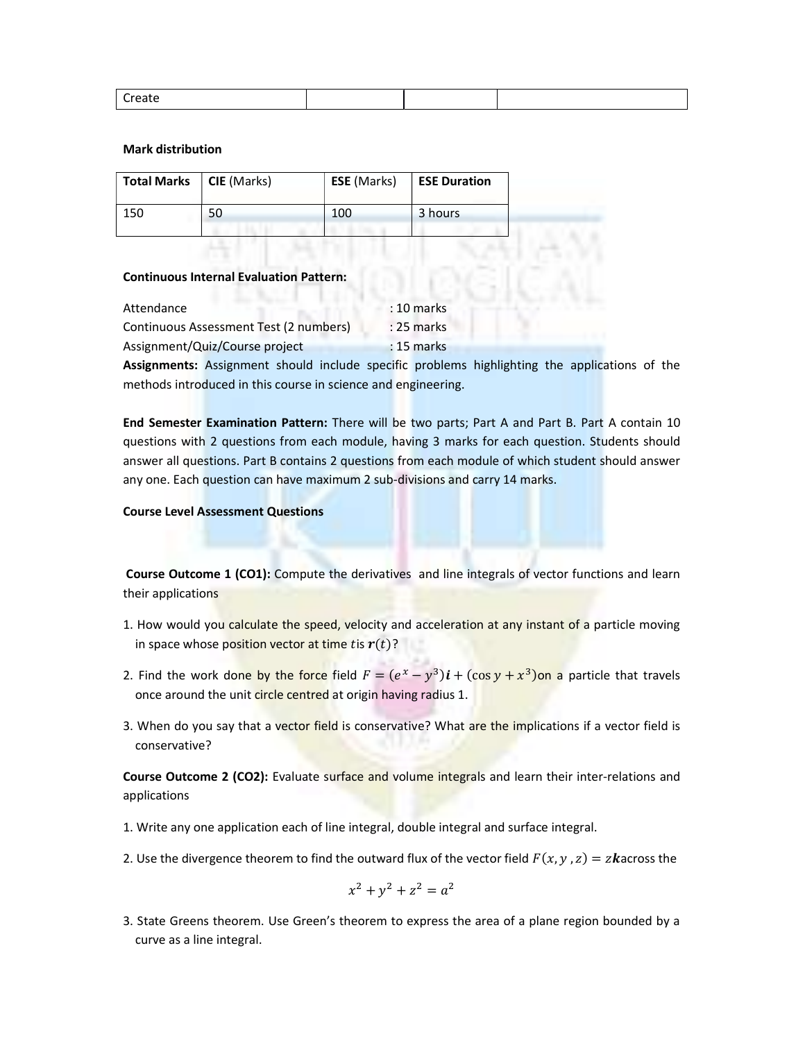| -<br>المتلمات المتعارف<br>eate |  |  |
|--------------------------------|--|--|
|                                |  |  |

#### Mark distribution

| <b>Total Marks</b> | $ $ CIE (Marks) | <b>ESE</b> (Marks) | <b>ESE Duration</b> |
|--------------------|-----------------|--------------------|---------------------|
| 150                | 50              | 100                | 3 hours             |

#### Continuous Internal Evaluation Pattern:

| Attendance                             | $: 10$ marks |
|----------------------------------------|--------------|
| Continuous Assessment Test (2 numbers) | $: 25$ marks |
| Assignment/Quiz/Course project         | $: 15$ marks |

Assignments: Assignment should include specific problems highlighting the applications of the methods introduced in this course in science and engineering.

End Semester Examination Pattern: There will be two parts; Part A and Part B. Part A contain 10 questions with 2 questions from each module, having 3 marks for each question. Students should answer all questions. Part B contains 2 questions from each module of which student should answer any one. Each question can have maximum 2 sub-divisions and carry 14 marks.

#### Course Level Assessment Questions

Course Outcome 1 (CO1): Compute the derivatives and line integrals of vector functions and learn their applications

- 1. How would you calculate the speed, velocity and acceleration at any instant of a particle moving in space whose position vector at time tis  $r(t)$ ?
- 2. Find the work done by the force field  $F = (e^x y^3)i + (cos y + x^3)$ on a particle that travels once around the unit circle centred at origin having radius 1.
- 3. When do you say that a vector field is conservative? What are the implications if a vector field is conservative?

Course Outcome 2 (CO2): Evaluate surface and volume integrals and learn their inter-relations and applications

- 1. Write any one application each of line integral, double integral and surface integral.
- 2. Use the divergence theorem to find the outward flux of the vector field  $F(x, y, z) = zk$  across the

$$
x^2 + y^2 + z^2 = a^2
$$

3. State Greens theorem. Use Green's theorem to express the area of a plane region bounded by a curve as a line integral.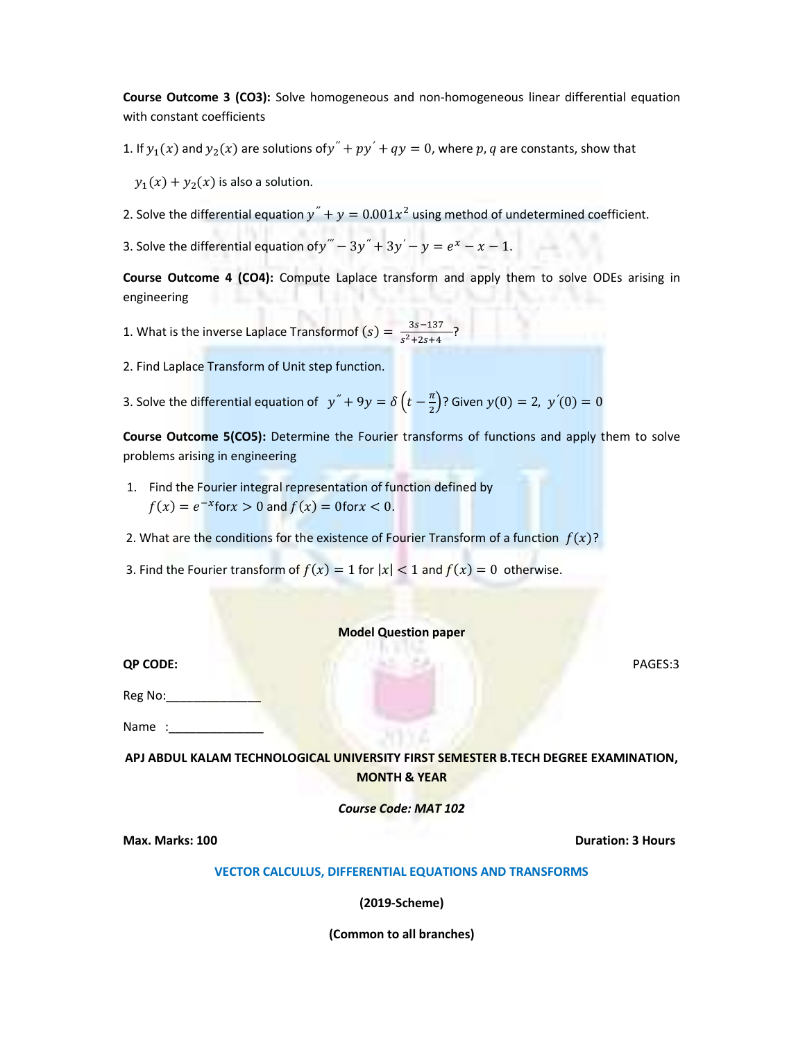Course Outcome 3 (CO3): Solve homogeneous and non-homogeneous linear differential equation with constant coefficients

1. If  $y_1(x)$  and  $y_2(x)$  are solutions of  $y'' + py' + qy = 0$ , where p, q are constants, show that

 $y_1(x) + y_2(x)$  is also a solution.

- 2. Solve the differential equation  $y'' + y = 0.001x^2$  using method of undetermined coefficient.
- 3. Solve the differential equation of  $y''' 3y'' + 3y' y = e^x x 1$ .

Course Outcome 4 (CO4): Compute Laplace transform and apply them to solve ODEs arising in engineering

- 1. What is the inverse Laplace Transformof  $(s) = \frac{3s-137}{s^2+2s+4}$  $\frac{3s-137}{s^2+2s+4}$ ?
- 2. Find Laplace Transform of Unit step function.
- 3. Solve the differential equation of  $y'' + 9y = \delta \left(t \frac{\pi}{2}\right)$  $\frac{\pi}{2}$ ? Given  $y(0) = 2$ ,  $y'(0) = 0$

Course Outcome 5(CO5): Determine the Fourier transforms of functions and apply them to solve problems arising in engineering

- 1. Find the Fourier integral representation of function defined by  $f(x) = e^{-x}$ for $x > 0$  and  $f(x) = 0$ for $x < 0$ .
- 2. What are the conditions for the existence of Fourier Transform of a function  $f(x)$ ?
- 3. Find the Fourier transform of  $f(x) = 1$  for  $|x| < 1$  and  $f(x) = 0$  otherwise.

### Model Question paper

### **QP CODE:** PAGES:3

Reg No:

Name :

APJ ABDUL KALAM TECHNOLOGICAL UNIVERSITY FIRST SEMESTER B.TECH DEGREE EXAMINATION, MONTH & YEAR

Course Code: MAT 102

Max. Marks: 100 Duration: 3 Hours

### VECTOR CALCULUS, DIFFERENTIAL EQUATIONS AND TRANSFORMS

(2019-Scheme)

(Common to all branches)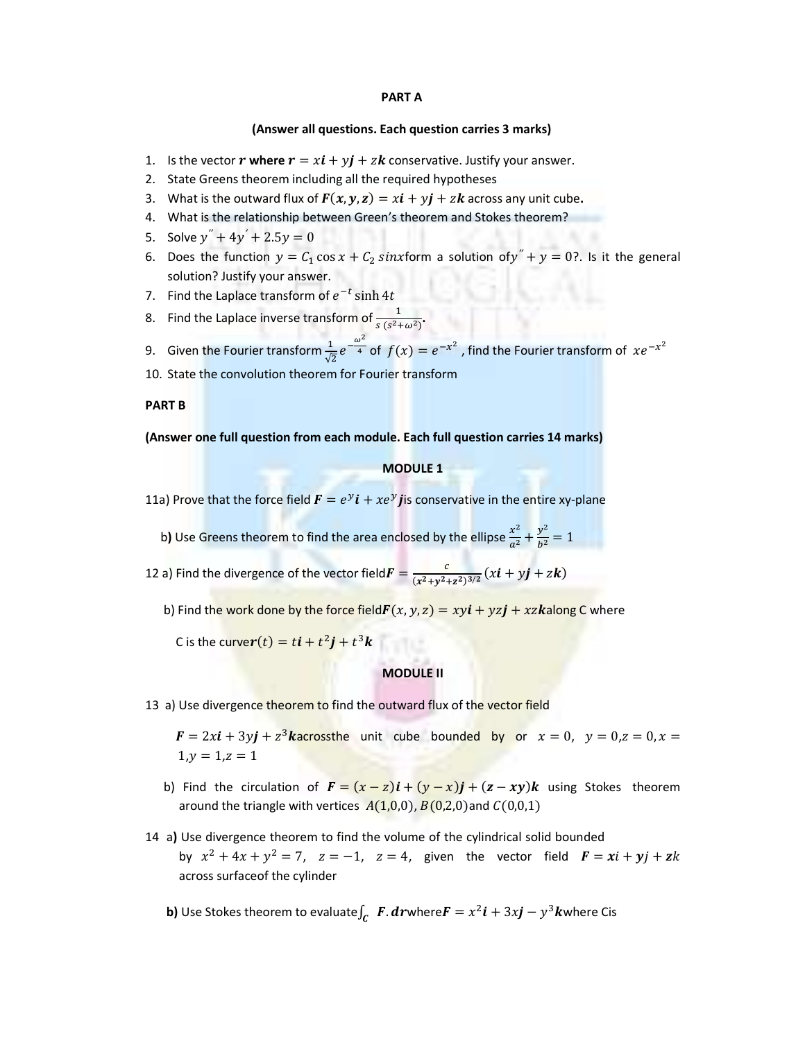### PART A

### (Answer all questions. Each question carries 3 marks)

- 1. Is the vector r where  $r = x\mathbf{i} + y\mathbf{j} + z\mathbf{k}$  conservative. Justify your answer.
- 2. State Greens theorem including all the required hypotheses
- 3. What is the outward flux of  $F(x, y, z) = xi + yj + zk$  across any unit cube.
- 4. What is the relationship between Green's theorem and Stokes theorem?
- 5. Solve  $y'' + 4y' + 2.5y = 0$
- 6. Does the function  $y = C_1 \cos x + C_2 \sin x$  form a solution of  $y'' + y = 0$ ?. Is it the general solution? Justify your answer.
- 7. Find the Laplace transform of  $e^{-t}$  sinh 4t
- 8. Find the Laplace inverse transform of  $\frac{1}{s (s^2 + \omega^2)}$ .
- 9. Given the Fourier transform  $\frac{1}{\sqrt{2}}e^{-\frac{\omega^2}{4}}$  of  $f(x)=e^{-x^2}$  , find the Fourier transform of  $xe^{-x^2}$
- 10. State the convolution theorem for Fourier transform

## PART B

(Answer one full question from each module. Each full question carries 14 marks)

### MODULE 1

11a) Prove that the force field  $\mathbf{F} = e^y \mathbf{i} + x e^y \mathbf{j}$  conservative in the entire xy-plane

b) Use Greens theorem to find the area enclosed by the ellipse  $\frac{x^2}{a^2} + \frac{y^2}{b^2}$  $\frac{y^2}{b^2} = 1$ 

- 12 a) Find the divergence of the vector field  $\vec{F} = \frac{c}{(a^2 + a^2)}$  $\frac{c}{(x^2+y^2+z^2)^{3/2}}(x\mathbf{i}+y\mathbf{j}+z\mathbf{k})$ 
	- b) Find the work done by the force field  $F(x, y, z) = xyi + yzj + xzkalong C$  where

C is the curve $\boldsymbol{r}(t) = t\boldsymbol{i} + t^2\boldsymbol{j} + t^3\boldsymbol{k}$ 

### MODULE II

13 a) Use divergence theorem to find the outward flux of the vector field

 $\mathbf{F} = 2xi + 3y\mathbf{j} + z^3\mathbf{k}$  acrossthe unit cube bounded by or  $x = 0$ ,  $y = 0, z = 0, x = 0$  $1.y = 1.z = 1$ 

- b) Find the circulation of  $F = (x z)i + (y x)j + (z xy)k$  using Stokes theorem around the triangle with vertices  $A(1,0,0)$ ,  $B(0,2,0)$  and  $C(0,0,1)$
- 14 a) Use divergence theorem to find the volume of the cylindrical solid bounded by  $x^2 + 4x + y^2 = 7$ ,  $z = -1$ ,  $z = 4$ , given the vector field  $\mathbf{F} = x\mathbf{i} + y\mathbf{j} + z\mathbf{k}$ across surfaceof the cylinder

**b)** Use Stokes theorem to evaluate  $\int_{\mathcal{C}}$  **F**. **dr**where  $\mathbf{F} = x^2 \mathbf{i} + 3x \mathbf{j} - y^3 \mathbf{k}$  where Cis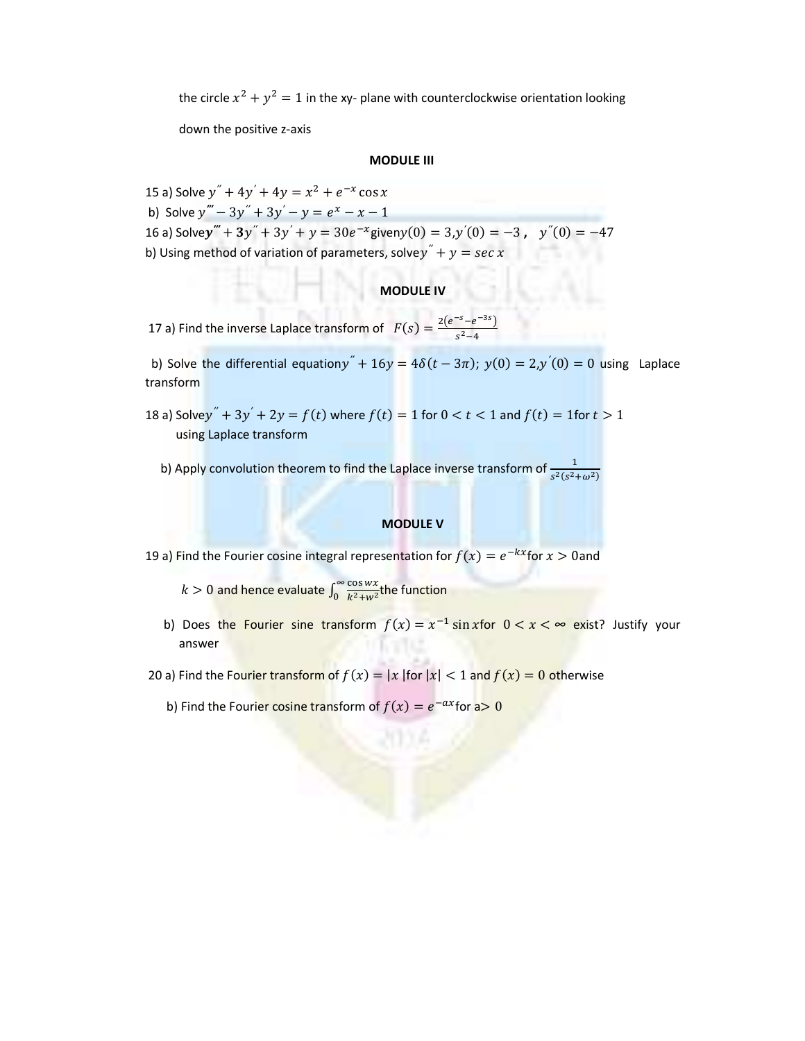the circle  $x^2 + y^2 = 1$  in the xy- plane with counterclockwise orientation looking

down the positive z-axis

### MODULE III

15 a) Solve  $y'' + 4y' + 4y = x^2 + e^{-x} \cos x$ b) Solve  $y''' - 3y'' + 3y' - y = e^x - x - 1$ 16 a) Solve $y''' + 3y'' + 3y' + y = 30e^{-x}$ given $y(0) = 3, y'(0) = -3$ ,  $y''(0) = -47$ b) Using method of variation of parameters, solve $y'' + y = \sec x$ 

# MODULE IV

17 a) Find the inverse Laplace transform of  $F(s) = \frac{2(e^{-s}-e^{-3s})}{s^2}$  $\frac{e}{s^2-4}$ 

b) Solve the differential equation  $y'' + 16y = 4\delta(t - 3\pi)$ ;  $y(0) = 2, y'(0) = 0$  using Laplace transform

- 18 a) Solvey<sup>"</sup> + 3y<sup>'</sup> + 2y =  $f(t)$  where  $f(t) = 1$  for  $0 < t < 1$  and  $f(t) = 1$ for  $t > 1$ using Laplace transform
- b) Apply convolution theorem to find the Laplace inverse transform of  $\frac{1}{s^2(s^2+\omega^2)}$

# MODULE V

19 a) Find the Fourier cosine integral representation for  $f(x) = e^{-kx}$ for  $x > 0$ and

 $k > 0$  and hence evaluate  $\int_{0}^{\infty} \frac{\cos wx}{k^2 + w^2}$  $k^2 + w^2$ ∞  $\frac{\cos wx}{k^2 + w^2}$ the function

- b) Does the Fourier sine transform  $f(x) = x^{-1} \sin x$  for  $0 < x < \infty$  exist? Justify your answer
- 20 a) Find the Fourier transform of  $f(x) = |x|$  for  $|x| < 1$  and  $f(x) = 0$  otherwise
- b) Find the Fourier cosine transform of  $f(x) = e^{-ax}$  for a  $> 0$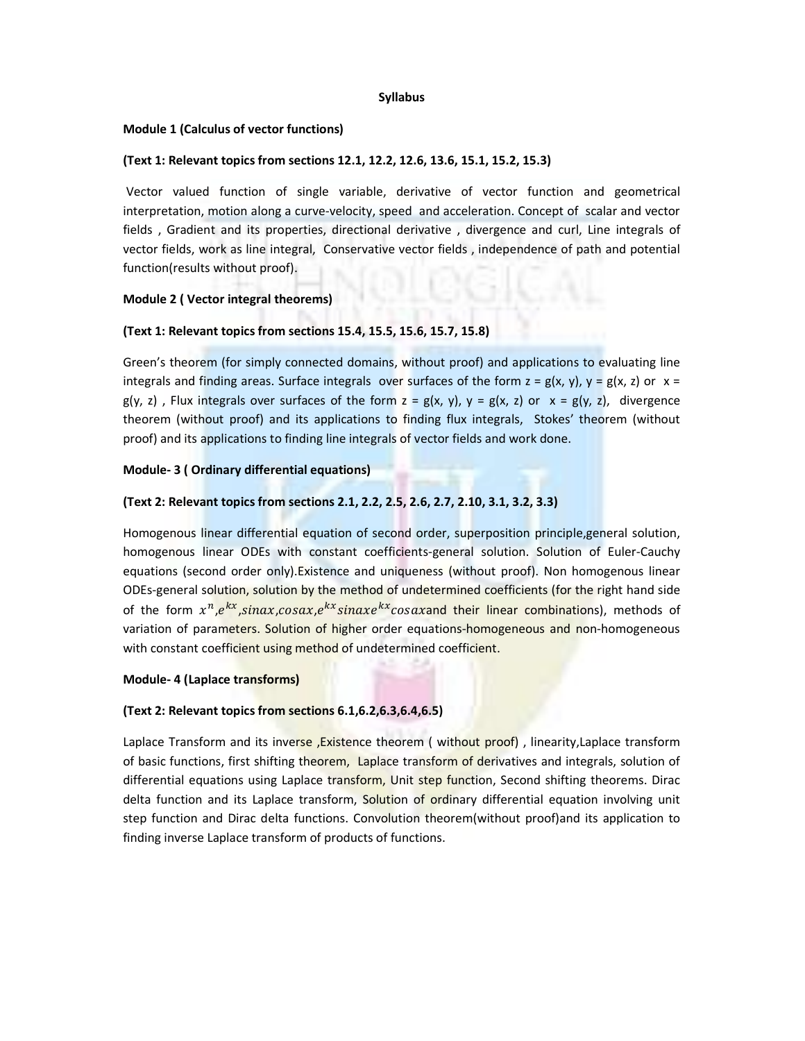### Syllabus

### Module 1 (Calculus of vector functions)

## (Text 1: Relevant topics from sections 12.1, 12.2, 12.6, 13.6, 15.1, 15.2, 15.3)

Vector valued function of single variable, derivative of vector function and geometrical interpretation, motion along a curve-velocity, speed and acceleration. Concept of scalar and vector fields , Gradient and its properties, directional derivative , divergence and curl, Line integrals of vector fields, work as line integral, Conservative vector fields , independence of path and potential function(results without proof).

# Module 2 ( Vector integral theorems)

# (Text 1: Relevant topics from sections 15.4, 15.5, 15.6, 15.7, 15.8)

Green's theorem (for simply connected domains, without proof) and applications to evaluating line integrals and finding areas. Surface integrals over surfaces of the form  $z = g(x, y)$ ,  $y = g(x, z)$  or  $x =$  $g(y, z)$ , Flux integrals over surfaces of the form  $z = g(x, y)$ ,  $y = g(x, z)$  or  $x = g(y, z)$ , divergence theorem (without proof) and its applications to finding flux integrals, Stokes' theorem (without proof) and its applications to finding line integrals of vector fields and work done.

### Module- 3 ( Ordinary differential equations)

### (Text 2: Relevant topics from sections 2.1, 2.2, 2.5, 2.6, 2.7, 2.10, 3.1, 3.2, 3.3)

Homogenous linear differential equation of second order, superposition principle,general solution, homogenous linear ODEs with constant coefficients-general solution. Solution of Euler-Cauchy equations (second order only).Existence and uniqueness (without proof). Non homogenous linear ODEs-general solution, solution by the method of undetermined coefficients (for the right hand side of the form  $x^n$ ,*e<sup>kx</sup>*,sinax,cosax,e<sup>kx</sup>sinaxe<sup>kx</sup>cosaxand their linear combinations), methods of variation of parameters. Solution of higher order equations-homogeneous and non-homogeneous with constant coefficient using method of undetermined coefficient.

### Module- 4 (Laplace transforms)

### (Text 2: Relevant topics from sections 6.1,6.2,6.3,6.4,6.5)

Laplace Transform and its inverse, Existence theorem ( without proof), linearity, Laplace transform of basic functions, first shifting theorem, Laplace transform of derivatives and integrals, solution of differential equations using Laplace transform, Unit step function, Second shifting theorems. Dirac delta function and its Laplace transform, Solution of ordinary differential equation involving unit step function and Dirac delta functions. Convolution theorem(without proof)and its application to finding inverse Laplace transform of products of functions.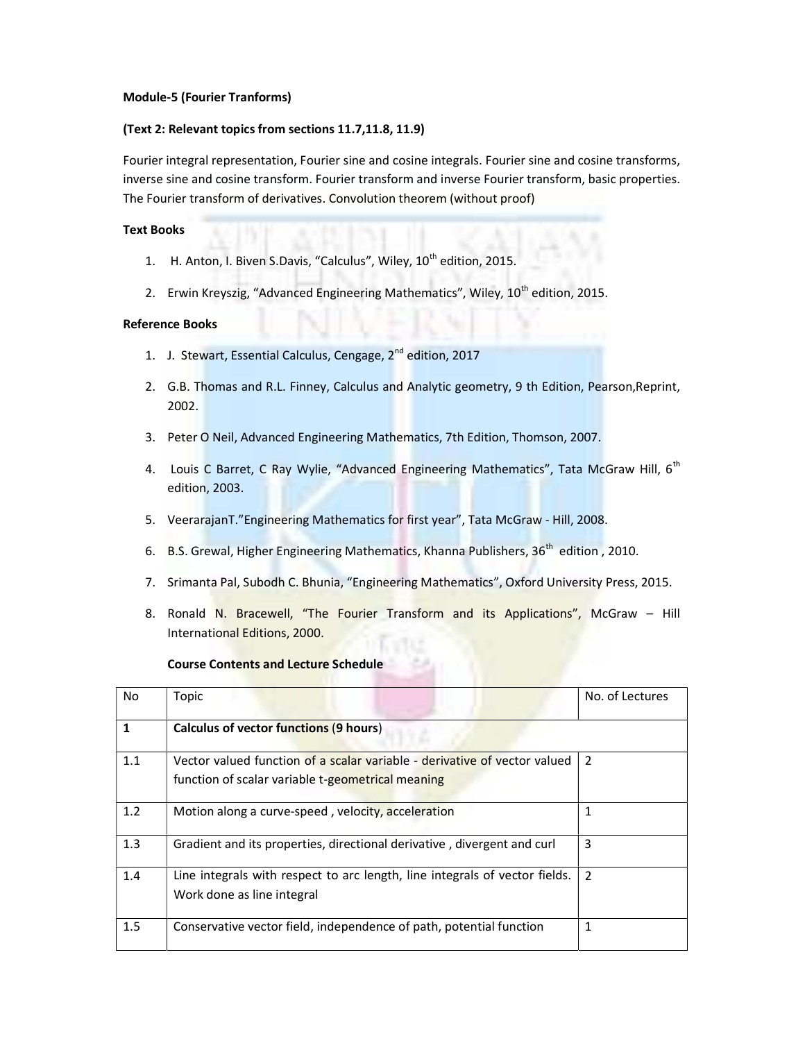### Module-5 (Fourier Tranforms)

### (Text 2: Relevant topics from sections 11.7,11.8, 11.9)

Fourier integral representation, Fourier sine and cosine integrals. Fourier sine and cosine transforms, inverse sine and cosine transform. Fourier transform and inverse Fourier transform, basic properties. The Fourier transform of derivatives. Convolution theorem (without proof)

### Text Books

- 1. H. Anton, I. Biven S.Davis, "Calculus", Wiley, 10<sup>th</sup> edition, 2015.
- 2. Erwin Kreyszig, "Advanced Engineering Mathematics", Wiley, 10<sup>th</sup> edition, 2015.

### Reference Books

- 1. J. Stewart, Essential Calculus, Cengage, 2<sup>nd</sup> edition, 2017
- 2. G.B. Thomas and R.L. Finney, Calculus and Analytic geometry, 9 th Edition, Pearson,Reprint, 2002.
- 3. Peter O Neil, Advanced Engineering Mathematics, 7th Edition, Thomson, 2007.
- 4. Louis C Barret, C Ray Wylie, "Advanced Engineering Mathematics", Tata McGraw Hill, 6<sup>th</sup> edition, 2003.
- 5. VeerarajanT."Engineering Mathematics for first year", Tata McGraw Hill, 2008.
- 6. B.S. Grewal, Higher Engineering Mathematics, Khanna Publishers, 36<sup>th</sup> edition, 2010.
- 7. Srimanta Pal, Subodh C. Bhunia, "Engineering Mathematics", Oxford University Press, 2015.
- 8. Ronald N. Bracewell, "The Fourier Transform and its Applications", McGraw Hill International Editions, 2000.

### Course Contents and Lecture Schedule

| <b>No</b>    | Topic                                                                                                                          | No. of Lectures |
|--------------|--------------------------------------------------------------------------------------------------------------------------------|-----------------|
| $\mathbf{1}$ | Calculus of vector functions (9 hours)                                                                                         |                 |
| 1.1          | Vector valued function of a scalar variable - derivative of vector valued<br>function of scalar variable t-geometrical meaning | $\mathcal{P}$   |
| 1.2          | Motion along a curve-speed, velocity, acceleration                                                                             | 1               |
| 1.3          | Gradient and its properties, directional derivative, divergent and curl                                                        | 3               |
| 1.4          | Line integrals with respect to arc length, line integrals of vector fields.<br>Work done as line integral                      | $\mathcal{P}$   |
| 1.5          | Conservative vector field, independence of path, potential function                                                            | 1               |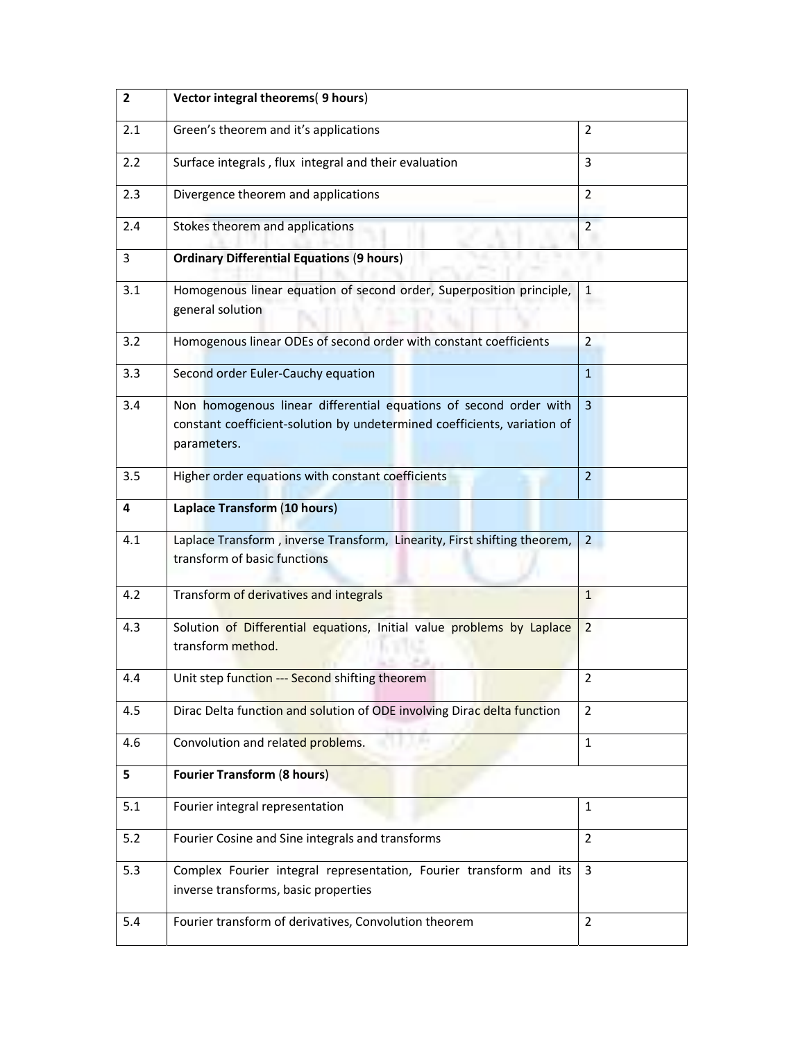| $\overline{2}$ | Vector integral theorems(9 hours)                                                                                                                            |                |
|----------------|--------------------------------------------------------------------------------------------------------------------------------------------------------------|----------------|
| 2.1            | Green's theorem and it's applications                                                                                                                        | $\overline{2}$ |
| 2.2            | Surface integrals, flux integral and their evaluation                                                                                                        | $\overline{3}$ |
| 2.3            | Divergence theorem and applications                                                                                                                          | $\overline{2}$ |
| 2.4            | Stokes theorem and applications                                                                                                                              | $\overline{2}$ |
| 3              | <b>Ordinary Differential Equations (9 hours)</b>                                                                                                             |                |
| 3.1            | Homogenous linear equation of second order, Superposition principle,<br>general solution                                                                     | $\mathbf{1}$   |
| 3.2            | Homogenous linear ODEs of second order with constant coefficients                                                                                            | 2              |
| 3.3            | Second order Euler-Cauchy equation                                                                                                                           | $\mathbf{1}$   |
| 3.4            | Non homogenous linear differential equations of second order with<br>constant coefficient-solution by undetermined coefficients, variation of<br>parameters. | $\overline{3}$ |
| 3.5            | Higher order equations with constant coefficients                                                                                                            | $\overline{2}$ |
| 4              | Laplace Transform (10 hours)                                                                                                                                 |                |
| 4.1            | Laplace Transform, inverse Transform, Linearity, First shifting theorem,<br>transform of basic functions                                                     | $\overline{2}$ |
| 4.2            | Transform of derivatives and integrals                                                                                                                       | $\mathbf{1}$   |
| 4.3            | Solution of Differential equations, Initial value problems by Laplace<br>transform method.                                                                   | $\overline{2}$ |
| 4.4            | Unit step function --- Second shifting theorem                                                                                                               | $\overline{2}$ |
| 4.5            | Dirac Delta function and solution of ODE involving Dirac delta function                                                                                      | $\overline{2}$ |
| 4.6            | Convolution and related problems.                                                                                                                            | $\mathbf{1}$   |
| 5              | <b>Fourier Transform (8 hours)</b>                                                                                                                           |                |
| 5.1            | Fourier integral representation                                                                                                                              | 1              |
| $5.2$          | Fourier Cosine and Sine integrals and transforms                                                                                                             | 2              |
| 5.3            | Complex Fourier integral representation, Fourier transform and its<br>inverse transforms, basic properties                                                   | $\overline{3}$ |
| 5.4            | Fourier transform of derivatives, Convolution theorem                                                                                                        | 2              |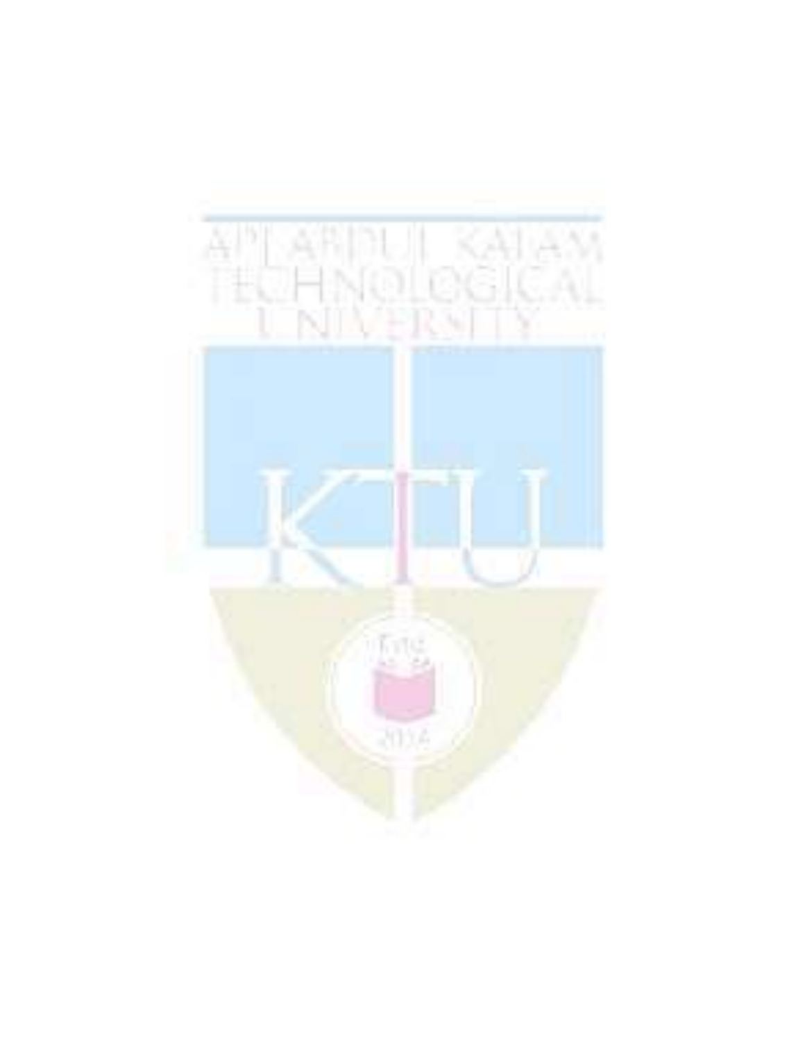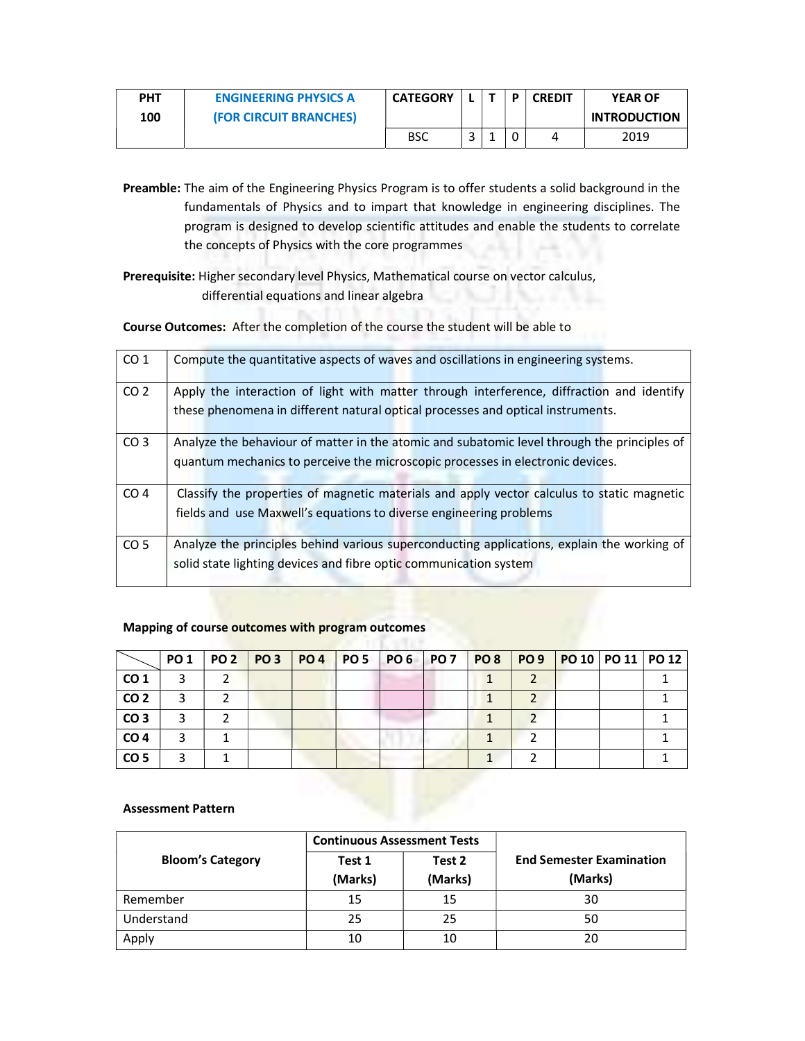| <b>PHT</b> | <b>ENGINEERING PHYSICS A</b>  | <b>CATEGORY</b> |                | D | <b>CREDIT</b> | <b>YEAR OF</b>      |
|------------|-------------------------------|-----------------|----------------|---|---------------|---------------------|
| 100        | <b>(FOR CIRCUIT BRANCHES)</b> |                 |                |   |               | <b>INTRODUCTION</b> |
|            |                               | <b>BSC</b>      | $\overline{ }$ |   |               | 2019                |

Preamble: The aim of the Engineering Physics Program is to offer students a solid background in the fundamentals of Physics and to impart that knowledge in engineering disciplines. The program is designed to develop scientific attitudes and enable the students to correlate the concepts of Physics with the core programmes

Prerequisite: Higher secondary level Physics, Mathematical course on vector calculus, differential equations and linear algebra

Course Outcomes: After the completion of the course the student will be able to

| CO <sub>1</sub> | Compute the quantitative aspects of waves and oscillations in engineering systems.          |
|-----------------|---------------------------------------------------------------------------------------------|
| CO <sub>2</sub> | Apply the interaction of light with matter through interference, diffraction and identify   |
|                 | these phenomena in different natural optical processes and optical instruments.             |
| CO <sub>3</sub> | Analyze the behaviour of matter in the atomic and subatomic level through the principles of |
|                 | quantum mechanics to perceive the microscopic processes in electronic devices.              |
| CO <sub>4</sub> | Classify the properties of magnetic materials and apply vector calculus to static magnetic  |
|                 | fields and use Maxwell's equations to diverse engineering problems                          |
| CO <sub>5</sub> | Analyze the principles behind various superconducting applications, explain the working of  |
|                 | solid state lighting devices and fibre optic communication system                           |

### Mapping of course outcomes with program outcomes

|                 |  |  | PO 1   PO 2   PO 3   PO 4   PO 5   PO 6 | PO <sub>7</sub> | PO <sub>8</sub> |  | PO 9   PO 10   PO 11   PO 12 |  |
|-----------------|--|--|-----------------------------------------|-----------------|-----------------|--|------------------------------|--|
| CO <sub>1</sub> |  |  |                                         |                 |                 |  |                              |  |
| CO <sub>2</sub> |  |  |                                         |                 |                 |  |                              |  |
| CO <sub>3</sub> |  |  |                                         |                 |                 |  |                              |  |
| CO <sub>4</sub> |  |  |                                         |                 |                 |  |                              |  |
| CO <sub>5</sub> |  |  |                                         |                 |                 |  |                              |  |

### Assessment Pattern

|                         | <b>Continuous Assessment Tests</b> |         |                                 |  |
|-------------------------|------------------------------------|---------|---------------------------------|--|
| <b>Bloom's Category</b> | Test 1                             | Test 2  | <b>End Semester Examination</b> |  |
|                         | (Marks)                            | (Marks) | (Marks)                         |  |
| Remember                | 15                                 | 15      | 30                              |  |
| Understand              | 25                                 | 25      | 50                              |  |
| Apply                   | 10                                 | 10      | 20                              |  |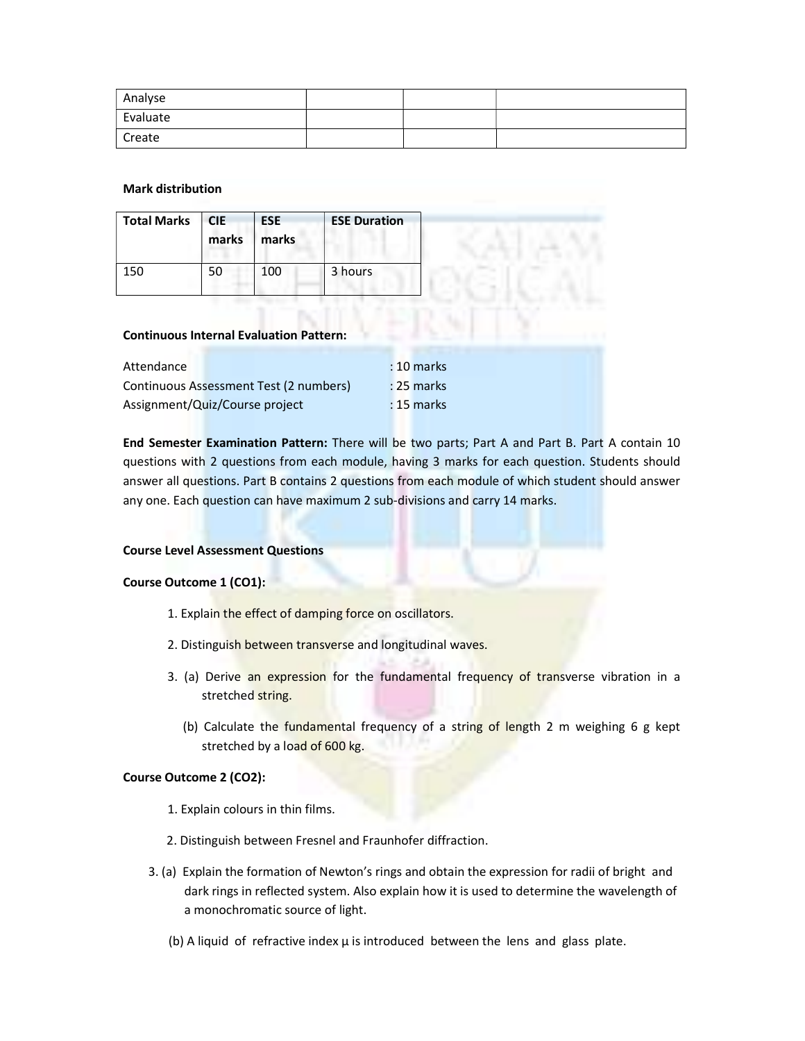| Analyse  |  |  |
|----------|--|--|
| Evaluate |  |  |
| Create   |  |  |

## Mark distribution

| <b>Total Marks</b> | I CIE<br>marks | <b>ESE</b><br>marks | <b>ESE Duration</b> |
|--------------------|----------------|---------------------|---------------------|
| 150                | 50             | 100                 | 3 hours             |

| Attendance                             |  | $: 10$ marks |
|----------------------------------------|--|--------------|
| Continuous Assessment Test (2 numbers) |  | $: 25$ marks |
| Assignment/Quiz/Course project         |  | $: 15$ marks |

End Semester Examination Pattern: There will be two parts; Part A and Part B. Part A contain 10 questions with 2 questions from each module, having 3 marks for each question. Students should answer all questions. Part B contains 2 questions from each module of which student should answer any one. Each question can have maximum 2 sub-divisions and carry 14 marks.

# Course Level Assessment Questions

# Course Outcome 1 (CO1):

- 1. Explain the effect of damping force on oscillators.
- 2. Distinguish between transverse and longitudinal waves.
- 3. (a) Derive an expression for the fundamental frequency of transverse vibration in a stretched string.
	- (b) Calculate the fundamental frequency of a string of length 2 m weighing 6 g kept stretched by a load of 600 kg.

# Course Outcome 2 (CO2):

- 1. Explain colours in thin films.
- 2. Distinguish between Fresnel and Fraunhofer diffraction.
- 3. (a) Explain the formation of Newton's rings and obtain the expression for radii of bright and dark rings in reflected system. Also explain how it is used to determine the wavelength of a monochromatic source of light.
	- (b) A liquid of refractive index  $\mu$  is introduced between the lens and glass plate.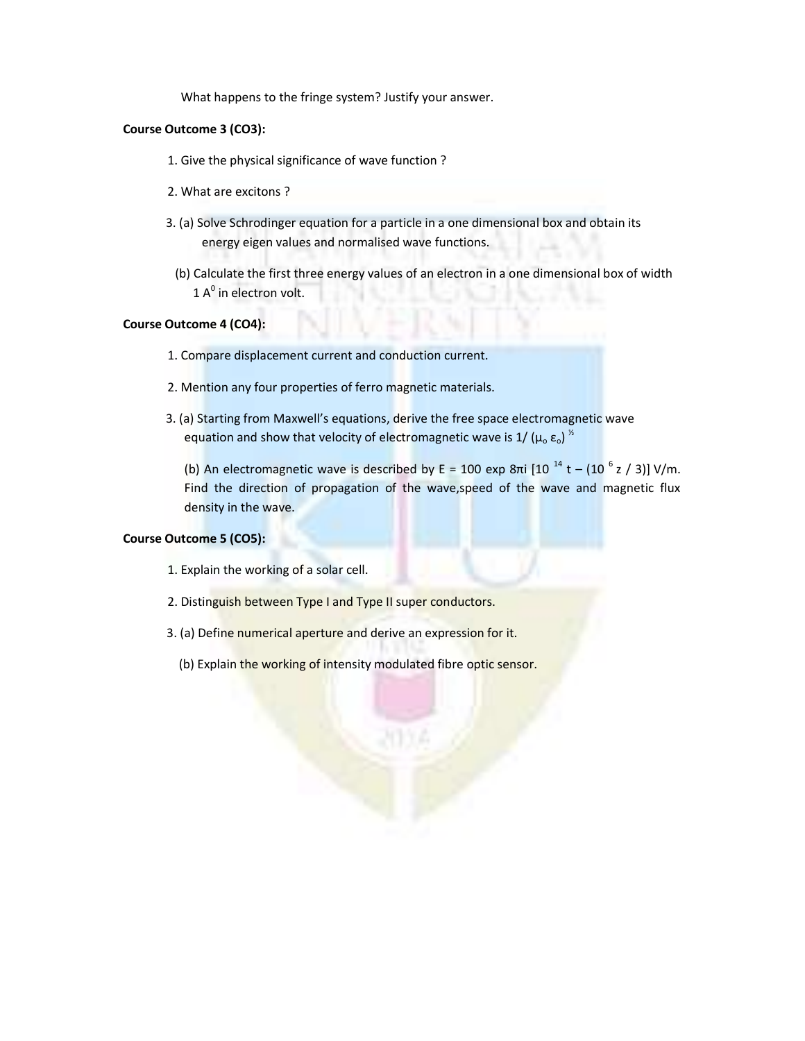What happens to the fringe system? Justify your answer.

# Course Outcome 3 (CO3):

- 1. Give the physical significance of wave function ?
- 2. What are excitons ?
- 3. (a) Solve Schrodinger equation for a particle in a one dimensional box and obtain its energy eigen values and normalised wave functions.
- (b) Calculate the first three energy values of an electron in a one dimensional box of width  $1 A<sup>0</sup>$  in electron volt.

## Course Outcome 4 (CO4):

- 1. Compare displacement current and conduction current.
- 2. Mention any four properties of ferro magnetic materials.
- 3. (a) Starting from Maxwell's equations, derive the free space electromagnetic wave equation and show that velocity of electromagnetic wave is 1/ (μ<sub>ο</sub> ε<sub>ο</sub>)<sup> ½</sup>

(b) An electromagnetic wave is described by E = 100 exp 8 $\pi$ i [10<sup>14</sup> t – (10<sup>6</sup> z / 3)] V/m. Find the direction of propagation of the wave,speed of the wave and magnetic flux density in the wave.

## Course Outcome 5 (CO5):

- 1. Explain the working of a solar cell.
- 2. Distinguish between Type I and Type II super conductors.
- 3. (a) Define numerical aperture and derive an expression for it.
	- (b) Explain the working of intensity modulated fibre optic sensor.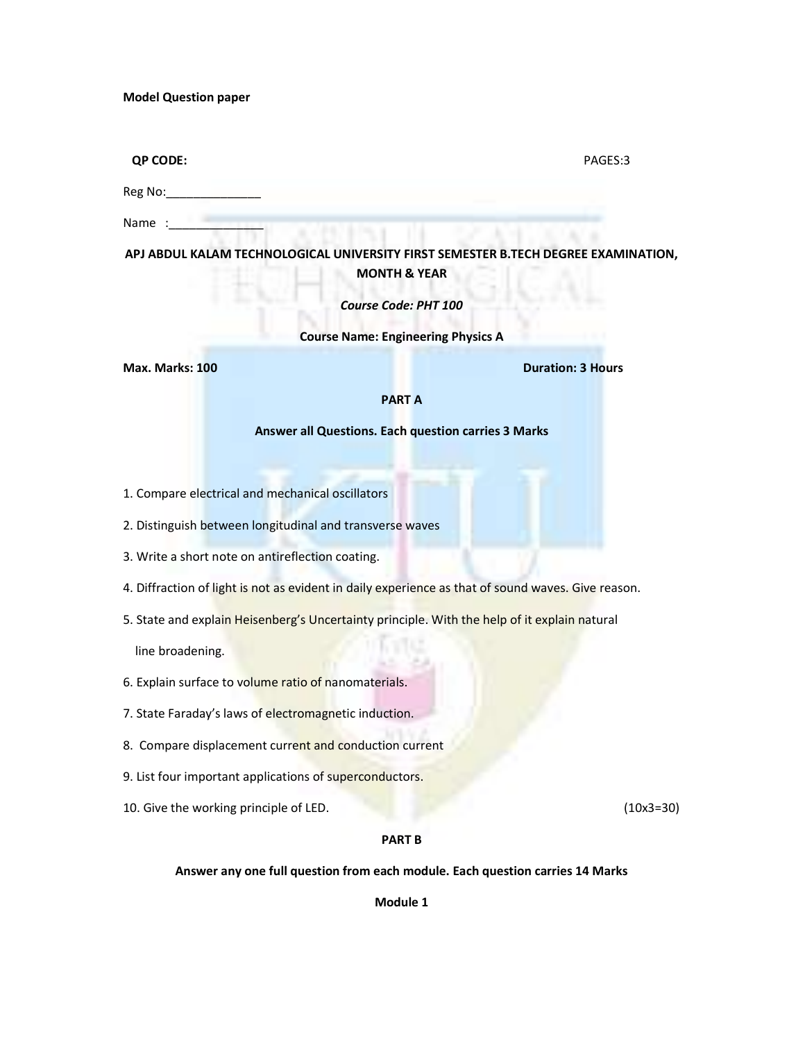QP CODE: PAGES:3

Reg No:

Name :

APJ ABDUL KALAM TECHNOLOGICAL UNIVERSITY FIRST SEMESTER B.TECH DEGREE EXAMINATION, MONTH & YEAR

Course Code: PHT 100

Course Name: Engineering Physics A

Max. Marks: 100 **Duration: 3 Hours** 

### PART A

## Answer all Questions. Each question carries 3 Marks

- 1. Compare electrical and mechanical oscillators
- 2. Distinguish between longitudinal and transverse waves
- 3. Write a short note on antireflection coating.
- 4. Diffraction of light is not as evident in daily experience as that of sound waves. Give reason.
- 5. State and explain Heisenberg's Uncertainty principle. With the help of it explain natural

line broadening.

- 6. Explain surface to volume ratio of nanomaterials.
- 7. State Faraday's laws of electromagnetic induction.
- 8. Compare displacement current and conduction current
- 9. List four important applications of superconductors.
- 10. Give the working principle of LED. (10x3=30)

# PART B

Answer any one full question from each module. Each question carries 14 Marks

Module 1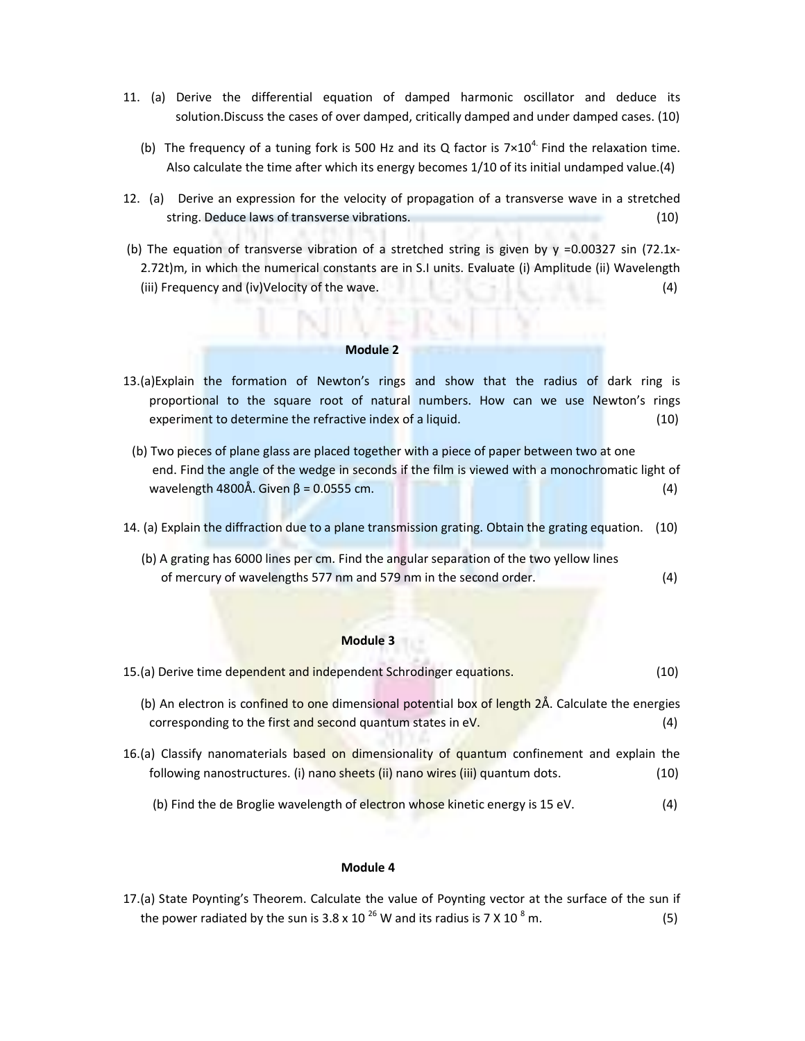- 11. (a) Derive the differential equation of damped harmonic oscillator and deduce its solution.Discuss the cases of over damped, critically damped and under damped cases. (10)
	- (b) The frequency of a tuning fork is 500 Hz and its Q factor is  $7\times10^4$  Find the relaxation time. Also calculate the time after which its energy becomes 1/10 of its initial undamped value.(4)
- 12. (a) Derive an expression for the velocity of propagation of a transverse wave in a stretched string. Deduce laws of transverse vibrations. (10)
- (b) The equation of transverse vibration of a stretched string is given by  $y = 0.00327$  sin (72.1x-2.72t)m, in which the numerical constants are in S.I units. Evaluate (i) Amplitude (ii) Wavelength (iii) Frequency and (iv)Velocity of the wave. (4)

#### Module 2

- 13.(a)Explain the formation of Newton's rings and show that the radius of dark ring is proportional to the square root of natural numbers. How can we use Newton's rings experiment to determine the refractive index of a liquid. (10)
- (b) Two pieces of plane glass are placed together with a piece of paper between two at one end. Find the angle of the wedge in seconds if the film is viewed with a monochromatic light of wavelength 4800Å. Given β = 0.0555 cm. (4)  $(4)$
- 14. (a) Explain the diffraction due to a plane transmission grating. Obtain the grating equation. (10)
	- (b) A grating has 6000 lines per cm. Find the angular separation of the two yellow lines of mercury of wavelengths 577 nm and 579 nm in the second order. (4)

#### Module 3

| 15.(a) Derive time dependent and independent Schrodinger equations.                               | (10) |
|---------------------------------------------------------------------------------------------------|------|
| (b) An electron is confined to one dimensional potential box of length 2Å. Calculate the energies |      |

- corresponding to the first and second quantum states in eV. (4) 16.(a) Classify nanomaterials based on dimensionality of quantum confinement and explain the
- following nanostructures. (i) nano sheets (ii) nano wires (iii) quantum dots. (10)
	- (b) Find the de Broglie wavelength of electron whose kinetic energy is 15 eV. (4)

### Module 4

17.(a) State Poynting's Theorem. Calculate the value of Poynting vector at the surface of the sun if the power radiated by the sun is 3.8 x 10 <sup>26</sup> W and its radius is 7 X 10  $^8$  m.  $\hspace{1cm}$  (5)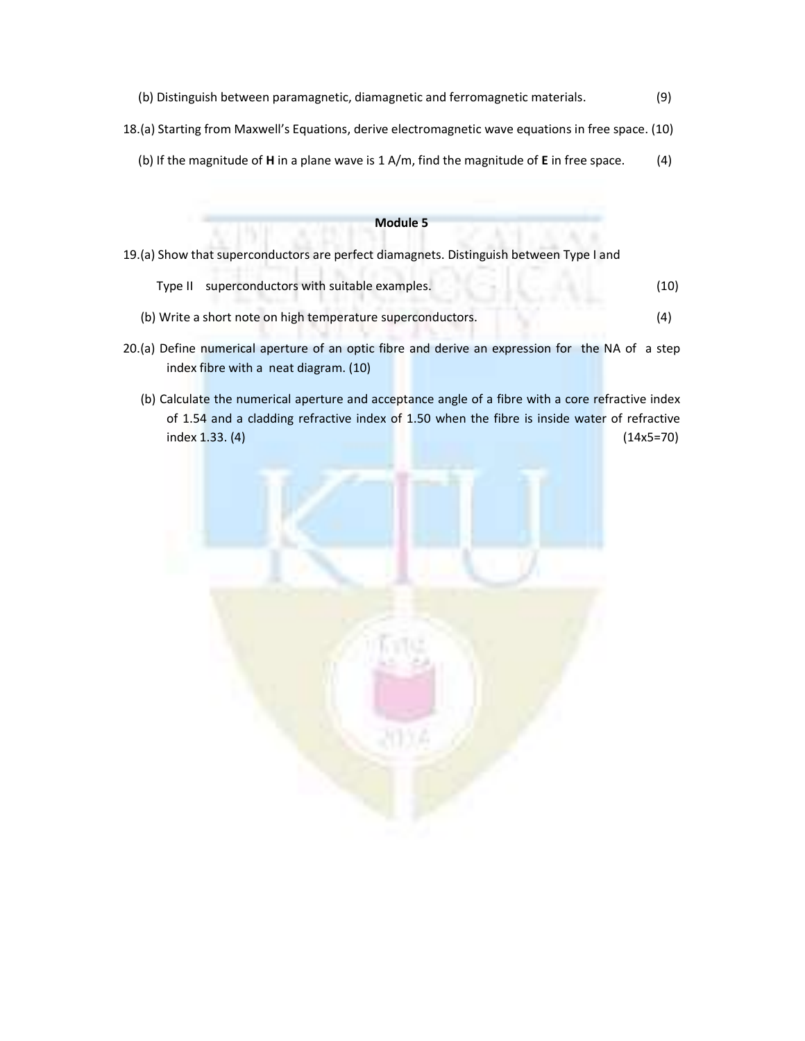(b) Distinguish between paramagnetic, diamagnetic and ferromagnetic materials. (9)

18.(a) Starting from Maxwell's Equations, derive electromagnetic wave equations in free space. (10)

(b) If the magnitude of **H** in a plane wave is  $1 \text{ A/m}$ , find the magnitude of **E** in free space. (4)

### Module 5

19.(a) Show that superconductors are perfect diamagnets. Distinguish between Type I and

- Type II superconductors with suitable examples. (10)
- (b) Write a short note on high temperature superconductors. (4)
- 20.(a) Define numerical aperture of an optic fibre and derive an expression for the NA of a step index fibre with a neat diagram. (10)
	- (b) Calculate the numerical aperture and acceptance angle of a fibre with a core refractive index of 1.54 and a cladding refractive index of 1.50 when the fibre is inside water of refractive  $index 1.33. (4)$  (14x5=70)

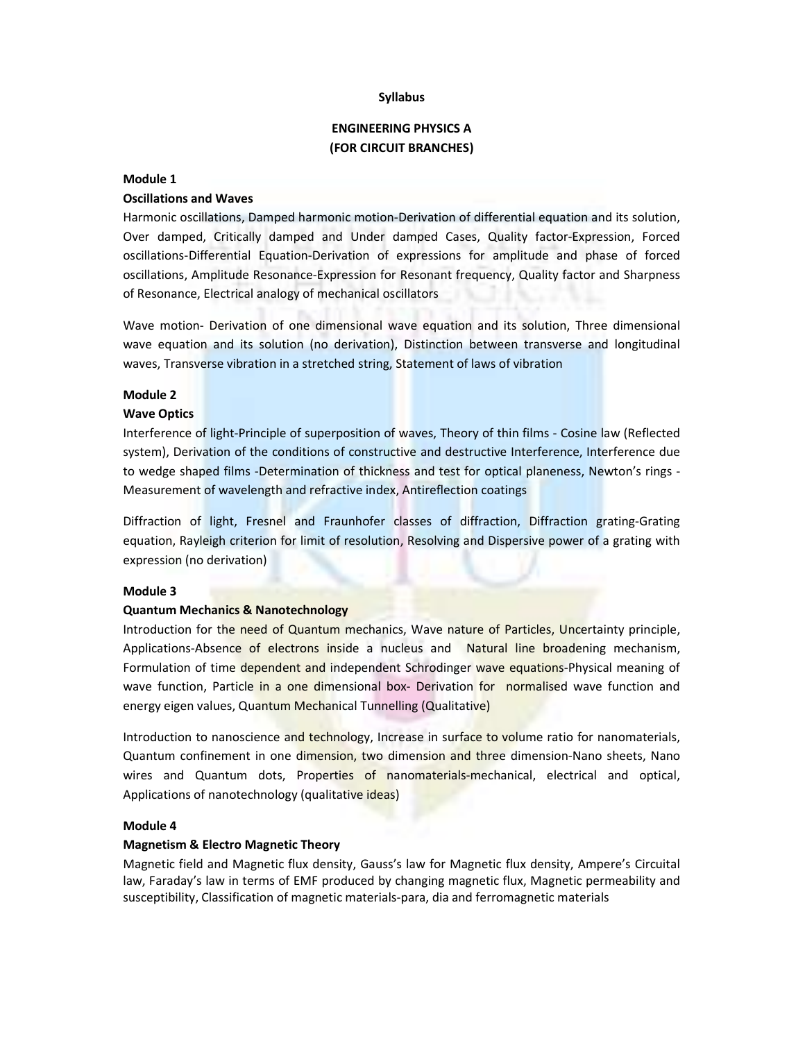#### Syllabus

# ENGINEERING PHYSICS A (FOR CIRCUIT BRANCHES)

### Module 1

### Oscillations and Waves

Harmonic oscillations, Damped harmonic motion-Derivation of differential equation and its solution, Over damped, Critically damped and Under damped Cases, Quality factor-Expression, Forced oscillations-Differential Equation-Derivation of expressions for amplitude and phase of forced oscillations, Amplitude Resonance-Expression for Resonant frequency, Quality factor and Sharpness of Resonance, Electrical analogy of mechanical oscillators

Wave motion- Derivation of one dimensional wave equation and its solution, Three dimensional wave equation and its solution (no derivation), Distinction between transverse and longitudinal waves, Transverse vibration in a stretched string, Statement of laws of vibration

### Module 2

### Wave Optics

Interference of light-Principle of superposition of waves, Theory of thin films - Cosine law (Reflected system), Derivation of the conditions of constructive and destructive Interference, Interference due to wedge shaped films -Determination of thickness and test for optical planeness, Newton's rings - Measurement of wavelength and refractive index, Antireflection coatings

Diffraction of light, Fresnel and Fraunhofer classes of diffraction, Diffraction grating-Grating equation, Rayleigh criterion for limit of resolution, Resolving and Dispersive power of a grating with expression (no derivation)

### Module 3

### Quantum Mechanics & Nanotechnology

Introduction for the need of Quantum mechanics, Wave nature of Particles, Uncertainty principle, Applications-Absence of electrons inside a nucleus and Natural line broadening mechanism, Formulation of time dependent and independent Schrodinger wave equations-Physical meaning of wave function, Particle in a one dimensional box- Derivation for normalised wave function and energy eigen values, Quantum Mechanical Tunnelling (Qualitative)

Introduction to nanoscience and technology, Increase in surface to volume ratio for nanomaterials, Quantum confinement in one dimension, two dimension and three dimension-Nano sheets, Nano wires and Quantum dots, Properties of nanomaterials-mechanical, electrical and optical, Applications of nanotechnology (qualitative ideas)

### Module 4

### Magnetism & Electro Magnetic Theory

Magnetic field and Magnetic flux density, Gauss's law for Magnetic flux density, Ampere's Circuital law, Faraday's law in terms of EMF produced by changing magnetic flux, Magnetic permeability and susceptibility, Classification of magnetic materials-para, dia and ferromagnetic materials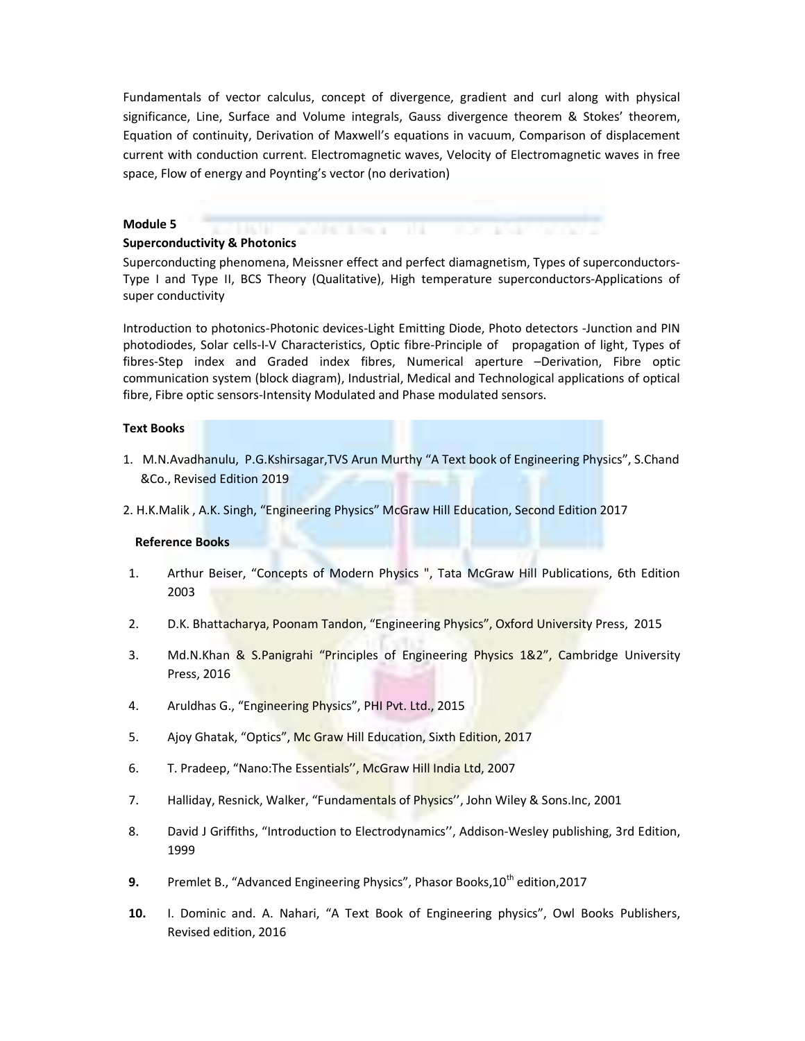Fundamentals of vector calculus, concept of divergence, gradient and curl along with physical significance, Line, Surface and Volume integrals, Gauss divergence theorem & Stokes' theorem, Equation of continuity, Derivation of Maxwell's equations in vacuum, Comparison of displacement current with conduction current. Electromagnetic waves, Velocity of Electromagnetic waves in free space, Flow of energy and Poynting's vector (no derivation)

#### Module 5

#### Superconductivity & Photonics

Superconducting phenomena, Meissner effect and perfect diamagnetism, Types of superconductors-Type I and Type II, BCS Theory (Qualitative), High temperature superconductors-Applications of super conductivity

**CARD TELEVISION** 

Introduction to photonics-Photonic devices-Light Emitting Diode, Photo detectors -Junction and PIN photodiodes, Solar cells-I-V Characteristics, Optic fibre-Principle of propagation of light, Types of fibres-Step index and Graded index fibres, Numerical aperture –Derivation, Fibre optic communication system (block diagram), Industrial, Medical and Technological applications of optical fibre, Fibre optic sensors-Intensity Modulated and Phase modulated sensors.

### Text Books

- 1. M.N.Avadhanulu, P.G.Kshirsagar,TVS Arun Murthy "A Text book of Engineering Physics", S.Chand &Co., Revised Edition 2019
- 2. H.K.Malik , A.K. Singh, "Engineering Physics" McGraw Hill Education, Second Edition 2017

### Reference Books

- 1. Arthur Beiser, "Concepts of Modern Physics ", Tata McGraw Hill Publications, 6th Edition 2003
- 2. D.K. Bhattacharya, Poonam Tandon, "Engineering Physics", Oxford University Press, 2015
- 3. Md.N.Khan & S.Panigrahi "Principles of Engineering Physics 1&2", Cambridge University Press, 2016
- 4. Aruldhas G., "Engineering Physics", PHI Pvt. Ltd., 2015
- 5. Ajoy Ghatak, "Optics", Mc Graw Hill Education, Sixth Edition, 2017
- 6. T. Pradeep, "Nano:The Essentials'', McGraw Hill India Ltd, 2007
- 7. Halliday, Resnick, Walker, "Fundamentals of Physics", John Wiley & Sons.Inc, 2001
- 8. David J Griffiths, "Introduction to Electrodynamics'', Addison-Wesley publishing, 3rd Edition, 1999
- 9. Premlet B., "Advanced Engineering Physics", Phasor Books, 10<sup>th</sup> edition, 2017
- 10. I. Dominic and. A. Nahari, "A Text Book of Engineering physics", Owl Books Publishers, Revised edition, 2016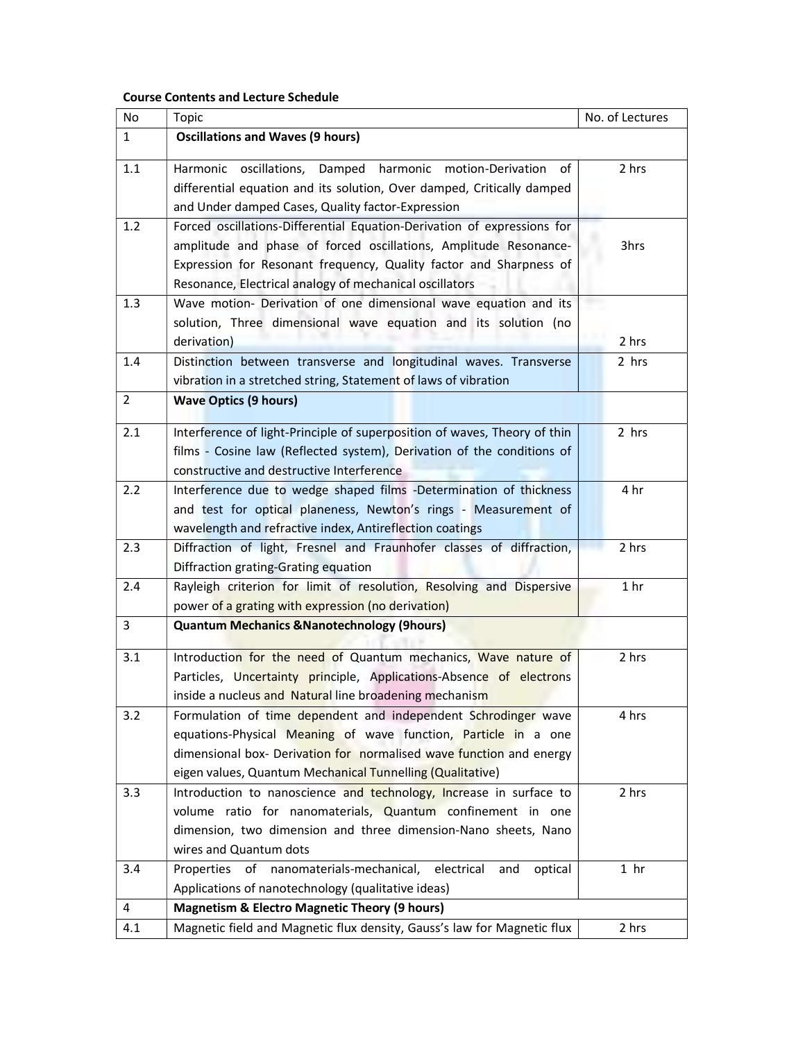# Course Contents and Lecture Schedule

| No             | Topic                                                                                                                                                                                                                                                                        | No. of Lectures |
|----------------|------------------------------------------------------------------------------------------------------------------------------------------------------------------------------------------------------------------------------------------------------------------------------|-----------------|
| $\mathbf{1}$   | <b>Oscillations and Waves (9 hours)</b>                                                                                                                                                                                                                                      |                 |
| 1.1            | Harmonic oscillations, Damped harmonic motion-Derivation of<br>differential equation and its solution, Over damped, Critically damped<br>and Under damped Cases, Quality factor-Expression                                                                                   | 2 hrs           |
| 1.2            | Forced oscillations-Differential Equation-Derivation of expressions for<br>amplitude and phase of forced oscillations, Amplitude Resonance-<br>Expression for Resonant frequency, Quality factor and Sharpness of<br>Resonance, Electrical analogy of mechanical oscillators | 3hrs            |
| 1.3            | Wave motion- Derivation of one dimensional wave equation and its<br>solution, Three dimensional wave equation and its solution (no<br>derivation)                                                                                                                            | 2 hrs           |
| 1.4            | Distinction between transverse and longitudinal waves. Transverse<br>vibration in a stretched string, Statement of laws of vibration                                                                                                                                         | 2 hrs           |
| $\overline{2}$ | <b>Wave Optics (9 hours)</b>                                                                                                                                                                                                                                                 |                 |
| 2.1            | Interference of light-Principle of superposition of waves, Theory of thin<br>films - Cosine law (Reflected system), Derivation of the conditions of<br>constructive and destructive Interference                                                                             | 2 hrs           |
| 2.2            | Interference due to wedge shaped films -Determination of thickness<br>and test for optical planeness, Newton's rings - Measurement of<br>wavelength and refractive index, Antireflection coatings                                                                            | 4 hr            |
| 2.3            | Diffraction of light, Fresnel and Fraunhofer classes of diffraction,<br>Diffraction grating-Grating equation                                                                                                                                                                 | 2 hrs           |
| 2.4            | Rayleigh criterion for limit of resolution, Resolving and Dispersive<br>power of a grating with expression (no derivation)                                                                                                                                                   | 1 <sub>hr</sub> |
| 3              | <b>Quantum Mechanics &amp; Nanotechnology (9hours)</b>                                                                                                                                                                                                                       |                 |
| 3.1            | Introduction for the need of Quantum mechanics, Wave nature of<br>Particles, Uncertainty principle, Applications-Absence of electrons<br>inside a nucleus and Natural line broadening mechanism                                                                              | 2 hrs           |
| 3.2            | Formulation of time dependent and independent Schrodinger wave<br>equations-Physical Meaning of wave function, Particle in a one<br>dimensional box- Derivation for normalised wave function and energy<br>eigen values, Quantum Mechanical Tunnelling (Qualitative)         | 4 hrs           |
| 3.3            | Introduction to nanoscience and technology, Increase in surface to<br>volume ratio for nanomaterials, Quantum confinement in one<br>dimension, two dimension and three dimension-Nano sheets, Nano<br>wires and Quantum dots                                                 | 2 hrs           |
| 3.4            | nanomaterials-mechanical,<br>Properties of<br>electrical<br>optical<br>and<br>Applications of nanotechnology (qualitative ideas)                                                                                                                                             | $1$ hr          |
| 4              | <b>Magnetism &amp; Electro Magnetic Theory (9 hours)</b>                                                                                                                                                                                                                     |                 |
| 4.1            | Magnetic field and Magnetic flux density, Gauss's law for Magnetic flux                                                                                                                                                                                                      | 2 hrs           |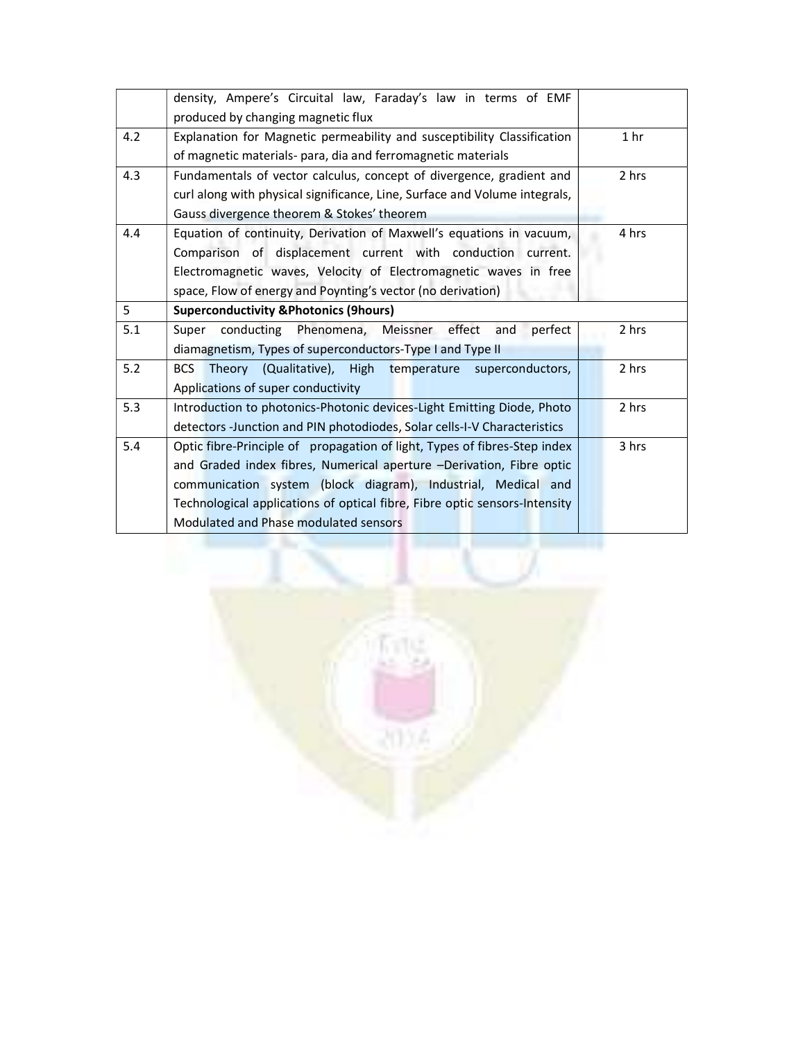|     | density, Ampere's Circuital law, Faraday's law in terms of EMF             |  |                 |  |  |  |  |
|-----|----------------------------------------------------------------------------|--|-----------------|--|--|--|--|
|     | produced by changing magnetic flux                                         |  |                 |  |  |  |  |
| 4.2 | Explanation for Magnetic permeability and susceptibility Classification    |  | 1 <sub>hr</sub> |  |  |  |  |
|     | of magnetic materials- para, dia and ferromagnetic materials               |  |                 |  |  |  |  |
| 4.3 | Fundamentals of vector calculus, concept of divergence, gradient and       |  | 2 hrs           |  |  |  |  |
|     | curl along with physical significance, Line, Surface and Volume integrals, |  |                 |  |  |  |  |
|     | Gauss divergence theorem & Stokes' theorem                                 |  |                 |  |  |  |  |
| 4.4 | Equation of continuity, Derivation of Maxwell's equations in vacuum,       |  | 4 hrs           |  |  |  |  |
|     | Comparison of displacement current with conduction current.                |  |                 |  |  |  |  |
|     | Electromagnetic waves, Velocity of Electromagnetic waves in free           |  |                 |  |  |  |  |
|     | space, Flow of energy and Poynting's vector (no derivation)                |  |                 |  |  |  |  |
| 5   | <b>Superconductivity &amp; Photonics (9hours)</b>                          |  |                 |  |  |  |  |
| 5.1 | Super<br>conducting Phenomena, Meissner effect and<br>perfect              |  | 2 hrs           |  |  |  |  |
|     | diamagnetism, Types of superconductors-Type I and Type II                  |  |                 |  |  |  |  |
| 5.2 | <b>BCS</b><br>Theory (Qualitative), High temperature superconductors,      |  | 2 hrs           |  |  |  |  |
|     | Applications of super conductivity                                         |  |                 |  |  |  |  |
| 5.3 | Introduction to photonics-Photonic devices-Light Emitting Diode, Photo     |  | 2 hrs           |  |  |  |  |
|     | detectors -Junction and PIN photodiodes, Solar cells-I-V Characteristics   |  |                 |  |  |  |  |
| 5.4 | Optic fibre-Principle of propagation of light, Types of fibres-Step index  |  | 3 hrs           |  |  |  |  |
|     | and Graded index fibres, Numerical aperture -Derivation, Fibre optic       |  |                 |  |  |  |  |
|     | communication system (block diagram), Industrial, Medical and              |  |                 |  |  |  |  |
|     | Technological applications of optical fibre, Fibre optic sensors-Intensity |  |                 |  |  |  |  |
|     | Modulated and Phase modulated sensors                                      |  |                 |  |  |  |  |

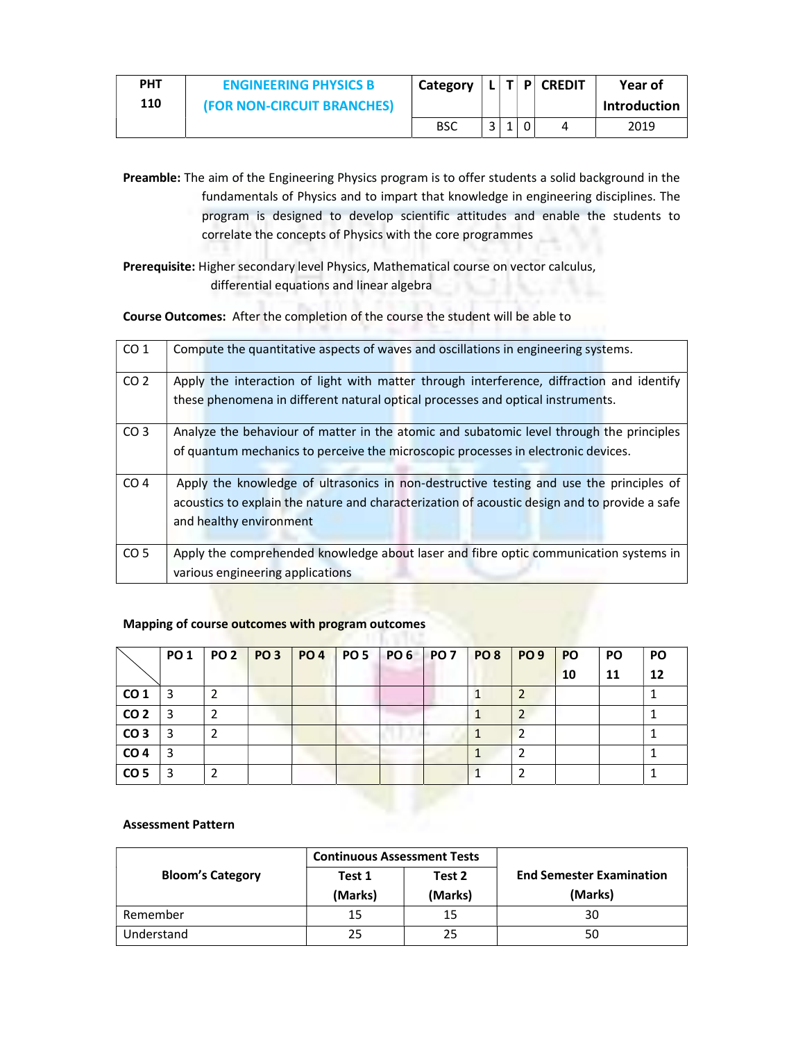| <b>PHT</b><br>110 | <b>ENGINEERING PHYSICS B</b><br>(FOR NON-CIRCUIT BRANCHES) | Category   |  | P | <b>CREDIT</b> | Year of<br>Introduction |
|-------------------|------------------------------------------------------------|------------|--|---|---------------|-------------------------|
|                   |                                                            | <b>BSC</b> |  |   |               | 2019                    |

Preamble: The aim of the Engineering Physics program is to offer students a solid background in the fundamentals of Physics and to impart that knowledge in engineering disciplines. The program is designed to develop scientific attitudes and enable the students to correlate the concepts of Physics with the core programmes

Prerequisite: Higher secondary level Physics, Mathematical course on vector calculus, differential equations and linear algebra

Course Outcomes: After the completion of the course the student will be able to

| CO <sub>1</sub> | Compute the quantitative aspects of waves and oscillations in engineering systems.            |
|-----------------|-----------------------------------------------------------------------------------------------|
| CO <sub>2</sub> | Apply the interaction of light with matter through interference, diffraction and identify     |
|                 | these phenomena in different natural optical processes and optical instruments.               |
| CO <sub>3</sub> | Analyze the behaviour of matter in the atomic and subatomic level through the principles      |
|                 | of quantum mechanics to perceive the microscopic processes in electronic devices.             |
|                 |                                                                                               |
| CO <sub>4</sub> | Apply the knowledge of ultrasonics in non-destructive testing and use the principles of       |
|                 | acoustics to explain the nature and characterization of acoustic design and to provide a safe |
|                 | and healthy environment                                                                       |
|                 |                                                                                               |
| CO <sub>5</sub> | Apply the comprehended knowledge about laser and fibre optic communication systems in         |
|                 | various engineering applications                                                              |

# Mapping of course outcomes with program outcomes

|                 |     |  | PO1   PO2   PO3   PO4   PO5   PO6   PO7   PO8 |  |  | $PO9$ PO |           | ∣ PO | ∣ PO |
|-----------------|-----|--|-----------------------------------------------|--|--|----------|-----------|------|------|
|                 |     |  |                                               |  |  |          | <b>10</b> | 11   | 12   |
| CO <sub>1</sub> |     |  |                                               |  |  |          |           |      |      |
| CO <sub>2</sub> | ∣3  |  |                                               |  |  |          |           |      |      |
| CO <sub>3</sub> | . 3 |  |                                               |  |  |          |           |      |      |
| CO <sub>4</sub> | -3  |  |                                               |  |  |          |           |      |      |
| CO <sub>5</sub> |     |  |                                               |  |  |          |           |      |      |

**TITLE AND** 

Assessment Pattern

|                         | <b>Continuous Assessment Tests</b> |                   |                                            |
|-------------------------|------------------------------------|-------------------|--------------------------------------------|
| <b>Bloom's Category</b> | Test 1<br>(Marks)                  | Test 2<br>(Marks) | <b>End Semester Examination</b><br>(Marks) |
| Remember                | 15                                 | 15                | 30                                         |
| Understand              | 25                                 | 25                | 50                                         |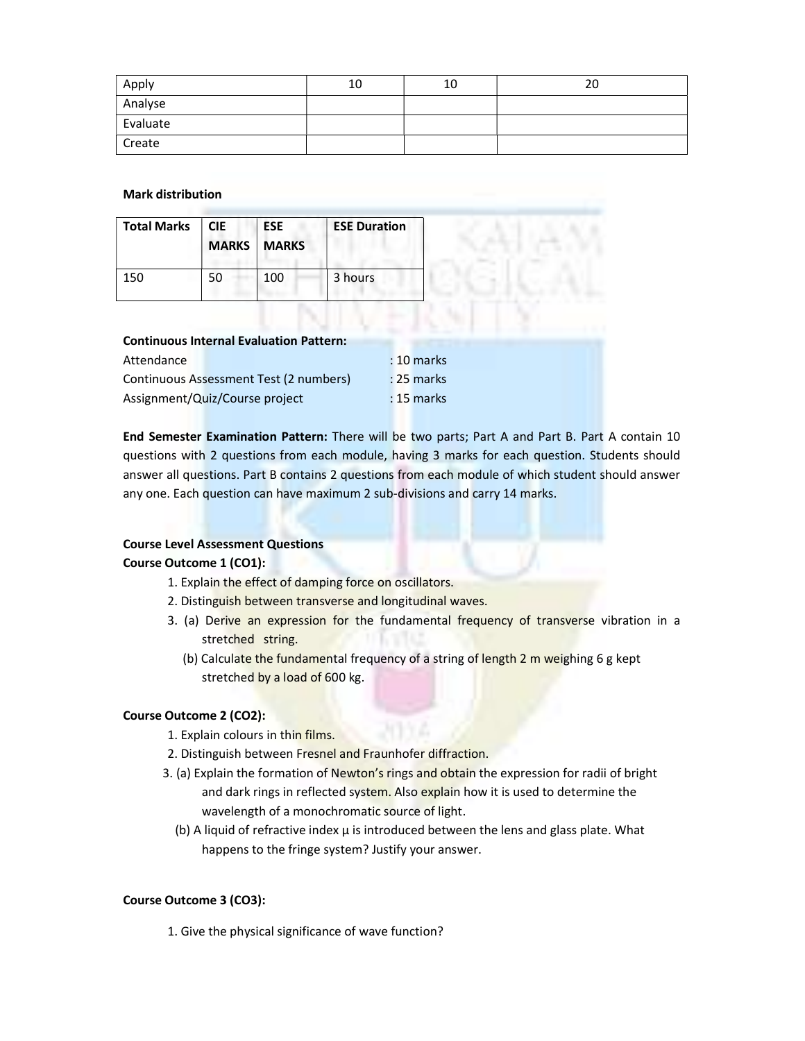| Apply    | 10 | 10 | 20 |
|----------|----|----|----|
| Analyse  |    |    |    |
| Evaluate |    |    |    |
| Create   |    |    |    |

# Mark distribution

| <b>Total Marks</b> | <b>CIE</b><br><b>MARKS</b> | <b>ESE</b><br><b>MARKS</b> | <b>ESE Duration</b> |
|--------------------|----------------------------|----------------------------|---------------------|
| 150                | 50                         | 100                        | 3 hours             |

| <b>Continuous Internal Evaluation Pattern:</b> |              |
|------------------------------------------------|--------------|
| Attendance                                     | $: 10$ marks |
| Continuous Assessment Test (2 numbers)         | $: 25$ marks |
| Assignment/Quiz/Course project                 | $: 15$ marks |

DO TH

End Semester Examination Pattern: There will be two parts; Part A and Part B. Part A contain 10 questions with 2 questions from each module, having 3 marks for each question. Students should answer all questions. Part B contains 2 questions from each module of which student should answer any one. Each question can have maximum 2 sub-divisions and carry 14 marks.

# Course Level Assessment Questions

# Course Outcome 1 (CO1):

- 1. Explain the effect of damping force on oscillators.
- 2. Distinguish between transverse and longitudinal waves.
- 3. (a) Derive an expression for the fundamental frequency of transverse vibration in a stretched string.
	- (b) Calculate the fundamental frequency of a string of length 2 m weighing 6 g kept stretched by a load of 600 kg.

# Course Outcome 2 (CO2):

1. Explain colours in thin films.

- 2. Distinguish between Fresnel and Fraunhofer diffraction.
- 3. (a) Explain the formation of Newton's rings and obtain the expression for radii of bright and dark rings in reflected system. Also explain how it is used to determine the wavelength of a monochromatic source of light.
	- (b) A liquid of refractive index  $\mu$  is introduced between the lens and glass plate. What happens to the fringe system? Justify your answer.

# Course Outcome 3 (CO3):

1. Give the physical significance of wave function?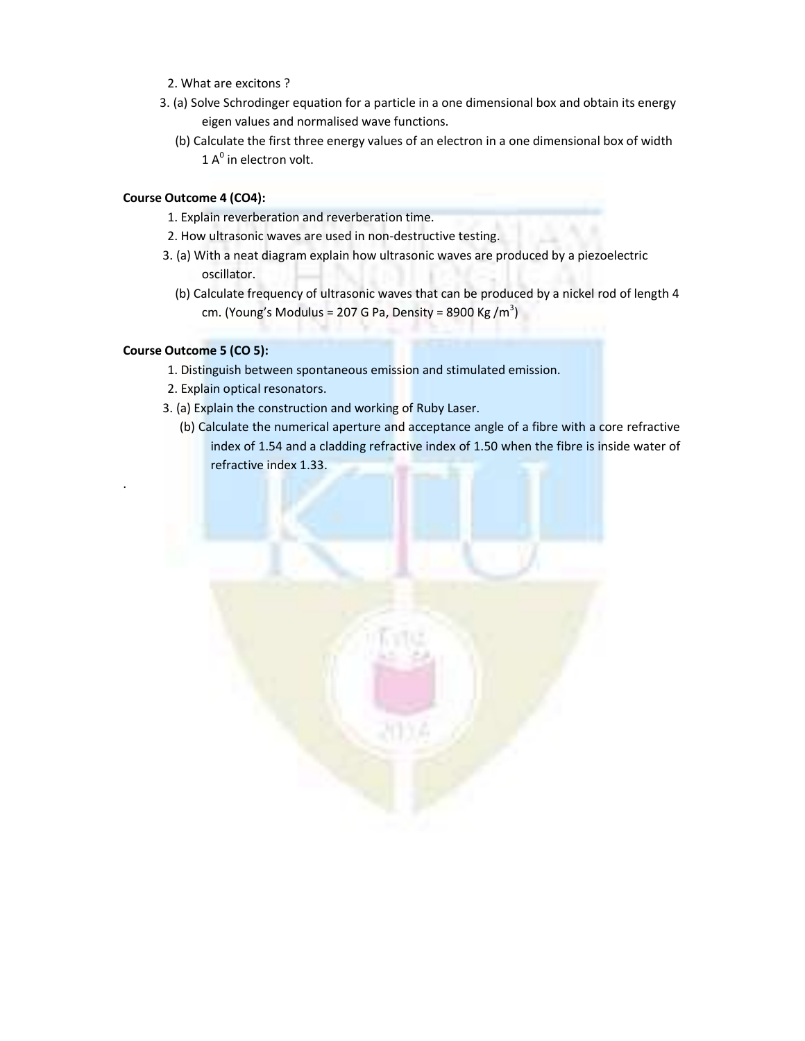- 2. What are excitons ?
- 3. (a) Solve Schrodinger equation for a particle in a one dimensional box and obtain its energy eigen values and normalised wave functions.
	- (b) Calculate the first three energy values of an electron in a one dimensional box of width 1  $A^0$  in electron volt.

# Course Outcome 4 (CO4):

- 1. Explain reverberation and reverberation time.
- 2. How ultrasonic waves are used in non-destructive testing.
- 3. (a) With a neat diagram explain how ultrasonic waves are produced by a piezoelectric oscillator.
	- (b) Calculate frequency of ultrasonic waves that can be produced by a nickel rod of length 4 cm. (Young's Modulus = 207 G Pa, Density = 8900 Kg /m<sup>3</sup>)

# Course Outcome 5 (CO 5):

.

- 1. Distinguish between spontaneous emission and stimulated emission.
- 2. Explain optical resonators.
- 3. (a) Explain the construction and working of Ruby Laser.
	- (b) Calculate the numerical aperture and acceptance angle of a fibre with a core refractive index of 1.54 and a cladding refractive index of 1.50 when the fibre is inside water of refractive index 1.33.

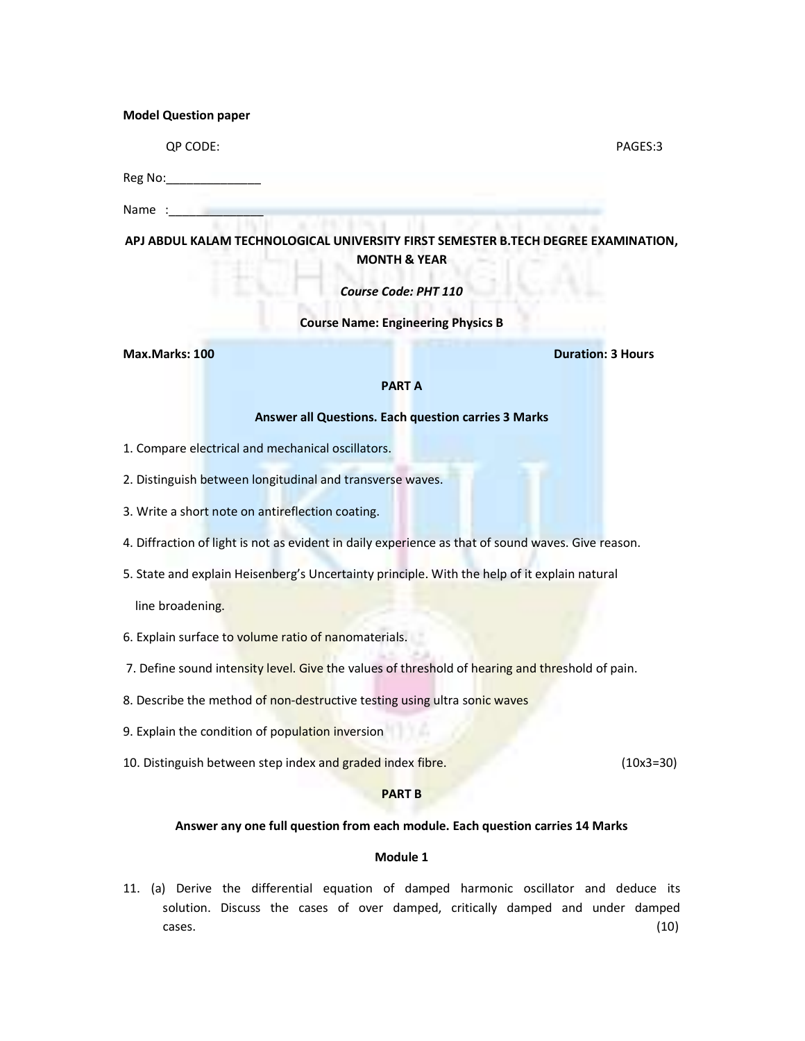|  | <b>Model Question paper</b> |  |
|--|-----------------------------|--|
|--|-----------------------------|--|

QP CODE: PAGES:3

Reg No:

Name :

APJ ABDUL KALAM TECHNOLOGICAL UNIVERSITY FIRST SEMESTER B.TECH DEGREE EXAMINATION, MONTH & YEAR

Course Code: PHT 110

Course Name: Engineering Physics B

Max.Marks: 100 Duration: 3 Hours

#### PART A

### Answer all Questions. Each question carries 3 Marks

- 1. Compare electrical and mechanical oscillators.
- 2. Distinguish between longitudinal and transverse waves.
- 3. Write a short note on antireflection coating.
- 4. Diffraction of light is not as evident in daily experience as that of sound waves. Give reason.
- 5. State and explain Heisenberg's Uncertainty principle. With the help of it explain natural

line broadening.

- 6. Explain surface to volume ratio of nanomaterials.
- 7. Define sound intensity level. Give the values of threshold of hearing and threshold of pain.
- 8. Describe the method of non-destructive testing using ultra sonic waves
- 9. Explain the condition of population inversion
- 10. Distinguish between step index and graded index fibre. (10x3=30)

### PART B

# Answer any one full question from each module. Each question carries 14 Marks

### Module 1

11. (a) Derive the differential equation of damped harmonic oscillator and deduce its solution. Discuss the cases of over damped, critically damped and under damped  $cases.$  (10)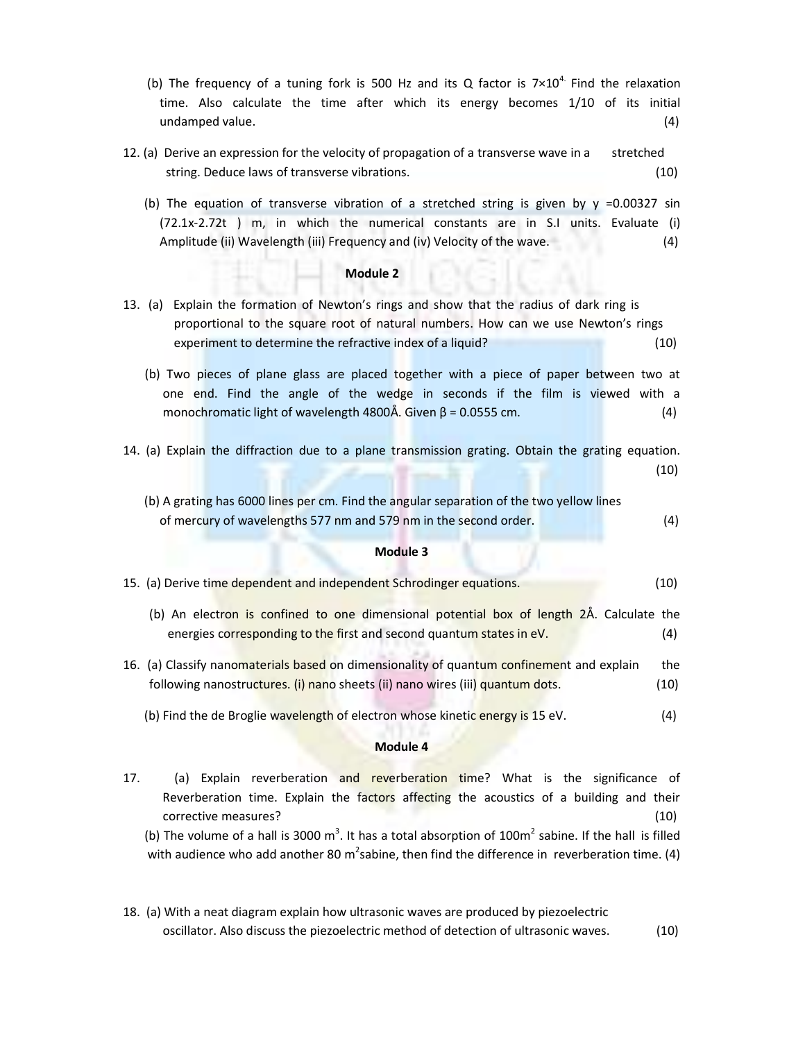- (b) The frequency of a tuning fork is 500 Hz and its Q factor is  $7\times10^{4}$ . Find the relaxation time. Also calculate the time after which its energy becomes 1/10 of its initial undamped value. (4)
- 12. (a) Derive an expression for the velocity of propagation of a transverse wave in a stretched string. Deduce laws of transverse vibrations. (10)
	- (b) The equation of transverse vibration of a stretched string is given by  $y = 0.00327$  sin (72.1x-2.72t ) m, in which the numerical constants are in S.I units. Evaluate (i) Amplitude (ii) Wavelength (iii) Frequency and (iv) Velocity of the wave. (4)

### Module 2

- 13. (a) Explain the formation of Newton's rings and show that the radius of dark ring is proportional to the square root of natural numbers. How can we use Newton's rings experiment to determine the refractive index of a liquid? (10)
	- (b) Two pieces of plane glass are placed together with a piece of paper between two at one end. Find the angle of the wedge in seconds if the film is viewed with a monochromatic light of wavelength 4800Å. Given  $β = 0.0555$  cm. (4)
- 14. (a) Explain the diffraction due to a plane transmission grating. Obtain the grating equation.  $(10)$ 
	- (b) A grating has 6000 lines per cm. Find the angular separation of the two yellow lines of mercury of wavelengths 577 nm and 579 nm in the second order. (4)

#### Module 3

- 15. (a) Derive time dependent and independent Schrodinger equations. (10)
	- (b) An electron is confined to one dimensional potential box of length 2Å. Calculate the energies corresponding to the first and second quantum states in eV. (4)
- 16. (a) Classify nanomaterials based on dimensionality of quantum confinement and explain the following nanostructures. (i) nano sheets (ii) nano wires (iii) quantum dots. (10)
	- (b) Find the de Broglie wavelength of electron whose kinetic energy is 15 eV. (4)

#### Module 4

- 17. (a) Explain reverberation and reverberation time? What is the significance of Reverberation time. Explain the factors affecting the acoustics of a building and their corrective measures? (10) (b) The volume of a hall is 3000  $m^3$ . It has a total absorption of 100 $m^2$  sabine. If the hall is filled with audience who add another 80 m<sup>2</sup>sabine, then find the difference in reverberation time. (4)
- 18. (a) With a neat diagram explain how ultrasonic waves are produced by piezoelectric oscillator. Also discuss the piezoelectric method of detection of ultrasonic waves. (10)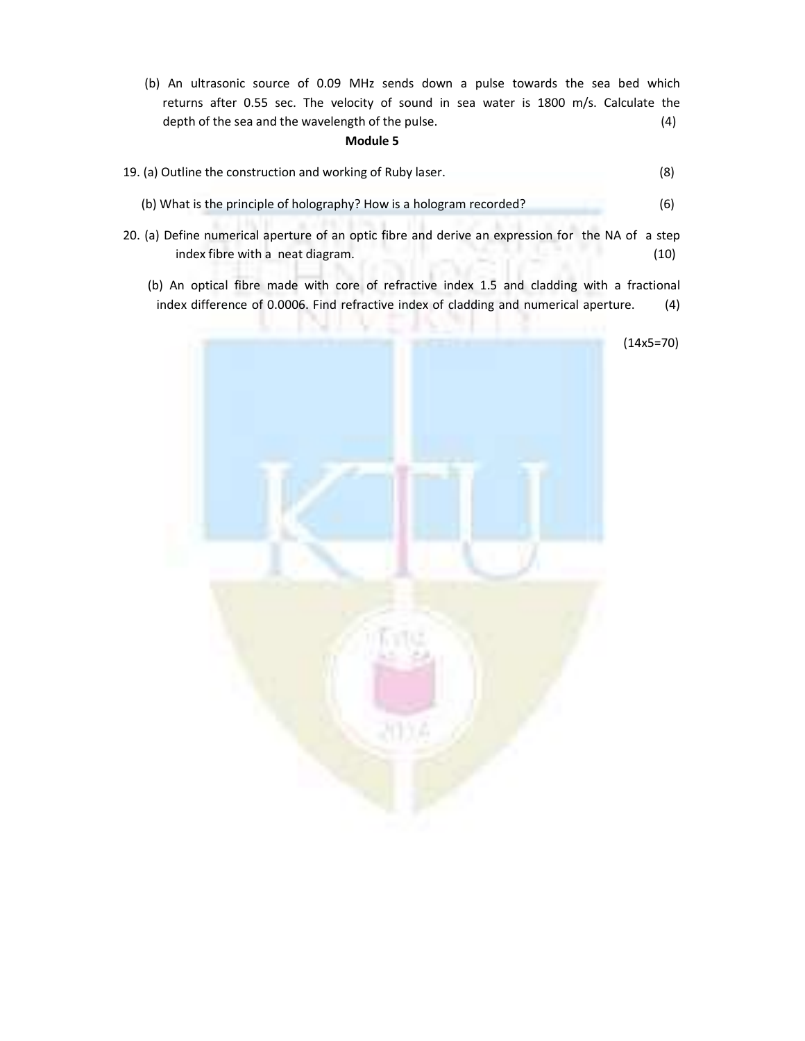(b) An ultrasonic source of 0.09 MHz sends down a pulse towards the sea bed which returns after 0.55 sec. The velocity of sound in sea water is 1800 m/s. Calculate the depth of the sea and the wavelength of the pulse. (4)

# Module 5

- 19. (a) Outline the construction and working of Ruby laser. (8)
	- (b) What is the principle of holography? How is a hologram recorded? (6)
- 20. (a) Define numerical aperture of an optic fibre and derive an expression for the NA of a step index fibre with a neat diagram. (10)
	- (b) An optical fibre made with core of refractive index 1.5 and cladding with a fractional index difference of 0.0006. Find refractive index of cladding and numerical aperture. (4)

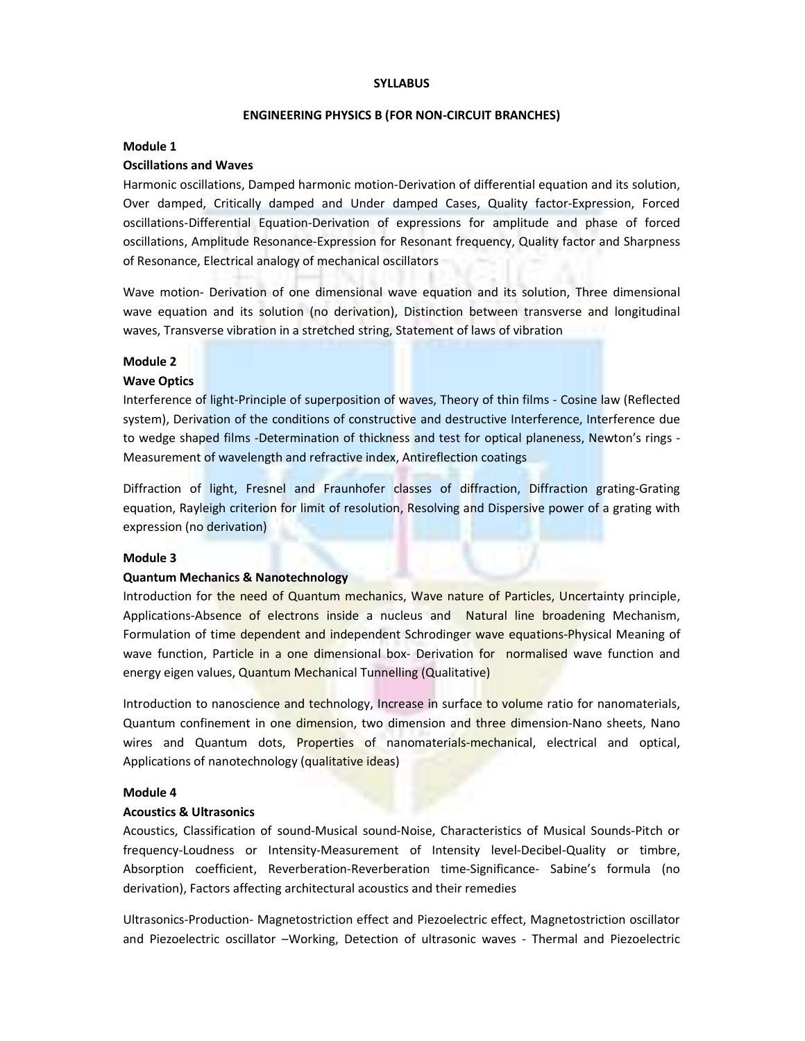#### **SYLLABUS**

### ENGINEERING PHYSICS B (FOR NON-CIRCUIT BRANCHES)

### Module 1

### Oscillations and Waves

Harmonic oscillations, Damped harmonic motion-Derivation of differential equation and its solution, Over damped, Critically damped and Under damped Cases, Quality factor-Expression, Forced oscillations-Differential Equation-Derivation of expressions for amplitude and phase of forced oscillations, Amplitude Resonance-Expression for Resonant frequency, Quality factor and Sharpness of Resonance, Electrical analogy of mechanical oscillators

Wave motion- Derivation of one dimensional wave equation and its solution, Three dimensional wave equation and its solution (no derivation), Distinction between transverse and longitudinal waves, Transverse vibration in a stretched string, Statement of laws of vibration

#### Module 2

#### Wave Optics

Interference of light-Principle of superposition of waves, Theory of thin films - Cosine law (Reflected system), Derivation of the conditions of constructive and destructive Interference, Interference due to wedge shaped films -Determination of thickness and test for optical planeness, Newton's rings - Measurement of wavelength and refractive index, Antireflection coatings

Diffraction of light, Fresnel and Fraunhofer classes of diffraction, Diffraction grating-Grating equation, Rayleigh criterion for limit of resolution, Resolving and Dispersive power of a grating with expression (no derivation)

#### Module 3

### Quantum Mechanics & Nanotechnology

Introduction for the need of Quantum mechanics, Wave nature of Particles, Uncertainty principle, Applications-Absence of electrons inside a nucleus and Natural line broadening Mechanism, Formulation of time dependent and independent Schrodinger wave equations-Physical Meaning of wave function, Particle in a one dimensional box- Derivation for normalised wave function and energy eigen values, Quantum Mechanical Tunnelling (Qualitative)

Introduction to nanoscience and technology, Increase in surface to volume ratio for nanomaterials, Quantum confinement in one dimension, two dimension and three dimension-Nano sheets, Nano wires and Quantum dots, Properties of nanomaterials-mechanical, electrical and optical, Applications of nanotechnology (qualitative ideas)

#### Module 4

#### Acoustics & Ultrasonics

Acoustics, Classification of sound-Musical sound-Noise, Characteristics of Musical Sounds-Pitch or frequency-Loudness or Intensity-Measurement of Intensity level-Decibel-Quality or timbre, Absorption coefficient, Reverberation-Reverberation time-Significance- Sabine's formula (no derivation), Factors affecting architectural acoustics and their remedies

Ultrasonics-Production- Magnetostriction effect and Piezoelectric effect, Magnetostriction oscillator and Piezoelectric oscillator –Working, Detection of ultrasonic waves - Thermal and Piezoelectric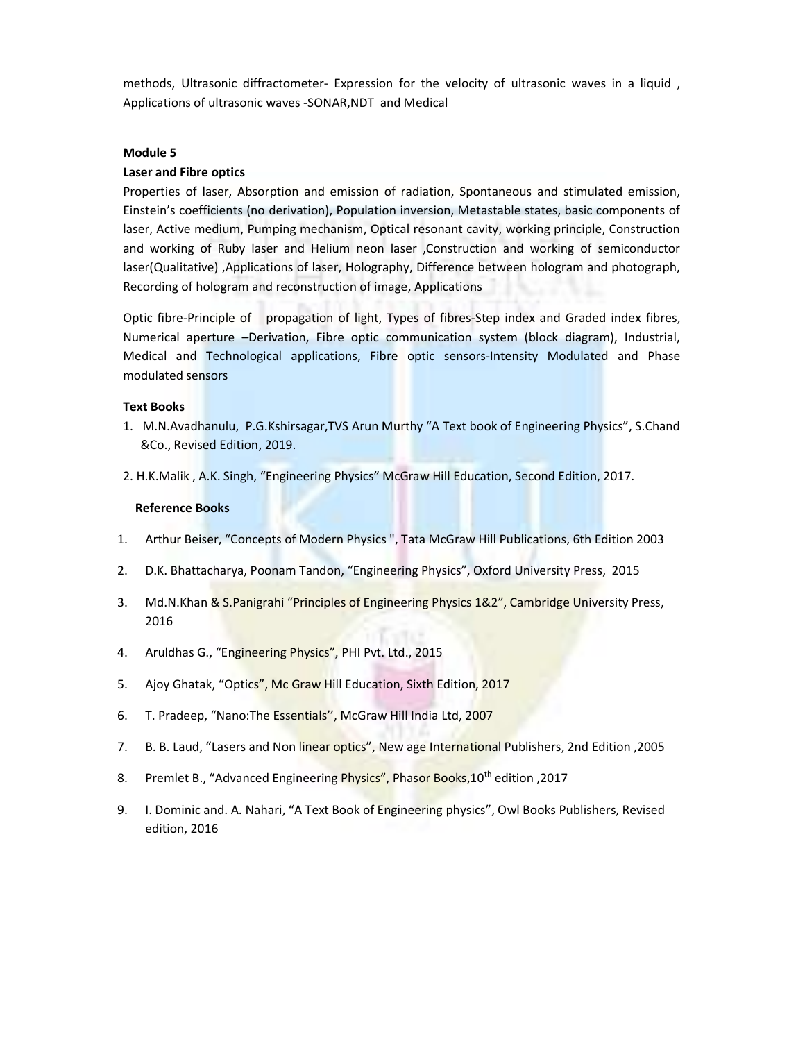methods, Ultrasonic diffractometer- Expression for the velocity of ultrasonic waves in a liquid , Applications of ultrasonic waves -SONAR,NDT and Medical

### Module 5

### Laser and Fibre optics

Properties of laser, Absorption and emission of radiation, Spontaneous and stimulated emission, Einstein's coefficients (no derivation), Population inversion, Metastable states, basic components of laser, Active medium, Pumping mechanism, Optical resonant cavity, working principle, Construction and working of Ruby laser and Helium neon laser ,Construction and working of semiconductor laser(Qualitative) ,Applications of laser, Holography, Difference between hologram and photograph, Recording of hologram and reconstruction of image, Applications

Optic fibre-Principle of propagation of light, Types of fibres-Step index and Graded index fibres, Numerical aperture –Derivation, Fibre optic communication system (block diagram), Industrial, Medical and Technological applications, Fibre optic sensors-Intensity Modulated and Phase modulated sensors

### Text Books

- 1. M.N.Avadhanulu, P.G.Kshirsagar,TVS Arun Murthy "A Text book of Engineering Physics", S.Chand &Co., Revised Edition, 2019.
- 2. H.K.Malik , A.K. Singh, "Engineering Physics" McGraw Hill Education, Second Edition, 2017.

### Reference Books

- 1. Arthur Beiser, "Concepts of Modern Physics ", Tata McGraw Hill Publications, 6th Edition 2003
- 2. D.K. Bhattacharya, Poonam Tandon, "Engineering Physics", Oxford University Press, 2015
- 3. Md.N.Khan & S.Panigrahi "Principles of Engineering Physics 1&2", Cambridge University Press, 2016
- 4. Aruldhas G., "Engineering Physics", PHI Pvt. Ltd., 2015
- 5. Ajoy Ghatak, "Optics", Mc Graw Hill Education, Sixth Edition, 2017
- 6. T. Pradeep, "Nano:The Essentials'', McGraw Hill India Ltd, 2007
- 7. B. B. Laud, "Lasers and Non linear optics", New age International Publishers, 2nd Edition ,2005
- 8. Premlet B., "Advanced Engineering Physics", Phasor Books, 10<sup>th</sup> edition , 2017
- 9. I. Dominic and. A. Nahari, "A Text Book of Engineering physics", Owl Books Publishers, Revised edition, 2016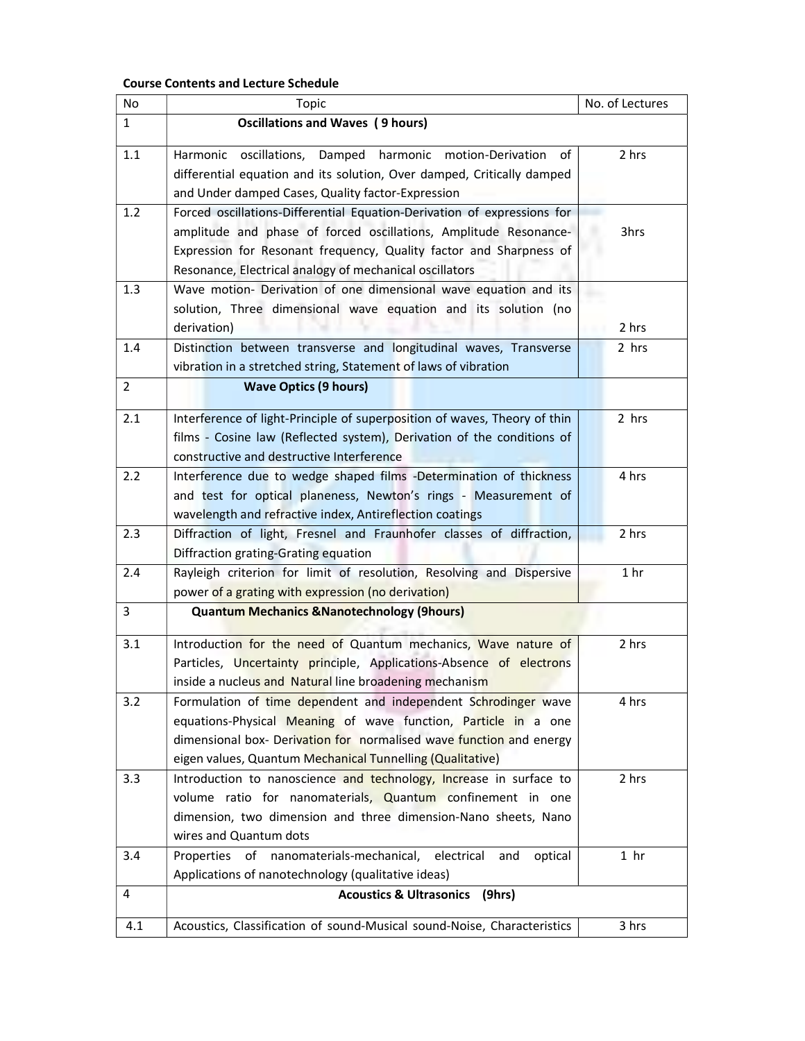### Course Contents and Lecture Schedule

| No             | Topic                                                                                                                                                                                                                                                                        | No. of Lectures |
|----------------|------------------------------------------------------------------------------------------------------------------------------------------------------------------------------------------------------------------------------------------------------------------------------|-----------------|
| $\mathbf{1}$   | <b>Oscillations and Waves (9 hours)</b>                                                                                                                                                                                                                                      |                 |
| 1.1            | Damped harmonic motion-Derivation<br>Harmonic<br>oscillations,<br>of<br>differential equation and its solution, Over damped, Critically damped<br>and Under damped Cases, Quality factor-Expression                                                                          | 2 hrs           |
| 1.2            | Forced oscillations-Differential Equation-Derivation of expressions for<br>amplitude and phase of forced oscillations, Amplitude Resonance-<br>Expression for Resonant frequency, Quality factor and Sharpness of<br>Resonance, Electrical analogy of mechanical oscillators | 3hrs            |
| 1.3            | Wave motion- Derivation of one dimensional wave equation and its<br>solution, Three dimensional wave equation and its solution (no<br>derivation)                                                                                                                            | 2 hrs           |
| 1.4            | Distinction between transverse and longitudinal waves, Transverse<br>vibration in a stretched string, Statement of laws of vibration                                                                                                                                         | 2 hrs           |
| $\overline{2}$ | <b>Wave Optics (9 hours)</b>                                                                                                                                                                                                                                                 |                 |
| 2.1            | Interference of light-Principle of superposition of waves, Theory of thin<br>films - Cosine law (Reflected system), Derivation of the conditions of<br>constructive and destructive Interference                                                                             | 2 hrs           |
| 2.2            | Interference due to wedge shaped films -Determination of thickness<br>and test for optical planeness, Newton's rings - Measurement of<br>wavelength and refractive index, Antireflection coatings                                                                            | 4 hrs           |
| 2.3            | Diffraction of light, Fresnel and Fraunhofer classes of diffraction,<br>Diffraction grating-Grating equation                                                                                                                                                                 | 2 hrs           |
| 2.4            | Rayleigh criterion for limit of resolution, Resolving and Dispersive<br>power of a grating with expression (no derivation)                                                                                                                                                   | 1 <sub>hr</sub> |
| 3              | <b>Quantum Mechanics &amp; Nanotechnology (9hours)</b>                                                                                                                                                                                                                       |                 |
| 3.1            | Introduction for the need of Quantum mechanics, Wave nature of<br>Particles, Uncertainty principle, Applications-Absence of electrons<br>inside a nucleus and Natural line broadening mechanism                                                                              | 2 hrs           |
| 3.2            | Formulation of time dependent and independent Schrodinger wave<br>equations-Physical Meaning of wave function, Particle in a one<br>dimensional box- Derivation for normalised wave function and energy<br>eigen values, Quantum Mechanical Tunnelling (Qualitative)         | 4 hrs           |
| 3.3            | Introduction to nanoscience and technology, Increase in surface to<br>volume ratio for nanomaterials, Quantum confinement in one<br>dimension, two dimension and three dimension-Nano sheets, Nano<br>wires and Quantum dots                                                 | 2 hrs           |
| 3.4            | Properties of nanomaterials-mechanical,<br>electrical<br>optical<br>and<br>Applications of nanotechnology (qualitative ideas)                                                                                                                                                | $1$ hr          |
| 4              | <b>Acoustics &amp; Ultrasonics (9hrs)</b>                                                                                                                                                                                                                                    |                 |
| 4.1            | Acoustics, Classification of sound-Musical sound-Noise, Characteristics                                                                                                                                                                                                      | 3 hrs           |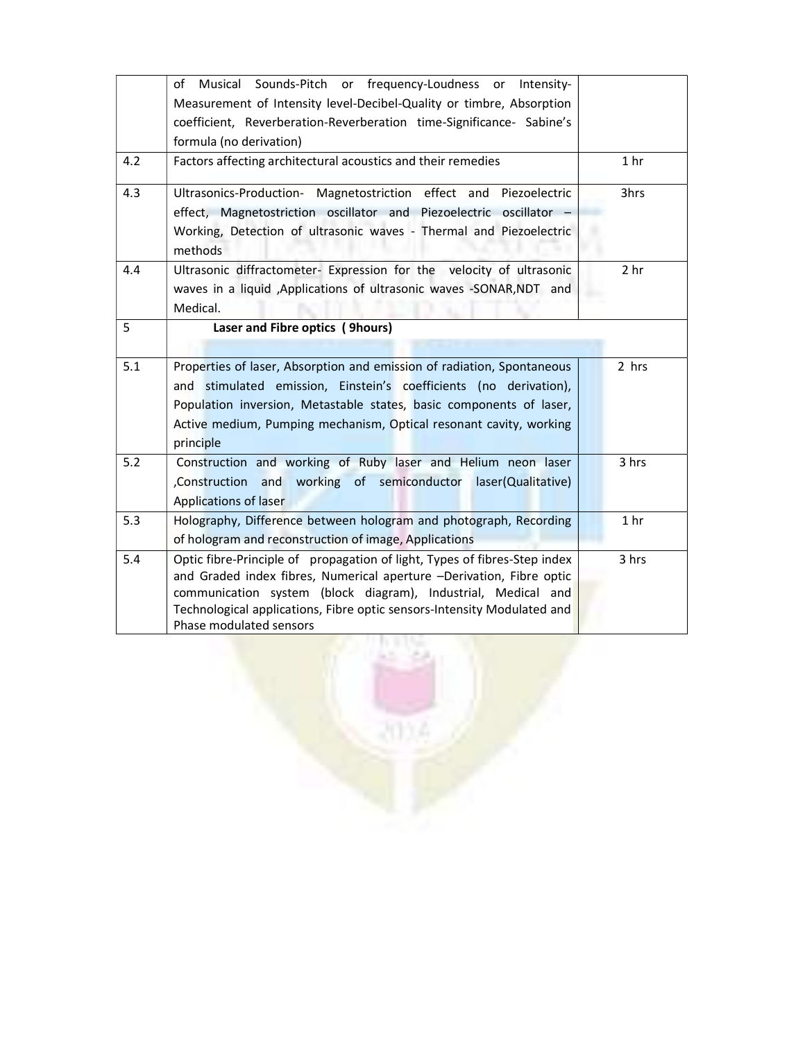|     | Musical Sounds-Pitch or frequency-Loudness or<br>of<br>Intensity-<br>Measurement of Intensity level-Decibel-Quality or timbre, Absorption<br>coefficient, Reverberation-Reverberation time-Significance- Sabine's<br>formula (no derivation)                                                                             |                 |
|-----|--------------------------------------------------------------------------------------------------------------------------------------------------------------------------------------------------------------------------------------------------------------------------------------------------------------------------|-----------------|
| 4.2 | Factors affecting architectural acoustics and their remedies                                                                                                                                                                                                                                                             | 1 <sub>hr</sub> |
| 4.3 | Ultrasonics-Production- Magnetostriction effect and Piezoelectric<br>effect, Magnetostriction oscillator and Piezoelectric oscillator<br>Working, Detection of ultrasonic waves - Thermal and Piezoelectric<br>methods                                                                                                   | 3hrs            |
| 4.4 | Ultrasonic diffractometer- Expression for the velocity of ultrasonic<br>waves in a liquid , Applications of ultrasonic waves -SONAR, NDT and<br>Medical.                                                                                                                                                                 | 2 <sub>hr</sub> |
| 5   | Laser and Fibre optics (9hours)                                                                                                                                                                                                                                                                                          |                 |
| 5.1 | Properties of laser, Absorption and emission of radiation, Spontaneous<br>and stimulated emission, Einstein's coefficients (no derivation),<br>Population inversion, Metastable states, basic components of laser,<br>Active medium, Pumping mechanism, Optical resonant cavity, working<br>principle                    | 2 hrs           |
| 5.2 | Construction and working of Ruby laser and Helium neon laser<br>,Construction and<br>working of semiconductor laser(Qualitative)<br>Applications of laser                                                                                                                                                                | 3 hrs           |
| 5.3 | Holography, Difference between hologram and photograph, Recording<br>of hologram and reconstruction of image, Applications                                                                                                                                                                                               | 1 <sub>hr</sub> |
| 5.4 | Optic fibre-Principle of propagation of light, Types of fibres-Step index<br>and Graded index fibres, Numerical aperture -Derivation, Fibre optic<br>communication system (block diagram), Industrial, Medical and<br>Technological applications, Fibre optic sensors-Intensity Modulated and<br>Phase modulated sensors | 3 hrs           |

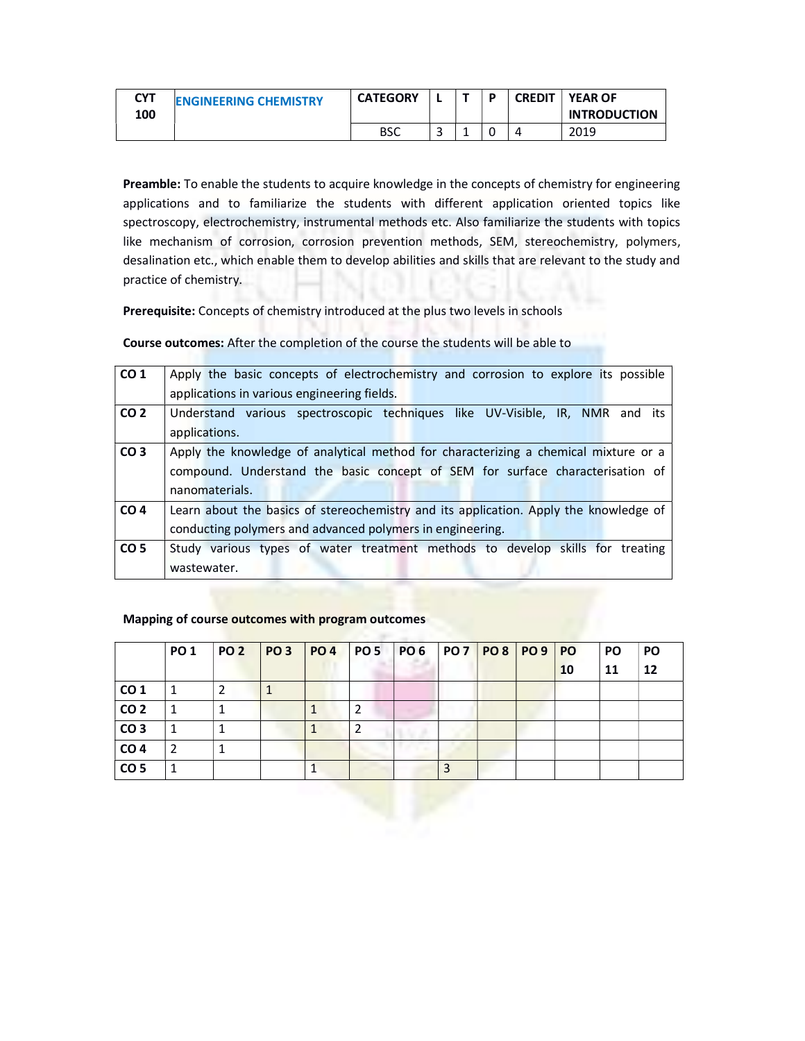| CYT<br>100 | <b>ENGINEERING CHEMISTRY</b> | <b>CATEGORY</b> |  | <b>CREDIT</b> | <b>YEAR OF</b><br><b>INTRODUCTION</b> |
|------------|------------------------------|-----------------|--|---------------|---------------------------------------|
|            |                              | <b>BSC</b>      |  | 4             | 2019                                  |

Preamble: To enable the students to acquire knowledge in the concepts of chemistry for engineering applications and to familiarize the students with different application oriented topics like spectroscopy, electrochemistry, instrumental methods etc. Also familiarize the students with topics like mechanism of corrosion, corrosion prevention methods, SEM, stereochemistry, polymers, desalination etc., which enable them to develop abilities and skills that are relevant to the study and practice of chemistry.

Prerequisite: Concepts of chemistry introduced at the plus two levels in schools

Course outcomes: After the completion of the course the students will be able to

| CO <sub>1</sub> | Apply the basic concepts of electrochemistry and corrosion to explore its possible    |
|-----------------|---------------------------------------------------------------------------------------|
|                 | applications in various engineering fields.                                           |
| CO <sub>2</sub> | Understand various spectroscopic techniques like UV-Visible, IR, NMR and its          |
|                 | applications.                                                                         |
| CO <sub>3</sub> | Apply the knowledge of analytical method for characterizing a chemical mixture or a   |
|                 | compound. Understand the basic concept of SEM for surface characterisation of         |
|                 | nanomaterials.                                                                        |
| CO <sub>4</sub> | Learn about the basics of stereochemistry and its application. Apply the knowledge of |
|                 | conducting polymers and advanced polymers in engineering.                             |
| CO <sub>5</sub> | Study various types of water treatment methods to develop skills for treating         |
|                 | wastewater.                                                                           |

### Mapping of course outcomes with program outcomes

|                 | <b>PO 1</b> | PO <sub>2</sub> | PO 3   PO 4   PO 5   PO 6   PO 7   PO 8   PO 9   PO |  |  |  |           | PO | <b>PO</b> |
|-----------------|-------------|-----------------|-----------------------------------------------------|--|--|--|-----------|----|-----------|
|                 |             |                 |                                                     |  |  |  | <b>10</b> | 11 | 12        |
| CO <sub>1</sub> | 1           |                 |                                                     |  |  |  |           |    |           |
| CO <sub>2</sub> | 1           |                 |                                                     |  |  |  |           |    |           |
| CO <sub>3</sub> | 1           |                 |                                                     |  |  |  |           |    |           |
| CO <sub>4</sub> | 2           |                 |                                                     |  |  |  |           |    |           |
| CO <sub>5</sub> |             |                 |                                                     |  |  |  |           |    |           |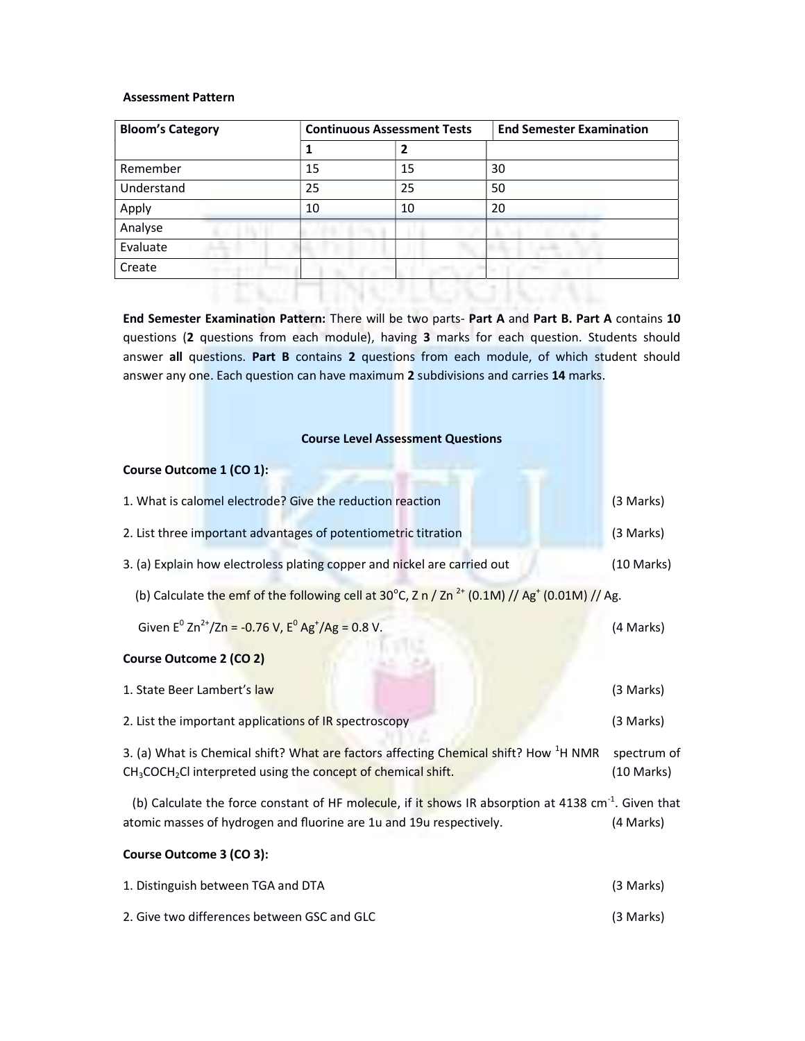### Assessment Pattern

| <b>Bloom's Category</b> | <b>Continuous Assessment Tests</b> |    | <b>End Semester Examination</b> |  |  |
|-------------------------|------------------------------------|----|---------------------------------|--|--|
|                         |                                    | 2  |                                 |  |  |
| Remember                | 15                                 | 15 | 30                              |  |  |
| Understand              | 25                                 | 25 | 50                              |  |  |
| Apply                   | 10                                 | 10 | 20                              |  |  |
| Analyse                 |                                    |    |                                 |  |  |
| Evaluate                |                                    |    |                                 |  |  |
| Create                  |                                    |    |                                 |  |  |
|                         |                                    |    |                                 |  |  |

End Semester Examination Pattern: There will be two parts- Part A and Part B. Part A contains 10 questions (2 questions from each module), having 3 marks for each question. Students should answer all questions. Part B contains 2 questions from each module, of which student should answer any one. Each question can have maximum 2 subdivisions and carries 14 marks.

### Course Level Assessment Questions

| Course Outcome 1 (CO 1):                                                                                                                                                                |                           |
|-----------------------------------------------------------------------------------------------------------------------------------------------------------------------------------------|---------------------------|
| 1. What is calomel electrode? Give the reduction reaction                                                                                                                               | (3 Marks)                 |
| 2. List three important advantages of potentiometric titration                                                                                                                          | (3 Marks)                 |
| 3. (a) Explain how electroless plating copper and nickel are carried out                                                                                                                | (10 Marks)                |
| (b) Calculate the emf of the following cell at 30°C, Z n / Zn <sup>2+</sup> (0.1M) // Ag <sup>+</sup> (0.01M) // Ag.                                                                    |                           |
| Given $E^0 Zn^{2+}/Zn = -0.76 V$ , $E^0 Ag^+/Ag = 0.8 V$ .                                                                                                                              | (4 Marks)                 |
| Course Outcome 2 (CO 2)                                                                                                                                                                 |                           |
| 1. State Beer Lambert's law                                                                                                                                                             | (3 Marks)                 |
| 2. List the important applications of IR spectroscopy                                                                                                                                   | (3 Marks)                 |
| 3. (a) What is Chemical shift? What are factors affecting Chemical shift? How <sup>1</sup> H NMR<br>$CH3COCH2Cl$ interpreted using the concept of chemical shift.                       | spectrum of<br>(10 Marks) |
| (b) Calculate the force constant of HF molecule, if it shows IR absorption at 4138 cm <sup>-1</sup> . Given that<br>atomic masses of hydrogen and fluorine are 1u and 19u respectively. | (4 Marks)                 |
| Course Outcome 3 (CO 3):                                                                                                                                                                |                           |
| 1. Distinguish between TGA and DTA                                                                                                                                                      | (3 Marks)                 |
| 2. Give two differences between GSC and GLC                                                                                                                                             | (3 Marks)                 |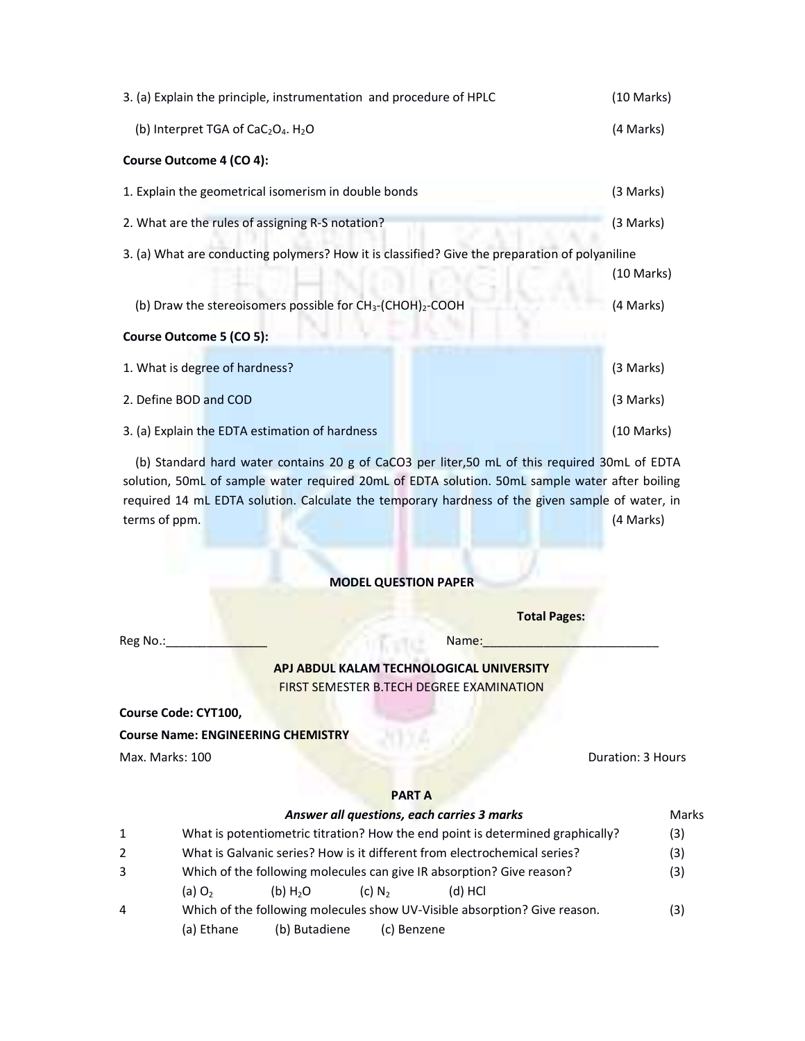| 3. (a) Explain the principle, instrumentation and procedure of HPLC                            | (10 Marks) |
|------------------------------------------------------------------------------------------------|------------|
| (b) Interpret TGA of $CaC2O4$ . H <sub>2</sub> O                                               | (4 Marks)  |
| Course Outcome 4 (CO 4):                                                                       |            |
| 1. Explain the geometrical isomerism in double bonds                                           | (3 Marks)  |
| 2. What are the rules of assigning R-S notation?                                               | (3 Marks)  |
| 3. (a) What are conducting polymers? How it is classified? Give the preparation of polyaniline |            |
|                                                                                                | (10 Marks) |
| (b) Draw the stereoisomers possible for $CH_3$ -(CHOH) <sub>2</sub> -COOH                      | (4 Marks)  |
| Course Outcome 5 (CO 5):                                                                       |            |
| 1. What is degree of hardness?                                                                 | (3 Marks)  |
| 2. Define BOD and COD                                                                          | (3 Marks)  |
| 3. (a) Explain the EDTA estimation of hardness                                                 | (10 Marks) |

 (b) Standard hard water contains 20 g of CaCO3 per liter,50 mL of this required 30mL of EDTA solution, 50mL of sample water required 20mL of EDTA solution. 50mL sample water after boiling required 14 mL EDTA solution. Calculate the temporary hardness of the given sample of water, in terms of ppm. (4 Marks) (3 Marks)

### MODEL QUESTION PAPER

Total Pages:

Reg No.:\_\_\_\_\_\_\_\_\_\_\_\_\_\_\_ Name:\_\_\_\_\_\_\_\_\_\_\_\_\_\_\_\_\_\_\_\_\_\_\_\_\_\_

# APJ ABDUL KALAM TECHNOLOGICAL UNIVERSITY

FIRST SEMESTER B.TECH DEGREE EXAMINATION

Course Code: CYT100,

### Course Name: ENGINEERING CHEMISTRY

Max. Marks: 100 Duration: 3 Hours

### PART A

### Answer all questions, each carries 3 marks Marks Marks 1 What is potentiometric titration? How the end point is determined graphically? (3) 2 What is Galvanic series? How is it different from electrochemical series? (3) 3 Which of the following molecules can give IR absorption? Give reason? (a)  $O_2$  (b)  $H_2O$  (c)  $N_2$  (d) HCl (3) 4 Which of the following molecules show UV-Visible absorption? Give reason. (a) Ethane (b) Butadiene (c) Benzene (3)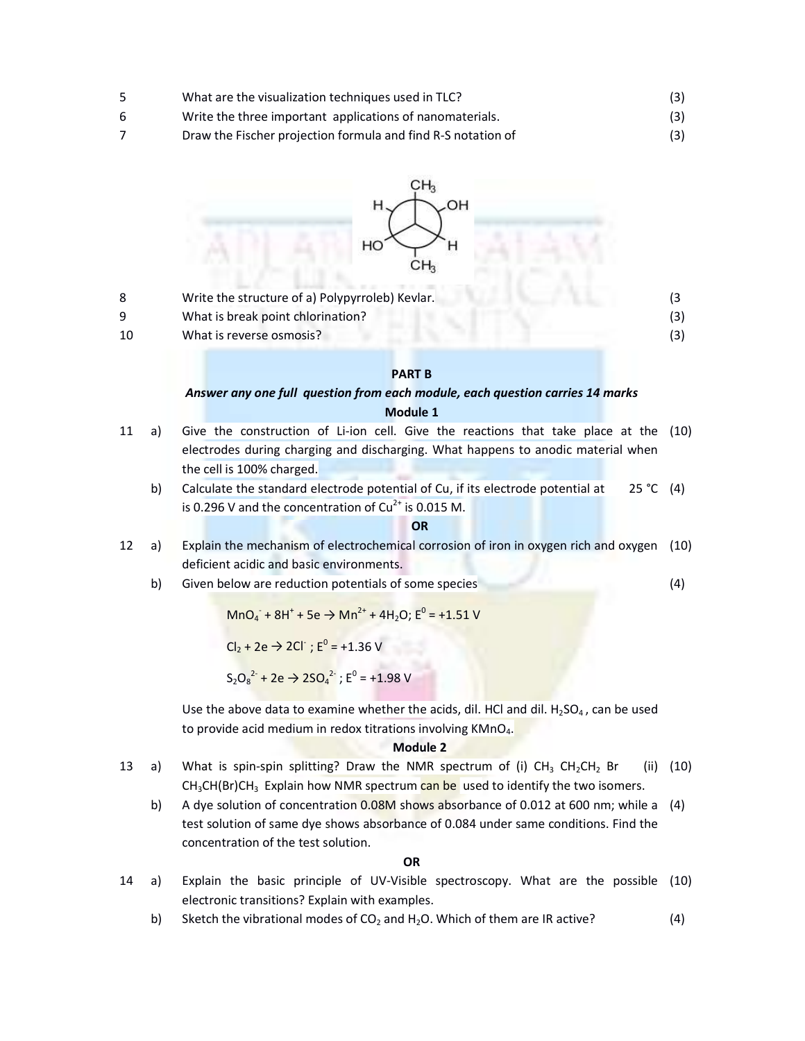- 5 What are the visualization techniques used in TLC? (3)
- 6 Write the three important applications of nanomaterials. (3)
- 7 Draw the Fischer projection formula and find R-S notation of (3)



- 8 Write the structure of a) Polypyrroleb) Kevlar. (3
- 9 What is break point chlorination? (3)

10 What is reverse osmosis? (3)

### PART B

### Answer any one full question from each module, each question carries 14 marks Module 1

- 11 a) Give the construction of Li-ion cell. Give the reactions that take place at the (10) electrodes during charging and discharging. What happens to anodic material when the cell is 100% charged.
	- b) Calculate the standard electrode potential of Cu, if its electrode potential at is 0.296 V and the concentration of  $Cu^{2+}$  is 0.015 M.  $25 °C$  (4)

### **OR CONSUMING THE CONSUMING THE CONSUMING TENS**

(4)

- 12 a) Explain the mechanism of electrochemical corrosion of iron in oxygen rich and oxygen (10) deficient acidic and basic environments.
	- b) Given below are reduction potentials of some species

 $MnO_4 + 8H^+ + 5e \rightarrow Mn^{2+} + 4H_2O$ ;  $E^0 = +1.51$  V

$$
Cl_2 + 2e \rightarrow 2Cl \, ; E^0 = +1.36 \, V
$$

$$
S_2O_8^2 + 2e \rightarrow 2SO_4^2
$$
;  $E^0 = +1.98$  V

Use the above data to examine whether the acids, dil. HCl and dil.  $H_2SO_4$ , can be used to provide acid medium in redox titrations involving KMnO<sub>4</sub>.

### Module 2

- 13 a) What is spin-spin splitting? Draw the NMR spectrum of (i)  $CH_3 CH_2CH_2$  Br  $CH<sub>3</sub>CH(Br)CH<sub>3</sub>$  Explain how NMR spectrum can be used to identify the two isomers.  $(ii)$   $(10)$ 
	- b) A dye solution of concentration 0.08M shows absorbance of 0.012 at 600 nm; while a (4) test solution of same dye shows absorbance of 0.084 under same conditions. Find the concentration of the test solution.

### OR **OR** Service and the service of the service of the service of the service of the service of the service of the service of the service of the service of the service of the service of the service of the service of the ser

- 14 a) Explain the basic principle of UV-Visible spectroscopy. What are the possible (10) electronic transitions? Explain with examples.
	- b) Sketch the vibrational modes of  $CO<sub>2</sub>$  and H<sub>2</sub>O. Which of them are IR active? (4)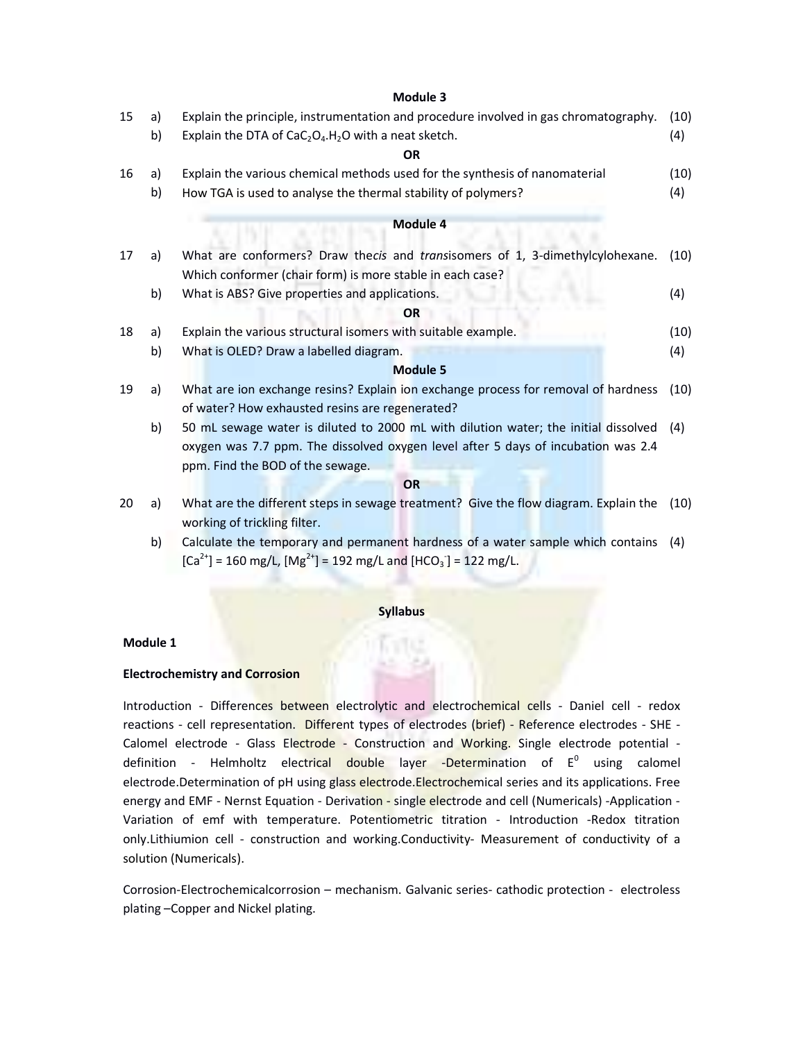### Module 3

| 15 | a) | Explain the principle, instrumentation and procedure involved in gas chromatography. | (10) |
|----|----|--------------------------------------------------------------------------------------|------|
|    | b) | Explain the DTA of $CaC_2O_4.H_2O$ with a neat sketch.                               | (4)  |
|    |    | <b>OR</b>                                                                            |      |
| 16 | a) | Explain the various chemical methods used for the synthesis of nanomaterial          | (10) |
|    | b) | How TGA is used to analyse the thermal stability of polymers?                        | (4)  |
|    |    | Module 4                                                                             |      |
| 17 | a) | What are conformers? Draw thecis and transisomers of 1, 3-dimethylcylohexane.        | (10) |
|    |    | Which conformer (chair form) is more stable in each case?                            |      |
|    | b) | What is ABS? Give properties and applications.                                       | (4)  |
|    |    | <b>OR</b>                                                                            |      |
| 18 | a) | Explain the various structural isomers with suitable example.                        | (10) |
|    | b) | What is OLED? Draw a labelled diagram.                                               | (4)  |
|    |    | <b>Module 5</b>                                                                      |      |
| 19 | a) | What are ion exchange resins? Explain ion exchange process for removal of hardness   | (10) |
|    |    | of water? How exhausted resins are regenerated?                                      |      |
|    | b) | 50 mL sewage water is diluted to 2000 mL with dilution water; the initial dissolved  | (4)  |
|    |    | oxygen was 7.7 ppm. The dissolved oxygen level after 5 days of incubation was 2.4    |      |
|    |    | ppm. Find the BOD of the sewage.                                                     |      |
|    |    | <b>OR</b>                                                                            |      |
| 20 | a) | What are the different steps in sewage treatment? Give the flow diagram. Explain the | (10) |
|    |    | working of trickling filter.                                                         |      |

b) Calculate the temporary and permanent hardness of a water sample which contains (4)  $[Ca^{2+}] = 160 \text{ mg/L}$ ,  $[Mg^{2+}] = 192 \text{ mg/L}$  and  $[HCO_3] = 122 \text{ mg/L}$ .

#### **Syllabus**

### Module 1

### Electrochemistry and Corrosion

Introduction - Differences between electrolytic and electrochemical cells - Daniel cell - redox reactions - cell representation. Different types of electrodes (brief) - Reference electrodes - SHE - Calomel electrode - Glass Electrode - Construction and Working. Single electrode potential definition - Helmholtz electrical double layer -Determination of E<sup>0</sup> using calomel electrode.Determination of pH using glass electrode.Electrochemical series and its applications. Free energy and EMF - Nernst Equation - Derivation - single electrode and cell (Numericals) -Application -Variation of emf with temperature. Potentiometric titration - Introduction -Redox titration only.Lithiumion cell - construction and working.Conductivity- Measurement of conductivity of a solution (Numericals).

Corrosion-Electrochemicalcorrosion – mechanism. Galvanic series- cathodic protection - electroless plating –Copper and Nickel plating.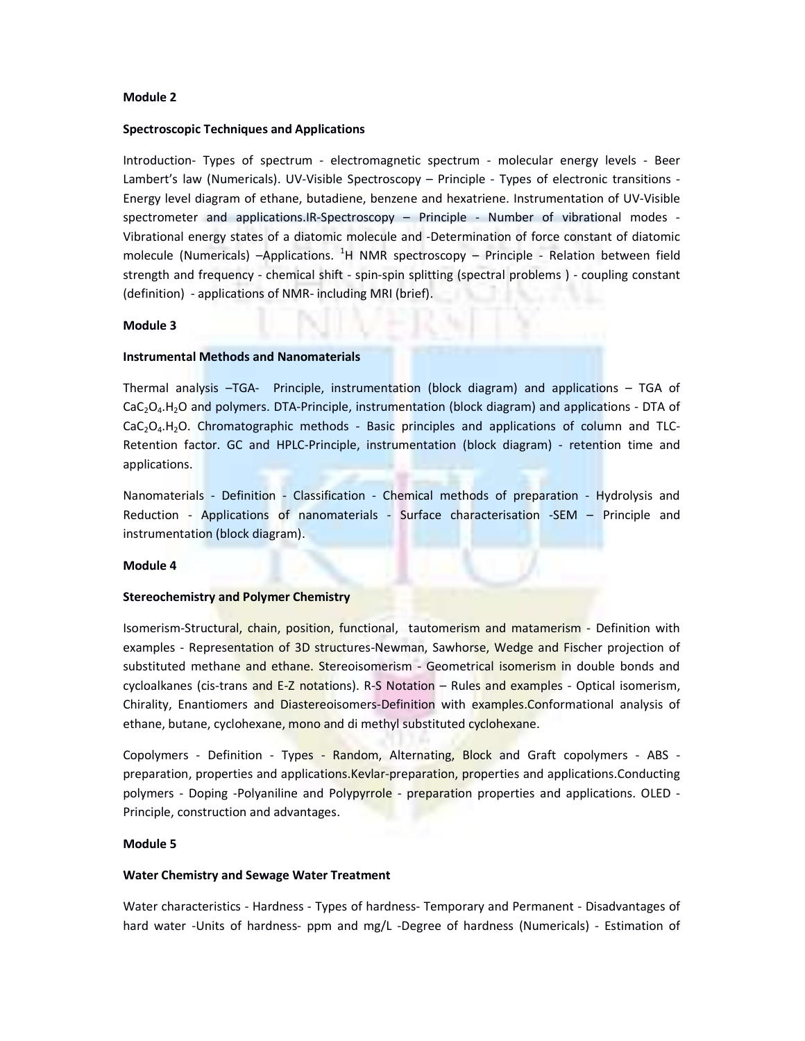#### Module 2

#### Spectroscopic Techniques and Applications

Introduction- Types of spectrum - electromagnetic spectrum - molecular energy levels - Beer Lambert's law (Numericals). UV-Visible Spectroscopy – Principle - Types of electronic transitions - Energy level diagram of ethane, butadiene, benzene and hexatriene. Instrumentation of UV-Visible spectrometer and applications.IR-Spectroscopy – Principle - Number of vibrational modes - Vibrational energy states of a diatomic molecule and -Determination of force constant of diatomic molecule (Numericals)  $-A$ pplications.  ${}^{1}H$  NMR spectroscopy – Principle - Relation between field strength and frequency - chemical shift - spin-spin splitting (spectral problems ) - coupling constant (definition) - applications of NMR- including MRI (brief).

#### Module 3

### Instrumental Methods and Nanomaterials

Thermal analysis –TGA- Principle, instrumentation (block diagram) and applications – TGA of  $CaC<sub>2</sub>O<sub>4</sub>$ .H<sub>2</sub>O and polymers. DTA-Principle, instrumentation (block diagram) and applications - DTA of  $CaC<sub>2</sub>O<sub>4</sub>H<sub>2</sub>O$ . Chromatographic methods - Basic principles and applications of column and TLC-Retention factor. GC and HPLC-Principle, instrumentation (block diagram) - retention time and applications.

Nanomaterials - Definition - Classification - Chemical methods of preparation - Hydrolysis and Reduction - Applications of nanomaterials - Surface characterisation -SEM – Principle and instrumentation (block diagram).

#### Module 4

#### Stereochemistry and Polymer Chemistry

Isomerism-Structural, chain, position, functional, tautomerism and matamerism - Definition with examples - Representation of 3D structures-Newman, Sawhorse, Wedge and Fischer projection of substituted methane and ethane. Stereoisomerism - Geometrical isomerism in double bonds and cycloalkanes (cis-trans and E-Z notations). R-S Notation - Rules and examples - Optical isomerism, Chirality, Enantiomers and Diastereoisomers-Definition with examples.Conformational analysis of ethane, butane, cyclohexane, mono and di methyl substituted cyclohexane.

Copolymers - Definition - Types - Random, Alternating, Block and Graft copolymers - ABS preparation, properties and applications. Kevlar-preparation, properties and applications. Conducting polymers - Doping -Polyaniline and Polypyrrole - preparation properties and applications. OLED -Principle, construction and advantages.

#### Module 5

#### Water Chemistry and Sewage Water Treatment

Water characteristics - Hardness - Types of hardness- Temporary and Permanent - Disadvantages of hard water -Units of hardness- ppm and mg/L -Degree of hardness (Numericals) - Estimation of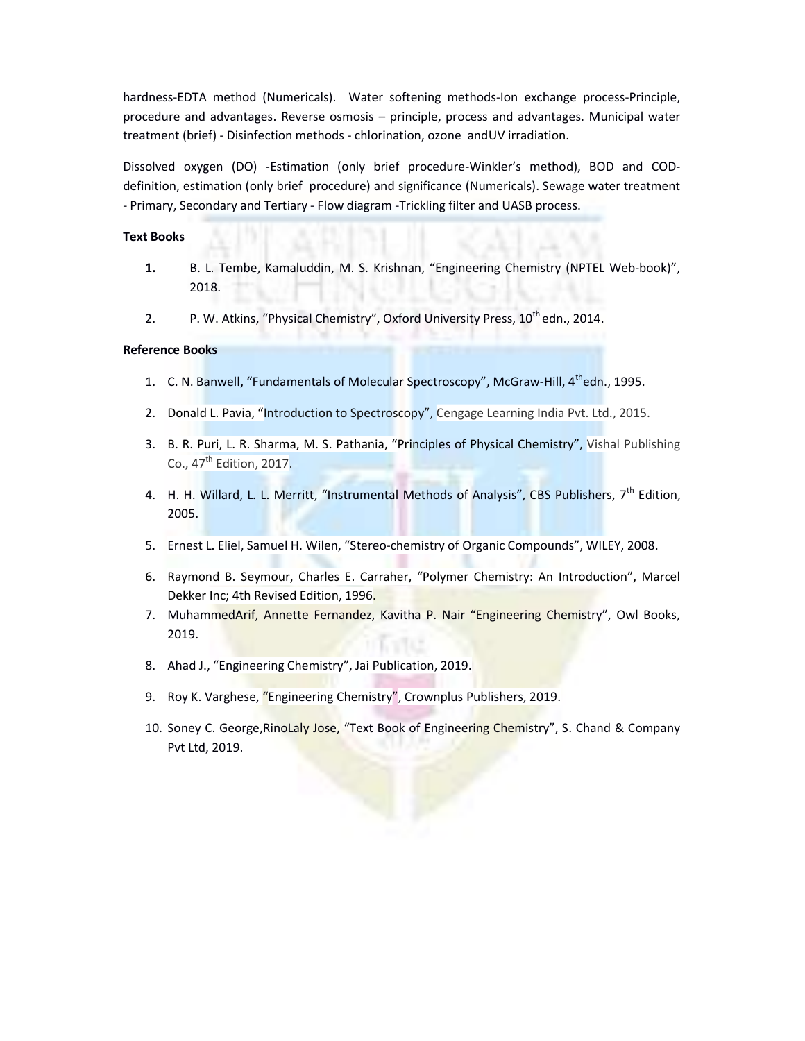hardness-EDTA method (Numericals). Water softening methods-Ion exchange process-Principle, procedure and advantages. Reverse osmosis – principle, process and advantages. Municipal water treatment (brief) - Disinfection methods - chlorination, ozone andUV irradiation.

Dissolved oxygen (DO) -Estimation (only brief procedure-Winkler's method), BOD and CODdefinition, estimation (only brief procedure) and significance (Numericals). Sewage water treatment - Primary, Secondary and Tertiary - Flow diagram -Trickling filter and UASB process.

#### Text Books

- 1. B. L. Tembe, Kamaluddin, M. S. Krishnan, "Engineering Chemistry (NPTEL Web-book)", 2018.
- 2. P. W. Atkins, "Physical Chemistry", Oxford University Press, 10<sup>th</sup> edn., 2014.

#### Reference Books

- 1. C. N. Banwell, "Fundamentals of Molecular Spectroscopy", McGraw-Hill, 4<sup>th</sup>edn., 1995.
- 2. Donald L. Pavia, "Introduction to Spectroscopy", Cengage Learning India Pvt. Ltd., 2015.
- 3. B. R. Puri, L. R. Sharma, M. S. Pathania, "Principles of Physical Chemistry", Vishal Publishing Co.,  $47<sup>th</sup>$  Edition, 2017.
- 4. H. H. Willard, L. L. Merritt, "Instrumental Methods of Analysis", CBS Publishers, 7<sup>th</sup> Edition, 2005.
- 5. Ernest L. Eliel, Samuel H. Wilen, "Stereo-chemistry of Organic Compounds", WILEY, 2008.
- 6. Raymond B. Seymour, Charles E. Carraher, "Polymer Chemistry: An Introduction", Marcel Dekker Inc; 4th Revised Edition, 1996.
- 7. MuhammedArif, Annette Fernandez, Kavitha P. Nair "Engineering Chemistry", Owl Books, 2019.
- 8. Ahad J., "Engineering Chemistry", Jai Publication, 2019.
- 9. Roy K. Varghese, "Engineering Chemistry", Crownplus Publishers, 2019.
- 10. Soney C. George, RinoLaly Jose, "Text Book of Engineering Chemistry", S. Chand & Company Pvt Ltd, 2019.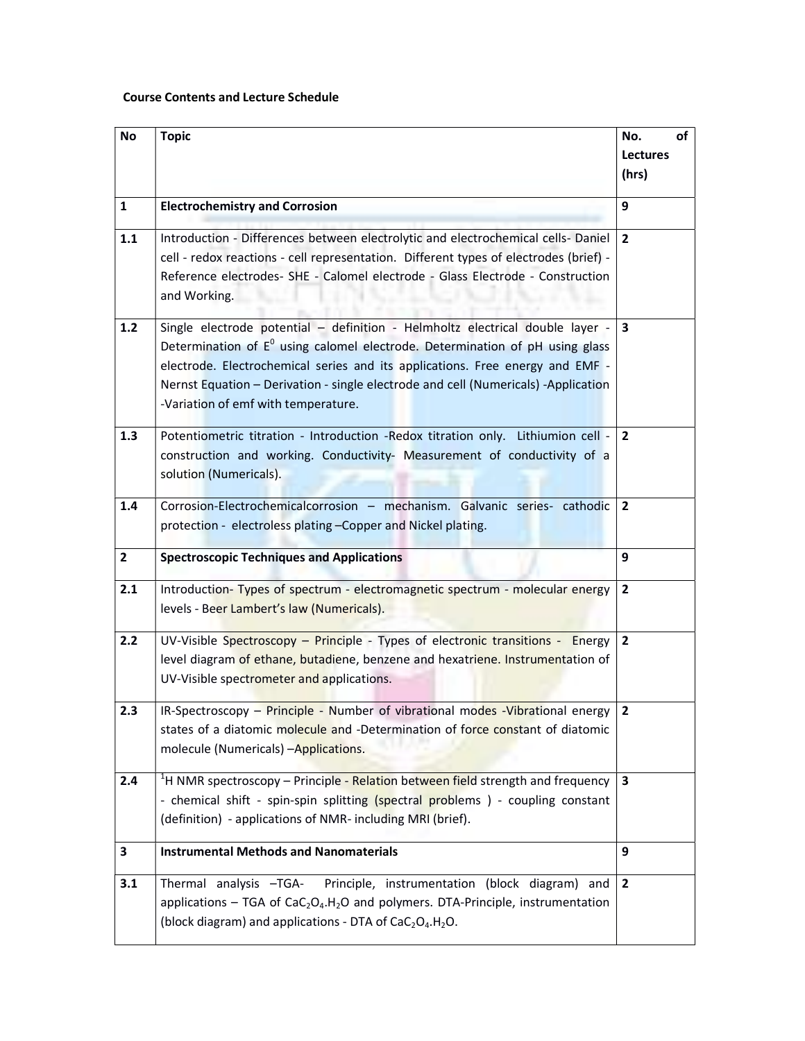### Course Contents and Lecture Schedule

| No             | <b>Topic</b>                                                                                                                                                                                                                                                                                                                                                                             | of<br>No.<br>Lectures<br>(hrs) |
|----------------|------------------------------------------------------------------------------------------------------------------------------------------------------------------------------------------------------------------------------------------------------------------------------------------------------------------------------------------------------------------------------------------|--------------------------------|
| $\mathbf{1}$   | <b>Electrochemistry and Corrosion</b>                                                                                                                                                                                                                                                                                                                                                    | 9                              |
| 1.1            | Introduction - Differences between electrolytic and electrochemical cells- Daniel<br>cell - redox reactions - cell representation. Different types of electrodes (brief) -<br>Reference electrodes- SHE - Calomel electrode - Glass Electrode - Construction<br>and Working.                                                                                                             | $\overline{2}$                 |
| 1.2            | Single electrode potential - definition - Helmholtz electrical double layer -<br>Determination of E <sup>0</sup> using calomel electrode. Determination of pH using glass<br>electrode. Electrochemical series and its applications. Free energy and EMF -<br>Nernst Equation - Derivation - single electrode and cell (Numericals) - Application<br>-Variation of emf with temperature. | $\mathbf{3}$                   |
| 1.3            | Potentiometric titration - Introduction -Redox titration only. Lithiumion cell -<br>construction and working. Conductivity- Measurement of conductivity of a<br>solution (Numericals).                                                                                                                                                                                                   | $\overline{2}$                 |
| 1.4            | Corrosion-Electrochemicalcorrosion - mechanism. Galvanic series- cathodic<br>protection - electroless plating - Copper and Nickel plating.                                                                                                                                                                                                                                               | $\overline{2}$                 |
| $\overline{2}$ | <b>Spectroscopic Techniques and Applications</b>                                                                                                                                                                                                                                                                                                                                         | 9                              |
| 2.1            | Introduction- Types of spectrum - electromagnetic spectrum - molecular energy<br>levels - Beer Lambert's law (Numericals).                                                                                                                                                                                                                                                               | $\overline{2}$                 |
| 2.2            | UV-Visible Spectroscopy - Principle - Types of electronic transitions - Energy<br>level diagram of ethane, butadiene, benzene and hexatriene. Instrumentation of<br>UV-Visible spectrometer and applications.                                                                                                                                                                            | $\overline{2}$                 |
| 2.3            | IR-Spectroscopy - Principle - Number of vibrational modes - Vibrational energy   2<br>states of a diatomic molecule and -Determination of force constant of diatomic<br>molecule (Numericals) - Applications.                                                                                                                                                                            |                                |
| 2.4            | <sup>1</sup> H NMR spectroscopy – Principle - Relation between field strength and frequency<br>- chemical shift - spin-spin splitting (spectral problems) - coupling constant<br>(definition) - applications of NMR- including MRI (brief).                                                                                                                                              | $\overline{\mathbf{3}}$        |
| 3              | <b>Instrumental Methods and Nanomaterials</b>                                                                                                                                                                                                                                                                                                                                            | 9                              |
| 3.1            | Thermal analysis -TGA-<br>Principle, instrumentation (block diagram) and<br>applications - TGA of $CaC_2O_4.H_2O$ and polymers. DTA-Principle, instrumentation<br>(block diagram) and applications - DTA of $CaC2O4$ .H <sub>2</sub> O.                                                                                                                                                  | $\overline{2}$                 |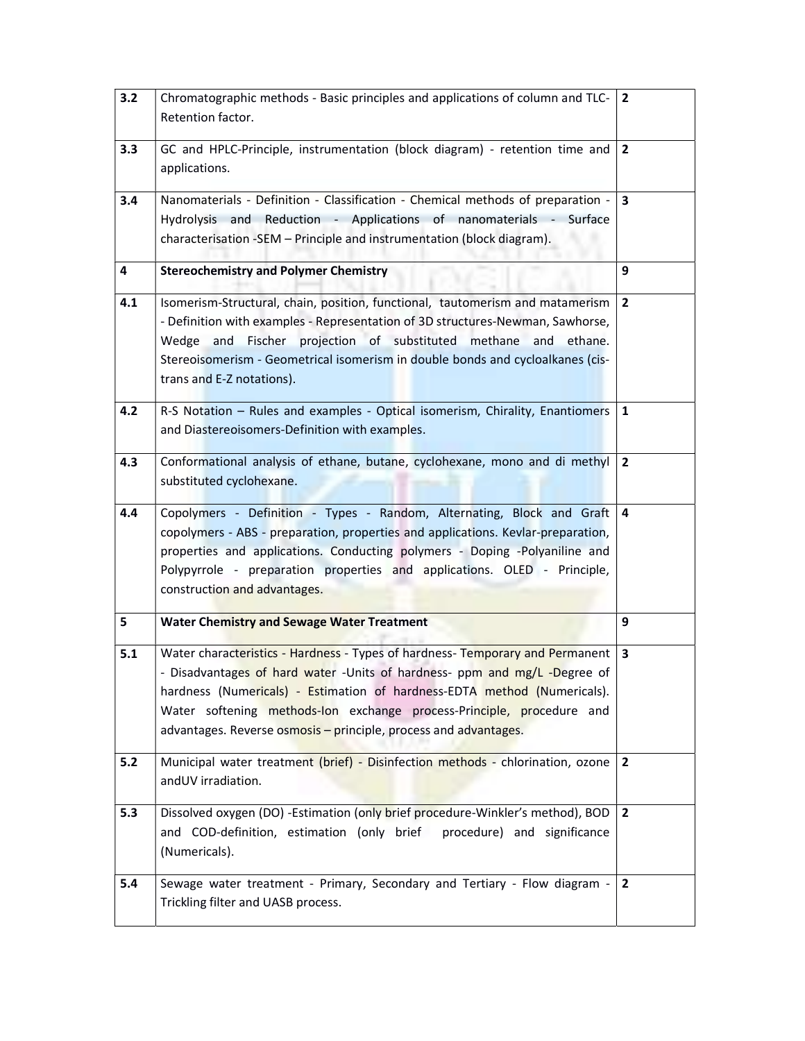| 3.2 | Chromatographic methods - Basic principles and applications of column and TLC-<br>Retention factor.                                                                                                                                                                                                                                                                                 | $\overline{2}$          |
|-----|-------------------------------------------------------------------------------------------------------------------------------------------------------------------------------------------------------------------------------------------------------------------------------------------------------------------------------------------------------------------------------------|-------------------------|
| 3.3 | GC and HPLC-Principle, instrumentation (block diagram) - retention time and<br>applications.                                                                                                                                                                                                                                                                                        | $\overline{2}$          |
| 3.4 | Nanomaterials - Definition - Classification - Chemical methods of preparation -<br>Hydrolysis and Reduction - Applications of nanomaterials - Surface<br>characterisation -SEM - Principle and instrumentation (block diagram).                                                                                                                                                     | $\overline{\mathbf{3}}$ |
| 4   | <b>Stereochemistry and Polymer Chemistry</b>                                                                                                                                                                                                                                                                                                                                        | 9                       |
| 4.1 | Isomerism-Structural, chain, position, functional, tautomerism and matamerism<br>- Definition with examples - Representation of 3D structures-Newman, Sawhorse,<br>Wedge and Fischer projection of substituted methane<br>and<br>ethane.<br>Stereoisomerism - Geometrical isomerism in double bonds and cycloalkanes (cis-<br>trans and E-Z notations).                             | $\overline{2}$          |
| 4.2 | R-S Notation - Rules and examples - Optical isomerism, Chirality, Enantiomers<br>and Diastereoisomers-Definition with examples.                                                                                                                                                                                                                                                     | 1                       |
| 4.3 | Conformational analysis of ethane, butane, cyclohexane, mono and di methyl<br>substituted cyclohexane.                                                                                                                                                                                                                                                                              | $\overline{2}$          |
| 4.4 | Copolymers - Definition - Types - Random, Alternating, Block and Graft<br>copolymers - ABS - preparation, properties and applications. Kevlar-preparation,<br>properties and applications. Conducting polymers - Doping -Polyaniline and<br>Polypyrrole - preparation properties and applications. OLED - Principle,<br>construction and advantages.                                | $\overline{4}$          |
| 5   | <b>Water Chemistry and Sewage Water Treatment</b>                                                                                                                                                                                                                                                                                                                                   | 9                       |
| 5.1 | Water characteristics - Hardness - Types of hardness- Temporary and Permanent<br>- Disadvantages of hard water -Units of hardness- ppm and mg/L -Degree of<br>hardness (Numericals) - Estimation of hardness-EDTA method (Numericals).<br>Water softening methods-lon exchange process-Principle, procedure and<br>advantages. Reverse osmosis - principle, process and advantages. | $\overline{\mathbf{3}}$ |
| 5.2 | Municipal water treatment (brief) - Disinfection methods - chlorination, ozone<br>andUV irradiation.                                                                                                                                                                                                                                                                                | $\overline{2}$          |
| 5.3 | Dissolved oxygen (DO) - Estimation (only brief procedure-Winkler's method), BOD<br>and COD-definition, estimation (only brief  procedure) and significance<br>(Numericals).                                                                                                                                                                                                         | $\overline{2}$          |
| 5.4 | Sewage water treatment - Primary, Secondary and Tertiary - Flow diagram -<br>Trickling filter and UASB process.                                                                                                                                                                                                                                                                     | $\overline{2}$          |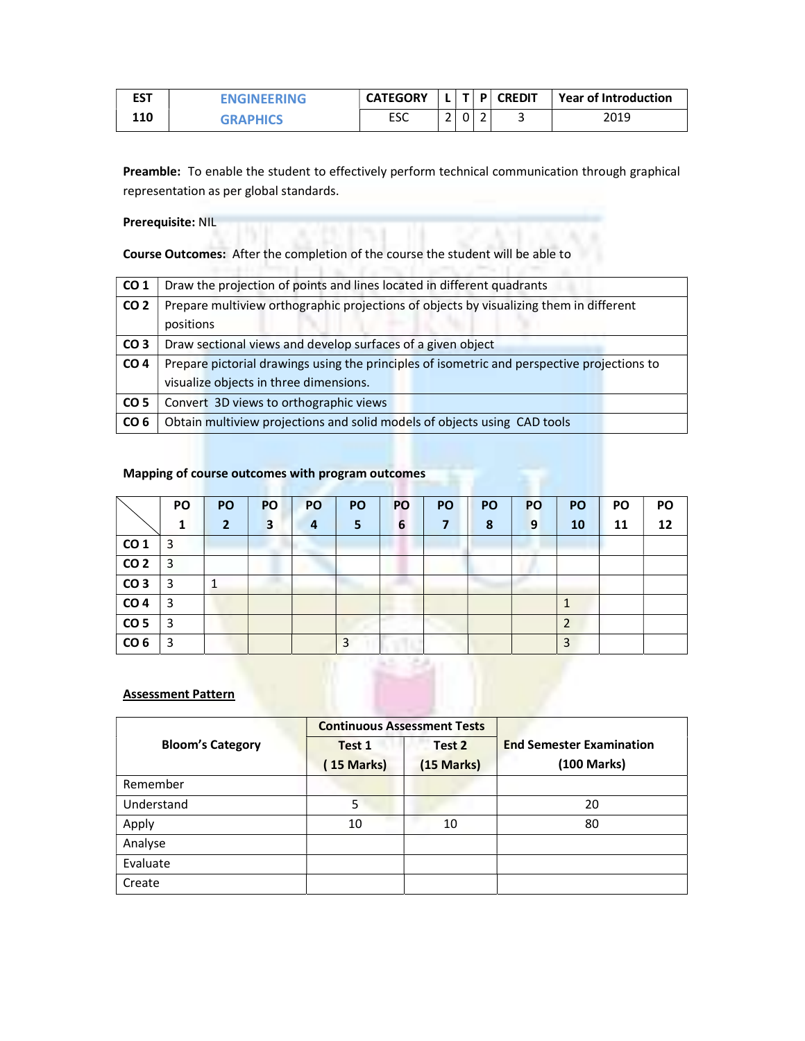| EST | <b>ENGINEERING</b> | <b>CATEGORY</b> |   | D I | <b>CREDIT</b> | <b>Year of Introduction</b> |
|-----|--------------------|-----------------|---|-----|---------------|-----------------------------|
| 110 | <b>GRAPHICS</b>    | ESC             | ▵ |     |               | 2019                        |

Preamble: To enable the student to effectively perform technical communication through graphical representation as per global standards.

ш

### Prerequisite: NIL

Course Outcomes: After the completion of the course the student will be able to

former and the first the pro-

| CO <sub>1</sub> | Draw the projection of points and lines located in different quadrants                      |
|-----------------|---------------------------------------------------------------------------------------------|
| CO <sub>2</sub> | Prepare multiview orthographic projections of objects by visualizing them in different      |
|                 | positions                                                                                   |
| CO <sub>3</sub> | Draw sectional views and develop surfaces of a given object                                 |
| CO <sub>4</sub> | Prepare pictorial drawings using the principles of isometric and perspective projections to |
|                 | visualize objects in three dimensions.                                                      |
| CO <sub>5</sub> | Convert 3D views to orthographic views                                                      |
| CO <sub>6</sub> | Obtain multiview projections and solid models of objects using CAD tools                    |

### Mapping of course outcomes with program outcomes

|                 | PO             | PO             | <b>PO</b> | <b>PO</b> | PO | PO | PO | PO | <b>PO</b> | <b>PO</b> | PO | PO |
|-----------------|----------------|----------------|-----------|-----------|----|----|----|----|-----------|-----------|----|----|
|                 | 1              | $\overline{2}$ | 3         | 4         | 5  | 6  | 7  | 8  | 9         | 10        | 11 | 12 |
| CO <sub>1</sub> | 3              |                |           |           |    |    |    |    |           |           |    |    |
| CO <sub>2</sub> | $\overline{3}$ |                |           |           |    |    |    |    |           |           |    |    |
| CO <sub>3</sub> | 3              |                |           |           |    |    |    |    |           |           |    |    |
| CO <sub>4</sub> | 3              |                |           |           |    |    |    |    |           |           |    |    |
| CO <sub>5</sub> | 3              |                |           |           |    |    |    |    |           | 2         |    |    |
| CO <sub>6</sub> | 3              |                |           |           | 3  |    |    |    |           | 3         |    |    |

### Assessment Pattern

|                         | <b>Continuous Assessment Tests</b> |                      |                                                |
|-------------------------|------------------------------------|----------------------|------------------------------------------------|
| <b>Bloom's Category</b> | Test 1<br>(15 Marks)               | Test 2<br>(15 Marks) | <b>End Semester Examination</b><br>(100 Marks) |
| Remember                |                                    |                      |                                                |
| Understand              | 5                                  |                      | 20                                             |
| Apply                   | 10                                 | 10                   | 80                                             |
| Analyse                 |                                    |                      |                                                |
| Evaluate                |                                    |                      |                                                |
| Create                  |                                    |                      |                                                |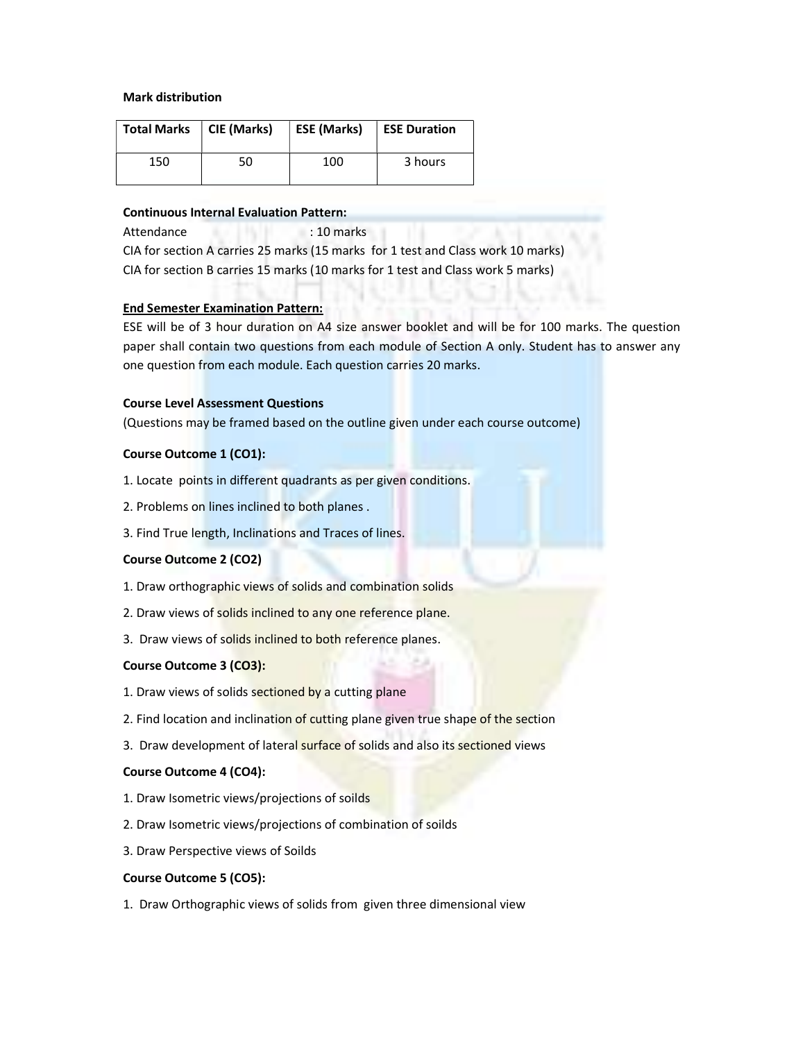### Mark distribution

| <b>Total Marks</b> | <b>CIE (Marks)</b> | <b>ESE (Marks)</b> | <b>ESE Duration</b> |
|--------------------|--------------------|--------------------|---------------------|
| 150                | 50                 | 100                | 3 hours             |

### Continuous Internal Evaluation Pattern:

Attendance : 10 marks

CIA for section A carries 25 marks (15 marks for 1 test and Class work 10 marks) CIA for section B carries 15 marks (10 marks for 1 test and Class work 5 marks)

### End Semester Examination Pattern:

ESE will be of 3 hour duration on A4 size answer booklet and will be for 100 marks. The question paper shall contain two questions from each module of Section A only. Student has to answer any one question from each module. Each question carries 20 marks.

### Course Level Assessment Questions

(Questions may be framed based on the outline given under each course outcome)

### Course Outcome 1 (CO1):

- 1. Locate points in different quadrants as per given conditions.
- 2. Problems on lines inclined to both planes .
- 3. Find True length, Inclinations and Traces of lines.

### Course Outcome 2 (CO2)

- 1. Draw orthographic views of solids and combination solids
- 2. Draw views of solids inclined to any one reference plane.
- 3. Draw views of solids inclined to both reference planes.

### Course Outcome 3 (CO3):

- 1. Draw views of solids sectioned by a cutting plane
- 2. Find location and inclination of cutting plane given true shape of the section
- 3. Draw development of lateral surface of solids and also its sectioned views

### Course Outcome 4 (CO4):

- 1. Draw Isometric views/projections of soilds
- 2. Draw Isometric views/projections of combination of soilds
- 3. Draw Perspective views of Soilds

### Course Outcome 5 (CO5):

1. Draw Orthographic views of solids from given three dimensional view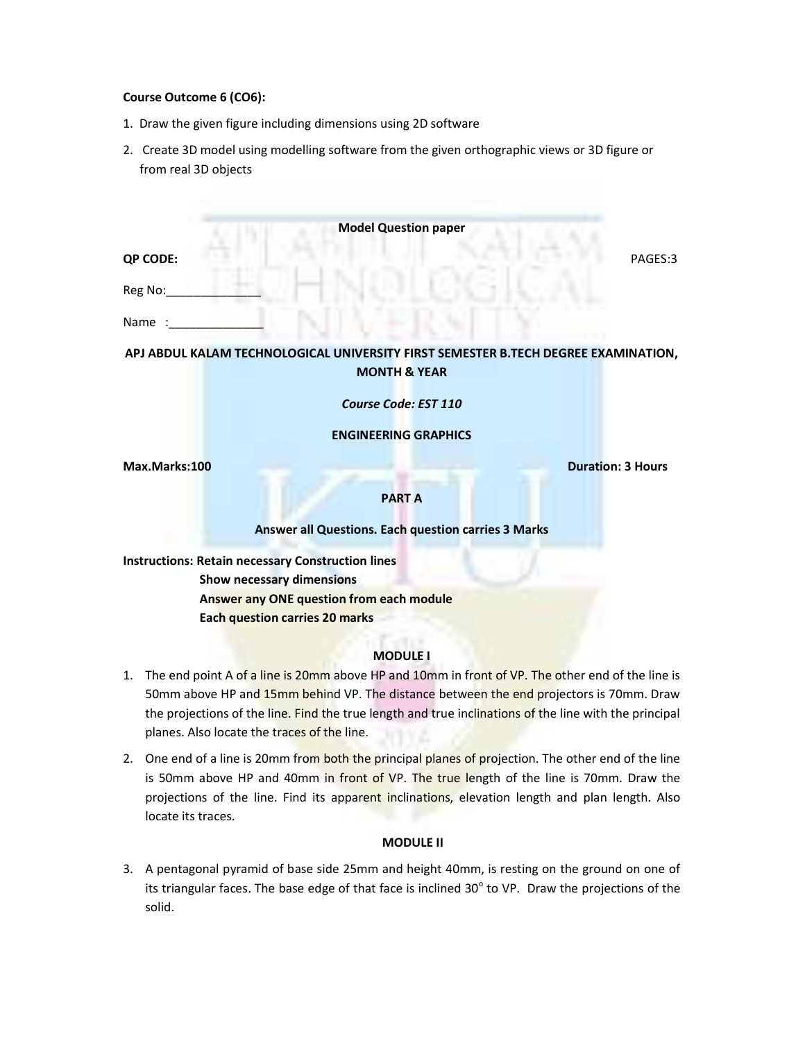### Course Outcome 6 (CO6):

- 1. Draw the given figure including dimensions using 2D software
- 2. Create 3D model using modelling software from the given orthographic views or 3D figure or from real 3D objects

|                                                                                    | <b>Model Question paper</b> |         |
|------------------------------------------------------------------------------------|-----------------------------|---------|
| <b>QP CODE:</b>                                                                    |                             | PAGES:3 |
| Reg No:                                                                            |                             |         |
| Name                                                                               |                             |         |
| APJ ABDUL KALAM TECHNOLOGICAL UNIVERSITY FIRST SEMESTER B.TECH DEGREE EXAMINATION, | <b>MONTH &amp; YFAR</b>     |         |

Course Code: EST 110

ENGINEERING GRAPHICS

Max.Marks:100 Duration: 3 Hours

PART A

Answer all Questions. Each question carries 3 Marks

Instructions: Retain necessary Construction lines Show necessary dimensions Answer any ONE question from each module Each question carries 20 marks

### MODULE I

- 1. The end point A of a line is 20mm above HP and 10mm in front of VP. The other end of the line is 50mm above HP and 15mm behind VP. The distance between the end projectors is 70mm. Draw the projections of the line. Find the true length and true inclinations of the line with the principal planes. Also locate the traces of the line.
- 2. One end of a line is 20mm from both the principal planes of projection. The other end of the line is 50mm above HP and 40mm in front of VP. The true length of the line is 70mm. Draw the projections of the line. Find its apparent inclinations, elevation length and plan length. Also locate its traces.

### MODULE II

3. A pentagonal pyramid of base side 25mm and height 40mm, is resting on the ground on one of its triangular faces. The base edge of that face is inclined  $30^{\circ}$  to VP. Draw the projections of the solid.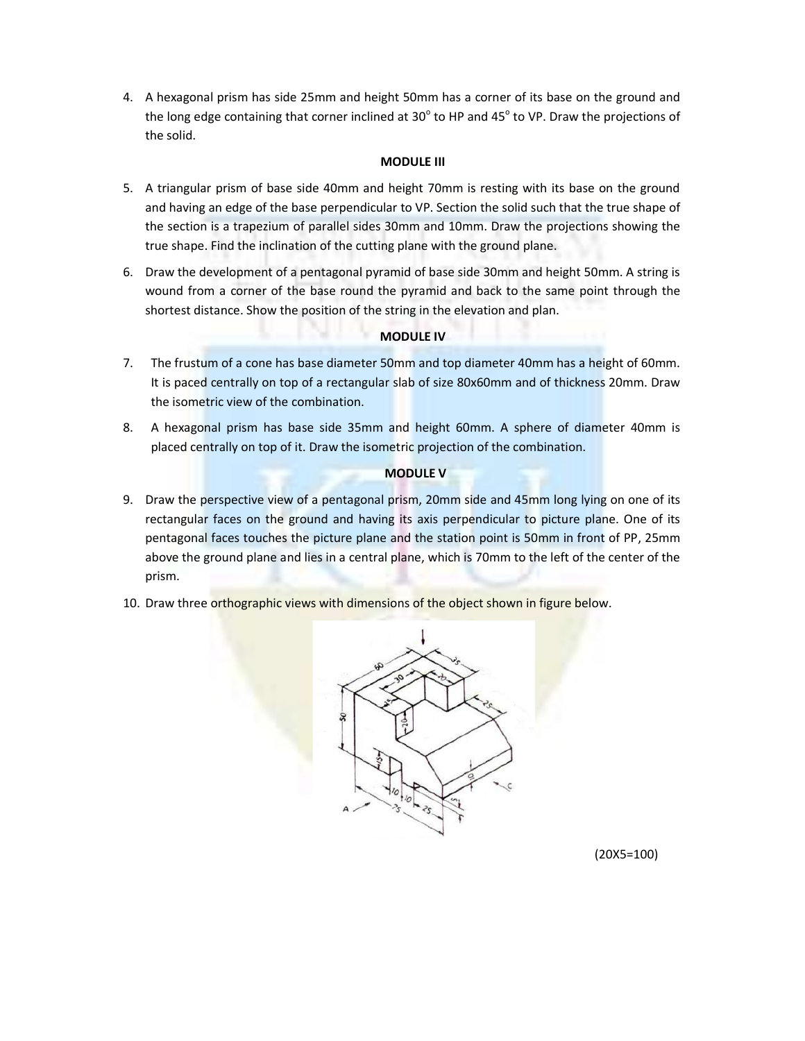4. A hexagonal prism has side 25mm and height 50mm has a corner of its base on the ground and the long edge containing that corner inclined at 30 $^{\circ}$  to HP and 45 $^{\circ}$  to VP. Draw the projections of the solid.

### MODULE III

- 5. A triangular prism of base side 40mm and height 70mm is resting with its base on the ground and having an edge of the base perpendicular to VP. Section the solid such that the true shape of the section is a trapezium of parallel sides 30mm and 10mm. Draw the projections showing the true shape. Find the inclination of the cutting plane with the ground plane.
- 6. Draw the development of a pentagonal pyramid of base side 30mm and height 50mm. A string is wound from a corner of the base round the pyramid and back to the same point through the shortest distance. Show the position of the string in the elevation and plan.

### MODULE IV

- 7. The frustum of a cone has base diameter 50mm and top diameter 40mm has a height of 60mm. It is paced centrally on top of a rectangular slab of size 80x60mm and of thickness 20mm. Draw the isometric view of the combination.
- 8. A hexagonal prism has base side 35mm and height 60mm. A sphere of diameter 40mm is placed centrally on top of it. Draw the isometric projection of the combination.

### MODULE V

- 9. Draw the perspective view of a pentagonal prism, 20mm side and 45mm long lying on one of its rectangular faces on the ground and having its axis perpendicular to picture plane. One of its pentagonal faces touches the picture plane and the station point is 50mm in front of PP, 25mm above the ground plane and lies in a central plane, which is 70mm to the left of the center of the prism.
- 10. Draw three orthographic views with dimensions of the object shown in figure below.



(20X5=100)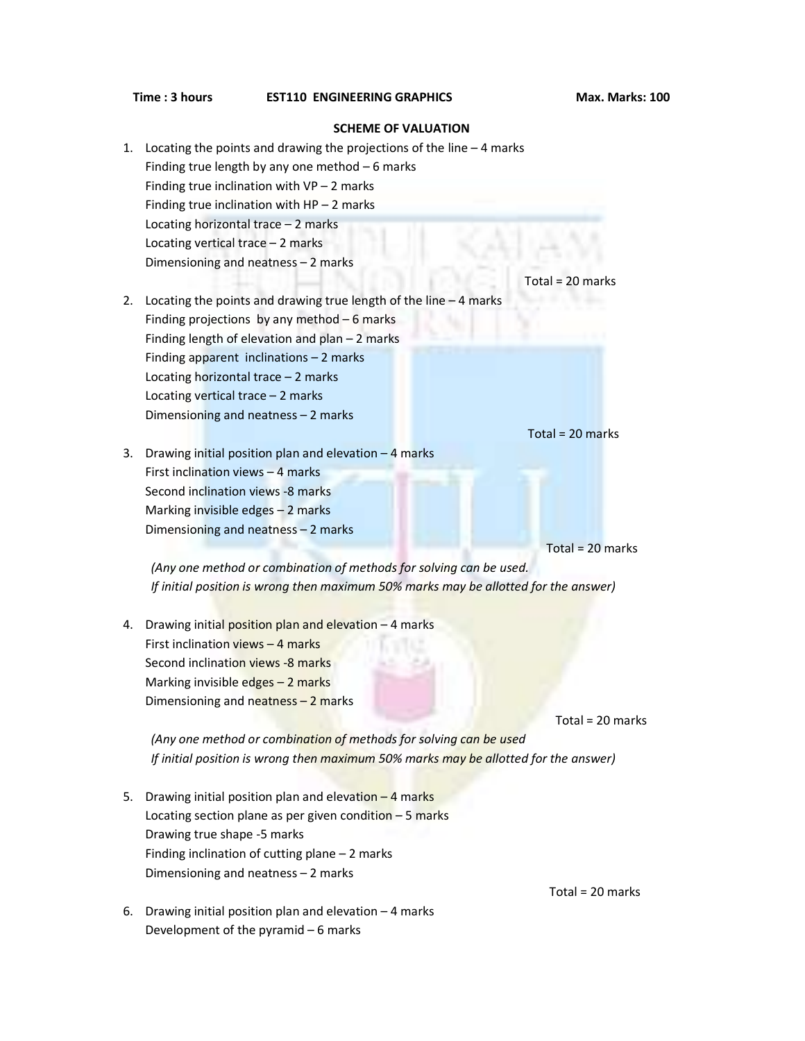Time : 3 hours **EST110 ENGINEERING GRAPHICS** Max. Marks: 100

## SCHEME OF VALUATION 1. Locating the points and drawing the projections of the line  $-4$  marks Finding true length by any one method  $-6$  marks Finding true inclination with  $VP - 2$  marks Finding true inclination with  $HP - 2$  marks Locating horizontal trace – 2 marks Locating vertical trace – 2 marks Dimensioning and neatness – 2 marks Total = 20 marks 2. Locating the points and drawing true length of the line  $-4$  marks Finding projections by any method  $-6$  marks Finding length of elevation and plan – 2 marks Finding apparent inclinations – 2 marks Locating horizontal trace  $-2$  marks Locating vertical trace – 2 marks Dimensioning and neatness – 2 marks Total = 20 marks 3. Drawing initial position plan and elevation – 4 marks First inclination views – 4 marks Second inclination views -8 marks Marking invisible edges – 2 marks Dimensioning and neatness – 2 marks Total = 20 marks (Any one method or combination of methods for solving can be used. If initial position is wrong then maximum 50% marks may be allotted for the answer)

4. Drawing initial position plan and elevation – 4 marks First inclination views – 4 marks Second inclination views -8 marks Marking invisible edges – 2 marks Dimensioning and neatness  $-2$  marks

Total = 20 marks

(Any one method or combination of methods for solving can be used If initial position is wrong then maximum 50% marks may be allotted for the answer)

5. Drawing initial position plan and elevation  $-4$  marks Locating section plane as per given condition  $-5$  marks Drawing true shape -5 marks Finding inclination of cutting plane  $-2$  marks Dimensioning and neatness – 2 marks

Total = 20 marks

6. Drawing initial position plan and elevation – 4 marks Development of the pyramid – 6 marks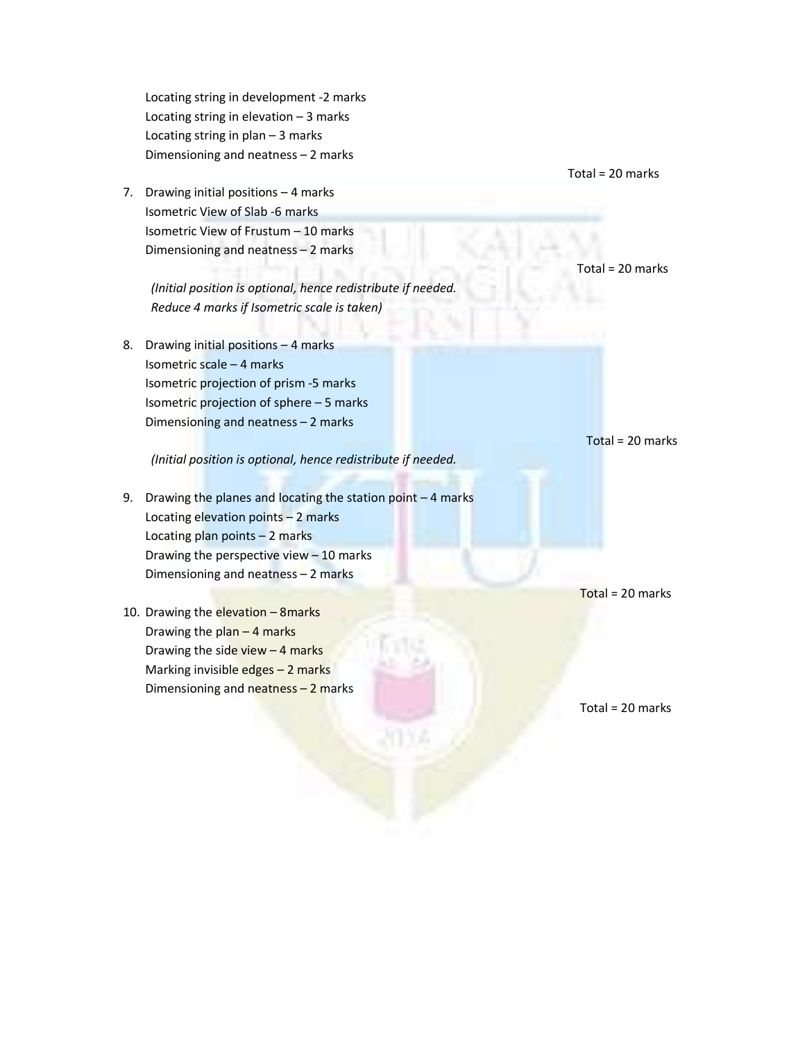Locating string in development -2 marks Locating string in elevation  $-3$  marks Locating string in plan  $-3$  marks Dimensioning and neatness – 2 marks

7. Drawing initial positions – 4 marks Isometric View of Slab -6 marks Isometric View of Frustum – 10 marks Dimensioning and neatness – 2 marks

> (Initial position is optional, hence redistribute if needed. Reduce 4 marks if Isometric scale is taken)

8. Drawing initial positions – 4 marks Isometric scale – 4 marks Isometric projection of prism -5 marks Isometric projection of sphere – 5 marks Dimensioning and neatness – 2 marks

(Initial position is optional, hence redistribute if needed.

- 9. Drawing the planes and locating the station point  $-4$  marks Locating elevation points – 2 marks Locating plan points – 2 marks Drawing the perspective view – 10 marks Dimensioning and neatness – 2 marks
- 10. Drawing the elevation 8marks Drawing the plan - 4 marks Drawing the side view  $-4$  marks Marking invisible edges - 2 marks Dimensioning and neatness - 2 marks

Total = 20 marks

Total = 20 marks

Total = 20 marks

Total = 20 marks

Total = 20 marks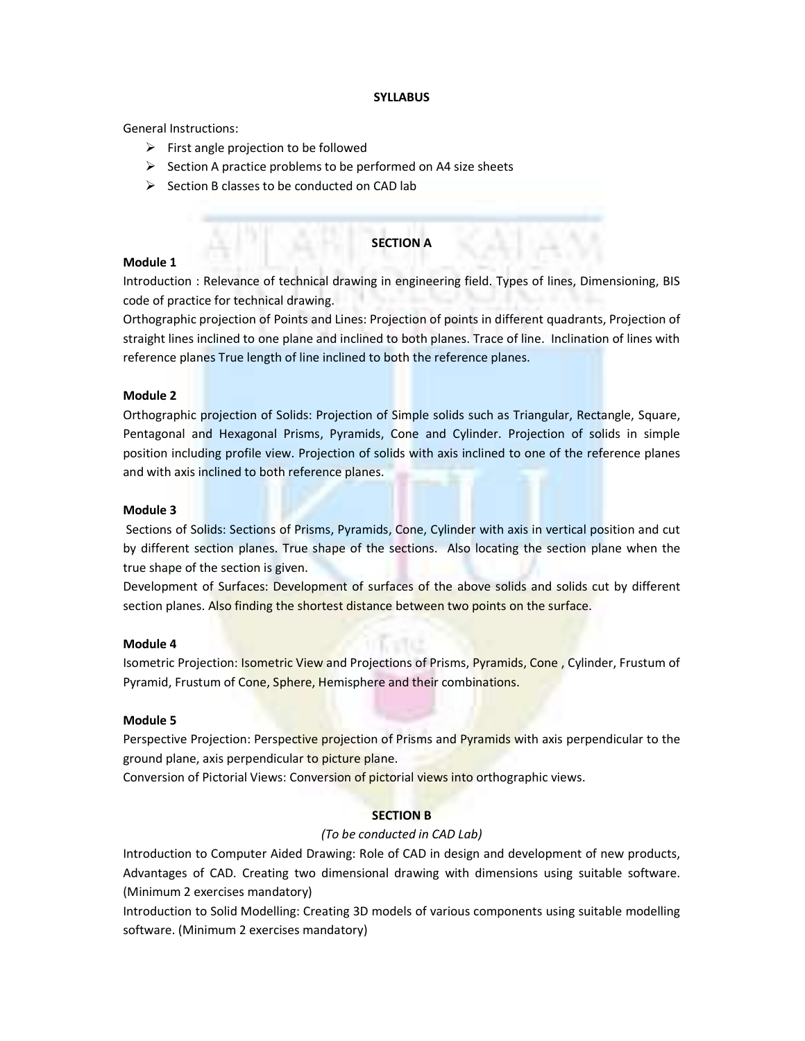### **SYLLABUS**

General Instructions:

- $\triangleright$  First angle projection to be followed
- $\triangleright$  Section A practice problems to be performed on A4 size sheets
- $\triangleright$  Section B classes to be conducted on CAD lab

### SECTION A

### Module 1

Introduction : Relevance of technical drawing in engineering field. Types of lines, Dimensioning, BIS code of practice for technical drawing.

Orthographic projection of Points and Lines: Projection of points in different quadrants, Projection of straight lines inclined to one plane and inclined to both planes. Trace of line. Inclination of lines with reference planes True length of line inclined to both the reference planes.

### Module 2

Orthographic projection of Solids: Projection of Simple solids such as Triangular, Rectangle, Square, Pentagonal and Hexagonal Prisms, Pyramids, Cone and Cylinder. Projection of solids in simple position including profile view. Projection of solids with axis inclined to one of the reference planes and with axis inclined to both reference planes.

### Module 3

 Sections of Solids: Sections of Prisms, Pyramids, Cone, Cylinder with axis in vertical position and cut by different section planes. True shape of the sections. Also locating the section plane when the true shape of the section is given.

Development of Surfaces: Development of surfaces of the above solids and solids cut by different section planes. Also finding the shortest distance between two points on the surface.

### Module 4

Isometric Projection: Isometric View and Projections of Prisms, Pyramids, Cone, Cylinder, Frustum of Pyramid, Frustum of Cone, Sphere, Hemisphere and their combinations.

### Module 5

Perspective Projection: Perspective projection of Prisms and Pyramids with axis perpendicular to the ground plane, axis perpendicular to picture plane.

Conversion of Pictorial Views: Conversion of pictorial views into orthographic views.

### SECTION B

### (To be conducted in CAD Lab)

Introduction to Computer Aided Drawing: Role of CAD in design and development of new products, Advantages of CAD. Creating two dimensional drawing with dimensions using suitable software. (Minimum 2 exercises mandatory)

Introduction to Solid Modelling: Creating 3D models of various components using suitable modelling software. (Minimum 2 exercises mandatory)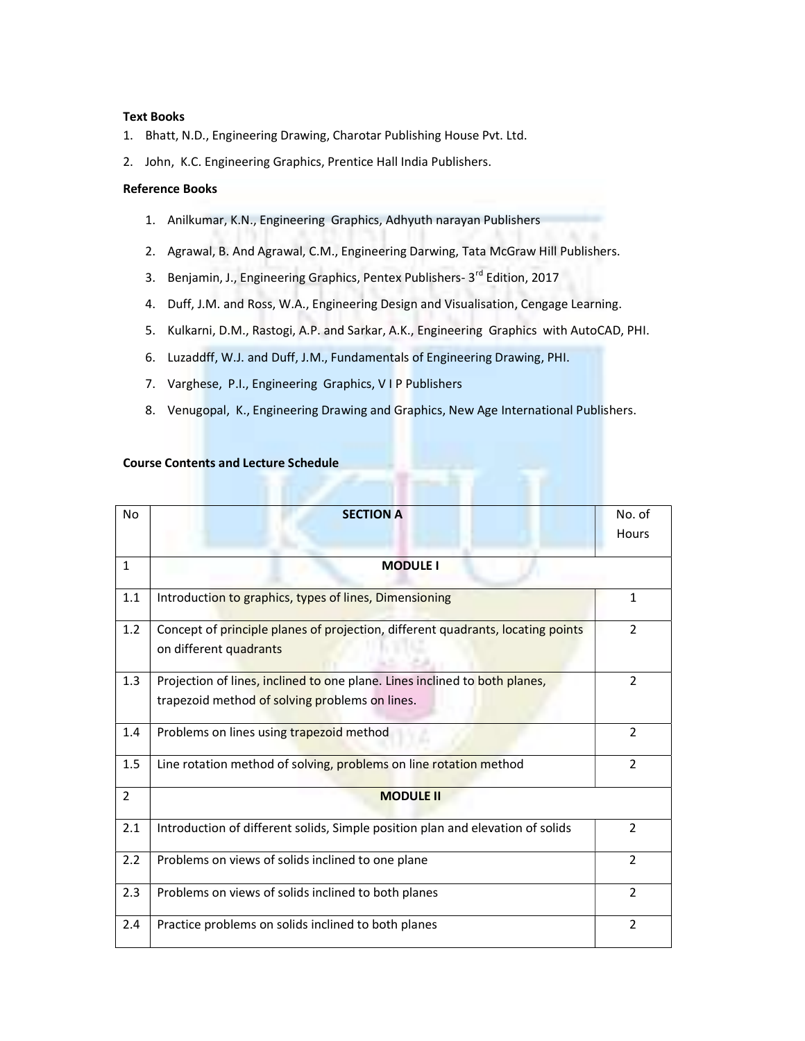### Text Books

- 1. Bhatt, N.D., Engineering Drawing, Charotar Publishing House Pvt. Ltd.
- 2. John, K.C. Engineering Graphics, Prentice Hall India Publishers.

### Reference Books

- 1. Anilkumar, K.N., Engineering Graphics, Adhyuth narayan Publishers
- 2. Agrawal, B. And Agrawal, C.M., Engineering Darwing, Tata McGraw Hill Publishers.
- 3. Benjamin, J., Engineering Graphics, Pentex Publishers- 3rd Edition, 2017
- 4. Duff, J.M. and Ross, W.A., Engineering Design and Visualisation, Cengage Learning.
- 5. Kulkarni, D.M., Rastogi, A.P. and Sarkar, A.K., Engineering Graphics with AutoCAD, PHI.
- 6. Luzaddff, W.J. and Duff, J.M., Fundamentals of Engineering Drawing, PHI.
- 7. Varghese, P.I., Engineering Graphics, V I P Publishers
- 8. Venugopal, K., Engineering Drawing and Graphics, New Age International Publishers.

### Course Contents and Lecture Schedule

| No             | <b>SECTION A</b>                                                                                                             | No. of         |
|----------------|------------------------------------------------------------------------------------------------------------------------------|----------------|
|                |                                                                                                                              | <b>Hours</b>   |
| $\mathbf{1}$   | <b>MODULE I</b>                                                                                                              |                |
| 1.1            | Introduction to graphics, types of lines, Dimensioning                                                                       | $\mathbf{1}$   |
| 1.2            | Concept of principle planes of projection, different quadrants, locating points<br>on different quadrants                    | $\overline{2}$ |
| 1.3            | Projection of lines, inclined to one plane. Lines inclined to both planes,<br>trapezoid method of solving problems on lines. | $\mathcal{P}$  |
| 1.4            | Problems on lines using trapezoid method                                                                                     | 2              |
| 1.5            | Line rotation method of solving, problems on line rotation method                                                            | 2              |
| $\overline{2}$ | <b>MODULE II</b>                                                                                                             |                |
| 2.1            | Introduction of different solids, Simple position plan and elevation of solids                                               | 2              |
| 2.2            | Problems on views of solids inclined to one plane                                                                            | 2              |
| 2.3            | Problems on views of solids inclined to both planes                                                                          | $\mathfrak{D}$ |
| 2.4            | Practice problems on solids inclined to both planes                                                                          | $\overline{2}$ |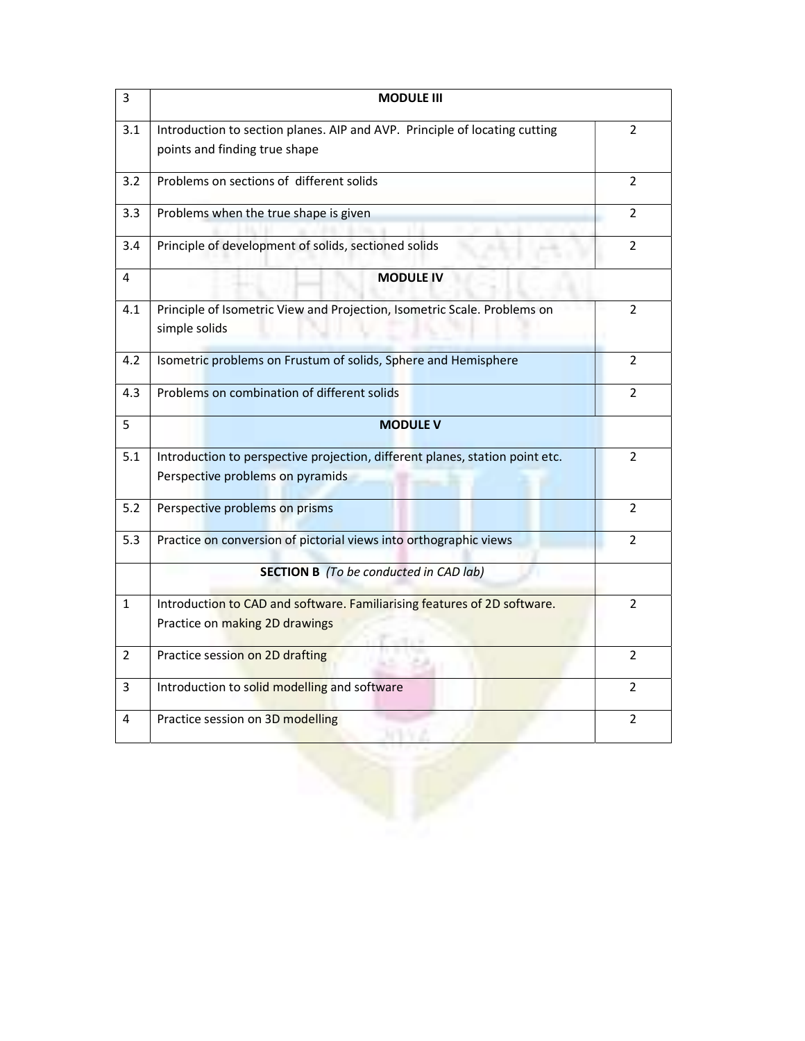| 3                       | <b>MODULE III</b>                                                                                                |                |
|-------------------------|------------------------------------------------------------------------------------------------------------------|----------------|
| 3.1                     | Introduction to section planes. AIP and AVP. Principle of locating cutting<br>points and finding true shape      | 2              |
| 3.2                     | Problems on sections of different solids                                                                         | 2              |
| 3.3                     | Problems when the true shape is given                                                                            | $\overline{2}$ |
| 3.4                     | Principle of development of solids, sectioned solids                                                             | $\overline{2}$ |
| 4                       | <b>MODULE IV</b>                                                                                                 |                |
| 4.1                     | Principle of Isometric View and Projection, Isometric Scale. Problems on<br>simple solids                        | 2              |
| 4.2                     | Isometric problems on Frustum of solids, Sphere and Hemisphere                                                   | $\overline{2}$ |
| 4.3                     | Problems on combination of different solids                                                                      | $\overline{2}$ |
| 5                       | <b>MODULE V</b>                                                                                                  |                |
| 5.1                     | Introduction to perspective projection, different planes, station point etc.<br>Perspective problems on pyramids | 2              |
| 5.2                     | Perspective problems on prisms                                                                                   | 2              |
| 5.3                     | Practice on conversion of pictorial views into orthographic views                                                | $\overline{2}$ |
|                         | <b>SECTION B</b> (To be conducted in CAD lab)                                                                    |                |
| $\mathbf{1}$            | Introduction to CAD and software. Familiarising features of 2D software.<br>Practice on making 2D drawings       | $\overline{2}$ |
| $\overline{2}$          | Practice session on 2D drafting                                                                                  | $\overline{2}$ |
| 3                       | Introduction to solid modelling and software                                                                     | $\overline{2}$ |
| $\overline{\mathbf{4}}$ | Practice session on 3D modelling                                                                                 | $\overline{2}$ |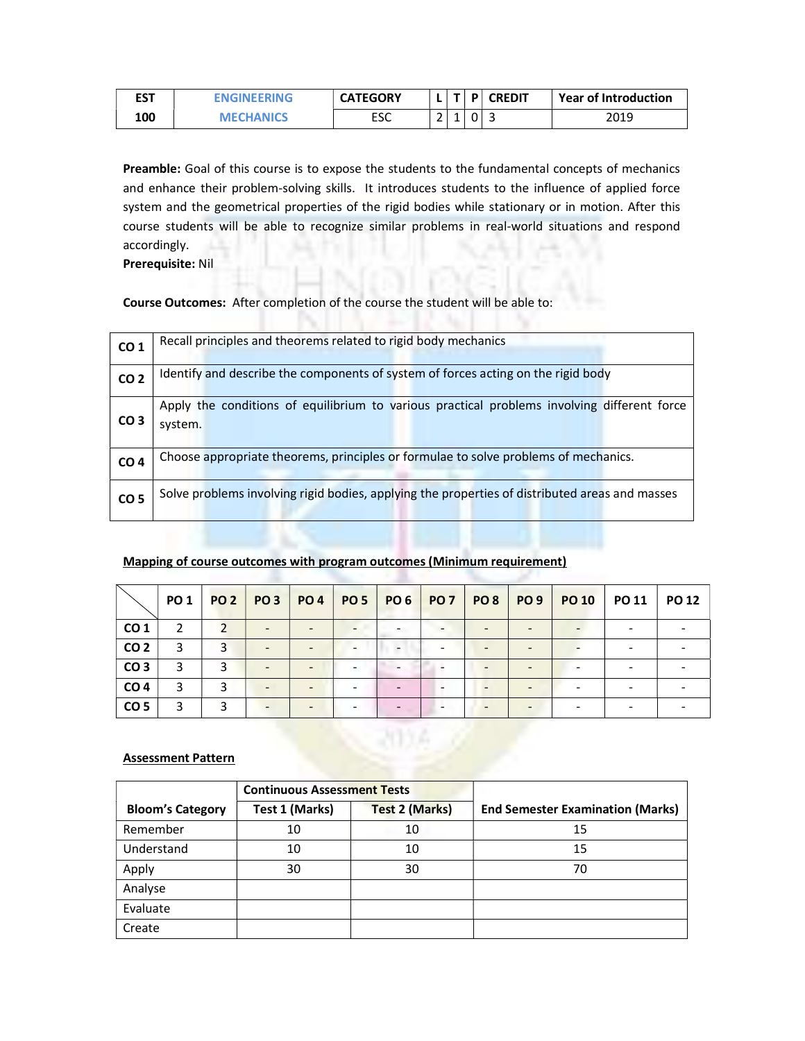| <b>EST</b> | <b>ENGINEERING</b> | <b>CATEGORY</b> |   |            | <b>PI CREDIT</b> | <b>Year of Introduction</b> |
|------------|--------------------|-----------------|---|------------|------------------|-----------------------------|
| 100        | <b>MECHANICS</b>   | ESC             | ∠ | $211$<br>∸ |                  | 2019                        |

Preamble: Goal of this course is to expose the students to the fundamental concepts of mechanics and enhance their problem-solving skills. It introduces students to the influence of applied force system and the geometrical properties of the rigid bodies while stationary or in motion. After this course students will be able to recognize similar problems in real-world situations and respond accordingly.

Prerequisite: Nil

Course Outcomes: After completion of the course the student will be able to:

No. All and

| CO 1            | Recall principles and theorems related to rigid body mechanics                                         |
|-----------------|--------------------------------------------------------------------------------------------------------|
| CO <sub>2</sub> | Identify and describe the components of system of forces acting on the rigid body                      |
| CO <sub>3</sub> | Apply the conditions of equilibrium to various practical problems involving different force<br>system. |
| CO <sub>4</sub> | Choose appropriate theorems, principles or formulae to solve problems of mechanics.                    |
| CO <sub>5</sub> | Solve problems involving rigid bodies, applying the properties of distributed areas and masses         |

### Mapping of course outcomes with program outcomes (Minimum requirement)

|                 | PO1 | PO 2   PO 3 |  | PO4   PO5   PO6   PO7   PO8 |  | PO9   PO10   PO11 | PO 12 |
|-----------------|-----|-------------|--|-----------------------------|--|-------------------|-------|
| CO <sub>1</sub> |     |             |  |                             |  |                   |       |
| CO <sub>2</sub> | 3   |             |  |                             |  |                   |       |
| CO <sub>3</sub> | 3   |             |  |                             |  |                   |       |
| CO <sub>4</sub> | 3   |             |  |                             |  |                   |       |
| CO <sub>5</sub> | 3   |             |  |                             |  |                   |       |

### **Assessment Pattern**

|                         | <b>Continuous Assessment Tests</b> |                       |                                         |
|-------------------------|------------------------------------|-----------------------|-----------------------------------------|
| <b>Bloom's Category</b> | <b>Test 1 (Marks)</b>              | <b>Test 2 (Marks)</b> | <b>End Semester Examination (Marks)</b> |
| Remember                | 10                                 | 10                    | 15                                      |
| Understand              | 10                                 | 10                    | 15                                      |
| Apply                   | 30                                 | 30                    | 70                                      |
| Analyse                 |                                    |                       |                                         |
| Evaluate                |                                    |                       |                                         |
| Create                  |                                    |                       |                                         |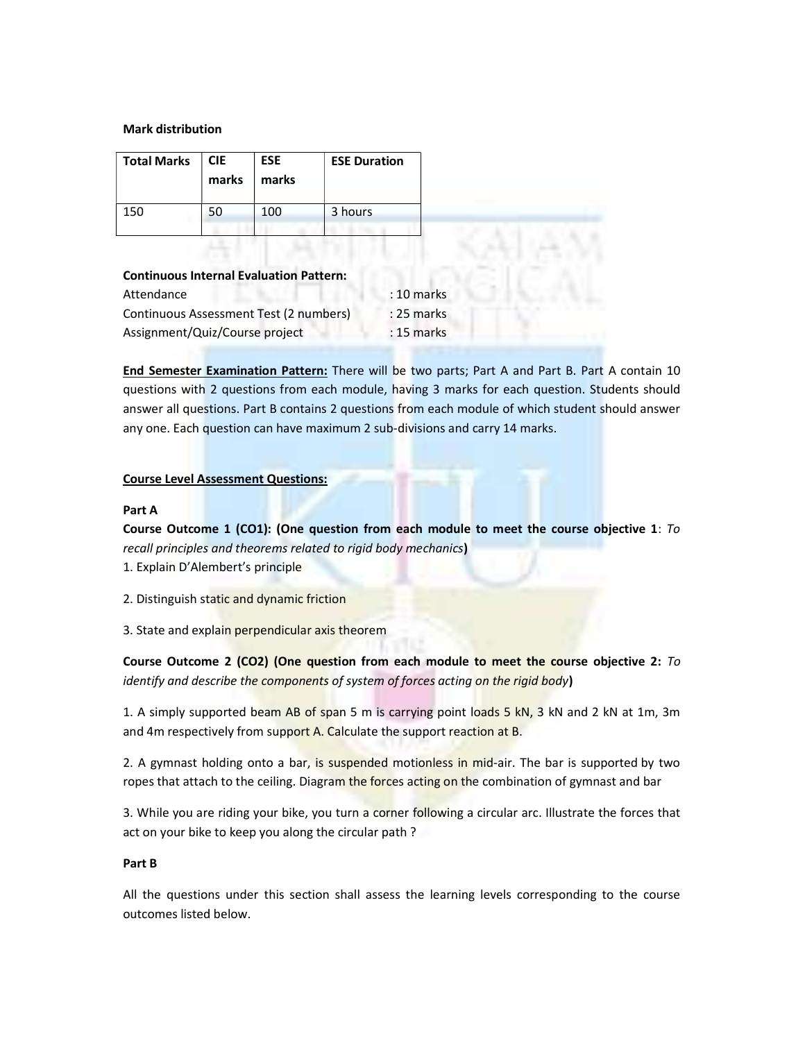### Mark distribution

| <b>Total Marks</b>                             | <b>CIE</b><br>marks | <b>ESE</b><br>marks | <b>ESE Duration</b> |            |  |
|------------------------------------------------|---------------------|---------------------|---------------------|------------|--|
| 150                                            | 50                  | 100                 | 3 hours             |            |  |
| <b>Continuous Internal Evaluation Pattern:</b> |                     |                     |                     |            |  |
| Attendance                                     |                     |                     |                     | : 10 marks |  |
| Continuous Assessment Test (2 numbers)         |                     |                     |                     | : 25 marks |  |
| Assignment/Quiz/Course project                 |                     |                     |                     | : 15 marks |  |

End Semester Examination Pattern: There will be two parts; Part A and Part B. Part A contain 10 questions with 2 questions from each module, having 3 marks for each question. Students should answer all questions. Part B contains 2 questions from each module of which student should answer any one. Each question can have maximum 2 sub-divisions and carry 14 marks.

### Course Level Assessment Questions:

#### Part A

Course Outcome 1 (CO1): (One question from each module to meet the course objective 1: To recall principles and theorems related to rigid body mechanics)

- 1. Explain D'Alembert's principle
- 2. Distinguish static and dynamic friction
- 3. State and explain perpendicular axis theorem

Course Outcome 2 (CO2) (One question from each module to meet the course objective 2: To identify and describe the components of system of forces acting on the rigid body)

1. A simply supported beam AB of span 5 m is carrying point loads 5 kN, 3 kN and 2 kN at 1m, 3m and 4m respectively from support A. Calculate the support reaction at B.

2. A gymnast holding onto a bar, is suspended motionless in mid-air. The bar is supported by two ropes that attach to the ceiling. Diagram the forces acting on the combination of gymnast and bar

3. While you are riding your bike, you turn a corner following a circular arc. Illustrate the forces that act on your bike to keep you along the circular path ?

#### Part B

All the questions under this section shall assess the learning levels corresponding to the course outcomes listed below.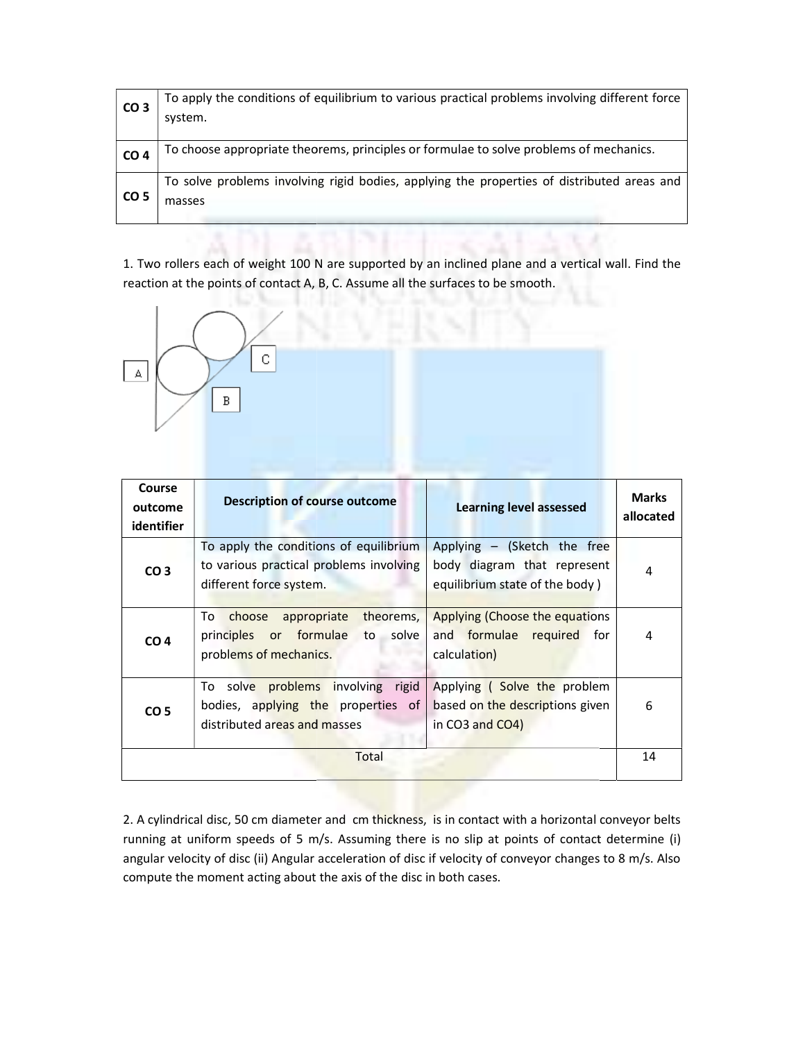| CO <sub>3</sub> | To apply the conditions of equilibrium to various practical problems involving different force<br>system.                                                                                |
|-----------------|------------------------------------------------------------------------------------------------------------------------------------------------------------------------------------------|
| CO <sub>4</sub> | To choose appropriate theorems, principles or formulae to solve problems of mechanics.                                                                                                   |
| CO <sub>5</sub> | To solve problems involving rigid bodies, applying the properties of distributed areas and<br>masses                                                                                     |
|                 | 1. Two rollers each of weight 100 N are supported by an inclined plane and a vertical wall. Find the<br>reaction at the points of contact A, B, C. Assume all the surfaces to be smooth. |



| CO <sub>3</sub>                 | To apply the conditions of equilibrium to various practical problems involving different force<br>system.                                                                                          |                                                                                              |                           |
|---------------------------------|----------------------------------------------------------------------------------------------------------------------------------------------------------------------------------------------------|----------------------------------------------------------------------------------------------|---------------------------|
| CO <sub>4</sub>                 | To choose appropriate theorems, principles or formulae to solve problems of mechanics.                                                                                                             |                                                                                              |                           |
| CO <sub>5</sub>                 | To solve problems involving rigid bodies, applying the properties of distributed areas and<br>masses                                                                                               |                                                                                              |                           |
| A.                              | 1. Two rollers each of weight 100 N are supported by an inclined plane and a vertical wall. Find the<br>reaction at the points of contact A, B, C. Assume all the surfaces to be smooth.<br>C<br>B |                                                                                              |                           |
| Course<br>outcome<br>identifier | <b>Description of course outcome</b>                                                                                                                                                               | <b>Learning level assessed</b>                                                               | <b>Marks</b><br>allocated |
| CO <sub>3</sub>                 | To apply the conditions of equilibrium<br>to various practical problems involving<br>different force system.                                                                                       | Applying - (Sketch the free<br>body diagram that represent<br>equilibrium state of the body) | 4                         |
| CO <sub>4</sub>                 | To choose<br>appropriate<br>theorems,<br>principles or formulae<br>to solve<br>problems of mechanics.                                                                                              | Applying (Choose the equations<br>and formulae required for<br>calculation)                  | 4                         |
|                                 |                                                                                                                                                                                                    | Applying (Solve the problem                                                                  |                           |
| CO <sub>5</sub>                 | To solve problems involving rigid<br>bodies, applying the properties of<br>distributed areas and masses                                                                                            | based on the descriptions given<br>in CO3 and CO4)                                           | 6                         |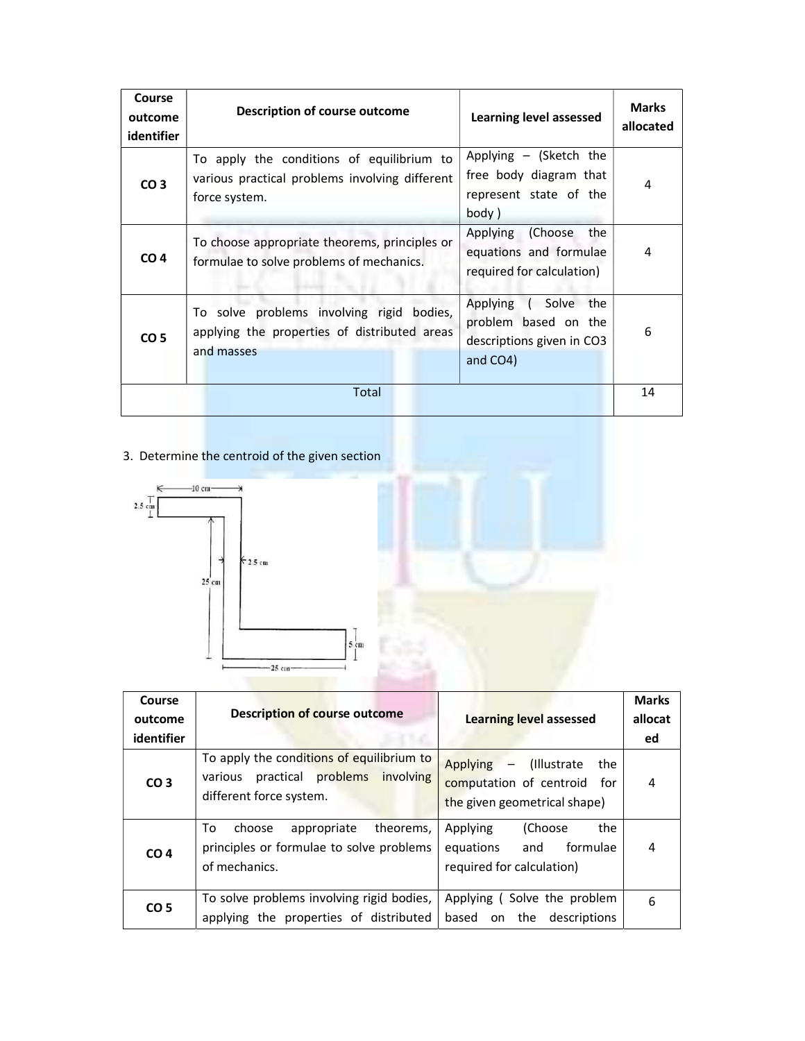| <b>Course</b><br>outcome<br>identifier | Description of course outcome<br>Learning level assessed                                                     |                                                                                        | <b>Marks</b><br>allocated |  |
|----------------------------------------|--------------------------------------------------------------------------------------------------------------|----------------------------------------------------------------------------------------|---------------------------|--|
| CO <sub>3</sub>                        | To apply the conditions of equilibrium to<br>various practical problems involving different<br>force system. | Applying - (Sketch the<br>free body diagram that<br>represent state of the<br>body)    | 4                         |  |
| CO <sub>4</sub>                        | To choose appropriate theorems, principles or<br>formulae to solve problems of mechanics.                    | (Choose<br>the<br>Applying<br>equations and formulae<br>required for calculation)      | 4                         |  |
| CO <sub>5</sub>                        | To solve problems involving rigid bodies,<br>applying the properties of distributed areas<br>and masses      | Solve the<br>Applying<br>problem based on the<br>descriptions given in CO3<br>and CO4) | 6                         |  |
|                                        | Total                                                                                                        |                                                                                        | 14                        |  |

# 3. Determine the centroid of the given section



| <b>Course</b><br>outcome<br><i>identifier</i> | <b>Description of course outcome</b>                                                                            | Learning level assessed                                                                             | <b>Marks</b><br>allocat<br>ed |
|-----------------------------------------------|-----------------------------------------------------------------------------------------------------------------|-----------------------------------------------------------------------------------------------------|-------------------------------|
| CO <sub>3</sub>                               | To apply the conditions of equilibrium to<br>various practical problems<br>involving<br>different force system. | Applying<br>(Illustrate)<br>the<br>-<br>computation of centroid for<br>the given geometrical shape) | 4                             |
| CO <sub>4</sub>                               | To<br>theorems.<br>appropriate<br>choose<br>principles or formulae to solve problems<br>of mechanics.           | the<br>Applying<br>(Choose<br>equations<br>formulae<br>and<br>required for calculation)             | 4                             |
| CO <sub>5</sub>                               | To solve problems involving rigid bodies,<br>applying the properties of distributed                             | Applying (Solve the problem<br>based<br>descriptions<br>the<br>on                                   | 6                             |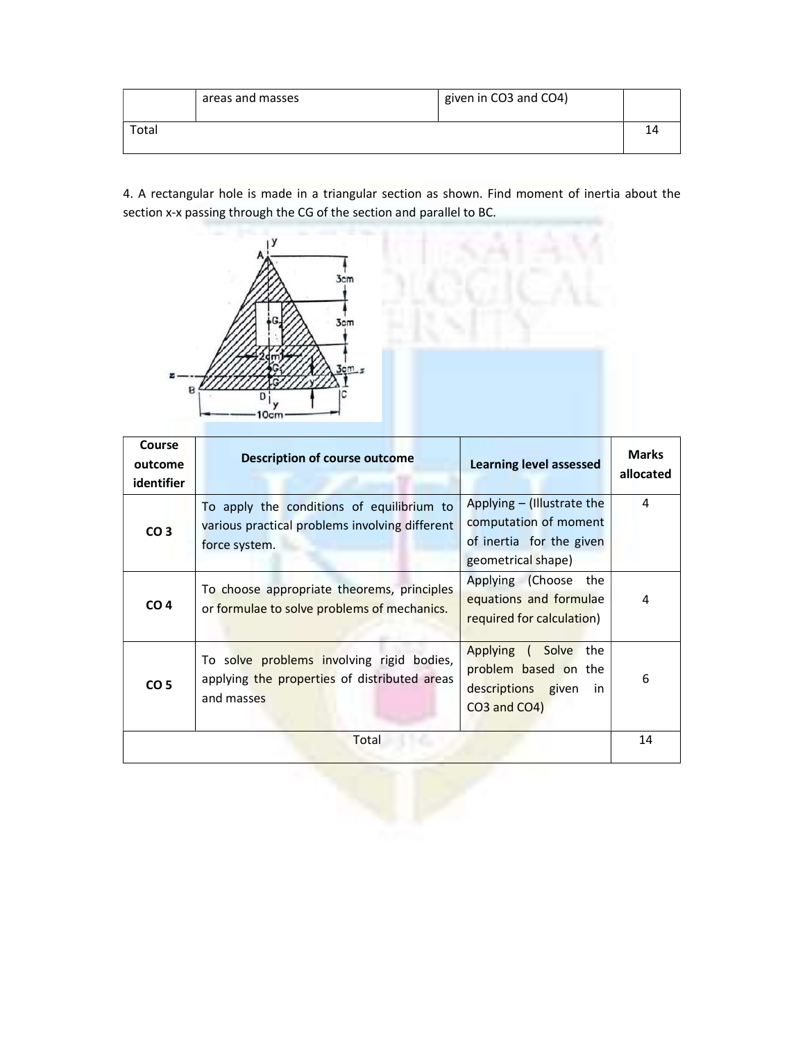|       | areas and masses | given in CO3 and CO4) |    |
|-------|------------------|-----------------------|----|
| Total |                  |                       | 14 |

4. A rectangular hole is made in a triangular section as shown. Find moment of inertia about the section x-x passing through the CG of the section and parallel to BC.



| <b>Course</b><br>outcome<br>identifier | Description of course outcome                                                                                | <b>Learning level assessed</b>                                                                                            | <b>Marks</b><br>allocated |
|----------------------------------------|--------------------------------------------------------------------------------------------------------------|---------------------------------------------------------------------------------------------------------------------------|---------------------------|
| CO <sub>3</sub>                        | To apply the conditions of equilibrium to<br>various practical problems involving different<br>force system. | Applying – (Illustrate the<br>computation of moment<br>of inertia for the given<br>geometrical shape)                     | 4                         |
| CO <sub>4</sub>                        | To choose appropriate theorems, principles<br>or formulae to solve problems of mechanics.                    | Applying (Choose the<br>equations and formulae<br>required for calculation)                                               | 4                         |
| CO <sub>5</sub>                        | To solve problems involving rigid bodies,<br>applying the properties of distributed areas<br>and masses      | <b>Applying</b><br>Solve the<br>problem based on the<br>descriptions given<br>in<br>CO <sub>3</sub> and CO <sub>4</sub> ) | 6                         |
|                                        | Total                                                                                                        |                                                                                                                           | 14                        |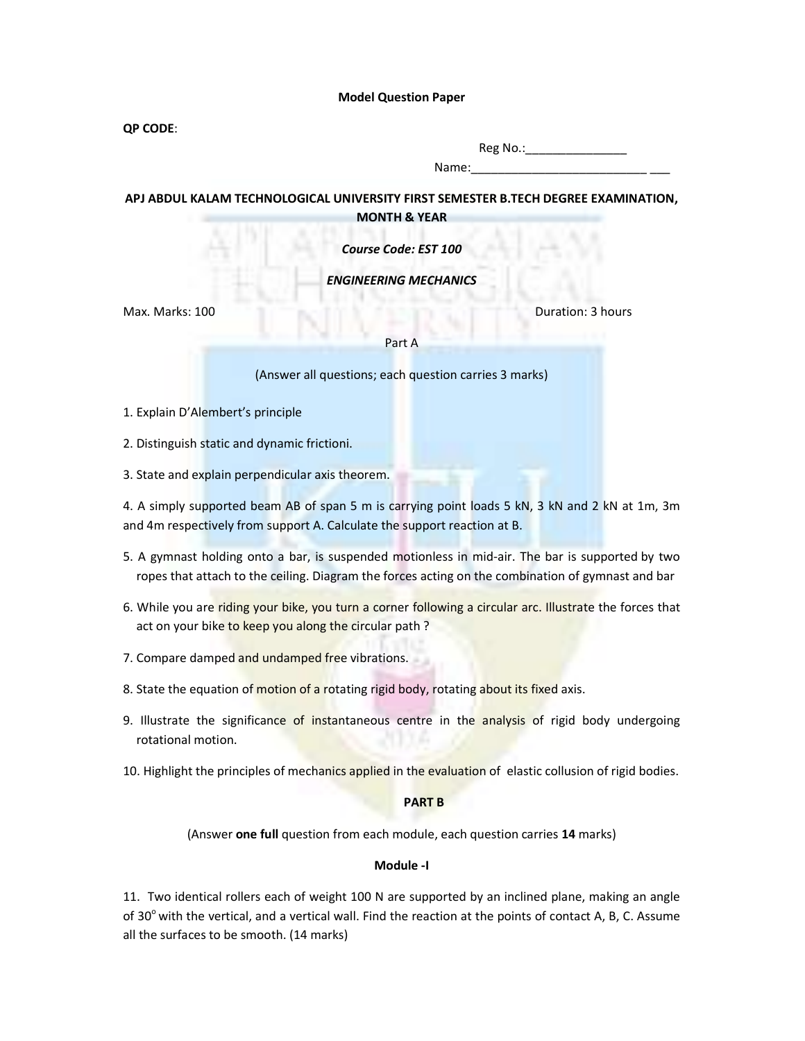#### Model Question Paper

QP CODE:

| Reg No.:<br>___ |
|-----------------|
|-----------------|

Name:\_\_\_\_\_\_\_\_\_\_\_\_\_\_\_\_\_\_\_\_\_\_\_\_\_\_ \_\_\_

APJ ABDUL KALAM TECHNOLOGICAL UNIVERSITY FIRST SEMESTER B.TECH DEGREE EXAMINATION, MONTH & YEAR

Course Code: EST 100

ENGINEERING MECHANICS

Max. Marks: 100 Duration: 3 hours

Part A

(Answer all questions; each question carries 3 marks)

1. Explain D'Alembert's principle

2. Distinguish static and dynamic frictioni.

3. State and explain perpendicular axis theorem.

4. A simply supported beam AB of span 5 m is carrying point loads 5 kN, 3 kN and 2 kN at 1m, 3m and 4m respectively from support A. Calculate the support reaction at B.

- 5. A gymnast holding onto a bar, is suspended motionless in mid-air. The bar is supported by two ropes that attach to the ceiling. Diagram the forces acting on the combination of gymnast and bar
- 6. While you are riding your bike, you turn a corner following a circular arc. Illustrate the forces that act on your bike to keep you along the circular path?
- 7. Compare damped and undamped free vibrations.
- 8. State the equation of motion of a rotating rigid body, rotating about its fixed axis.
- 9. Illustrate the significance of instantaneous centre in the analysis of rigid body undergoing rotational motion.
- 10. Highlight the principles of mechanics applied in the evaluation of elastic collusion of rigid bodies.

### PART B

(Answer one full question from each module, each question carries 14 marks)

### Module -I

11. Two identical rollers each of weight 100 N are supported by an inclined plane, making an angle of 30° with the vertical, and a vertical wall. Find the reaction at the points of contact A, B, C. Assume all the surfaces to be smooth. (14 marks)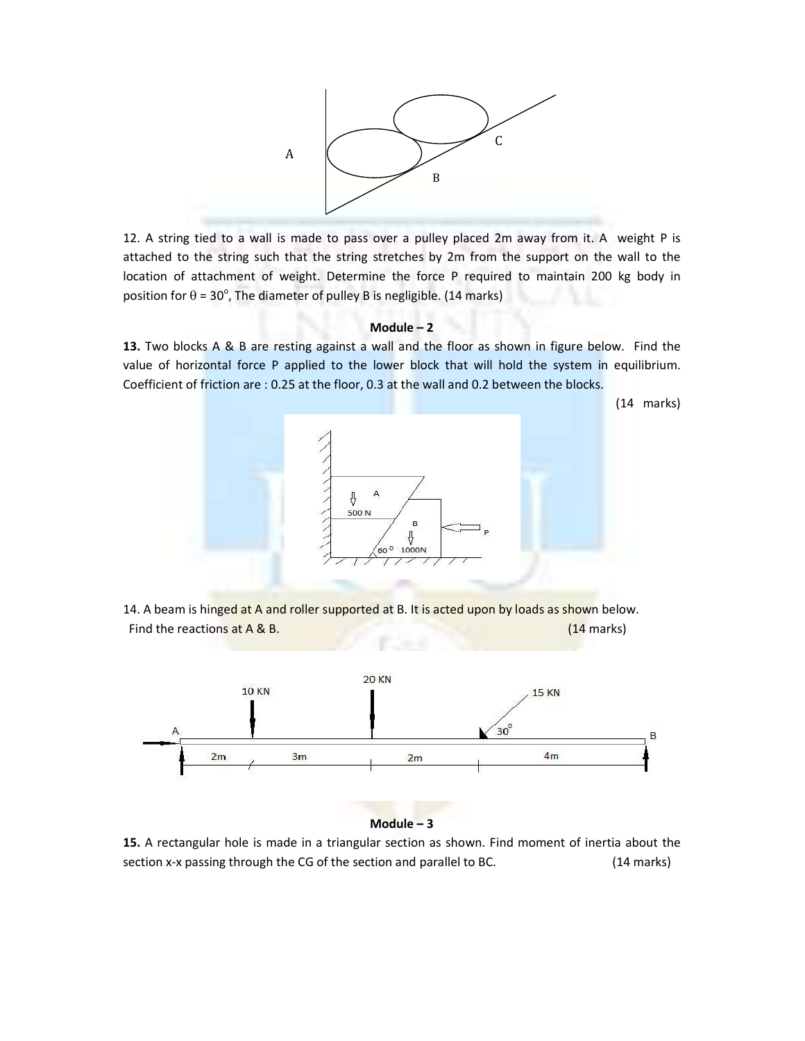

 12. A string tied to a wall is made to pass over a pulley placed 2m away from it. A weight P is attached to the string such that the string stretches by 2m from the support on the wall to the location of attachment of weight. Determine the force P required to maintain 200 kg body in position for  $\theta$  = 30°, The diameter of pulley B is negligible. (14 marks)

### Module – 2

13. Two blocks A & B are resting against a wall and the floor as shown in figure below. Find the value of horizontal force P applied to the lower block that will hold the system in equilibrium. Coefficient of friction are : 0.25 at the floor, 0.3 at the wall and 0.2 between the blocks.



14. A beam is hinged at A and roller supported at B. It is acted upon by loads as shown below. Find the reactions at A & B. (14 marks)



Module – 3

15. A rectangular hole is made in a triangular section as shown. Find moment of inertia about the section x-x passing through the CG of the section and parallel to BC. (14 marks)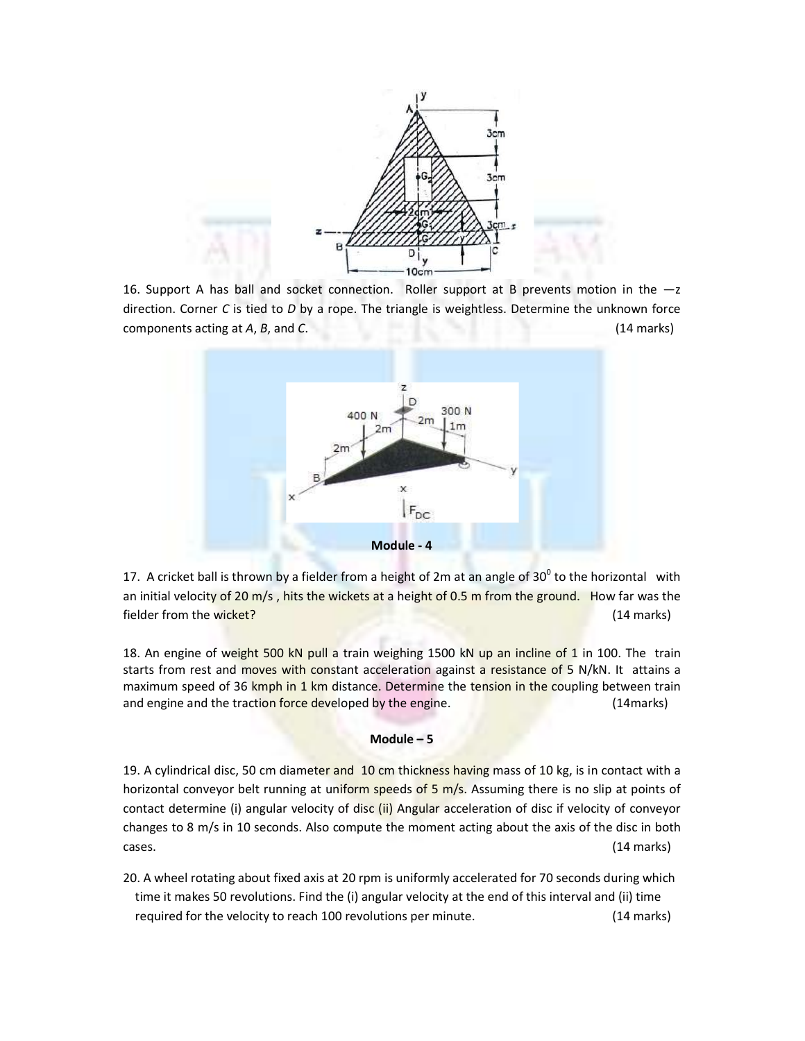

16. Support A has ball and socket connection. Roller support at B prevents motion in the  $-z$ direction. Corner C is tied to  $D$  by a rope. The triangle is weightless. Determine the unknown force components acting at A, B, and C. (14 marks) (14 marks)



17. A cricket ball is thrown by a fielder from a height of 2m at an angle of 30<sup>0</sup> to the horizontal with an initial velocity of 20 m/s, hits the wickets at a height of 0.5 m from the ground. How far was the fielder from the wicket? (14 marks)

18. An engine of weight 500 kN pull a train weighing 1500 kN up an incline of 1 in 100. The train starts from rest and moves with constant acceleration against a resistance of 5 N/kN. It attains a maximum speed of 36 kmph in 1 km distance. Determine the tension in the coupling between train and engine and the traction force developed by the engine. (14marks)

### Module – 5

19. A cylindrical disc, 50 cm diameter and 10 cm thickness having mass of 10 kg, is in contact with a horizontal conveyor belt running at uniform speeds of  $5 \text{ m/s}$ . Assuming there is no slip at points of contact determine (i) angular velocity of disc (ii) Angular acceleration of disc if velocity of conveyor changes to 8 m/s in 10 seconds. Also compute the moment acting about the axis of the disc in both cases. (14 marks)

20. A wheel rotating about fixed axis at 20 rpm is uniformly accelerated for 70 seconds during which time it makes 50 revolutions. Find the (i) angular velocity at the end of this interval and (ii) time required for the velocity to reach 100 revolutions per minute. (14 marks)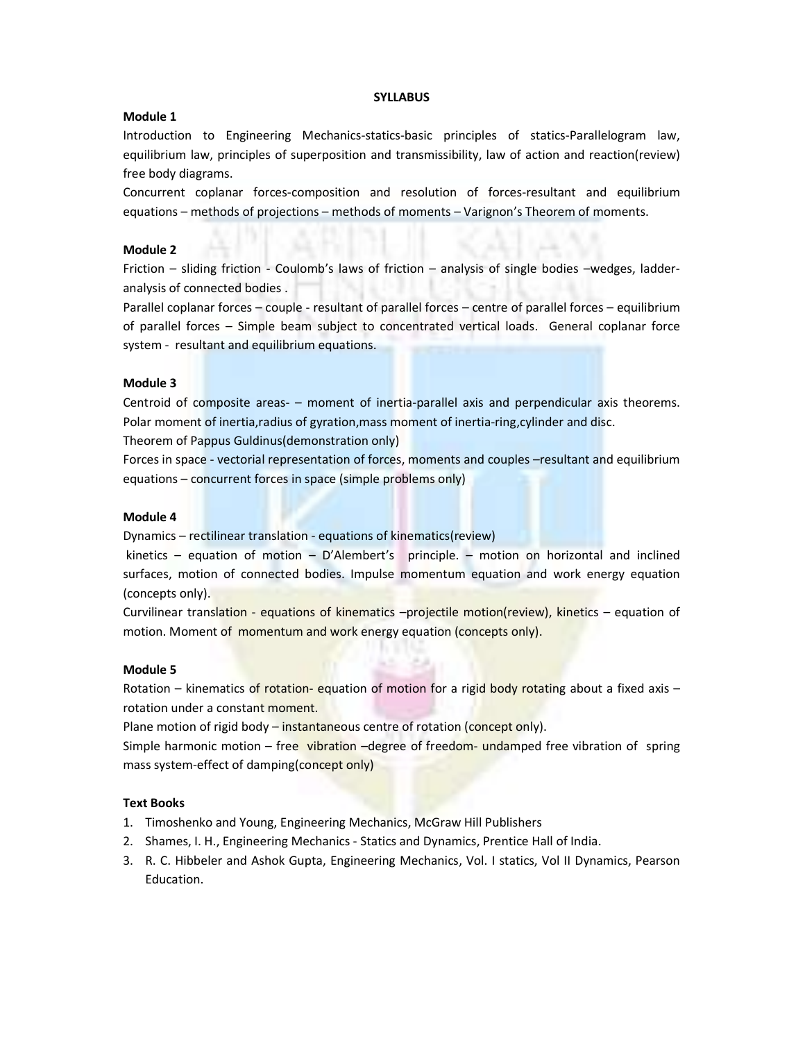#### **SYLLABUS**

### Module 1

Introduction to Engineering Mechanics-statics-basic principles of statics-Parallelogram law, equilibrium law, principles of superposition and transmissibility, law of action and reaction(review) free body diagrams.

Concurrent coplanar forces-composition and resolution of forces-resultant and equilibrium equations – methods of projections – methods of moments – Varignon's Theorem of moments.

### Module 2

Friction – sliding friction - Coulomb's laws of friction – analysis of single bodies –wedges, ladderanalysis of connected bodies .

Parallel coplanar forces – couple - resultant of parallel forces – centre of parallel forces – equilibrium of parallel forces – Simple beam subject to concentrated vertical loads. General coplanar force system - resultant and equilibrium equations.

### Module 3

Centroid of composite areas- – moment of inertia-parallel axis and perpendicular axis theorems. Polar moment of inertia,radius of gyration,mass moment of inertia-ring,cylinder and disc.

Theorem of Pappus Guldinus(demonstration only)

Forces in space - vectorial representation of forces, moments and couples –resultant and equilibrium equations – concurrent forces in space (simple problems only)

### Module 4

Dynamics – rectilinear translation - equations of kinematics(review)

 kinetics – equation of motion – D'Alembert's principle. – motion on horizontal and inclined surfaces, motion of connected bodies. Impulse momentum equation and work energy equation (concepts only).

Curvilinear translation - equations of kinematics –projectile motion(review), kinetics – equation of motion. Moment of momentum and work energy equation (concepts only).

### Module 5

Rotation – kinematics of rotation- equation of motion for a rigid body rotating about a fixed axis – rotation under a constant moment.

Plane motion of rigid body – instantaneous centre of rotation (concept only).

Simple harmonic motion – free vibration –degree of freedom- undamped free vibration of spring mass system-effect of damping(concept only)

### Text Books

- 1. Timoshenko and Young, Engineering Mechanics, McGraw Hill Publishers
- 2. Shames, I. H., Engineering Mechanics Statics and Dynamics, Prentice Hall of India.
- 3. R. C. Hibbeler and Ashok Gupta, Engineering Mechanics, Vol. I statics, Vol II Dynamics, Pearson Education.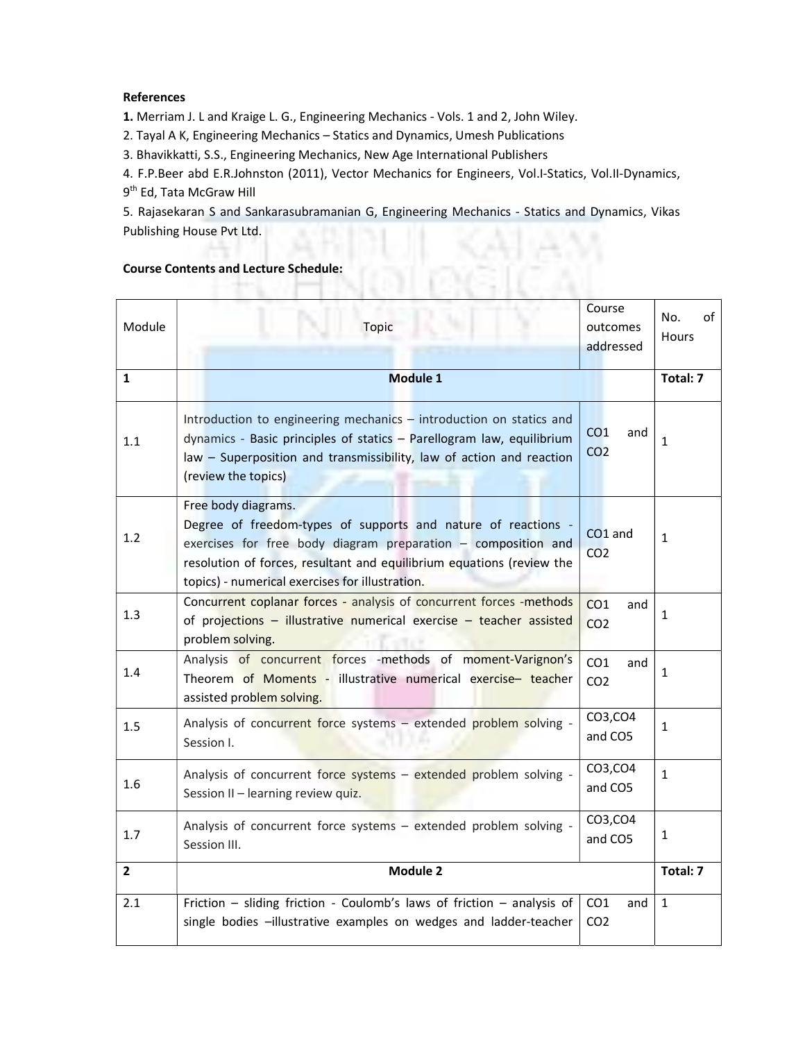### References

1. Merriam J. L and Kraige L. G., Engineering Mechanics - Vols. 1 and 2, John Wiley.

2. Tayal A K, Engineering Mechanics – Statics and Dynamics, Umesh Publications

3. Bhavikkatti, S.S., Engineering Mechanics, New Age International Publishers

4. F.P.Beer abd E.R.Johnston (2011), Vector Mechanics for Engineers, Vol.I-Statics, Vol.II-Dynamics, 9<sup>th</sup> Ed, Tata McGraw Hill

5. Rajasekaran S and Sankarasubramanian G, Engineering Mechanics - Statics and Dynamics, Vikas Publishing House Pvt Ltd.

### Course Contents and Lecture Schedule:

| Module         | Topic                                                                                                                                                                                                                                                                               | Course<br>outcomes<br>addressed           | No.<br>οf<br><b>Hours</b> |
|----------------|-------------------------------------------------------------------------------------------------------------------------------------------------------------------------------------------------------------------------------------------------------------------------------------|-------------------------------------------|---------------------------|
| $\mathbf{1}$   | <b>Module 1</b>                                                                                                                                                                                                                                                                     |                                           | Total: 7                  |
| 1.1            | Introduction to engineering mechanics – introduction on statics and<br>dynamics - Basic principles of statics - Parellogram law, equilibrium<br>law - Superposition and transmissibility, law of action and reaction<br>(review the topics)                                         | CO <sub>1</sub><br>and<br>CO <sub>2</sub> | 1                         |
| 1.2            | Free body diagrams.<br>Degree of freedom-types of supports and nature of reactions -<br>exercises for free body diagram preparation $-$ composition and<br>resolution of forces, resultant and equilibrium equations (review the<br>topics) - numerical exercises for illustration. | CO <sub>1</sub> and<br>CO <sub>2</sub>    | $\mathbf{1}$              |
| 1.3            | Concurrent coplanar forces - analysis of concurrent forces - methods<br>of projections - illustrative numerical exercise - teacher assisted<br>problem solving.                                                                                                                     | CO <sub>1</sub><br>and<br>CO <sub>2</sub> | $\mathbf{1}$              |
| 1.4            | Analysis of concurrent forces -methods of moment-Varignon's<br>Theorem of Moments - illustrative numerical exercise- teacher<br>assisted problem solving.                                                                                                                           | CO <sub>1</sub><br>and<br>CO <sub>2</sub> | $\mathbf{1}$              |
| 1.5            | Analysis of concurrent force systems - extended problem solving -<br>Session I.                                                                                                                                                                                                     | CO3, CO4<br>and CO5                       | $\mathbf{1}$              |
| 1.6            | Analysis of concurrent force systems - extended problem solving -<br>Session II - learning review quiz.                                                                                                                                                                             | CO3, CO4<br>and CO5                       | $\mathbf{1}$              |
| 1.7            | Analysis of concurrent force systems - extended problem solving -<br>Session III.                                                                                                                                                                                                   | CO3, CO4<br>and CO5                       | $\mathbf{1}$              |
| $\overline{2}$ | Module 2                                                                                                                                                                                                                                                                            |                                           | Total: 7                  |
| 2.1            | Friction - sliding friction - Coulomb's laws of friction - analysis of<br>single bodies -illustrative examples on wedges and ladder-teacher                                                                                                                                         | CO <sub>1</sub><br>and<br>CO <sub>2</sub> | $\mathbf{1}$              |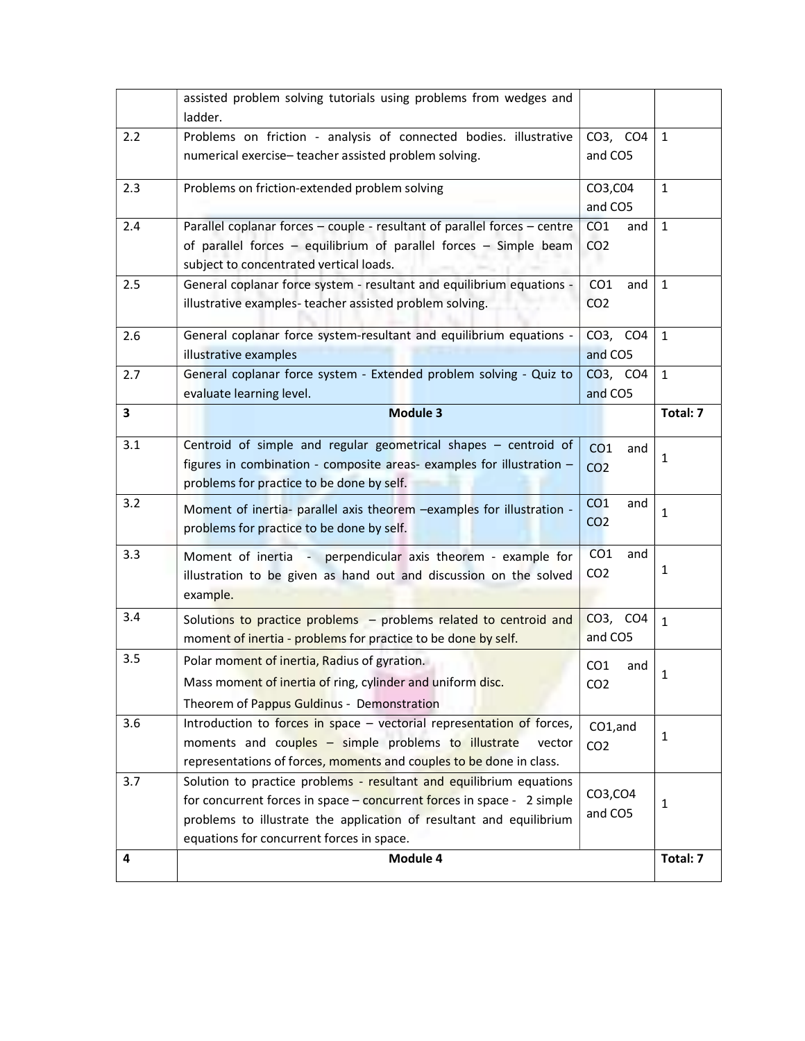| 4   | Module 4                                                                                                                                                                                                      |                                           | Total: 7     |
|-----|---------------------------------------------------------------------------------------------------------------------------------------------------------------------------------------------------------------|-------------------------------------------|--------------|
|     | problems to illustrate the application of resultant and equilibrium<br>equations for concurrent forces in space.                                                                                              |                                           |              |
| 3.7 | Solution to practice problems - resultant and equilibrium equations<br>for concurrent forces in space $-\frac{1}{2}$ concurrent forces in space - 2 simple                                                    | CO3, CO4<br>and CO5                       | 1            |
| 3.6 | Introduction to forces in space - vectorial representation of forces,<br>moments and couples - simple problems to illustrate<br>vector<br>representations of forces, moments and couples to be done in class. | CO1,and<br>CO <sub>2</sub>                | 1            |
| 3.5 | Polar moment of inertia, Radius of gyration.<br>Mass moment of inertia of ring, cylinder and uniform disc.<br>Theorem of Pappus Guldinus - Demonstration                                                      | CO <sub>1</sub><br>and<br>CO <sub>2</sub> | 1            |
| 3.4 | Solutions to practice problems - problems related to centroid and<br>moment of inertia - problems for practice to be done by self.                                                                            | CO3, CO4<br>and CO5                       | $\mathbf{1}$ |
| 3.3 | Moment of inertia - perpendicular axis theorem - example for<br>illustration to be given as hand out and discussion on the solved<br>example.                                                                 | CO <sub>1</sub><br>and<br>CO <sub>2</sub> | 1            |
| 3.2 | Moment of inertia- parallel axis theorem -examples for illustration -<br>problems for practice to be done by self.                                                                                            | CO <sub>1</sub><br>and<br>CO <sub>2</sub> | $\mathbf{1}$ |
| 3.1 | Centroid of simple and regular geometrical shapes - centroid of<br>figures in combination - composite areas- examples for illustration -<br>problems for practice to be done by self.                         | CO <sub>1</sub><br>and<br>CO <sub>2</sub> | $\mathbf{1}$ |
| 3   | <b>Module 3</b>                                                                                                                                                                                               |                                           | Total: 7     |
| 2.7 | General coplanar force system - Extended problem solving - Quiz to<br>evaluate learning level.                                                                                                                | CO3, CO4<br>and CO5                       | $\mathbf{1}$ |
| 2.6 | General coplanar force system-resultant and equilibrium equations -<br>illustrative examples                                                                                                                  | CO3, CO4<br>and CO5                       | $\mathbf{1}$ |
| 2.5 | General coplanar force system - resultant and equilibrium equations -<br>illustrative examples-teacher assisted problem solving.                                                                              | CO <sub>1</sub><br>and<br>CO <sub>2</sub> | $\mathbf{1}$ |
| 2.4 | Parallel coplanar forces - couple - resultant of parallel forces - centre<br>of parallel forces - equilibrium of parallel forces - Simple beam<br>subject to concentrated vertical loads.                     | CO <sub>1</sub><br>and<br>CO <sub>2</sub> | 1            |
| 2.3 | Problems on friction-extended problem solving                                                                                                                                                                 | CO3, C04<br>and CO5                       | $\mathbf{1}$ |
| 2.2 | Problems on friction - analysis of connected bodies. illustrative<br>numerical exercise-teacher assisted problem solving.                                                                                     | CO3, CO4<br>and CO5                       | $\mathbf{1}$ |
|     | assisted problem solving tutorials using problems from wedges and<br>ladder.                                                                                                                                  |                                           |              |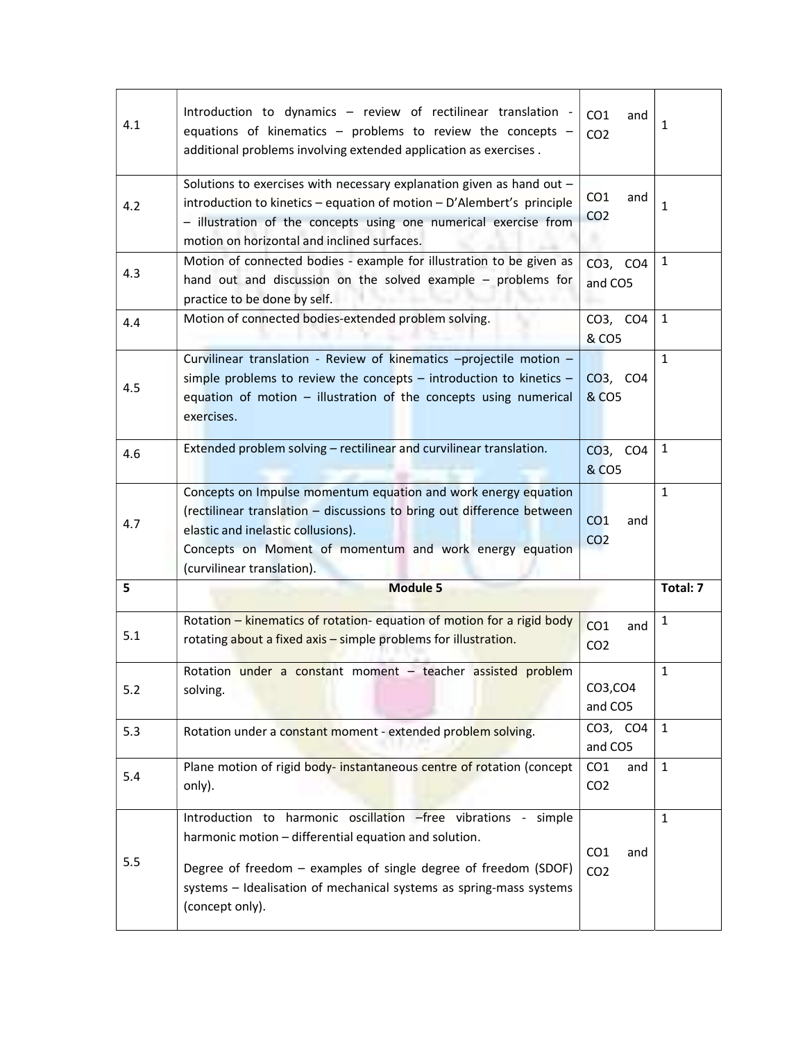| 4.1 | Introduction to dynamics - review of rectilinear translation -<br>equations of kinematics $-$ problems to review the concepts $-$<br>additional problems involving extended application as exercises.                                                                | CO <sub>1</sub><br>CO <sub>2</sub>         | and | $\mathbf{1}$ |
|-----|----------------------------------------------------------------------------------------------------------------------------------------------------------------------------------------------------------------------------------------------------------------------|--------------------------------------------|-----|--------------|
| 4.2 | Solutions to exercises with necessary explanation given as hand out $-$<br>introduction to kinetics - equation of motion - D'Alembert's principle<br>- illustration of the concepts using one numerical exercise from<br>motion on horizontal and inclined surfaces. | CO <sub>1</sub><br>CO <sub>2</sub>         | and | 1            |
| 4.3 | Motion of connected bodies - example for illustration to be given as<br>hand out and discussion on the solved example - problems for<br>practice to be done by self.                                                                                                 | CO3, CO4<br>and CO5                        |     | $\mathbf{1}$ |
| 4.4 | Motion of connected bodies-extended problem solving.                                                                                                                                                                                                                 | CO3, CO4<br>& CO5                          |     | $\mathbf{1}$ |
| 4.5 | Curvilinear translation - Review of kinematics -projectile motion -<br>simple problems to review the concepts – introduction to kinetics –<br>equation of motion $-$ illustration of the concepts using numerical<br>exercises.                                      | CO3, CO4<br>& CO <sub>5</sub>              |     | $\mathbf{1}$ |
| 4.6 | Extended problem solving - rectilinear and curvilinear translation.                                                                                                                                                                                                  | CO <sub>3</sub> , CO <sub>4</sub><br>& CO5 |     | 1            |
|     | Concepts on Impulse momentum equation and work energy equation<br>(rectilinear translation - discussions to bring out difference between                                                                                                                             | CO <sub>1</sub>                            |     | $\mathbf{1}$ |
| 4.7 | elastic and inelastic collusions).<br>Concepts on Moment of momentum and work energy equation                                                                                                                                                                        | CO <sub>2</sub>                            | and |              |
| 5   | (curvilinear translation).<br><b>Module 5</b>                                                                                                                                                                                                                        |                                            |     | Total: 7     |
| 5.1 | Rotation – kinematics of rotation- equation of motion for a rigid body<br>rotating about a fixed axis - simple problems for illustration.                                                                                                                            | CO <sub>1</sub><br>CO <sub>2</sub>         | and | 1            |
| 5.2 | Rotation under a constant moment - teacher assisted problem<br>solving.                                                                                                                                                                                              | CO3, CO4<br>and CO5                        |     | $\mathbf{1}$ |
| 5.3 | Rotation under a constant moment - extended problem solving.                                                                                                                                                                                                         | CO3, CO4<br>and CO5                        |     | $\mathbf{1}$ |
| 5.4 | Plane motion of rigid body-instantaneous centre of rotation (concept<br>only).                                                                                                                                                                                       | CO <sub>1</sub><br>CO <sub>2</sub>         | and | 1            |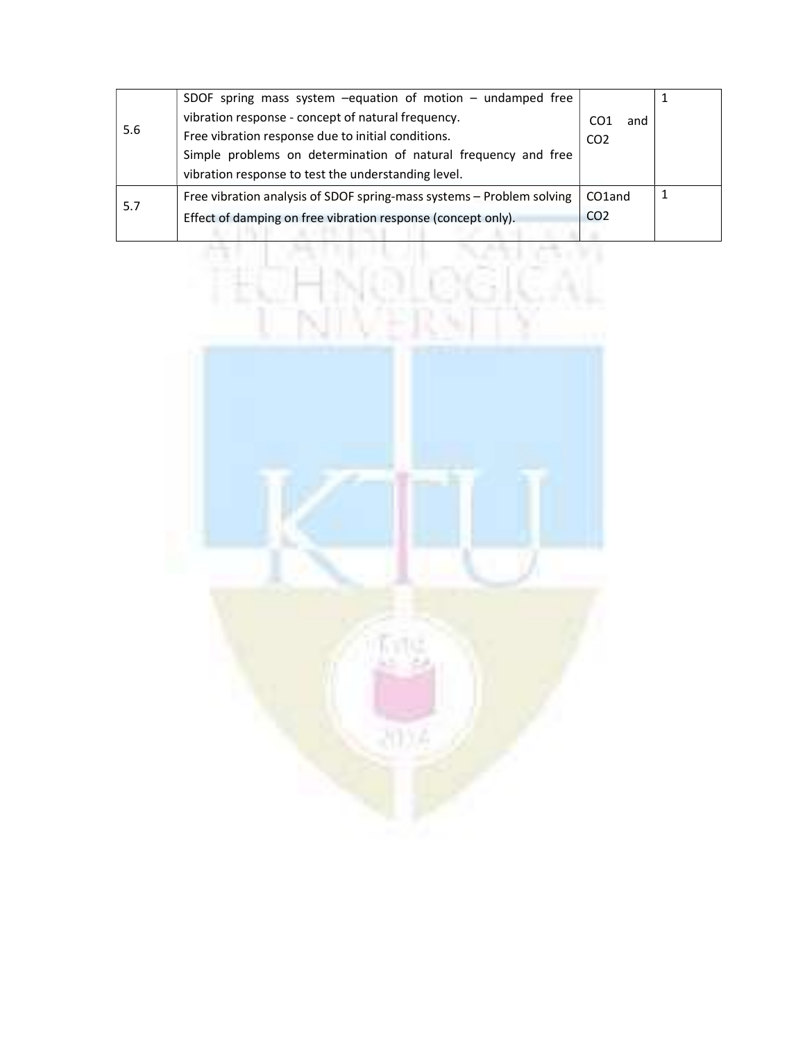|     | SDOF spring mass system $-equation$ of motion $-$ undamped free       |                        |  |
|-----|-----------------------------------------------------------------------|------------------------|--|
|     | vibration response - concept of natural frequency.                    | CO <sub>1</sub><br>and |  |
| 5.6 | Free vibration response due to initial conditions.                    | CO <sub>2</sub>        |  |
|     | Simple problems on determination of natural frequency and free        |                        |  |
|     | vibration response to test the understanding level.                   |                        |  |
| 5.7 | Free vibration analysis of SDOF spring-mass systems - Problem solving | CO <sub>1</sub> and    |  |
|     | Effect of damping on free vibration response (concept only).          | CO <sub>2</sub>        |  |
|     |                                                                       |                        |  |

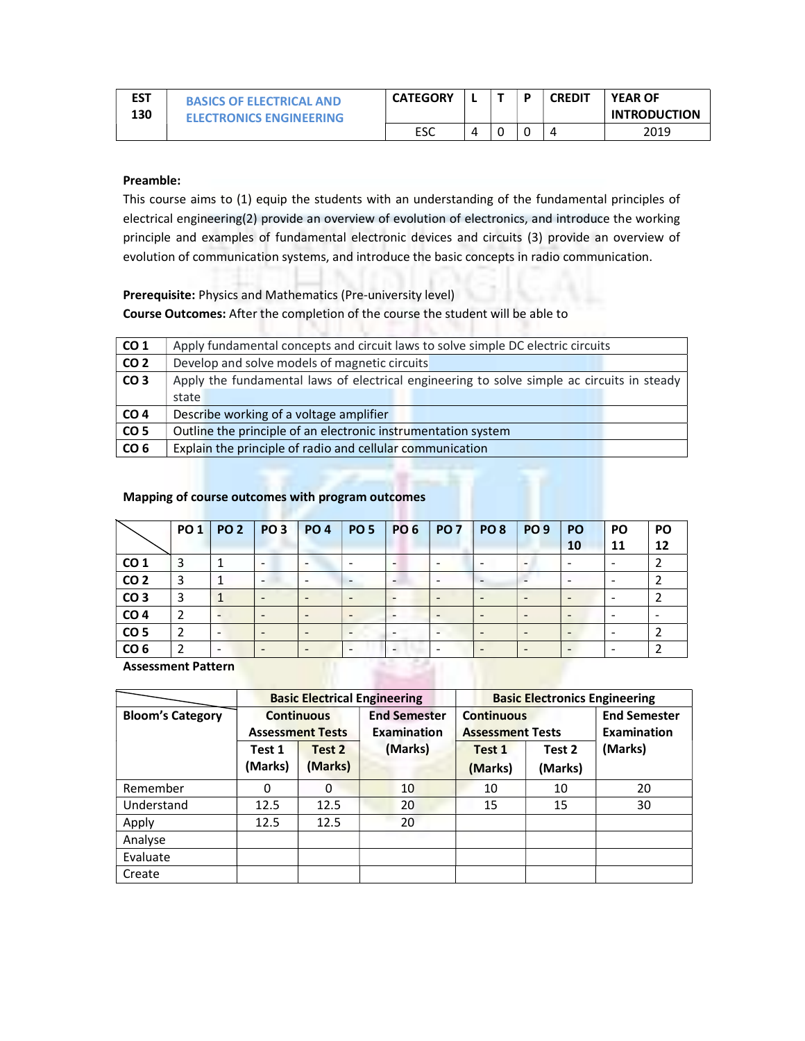| <b>EST</b><br>130 | <b>BASICS OF ELECTRICAL AND</b><br><b>ELECTRONICS ENGINEERING</b> | <b>CATEGORY</b> |  | <b>CREDIT</b> | <b>YEAR OF</b><br><b>INTRODUCTION</b> |
|-------------------|-------------------------------------------------------------------|-----------------|--|---------------|---------------------------------------|
|                   |                                                                   | ESC             |  |               | 2019                                  |

### Preamble:

This course aims to (1) equip the students with an understanding of the fundamental principles of electrical engineering(2) provide an overview of evolution of electronics, and introduce the working principle and examples of fundamental electronic devices and circuits (3) provide an overview of evolution of communication systems, and introduce the basic concepts in radio communication.

Prerequisite: Physics and Mathematics (Pre-university level)

Course Outcomes: After the completion of the course the student will be able to

| CO <sub>1</sub> | Apply fundamental concepts and circuit laws to solve simple DC electric circuits           |  |  |  |  |  |
|-----------------|--------------------------------------------------------------------------------------------|--|--|--|--|--|
| CO <sub>2</sub> | Develop and solve models of magnetic circuits                                              |  |  |  |  |  |
| CO <sub>3</sub> | Apply the fundamental laws of electrical engineering to solve simple ac circuits in steady |  |  |  |  |  |
|                 | state                                                                                      |  |  |  |  |  |
| CO <sub>4</sub> | Describe working of a voltage amplifier                                                    |  |  |  |  |  |
| CO <sub>5</sub> | Outline the principle of an electronic instrumentation system                              |  |  |  |  |  |
| CO <sub>6</sub> | Explain the principle of radio and cellular communication                                  |  |  |  |  |  |

### Mapping of course outcomes with program outcomes

|                 | PO1 | <b>PO 2</b> | <b>PO3</b>               | <b>PO 4</b> | <b>PO 5</b>              | <b>PO 6</b>              | <b>PO7 PO8</b> | <b>PO9</b> | PO<br>10                 | <b>PO</b><br>11 | <b>PO</b><br>12 |
|-----------------|-----|-------------|--------------------------|-------------|--------------------------|--------------------------|----------------|------------|--------------------------|-----------------|-----------------|
| CO <sub>1</sub> | 3   |             | -                        |             |                          | -                        |                |            |                          |                 |                 |
| CO <sub>2</sub> | 3   |             | -                        |             |                          | -                        |                |            |                          |                 |                 |
| CO <sub>3</sub> | 3   |             | $\sim$                   |             |                          |                          |                |            |                          |                 |                 |
| CO <sub>4</sub> | 2   |             | $\overline{\phantom{0}}$ |             | $\overline{\phantom{a}}$ | $\overline{\phantom{a}}$ |                | -          | $\overline{\phantom{0}}$ |                 |                 |
| CO <sub>5</sub> | 2   |             | $\overline{\phantom{0}}$ |             |                          |                          |                |            |                          |                 |                 |
| CO <sub>6</sub> | 2   |             |                          |             |                          |                          |                |            |                          |                 |                 |

Assessment Pattern

|                         |                                              |                   | <b>Basic Electrical Engineering</b>       | <b>Basic Electronics Engineering</b>         |                                           |         |  |
|-------------------------|----------------------------------------------|-------------------|-------------------------------------------|----------------------------------------------|-------------------------------------------|---------|--|
| <b>Bloom's Category</b> | <b>Continuous</b><br><b>Assessment Tests</b> |                   | <b>End Semester</b><br><b>Examination</b> | <b>Continuous</b><br><b>Assessment Tests</b> | <b>End Semester</b><br><b>Examination</b> |         |  |
|                         | Test 1<br>(Marks)                            | Test 2<br>(Marks) | (Marks)                                   | Test 1<br>(Marks)                            | Test 2<br>(Marks)                         | (Marks) |  |
| Remember                | 0                                            | 0                 | 10                                        | 10                                           | 10                                        | 20      |  |
| Understand              | 12.5                                         | 12.5              | 20                                        | 15                                           | 15                                        | 30      |  |
| Apply                   | 12.5                                         | 12.5              | 20                                        |                                              |                                           |         |  |
| Analyse                 |                                              |                   |                                           |                                              |                                           |         |  |
| Evaluate                |                                              |                   |                                           |                                              |                                           |         |  |
| Create                  |                                              |                   |                                           |                                              |                                           |         |  |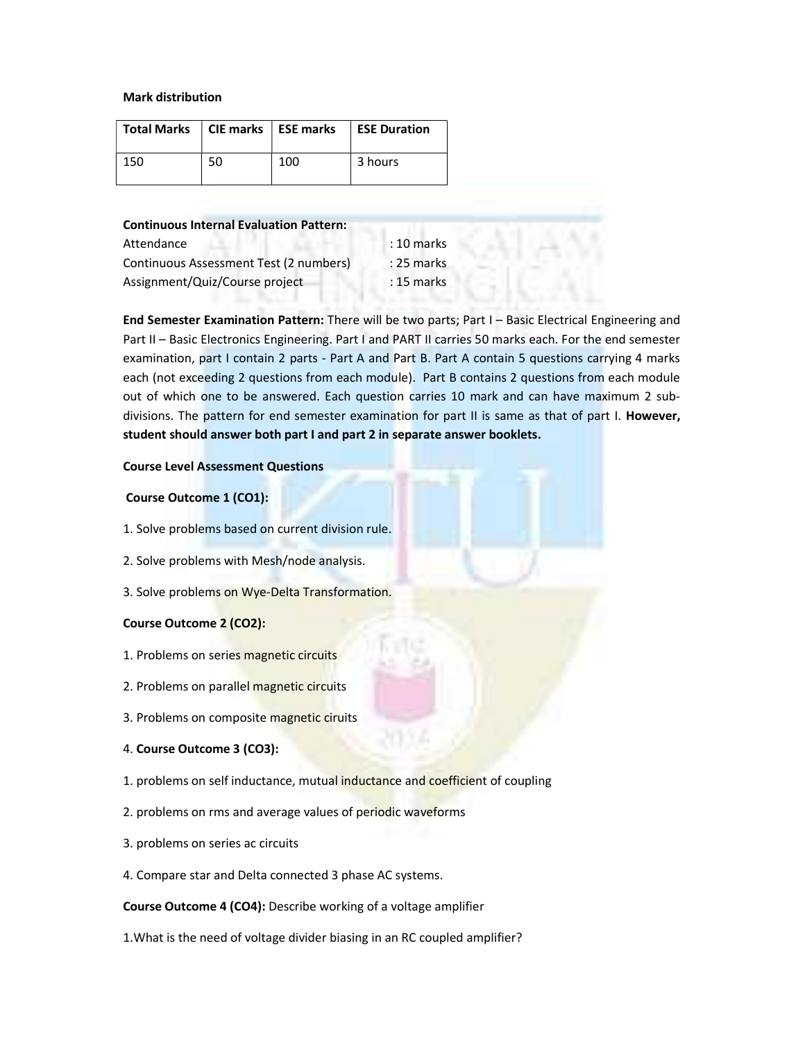#### Mark distribution

| Total Marks   CIE marks   ESE marks |    |     | <b>ESE Duration</b> |
|-------------------------------------|----|-----|---------------------|
| 150                                 | 50 | 100 | 3 hours             |

#### Continuous Internal Evaluation Pattern:

| Attendance                             | $: 10$ marks |
|----------------------------------------|--------------|
| Continuous Assessment Test (2 numbers) | $: 25$ marks |
| Assignment/Quiz/Course project         | $: 15$ marks |

**Barried Committee** 

End Semester Examination Pattern: There will be two parts; Part I – Basic Electrical Engineering and Part II - Basic Electronics Engineering. Part I and PART II carries 50 marks each. For the end semester examination, part I contain 2 parts - Part A and Part B. Part A contain 5 questions carrying 4 marks each (not exceeding 2 questions from each module). Part B contains 2 questions from each module out of which one to be answered. Each question carries 10 mark and can have maximum 2 subdivisions. The pattern for end semester examination for part II is same as that of part I. However, student should answer both part I and part 2 in separate answer booklets.

#### Course Level Assessment Questions

### Course Outcome 1 (CO1):

- 1. Solve problems based on current division rule.
- 2. Solve problems with Mesh/node analysis.
- 3. Solve problems on Wye-Delta Transformation.

### Course Outcome 2 (CO2):

- 1. Problems on series magnetic circuits
- 2. Problems on parallel magnetic circuits
- 3. Problems on composite magnetic ciruits
- 4. Course Outcome 3 (CO3):
- 1. problems on self inductance, mutual inductance and coefficient of coupling
- 2. problems on rms and average values of periodic waveforms
- 3. problems on series ac circuits
- 4. Compare star and Delta connected 3 phase AC systems.

Course Outcome 4 (CO4): Describe working of a voltage amplifier

1.What is the need of voltage divider biasing in an RC coupled amplifier?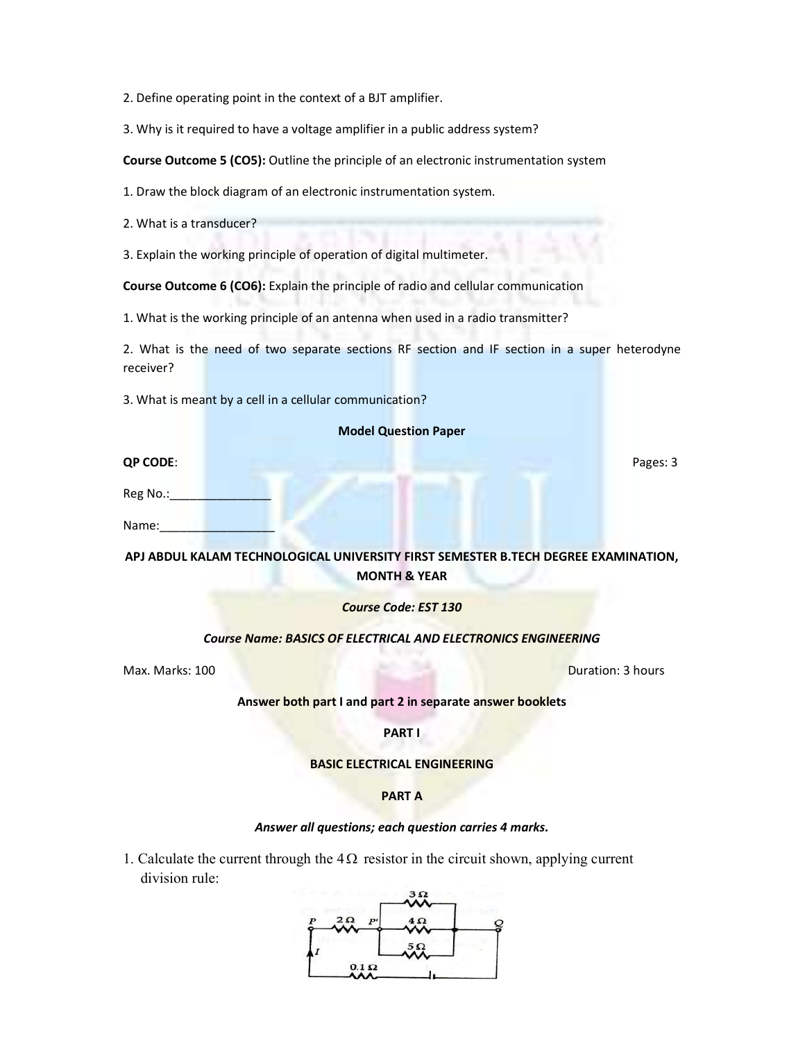2. Define operating point in the context of a BJT amplifier.

3. Why is it required to have a voltage amplifier in a public address system?

Course Outcome 5 (CO5): Outline the principle of an electronic instrumentation system

1. Draw the block diagram of an electronic instrumentation system.

2. What is a transducer?

3. Explain the working principle of operation of digital multimeter.

Course Outcome 6 (CO6): Explain the principle of radio and cellular communication

1. What is the working principle of an antenna when used in a radio transmitter?

2. What is the need of two separate sections RF section and IF section in a super heterodyne receiver?

3. What is meant by a cell in a cellular communication?

## Model Question Paper

#### **QP CODE:** Pages: 3

Reg No.:

Name:

# APJ ABDUL KALAM TECHNOLOGICAL UNIVERSITY FIRST SEMESTER B.TECH DEGREE EXAMINATION, MONTH & YEAR

Course Code: EST 130

## Course Name: BASICS OF ELECTRICAL AND ELECTRONICS ENGINEERING

Max. Marks: 100 Duration: 3 hours

Answer both part I and part 2 in separate answer booklets

### PART I

## BASIC ELECTRICAL ENGINEERING

### PART A

## Answer all questions; each question carries 4 marks.

1. Calculate the current through the  $4\Omega$  resistor in the circuit shown, applying current division rule:

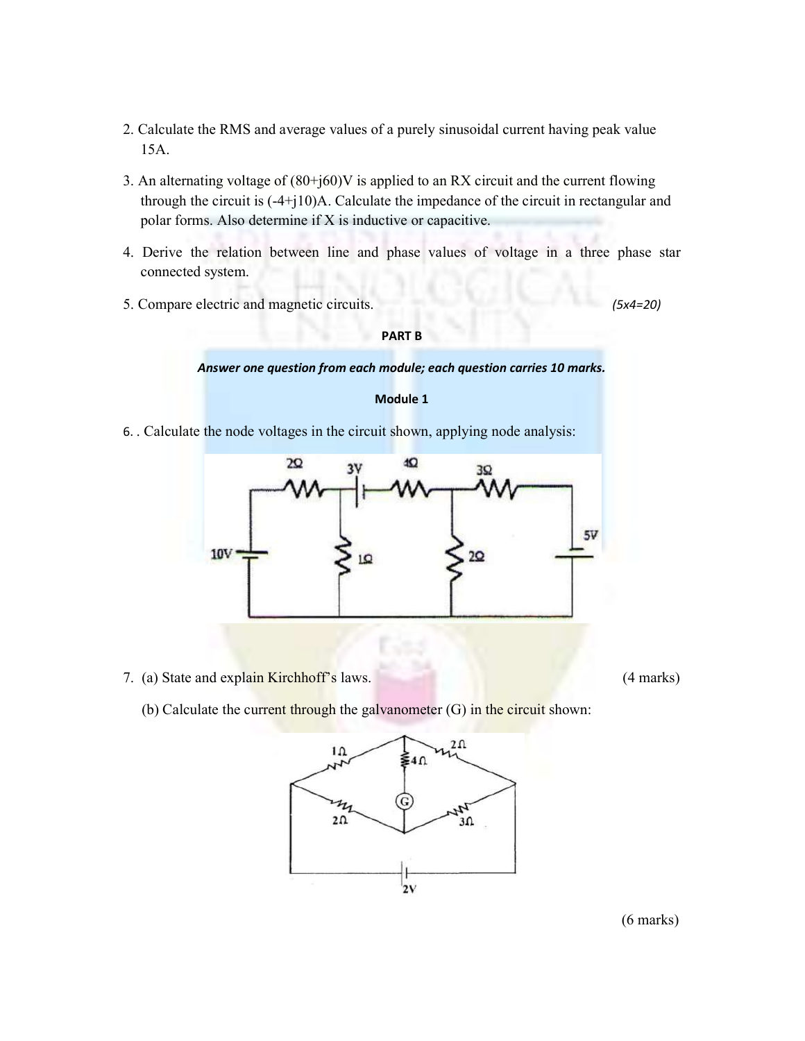- 2. Calculate the RMS and average values of a purely sinusoidal current having peak value 15A.
- 3. An alternating voltage of  $(80+j60)V$  is applied to an RX circuit and the current flowing through the circuit is (-4+j10)A. Calculate the impedance of the circuit in rectangular and polar forms. Also determine if X is inductive or capacitive.
- 4. Derive the relation between line and phase values of voltage in a three phase star connected system.
- 5. Compare electric and magnetic circuits. (5x4=20)

# PART B

Answer one question from each module; each question carries 10 marks.

### Module 1

6. . Calculate the node voltages in the circuit shown, applying node analysis:



7. (a) State and explain Kirchhoff's laws. (4 marks)

(b) Calculate the current through the galvanometer  $(G)$  in the circuit shown:



(6 marks)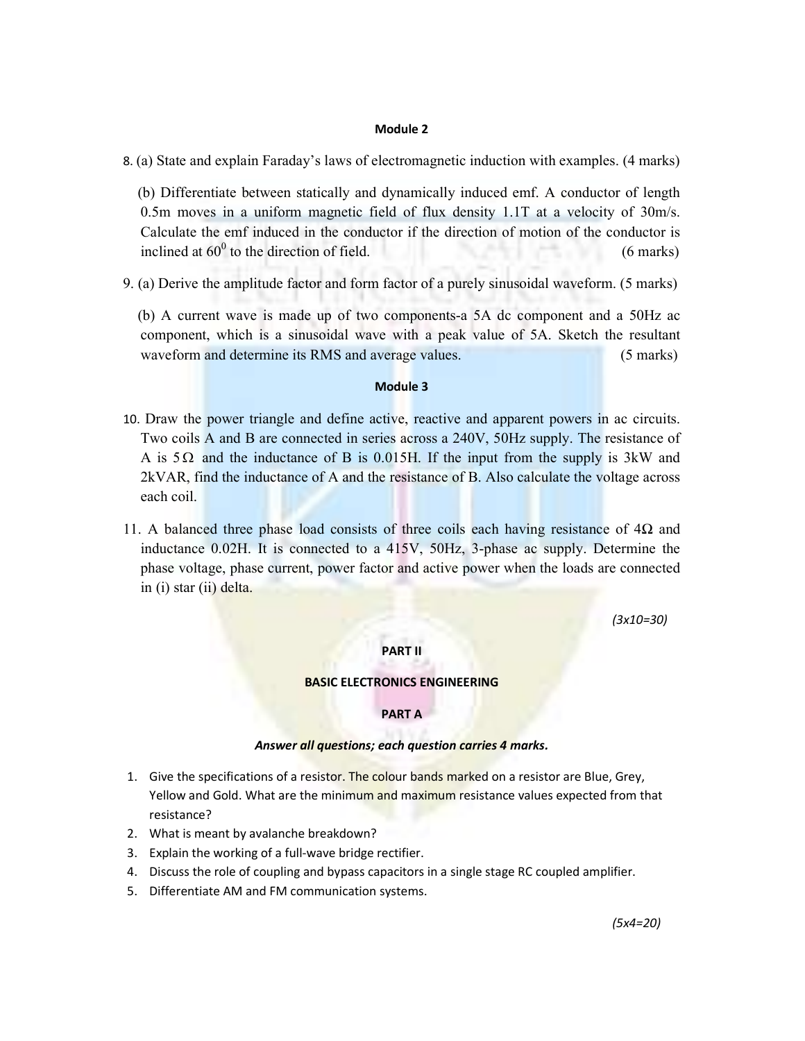## Module 2

8. (a) State and explain Faraday's laws of electromagnetic induction with examples. (4 marks)

 (b) Differentiate between statically and dynamically induced emf. A conductor of length 0.5m moves in a uniform magnetic field of flux density 1.1T at a velocity of 30m/s. Calculate the emf induced in the conductor if the direction of motion of the conductor is inclined at  $60^{\circ}$  to the direction of field. (6 marks)

9. (a) Derive the amplitude factor and form factor of a purely sinusoidal waveform. (5 marks)

 (b) A current wave is made up of two components-a 5A dc component and a 50Hz ac component, which is a sinusoidal wave with a peak value of 5A. Sketch the resultant waveform and determine its RMS and average values. (5 marks)

## Module 3

- 10. Draw the power triangle and define active, reactive and apparent powers in ac circuits. Two coils A and B are connected in series across a 240V, 50Hz supply. The resistance of A is  $5\Omega$  and the inductance of B is 0.015H. If the input from the supply is 3kW and 2kVAR, find the inductance of A and the resistance of B. Also calculate the voltage across each coil.
- 11. A balanced three phase load consists of three coils each having resistance of  $4\Omega$  and inductance 0.02H. It is connected to a 415V, 50Hz, 3-phase ac supply. Determine the phase voltage, phase current, power factor and active power when the loads are connected in (i) star (ii) delta.

 $(3x10=30)$ 

# PART II

# BASIC ELECTRONICS ENGINEERING

## PART A

#### Answer all questions; each question carries 4 marks.

- 1. Give the specifications of a resistor. The colour bands marked on a resistor are Blue, Grey, Yellow and Gold. What are the minimum and maximum resistance values expected from that resistance?
- 2. What is meant by avalanche breakdown?
- 3. Explain the working of a full-wave bridge rectifier.
- 4. Discuss the role of coupling and bypass capacitors in a single stage RC coupled amplifier.
- 5. Differentiate AM and FM communication systems.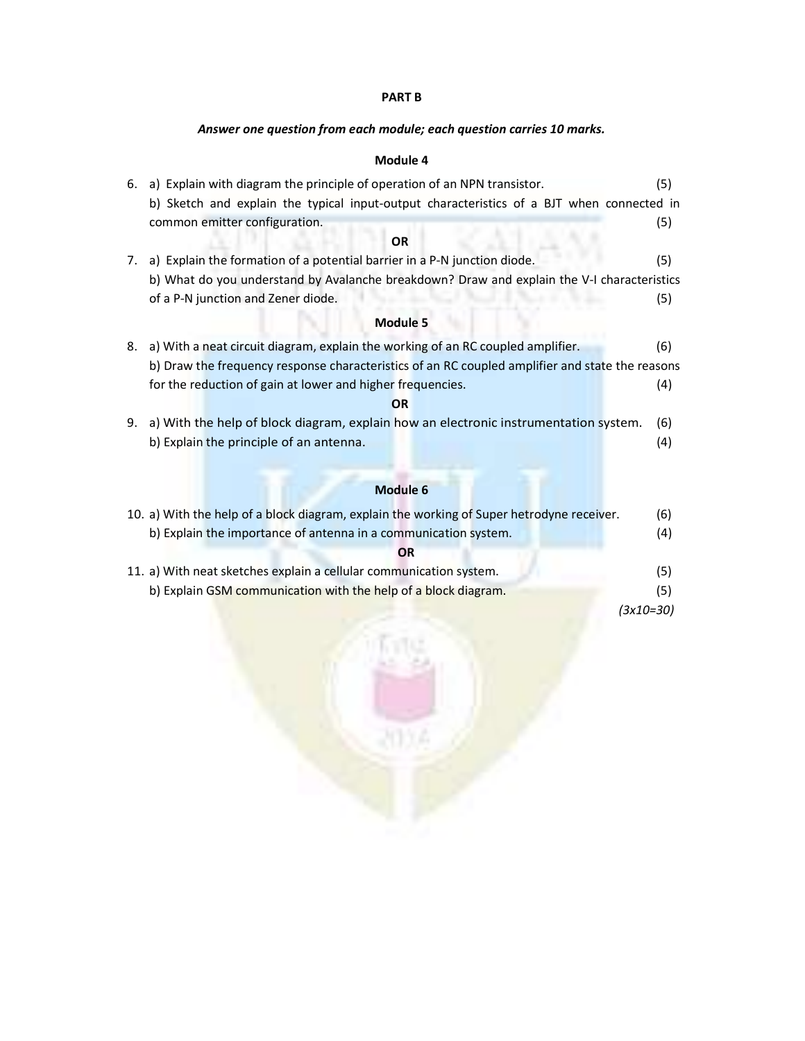# PART B

# Answer one question from each module; each question carries 10 marks.

# Module 4

| 6. | a) Explain with diagram the principle of operation of an NPN transistor.                        | (5) |
|----|-------------------------------------------------------------------------------------------------|-----|
|    | b) Sketch and explain the typical input-output characteristics of a BJT when connected in       |     |
|    | common emitter configuration.                                                                   | (5) |
|    | OR                                                                                              |     |
| 7. | a) Explain the formation of a potential barrier in a P-N junction diode.                        | (5) |
|    | b) What do you understand by Avalanche breakdown? Draw and explain the V-I characteristics      |     |
|    | of a P-N junction and Zener diode.                                                              | (5) |
|    | <b>Module 5</b>                                                                                 |     |
| 8. | a) With a neat circuit diagram, explain the working of an RC coupled amplifier.                 | (6) |
|    | b) Draw the frequency response characteristics of an RC coupled amplifier and state the reasons |     |
|    | for the reduction of gain at lower and higher frequencies.                                      | (4) |
|    | <b>OR</b>                                                                                       |     |
| 9. | a) With the help of block diagram, explain how an electronic instrumentation system.            | (6) |
|    | b) Explain the principle of an antenna.                                                         | (4) |
|    |                                                                                                 |     |
|    | Module 6                                                                                        |     |
|    |                                                                                                 |     |
|    | 10. a) With the help of a block diagram, explain the working of Super hetrodyne receiver.       | (6) |
|    | b) Explain the importance of antenna in a communication system.                                 | (4) |
|    | OR                                                                                              |     |
|    | 11. a) With neat sketches explain a cellular communication system.                              | (5) |
|    | b) Explain GSM communication with the help of a block diagram.                                  | (5) |
|    | $(3x10=30)$                                                                                     |     |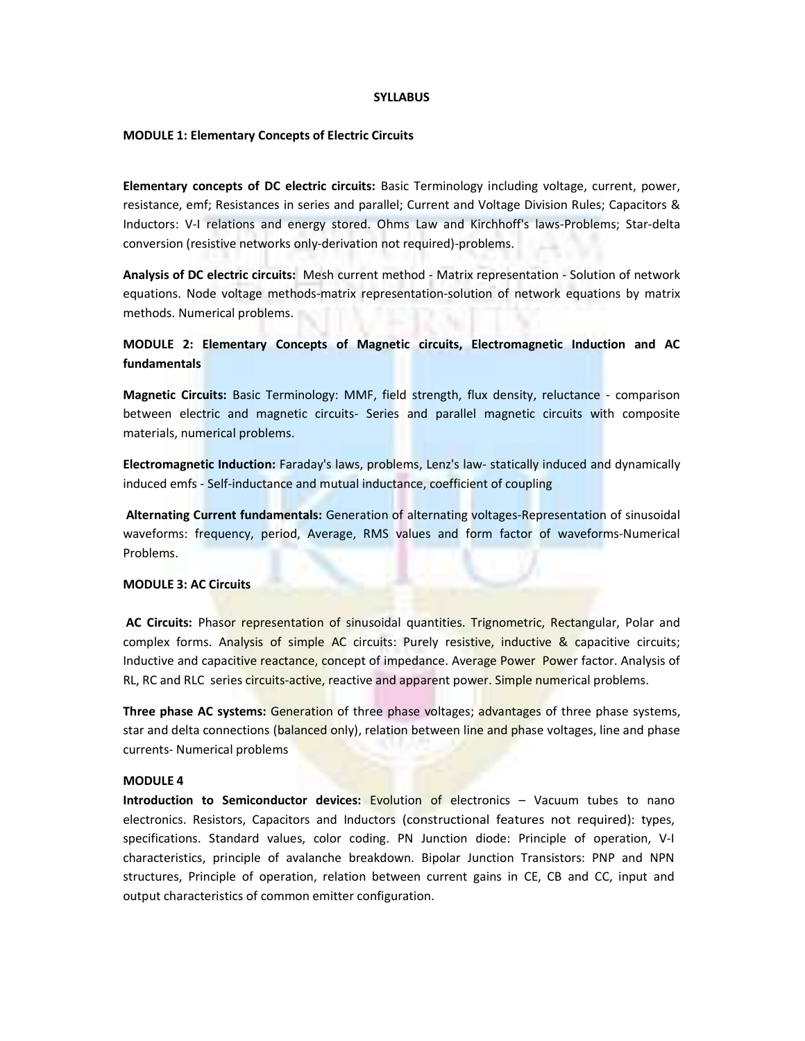#### **SYLLABUS**

#### MODULE 1: Elementary Concepts of Electric Circuits

Elementary concepts of DC electric circuits: Basic Terminology including voltage, current, power, resistance, emf; Resistances in series and parallel; Current and Voltage Division Rules; Capacitors & Inductors: V-I relations and energy stored. Ohms Law and Kirchhoff's laws-Problems; Star-delta conversion (resistive networks only-derivation not required)-problems.

Analysis of DC electric circuits: Mesh current method - Matrix representation - Solution of network equations. Node voltage methods-matrix representation-solution of network equations by matrix methods. Numerical problems.

# MODULE 2: Elementary Concepts of Magnetic circuits, Electromagnetic Induction and AC fundamentals

Magnetic Circuits: Basic Terminology: MMF, field strength, flux density, reluctance - comparison between electric and magnetic circuits- Series and parallel magnetic circuits with composite materials, numerical problems.

Electromagnetic Induction: Faraday's laws, problems, Lenz's law- statically induced and dynamically induced emfs - Self-inductance and mutual inductance, coefficient of coupling

Alternating Current fundamentals: Generation of alternating voltages-Representation of sinusoidal waveforms: frequency, period, Average, RMS values and form factor of waveforms-Numerical Problems.

## MODULE 3: AC Circuits

AC Circuits: Phasor representation of sinusoidal quantities. Trignometric, Rectangular, Polar and complex forms. Analysis of simple AC circuits: Purely resistive, inductive & capacitive circuits; Inductive and capacitive reactance, concept of impedance. Average Power Power factor. Analysis of RL, RC and RLC series circuits-active, reactive and apparent power. Simple numerical problems.

Three phase AC systems: Generation of three phase voltages; advantages of three phase systems, star and delta connections (balanced only), relation between line and phase voltages, line and phase currents- Numerical problems

## MODULE 4

Introduction to Semiconductor devices: Evolution of electronics – Vacuum tubes to nano electronics. Resistors, Capacitors and Inductors (constructional features not required): types, specifications. Standard values, color coding. PN Junction diode: Principle of operation, V-I characteristics, principle of avalanche breakdown. Bipolar Junction Transistors: PNP and NPN structures, Principle of operation, relation between current gains in CE, CB and CC, input and output characteristics of common emitter configuration.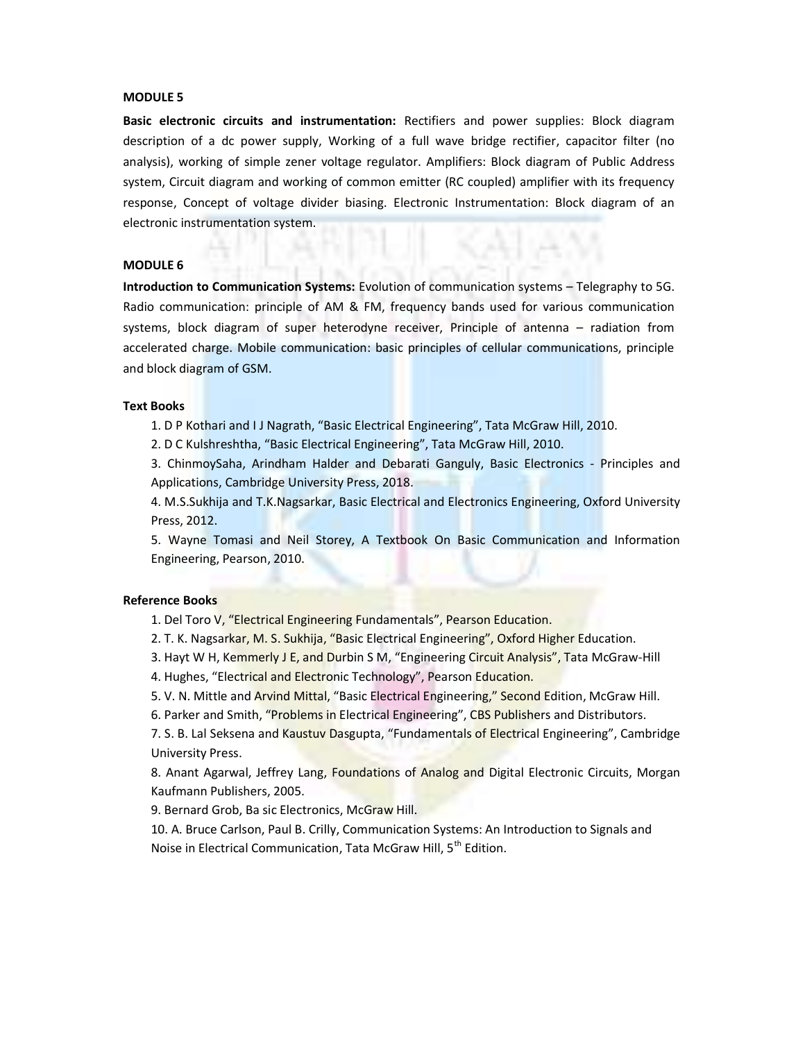#### MODULE 5

Basic electronic circuits and instrumentation: Rectifiers and power supplies: Block diagram description of a dc power supply, Working of a full wave bridge rectifier, capacitor filter (no analysis), working of simple zener voltage regulator. Amplifiers: Block diagram of Public Address system, Circuit diagram and working of common emitter (RC coupled) amplifier with its frequency response, Concept of voltage divider biasing. Electronic Instrumentation: Block diagram of an electronic instrumentation system.

## MODULE 6

Introduction to Communication Systems: Evolution of communication systems – Telegraphy to 5G. Radio communication: principle of AM & FM, frequency bands used for various communication systems, block diagram of super heterodyne receiver, Principle of antenna – radiation from accelerated charge. Mobile communication: basic principles of cellular communications, principle and block diagram of GSM.

### Text Books

1. D P Kothari and I J Nagrath, "Basic Electrical Engineering", Tata McGraw Hill, 2010.

2. D C Kulshreshtha, "Basic Electrical Engineering", Tata McGraw Hill, 2010.

3. ChinmoySaha, Arindham Halder and Debarati Ganguly, Basic Electronics - Principles and Applications, Cambridge University Press, 2018.

4. M.S.Sukhija and T.K.Nagsarkar, Basic Electrical and Electronics Engineering, Oxford University Press, 2012.

5. Wayne Tomasi and Neil Storey, A Textbook On Basic Communication and Information Engineering, Pearson, 2010.

#### Reference Books

1. Del Toro V, "Electrical Engineering Fundamentals", Pearson Education.

2. T. K. Nagsarkar, M. S. Sukhija, "Basic Electrical Engineering", Oxford Higher Education.

3. Hayt W H, Kemmerly J E, and Durbin S M, "Engineering Circuit Analysis", Tata McGraw-Hill

4. Hughes, "Electrical and Electronic Technology", Pearson Education.

5. V. N. Mittle and Arvind Mittal, "Basic Electrical Engineering," Second Edition, McGraw Hill.

6. Parker and Smith, "Problems in Electrical Engineering", CBS Publishers and Distributors.

7. S. B. Lal Seksena and Kaustuv Dasgupta, "Fundamentals of Electrical Engineering", Cambridge University Press.

8. Anant Agarwal, Jeffrey Lang, Foundations of Analog and Digital Electronic Circuits, Morgan Kaufmann Publishers, 2005.

9. Bernard Grob, Ba sic Electronics, McGraw Hill.

10. A. Bruce Carlson, Paul B. Crilly, Communication Systems: An Introduction to Signals and Noise in Electrical Communication, Tata McGraw Hill, 5<sup>th</sup> Edition.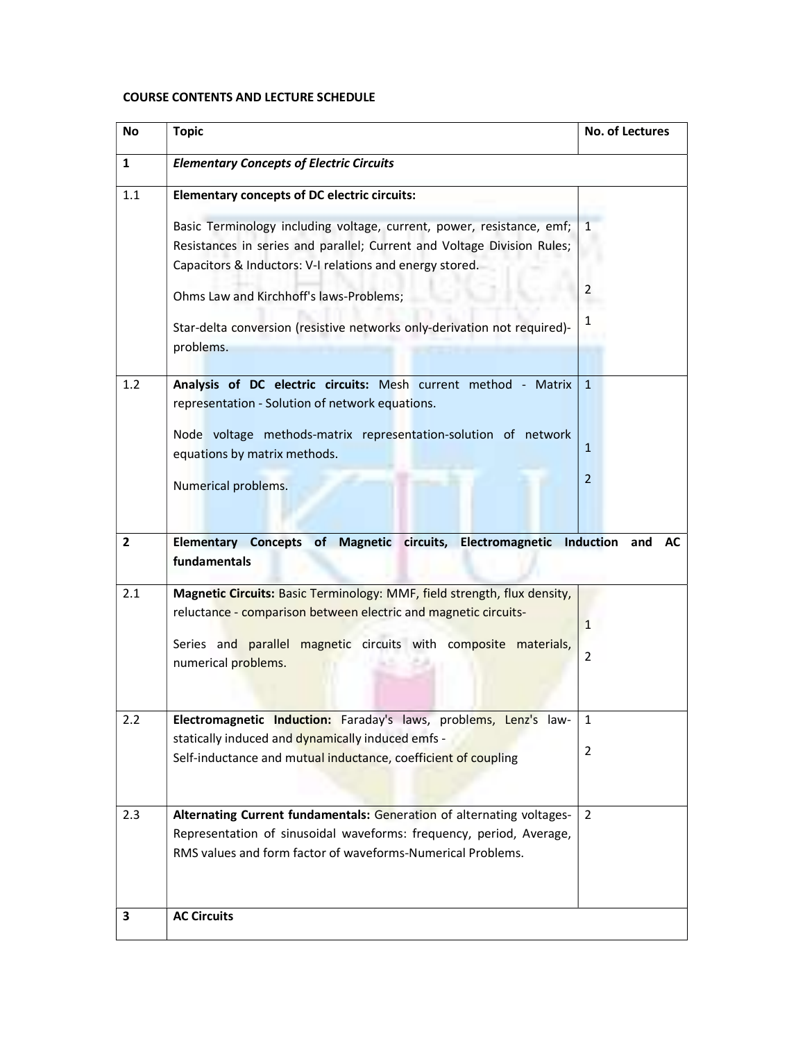# COURSE CONTENTS AND LECTURE SCHEDULE

| No           | <b>Topic</b>                                                                                                                                                                                                                                                                                                                        | No. of Lectures                |
|--------------|-------------------------------------------------------------------------------------------------------------------------------------------------------------------------------------------------------------------------------------------------------------------------------------------------------------------------------------|--------------------------------|
| 1            | <b>Elementary Concepts of Electric Circuits</b>                                                                                                                                                                                                                                                                                     |                                |
| 1.1          | <b>Elementary concepts of DC electric circuits:</b>                                                                                                                                                                                                                                                                                 |                                |
|              | Basic Terminology including voltage, current, power, resistance, emf;<br>Resistances in series and parallel; Current and Voltage Division Rules;<br>Capacitors & Inductors: V-I relations and energy stored.<br>Ohms Law and Kirchhoff's laws-Problems;<br>Star-delta conversion (resistive networks only-derivation not required)- | 1<br>2<br>1                    |
|              | problems.                                                                                                                                                                                                                                                                                                                           |                                |
| 1.2          | Analysis of DC electric circuits: Mesh current method - Matrix<br>representation - Solution of network equations.<br>Node voltage methods-matrix representation-solution of network<br>equations by matrix methods.                                                                                                                 | 1<br>$\mathbf{1}$              |
|              | Numerical problems.                                                                                                                                                                                                                                                                                                                 | $\overline{2}$                 |
| $\mathbf{2}$ | Elementary Concepts of Magnetic circuits, Electromagnetic Induction<br>fundamentals                                                                                                                                                                                                                                                 | and<br>AC.                     |
| 2.1          | Magnetic Circuits: Basic Terminology: MMF, field strength, flux density,<br>reluctance - comparison between electric and magnetic circuits-<br>Series and parallel magnetic circuits with composite materials,<br>numerical problems.                                                                                               | $\mathbf{1}$<br>$\overline{2}$ |
| 2.2          | Electromagnetic Induction: Faraday's laws, problems, Lenz's law-<br>statically induced and dynamically induced emfs -<br>Self-inductance and mutual inductance, coefficient of coupling                                                                                                                                             | 1<br>$\overline{2}$            |
| 2.3          | Alternating Current fundamentals: Generation of alternating voltages-<br>Representation of sinusoidal waveforms: frequency, period, Average,<br>RMS values and form factor of waveforms-Numerical Problems.                                                                                                                         | 2                              |
| 3            | <b>AC Circuits</b>                                                                                                                                                                                                                                                                                                                  |                                |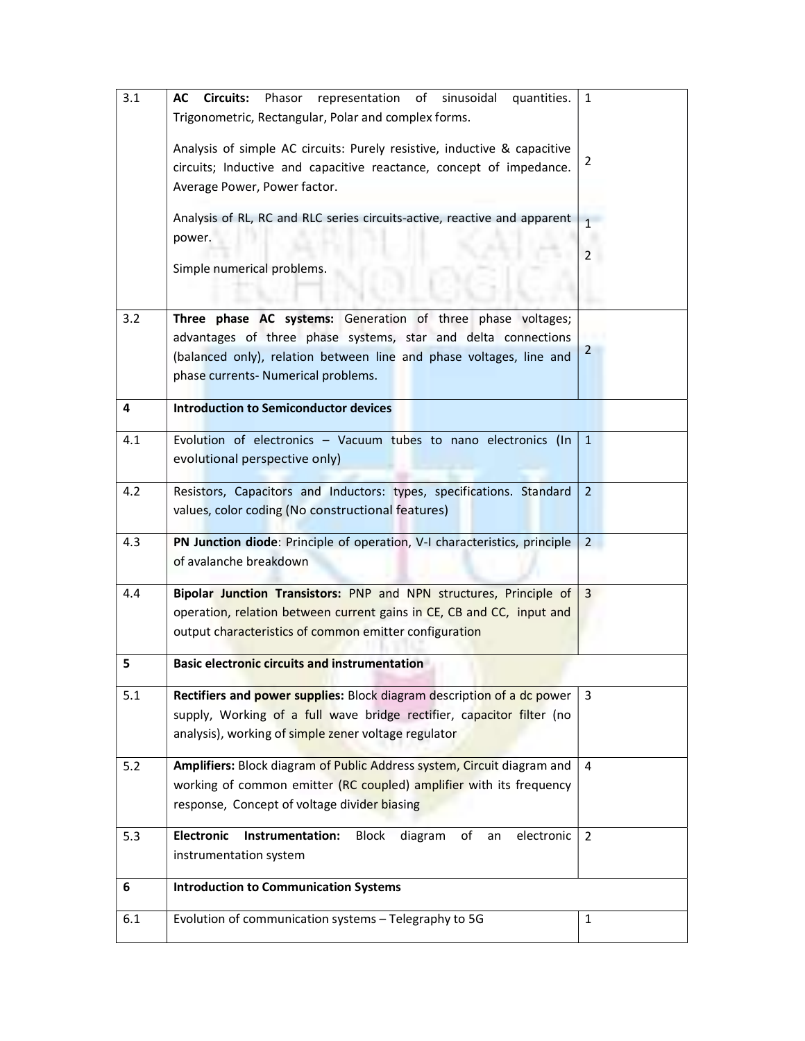| 3.1   | Circuits:<br>Phasor representation of sinusoidal<br>AC<br>quantities.                                      | 1              |
|-------|------------------------------------------------------------------------------------------------------------|----------------|
|       | Trigonometric, Rectangular, Polar and complex forms.                                                       |                |
|       | Analysis of simple AC circuits: Purely resistive, inductive & capacitive                                   |                |
|       | circuits; Inductive and capacitive reactance, concept of impedance.                                        | 2              |
|       | Average Power, Power factor.                                                                               |                |
|       | Analysis of RL, RC and RLC series circuits-active, reactive and apparent                                   | $\overline{1}$ |
|       | power.                                                                                                     |                |
|       |                                                                                                            | 2              |
|       | Simple numerical problems.                                                                                 |                |
|       |                                                                                                            |                |
| 3.2   | Three phase AC systems: Generation of three phase voltages;                                                |                |
|       | advantages of three phase systems, star and delta connections                                              | 2              |
|       | (balanced only), relation between line and phase voltages, line and<br>phase currents- Numerical problems. |                |
| 4     | <b>Introduction to Semiconductor devices</b>                                                               |                |
| 4.1   | Evolution of electronics - Vacuum tubes to nano electronics (In                                            | $\mathbf{1}$   |
|       | evolutional perspective only)                                                                              |                |
| 4.2   | Resistors, Capacitors and Inductors: types, specifications. Standard                                       | $\overline{2}$ |
|       | values, color coding (No constructional features)                                                          |                |
| 4.3   | PN Junction diode: Principle of operation, V-I characteristics, principle                                  | $2^{\circ}$    |
|       | of avalanche breakdown                                                                                     |                |
| 4.4   | Bipolar Junction Transistors: PNP and NPN structures, Principle of                                         | $\overline{3}$ |
|       | operation, relation between current gains in CE, CB and CC, input and                                      |                |
|       | output characteristics of common emitter configuration                                                     |                |
| 5     | <b>Basic electronic circuits and instrumentation</b>                                                       |                |
| 5.1   | Rectifiers and power supplies: Block diagram description of a dc power                                     | 3              |
|       | supply, Working of a full wave bridge rectifier, capacitor filter (no                                      |                |
|       | analysis), working of simple zener voltage regulator                                                       |                |
| $5.2$ | Amplifiers: Block diagram of Public Address system, Circuit diagram and                                    | 4              |
|       |                                                                                                            |                |
|       | working of common emitter (RC coupled) amplifier with its frequency                                        |                |
|       | response, Concept of voltage divider biasing                                                               |                |
| 5.3   | <b>Electronic</b><br>Instrumentation:<br>diagram<br><b>Block</b><br>of<br>electronic<br>an                 | 2              |
|       | instrumentation system                                                                                     |                |
| 6     | <b>Introduction to Communication Systems</b>                                                               |                |
| 6.1   | Evolution of communication systems - Telegraphy to 5G                                                      | 1              |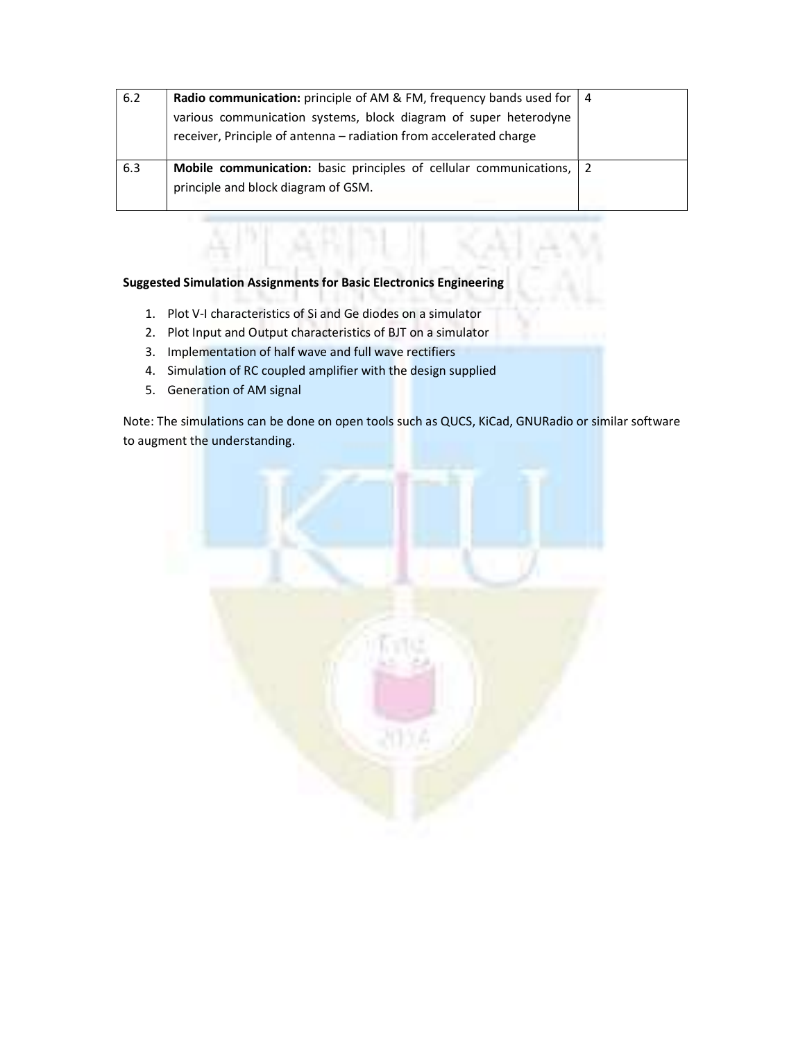| 6.2 | <b>Radio communication:</b> principle of AM & FM, frequency bands used for $ 4$ |  |
|-----|---------------------------------------------------------------------------------|--|
|     | various communication systems, block diagram of super heterodyne                |  |
|     | receiver, Principle of antenna - radiation from accelerated charge              |  |
|     |                                                                                 |  |
| 6.3 | Mobile communication: basic principles of cellular communications, 2            |  |
|     | principle and block diagram of GSM.                                             |  |
|     |                                                                                 |  |

# Suggested Simulation Assignments for Basic Electronics Engineering

- 1. Plot V-I characteristics of Si and Ge diodes on a simulator
- 2. Plot Input and Output characteristics of BJT on a simulator
- 3. Implementation of half wave and full wave rectifiers
- 4. Simulation of RC coupled amplifier with the design supplied
- 5. Generation of AM signal

Note: The simulations can be done on open tools such as QUCS, KiCad, GNURadio or similar software to augment the understanding.

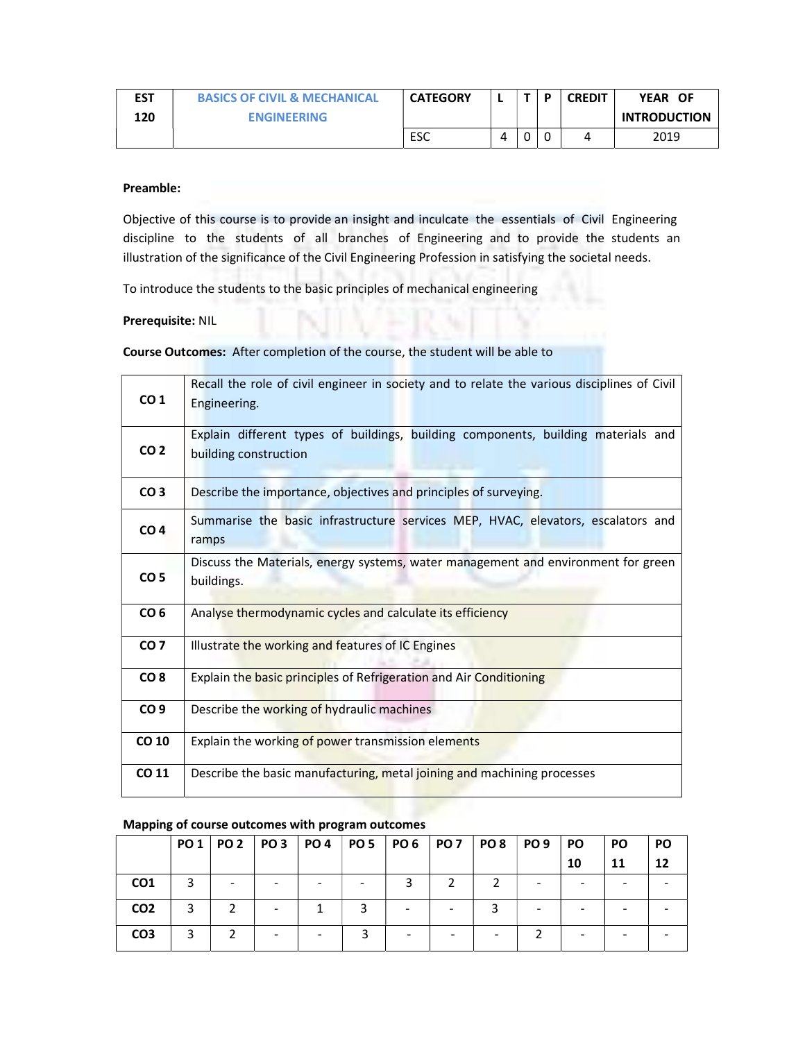| EST | <b>BASICS OF CIVIL &amp; MECHANICAL</b> | <b>CATEGORY</b> |  | <b>CREDIT</b> | YEAR OF             |
|-----|-----------------------------------------|-----------------|--|---------------|---------------------|
| 120 | <b>ENGINEERING</b>                      |                 |  |               | <b>INTRODUCTION</b> |
|     |                                         | ESC             |  |               | 2019                |

# Preamble:

Objective of this course is to provide an insight and inculcate the essentials of Civil Engineering discipline to the students of all branches of Engineering and to provide the students an illustration of the significance of the Civil Engineering Profession in satisfying the societal needs.

To introduce the students to the basic principles of mechanical engineering

# Prerequisite: NIL

Course Outcomes: After completion of the course, the student will be able to

| CO <sub>1</sub> | Recall the role of civil engineer in society and to relate the various disciplines of Civil<br>Engineering. |
|-----------------|-------------------------------------------------------------------------------------------------------------|
| CO <sub>2</sub> | Explain different types of buildings, building components, building materials and<br>building construction  |
| CO <sub>3</sub> | Describe the importance, objectives and principles of surveying.                                            |
| CO <sub>4</sub> | Summarise the basic infrastructure services MEP, HVAC, elevators, escalators and<br>ramps                   |
| CO <sub>5</sub> | Discuss the Materials, energy systems, water management and environment for green<br>buildings.             |
| CO <sub>6</sub> | Analyse thermodynamic cycles and calculate its efficiency                                                   |
| CO <sub>7</sub> | Illustrate the working and features of IC Engines                                                           |
| CO <sub>8</sub> | Explain the basic principles of Refrigeration and Air Conditioning                                          |
| CO <sub>9</sub> | Describe the working of hydraulic machines                                                                  |
| <b>CO 10</b>    | Explain the working of power transmission elements                                                          |
| CO 11           | Describe the basic manufacturing, metal joining and machining processes                                     |

# Mapping of course outcomes with program outcomes

|                 | $PO1$   $PO2$ | $ $ PO 3 | PO4 PO5 PO6 PO7 PO8 PO9 |  |  | <b>PO</b> | <b>PO</b> | <b>PO</b> |
|-----------------|---------------|----------|-------------------------|--|--|-----------|-----------|-----------|
|                 |               |          |                         |  |  | 10        | 11        | 12        |
| CO <sub>1</sub> |               |          |                         |  |  |           |           |           |
| CO <sub>2</sub> |               |          |                         |  |  |           |           |           |
| CO <sub>3</sub> |               |          |                         |  |  |           |           |           |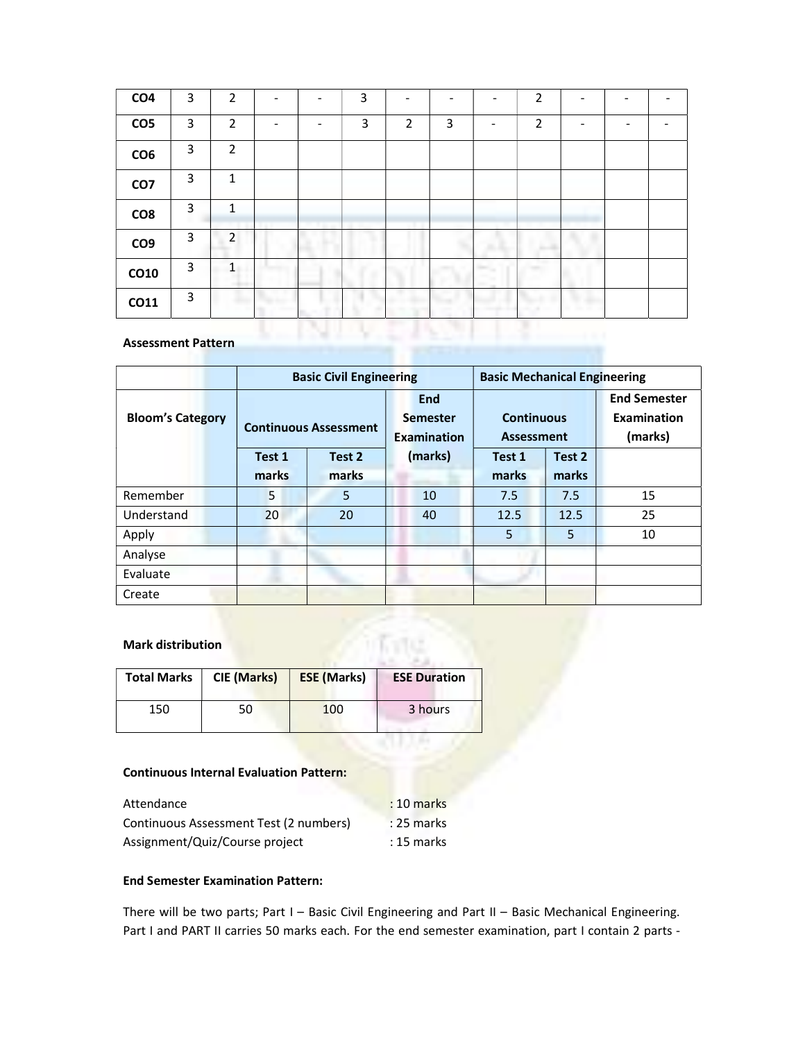| CO <sub>4</sub> | 3 | $\overline{2}$ |  | 3 |                |                   | -                            | $\overline{2}$ |  |  |
|-----------------|---|----------------|--|---|----------------|-------------------|------------------------------|----------------|--|--|
| CO <sub>5</sub> | 3 | $\overline{2}$ |  | 3 | $\overline{2}$ | 3                 |                              | $\overline{2}$ |  |  |
| CO6             | 3 | $\overline{2}$ |  |   |                |                   |                              |                |  |  |
| CO <sub>7</sub> | 3 | $\mathbf{1}$   |  |   |                |                   |                              |                |  |  |
| CO <sub>8</sub> | 3 | 1              |  |   |                |                   |                              |                |  |  |
| CO <sub>9</sub> | 3 | $\overline{2}$ |  |   |                |                   |                              |                |  |  |
| <b>CO10</b>     | 3 | 1              |  |   |                |                   | <b>TELEVISION</b><br>m.<br>m | w              |  |  |
| <b>CO11</b>     | 3 |                |  |   |                | <b>TELEVISION</b> |                              |                |  |  |

# Assessment Pattern

|                         |                              | <b>Basic Civil Engineering</b> |                                                     | <b>Basic Mechanical Engineering</b>    |        |                                                      |
|-------------------------|------------------------------|--------------------------------|-----------------------------------------------------|----------------------------------------|--------|------------------------------------------------------|
| <b>Bloom's Category</b> | <b>Continuous Assessment</b> |                                | <b>End</b><br><b>Semester</b><br><b>Examination</b> | <b>Continuous</b><br><b>Assessment</b> |        | <b>End Semester</b><br><b>Examination</b><br>(marks) |
|                         | Test 1                       | Test 2                         |                                                     | Test 1                                 | Test 2 |                                                      |
|                         | marks                        | marks                          |                                                     | marks                                  | marks  |                                                      |
| Remember                | 5                            | 5                              | 10                                                  | 7.5                                    | 7.5    | 15                                                   |
| Understand              | 20                           | 20                             | 40                                                  | 12.5                                   | 12.5   | 25                                                   |
| Apply                   |                              |                                |                                                     | 5                                      | 5      | 10                                                   |
| Analyse                 |                              |                                |                                                     |                                        |        |                                                      |
| Evaluate                |                              |                                |                                                     |                                        |        |                                                      |
| Create                  |                              |                                |                                                     |                                        |        |                                                      |

# Mark distribution

| <b>Total Marks</b> | <b>CIE</b> (Marks) | <b>ESE (Marks)</b> | <b>ESE Duration</b> |
|--------------------|--------------------|--------------------|---------------------|
| 150                | 50                 | 100                | 3 hours             |

# Continuous Internal Evaluation Pattern:

| Attendance                             | $: 10$ marks |
|----------------------------------------|--------------|
| Continuous Assessment Test (2 numbers) | $: 25$ marks |
| Assignment/Quiz/Course project         | $: 15$ marks |

## End Semester Examination Pattern:

There will be two parts; Part I – Basic Civil Engineering and Part II – Basic Mechanical Engineering. Part I and PART II carries 50 marks each. For the end semester examination, part I contain 2 parts -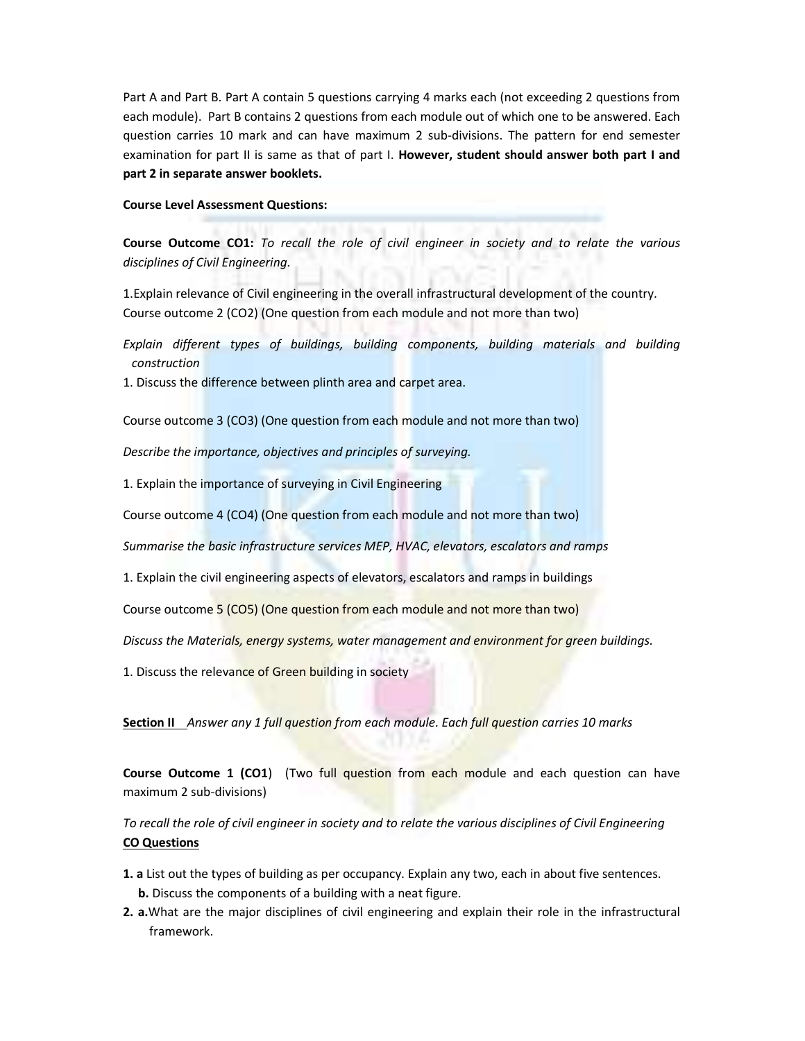Part A and Part B. Part A contain 5 questions carrying 4 marks each (not exceeding 2 questions from each module). Part B contains 2 questions from each module out of which one to be answered. Each question carries 10 mark and can have maximum 2 sub-divisions. The pattern for end semester examination for part II is same as that of part I. However, student should answer both part I and part 2 in separate answer booklets.

#### Course Level Assessment Questions:

Course Outcome CO1: To recall the role of civil engineer in society and to relate the various disciplines of Civil Engineering.

1.Explain relevance of Civil engineering in the overall infrastructural development of the country. Course outcome 2 (CO2) (One question from each module and not more than two)

Explain different types of buildings, building components, building materials and building construction

1. Discuss the difference between plinth area and carpet area.

Course outcome 3 (CO3) (One question from each module and not more than two)

Describe the importance, objectives and principles of surveying.

1. Explain the importance of surveying in Civil Engineering

Course outcome 4 (CO4) (One question from each module and not more than two)

Summarise the basic infrastructure services MEP, HVAC, elevators, escalators and ramps

1. Explain the civil engineering aspects of elevators, escalators and ramps in buildings

Course outcome 5 (CO5) (One question from each module and not more than two)

Discuss the Materials, energy systems, water management and environment for green buildings.

1. Discuss the relevance of Green building in society

Section II Answer any 1 full question from each module. Each full question carries 10 marks

Course Outcome 1 (CO1) (Two full question from each module and each question can have maximum 2 sub-divisions)

To recall the role of civil engineer in society and to relate the various disciplines of Civil Engineering CO Questions

- 1. a List out the types of building as per occupancy. Explain any two, each in about five sentences. b. Discuss the components of a building with a neat figure.
- 2. a. What are the major disciplines of civil engineering and explain their role in the infrastructural framework.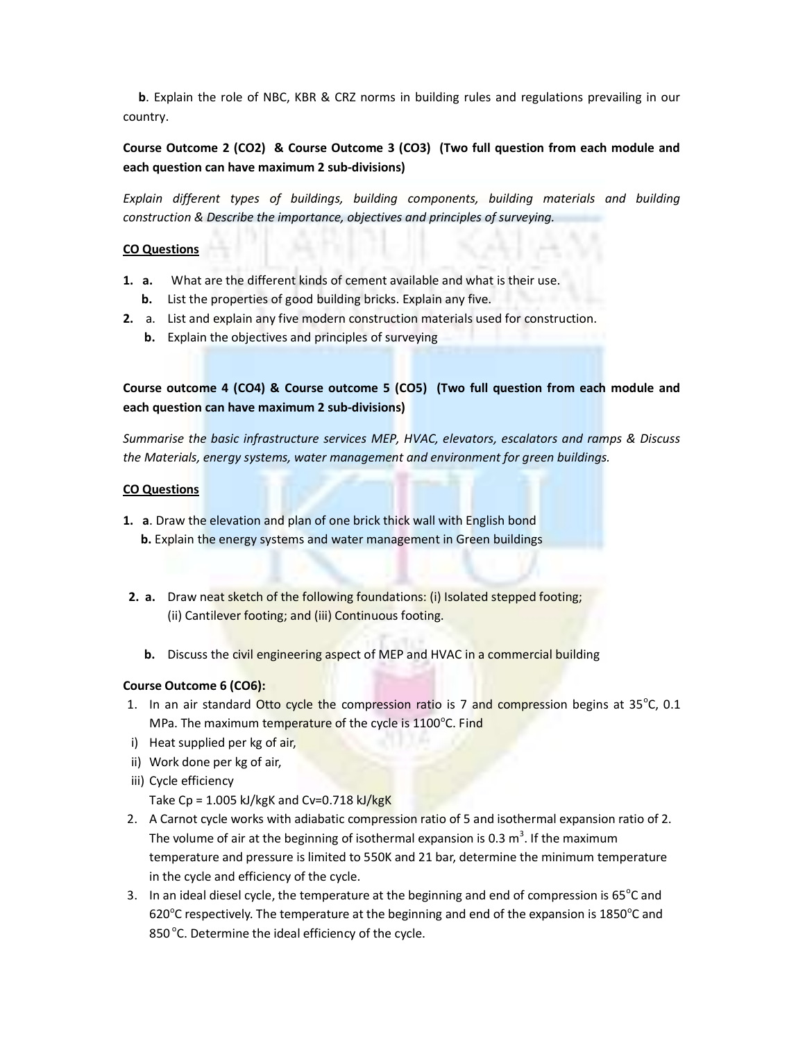b. Explain the role of NBC, KBR & CRZ norms in building rules and regulations prevailing in our country.

# Course Outcome 2 (CO2) & Course Outcome 3 (CO3) (Two full question from each module and each question can have maximum 2 sub-divisions)

Explain different types of buildings, building components, building materials and building construction & Describe the importance, objectives and principles of surveying.

# CO Questions

- 1. a. What are the different kinds of cement available and what is their use.
	- b. List the properties of good building bricks. Explain any five.
- 2. a. List and explain any five modern construction materials used for construction.
	- b. Explain the objectives and principles of surveying

# Course outcome 4 (CO4) & Course outcome 5 (CO5) (Two full question from each module and each question can have maximum 2 sub-divisions)

Summarise the basic infrastructure services MEP, HVAC, elevators, escalators and ramps & Discuss the Materials, energy systems, water management and environment for green buildings.

# CO Questions

- 1. a. Draw the elevation and plan of one brick thick wall with English bond b. Explain the energy systems and water management in Green buildings
- 2. a. Draw neat sketch of the following foundations: (i) Isolated stepped footing; (ii) Cantilever footing; and (iii) Continuous footing.
	- b. Discuss the civil engineering aspect of MEP and HVAC in a commercial building

# Course Outcome 6 (CO6):

- 1. In an air standard Otto cycle the compression ratio is 7 and compression begins at  $35^{\circ}$ C, 0.1 MPa. The maximum temperature of the cycle is 1100°C. Find
- i) Heat supplied per kg of air,
- ii) Work done per kg of air,
- iii) Cycle efficiency

Take Cp =  $1.005$  kJ/kgK and Cv=0.718 kJ/kgK

- 2. A Carnot cycle works with adiabatic compression ratio of 5 and isothermal expansion ratio of 2. The volume of air at the beginning of isothermal expansion is 0.3  $m^3$ . If the maximum temperature and pressure is limited to 550K and 21 bar, determine the minimum temperature in the cycle and efficiency of the cycle.
- 3. In an ideal diesel cycle, the temperature at the beginning and end of compression is  $65^{\circ}$ C and 620 $^{\circ}$ C respectively. The temperature at the beginning and end of the expansion is 1850 $^{\circ}$ C and 850 °C. Determine the ideal efficiency of the cycle.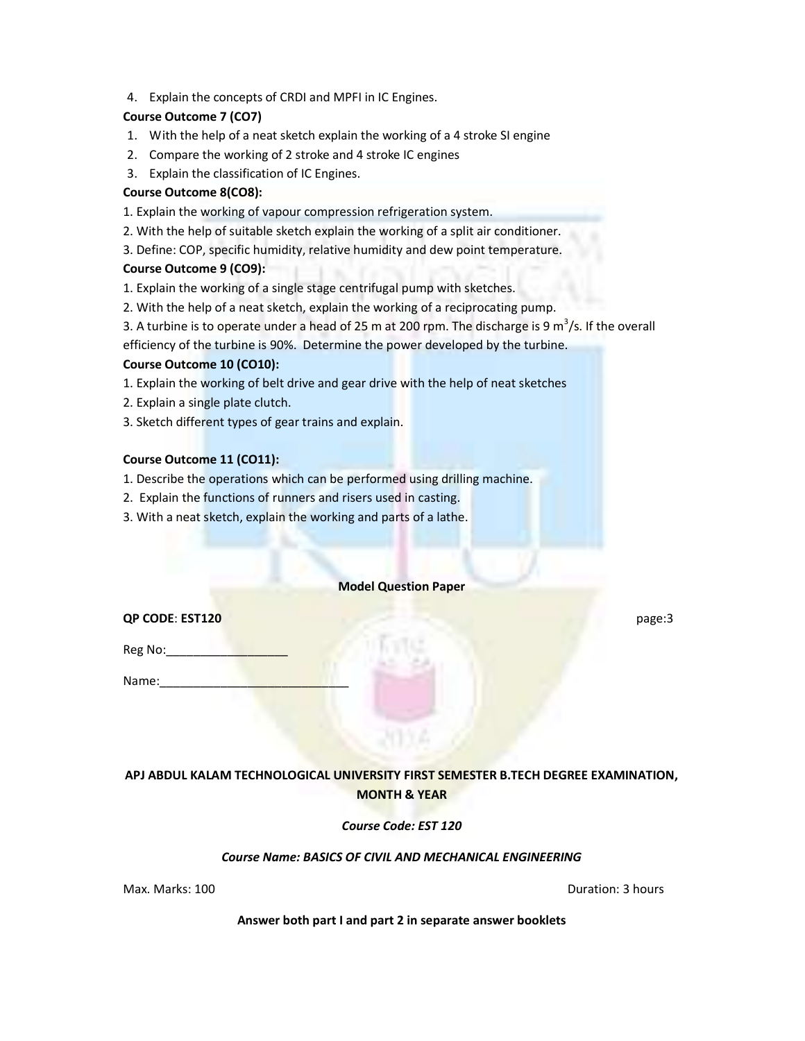4. Explain the concepts of CRDI and MPFI in IC Engines.

# Course Outcome 7 (CO7)

- 1. With the help of a neat sketch explain the working of a 4 stroke SI engine
- 2. Compare the working of 2 stroke and 4 stroke IC engines
- 3. Explain the classification of IC Engines.

# Course Outcome 8(CO8):

1. Explain the working of vapour compression refrigeration system.

- 2. With the help of suitable sketch explain the working of a split air conditioner.
- 3. Define: COP, specific humidity, relative humidity and dew point temperature.

## Course Outcome 9 (CO9):

1. Explain the working of a single stage centrifugal pump with sketches.

- 2. With the help of a neat sketch, explain the working of a reciprocating pump.
- 3. A turbine is to operate under a head of 25 m at 200 rpm. The discharge is 9 m<sup>3</sup>/s. If the overall
- efficiency of the turbine is 90%. Determine the power developed by the turbine.

## Course Outcome 10 (CO10):

- 1. Explain the working of belt drive and gear drive with the help of neat sketches
- 2. Explain a single plate clutch.
- 3. Sketch different types of gear trains and explain.

## Course Outcome 11 (CO11):

1. Describe the operations which can be performed using drilling machine.

- 2. Explain the functions of runners and risers used in casting.
- 3. With a neat sketch, explain the working and parts of a lathe.

### Model Question Paper

# **QP CODE: EST120** page:3

Reg No:

Name:

# APJ ABDUL KALAM TECHNOLOGICAL UNIVERSITY FIRST SEMESTER B.TECH DEGREE EXAMINATION, MONTH & YEAR

Course Code: EST 120

#### Course Name: BASICS OF CIVIL AND MECHANICAL ENGINEERING

Max. Marks: 100 Duration: 3 hours

Answer both part I and part 2 in separate answer booklets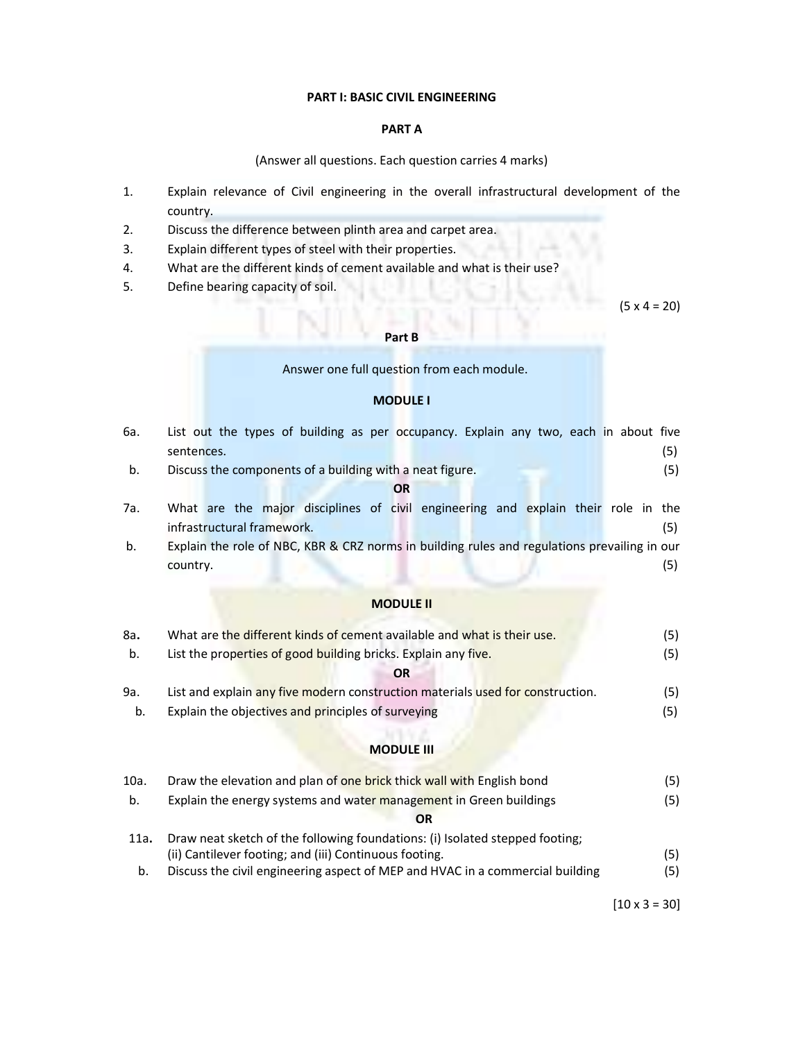## PART I: BASIC CIVIL ENGINEERING

## PART A

(Answer all questions. Each question carries 4 marks)

- 1. Explain relevance of Civil engineering in the overall infrastructural development of the country.
- 2. Discuss the difference between plinth area and carpet area.
- 3. Explain different types of steel with their properties.
- 4. What are the different kinds of cement available and what is their use?
- 5. Define bearing capacity of soil.

 $(5 \times 4 = 20)$ 

#### Part B

Answer one full question from each module.

## MODULE I

| 6а.  | List out the types of building as per occupancy. Explain any two, each in about five         |     |
|------|----------------------------------------------------------------------------------------------|-----|
|      | sentences.                                                                                   | (5) |
| b.   | Discuss the components of a building with a neat figure.                                     | (5) |
|      | <b>OR</b>                                                                                    |     |
| 7а.  | What are the major disciplines of civil engineering and explain their role in the            |     |
|      | infrastructural framework.                                                                   | (5) |
| b.   | Explain the role of NBC, KBR & CRZ norms in building rules and regulations prevailing in our |     |
|      | country.                                                                                     | (5) |
|      |                                                                                              |     |
|      | <b>MODULE II</b>                                                                             |     |
|      |                                                                                              |     |
| 8a.  | What are the different kinds of cement available and what is their use.                      | (5) |
| b.   | List the properties of good building bricks. Explain any five.                               | (5) |
|      | <b>OR</b>                                                                                    |     |
| 9a.  | List and explain any five modern construction materials used for construction.               | (5) |
| b.   | Explain the objectives and principles of surveying                                           | (5) |
|      |                                                                                              |     |
|      | <b>MODULE III</b>                                                                            |     |
| 10a. | Draw the elevation and plan of one brick thick wall with English bond                        | (5) |
| b.   | Explain the energy systems and water management in Green buildings                           | (5) |

# **OR**

11a. Draw neat sketch of the following foundations: (i) Isolated stepped footing; (ii) Cantilever footing; and (iii) Continuous footing. (5) b. Discuss the civil engineering aspect of MEP and HVAC in a commercial building (5)

 $[10 \times 3 = 30]$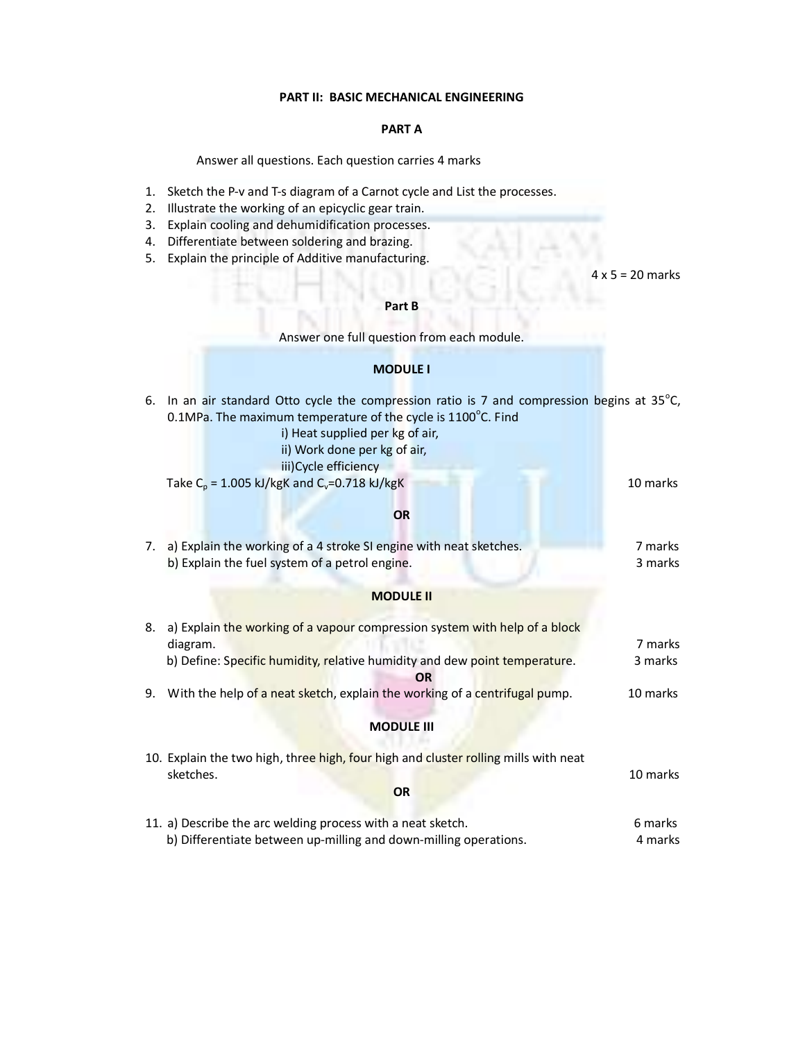# PART II: BASIC MECHANICAL ENGINEERING

## PART A

Answer all questions. Each question carries 4 marks

- 1. Sketch the P-v and T-s diagram of a Carnot cycle and List the processes.
- 2. Illustrate the working of an epicyclic gear train.
- 3. Explain cooling and dehumidification processes.
- 4. Differentiate between soldering and brazing.
- 5. Explain the principle of Additive manufacturing.

 $4 \times 5 = 20$  marks

# Part B

Answer one full question from each module.

# MODULE I

| 6. | In an air standard Otto cycle the compression ratio is 7 and compression begins at 35°C,<br>0.1MPa. The maximum temperature of the cycle is 1100°C. Find<br>i) Heat supplied per kg of air,<br>ii) Work done per kg of air,<br>iii) Cycle efficiency |                    |
|----|------------------------------------------------------------------------------------------------------------------------------------------------------------------------------------------------------------------------------------------------------|--------------------|
|    | Take $C_p = 1.005 \text{ kJ/kgK}$ and $C_v = 0.718 \text{ kJ/kgK}$<br><b>OR</b>                                                                                                                                                                      | 10 marks           |
| 7. | a) Explain the working of a 4 stroke SI engine with neat sketches.<br>b) Explain the fuel system of a petrol engine.                                                                                                                                 | 7 marks<br>3 marks |
|    | <b>MODULE II</b>                                                                                                                                                                                                                                     |                    |
| 8. | a) Explain the working of a vapour compression system with help of a block<br>diagram.<br>b) Define: Specific humidity, relative humidity and dew point temperature.<br><b>OR</b>                                                                    | 7 marks<br>3 marks |
|    | 9. With the help of a neat sketch, explain the working of a centrifugal pump.                                                                                                                                                                        | 10 marks           |
|    | <b>MODULE III</b>                                                                                                                                                                                                                                    |                    |
|    | 10. Explain the two high, three high, four high and cluster rolling mills with neat<br>sketches.<br><b>OR</b>                                                                                                                                        | 10 marks           |
|    | 11. a) Describe the arc welding process with a neat sketch.<br>b) Differentiate between up-milling and down-milling operations.                                                                                                                      | 6 marks<br>4 marks |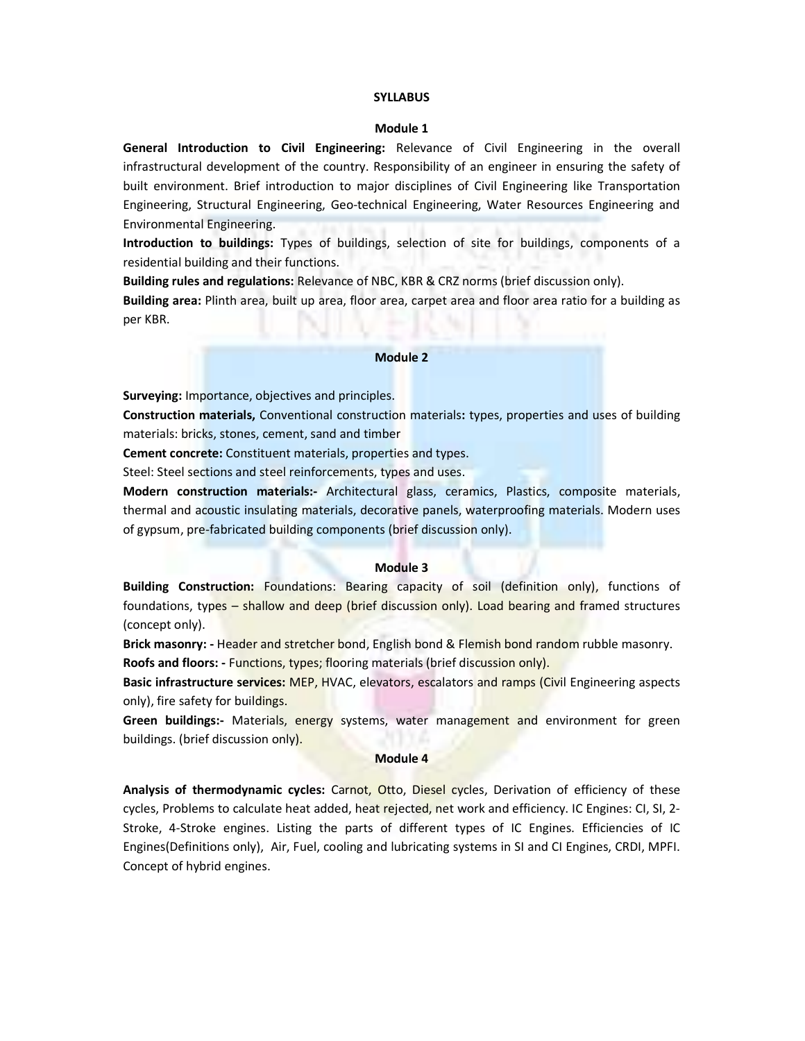## **SYLLABUS**

#### Module 1

General Introduction to Civil Engineering: Relevance of Civil Engineering in the overall infrastructural development of the country. Responsibility of an engineer in ensuring the safety of built environment. Brief introduction to major disciplines of Civil Engineering like Transportation Engineering, Structural Engineering, Geo-technical Engineering, Water Resources Engineering and Environmental Engineering.

Introduction to buildings: Types of buildings, selection of site for buildings, components of a residential building and their functions.

Building rules and regulations: Relevance of NBC, KBR & CRZ norms (brief discussion only).

Building area: Plinth area, built up area, floor area, carpet area and floor area ratio for a building as per KBR.

#### Module 2

Surveying: Importance, objectives and principles.

Construction materials, Conventional construction materials: types, properties and uses of building materials: bricks, stones, cement, sand and timber

Cement concrete: Constituent materials, properties and types.

Steel: Steel sections and steel reinforcements, types and uses.

Modern construction materials:- Architectural glass, ceramics, Plastics, composite materials, thermal and acoustic insulating materials, decorative panels, waterproofing materials. Modern uses of gypsum, pre-fabricated building components (brief discussion only).

## Module 3

Building Construction: Foundations: Bearing capacity of soil (definition only), functions of foundations, types - shallow and deep (brief discussion only). Load bearing and framed structures (concept only).

Brick masonry: - Header and stretcher bond, English bond & Flemish bond random rubble masonry. Roofs and floors: - Functions, types; flooring materials (brief discussion only).

Basic infrastructure services: MEP, HVAC, elevators, escalators and ramps (Civil Engineering aspects only), fire safety for buildings.

Green buildings:- Materials, energy systems, water management and environment for green buildings. (brief discussion only).

### Module 4

Analysis of thermodynamic cycles: Carnot, Otto, Diesel cycles, Derivation of efficiency of these cycles, Problems to calculate heat added, heat rejected, net work and efficiency. IC Engines: CI, SI, 2-Stroke, 4-Stroke engines. Listing the parts of different types of IC Engines. Efficiencies of IC Engines(Definitions only), Air, Fuel, cooling and lubricating systems in SI and CI Engines, CRDI, MPFI. Concept of hybrid engines.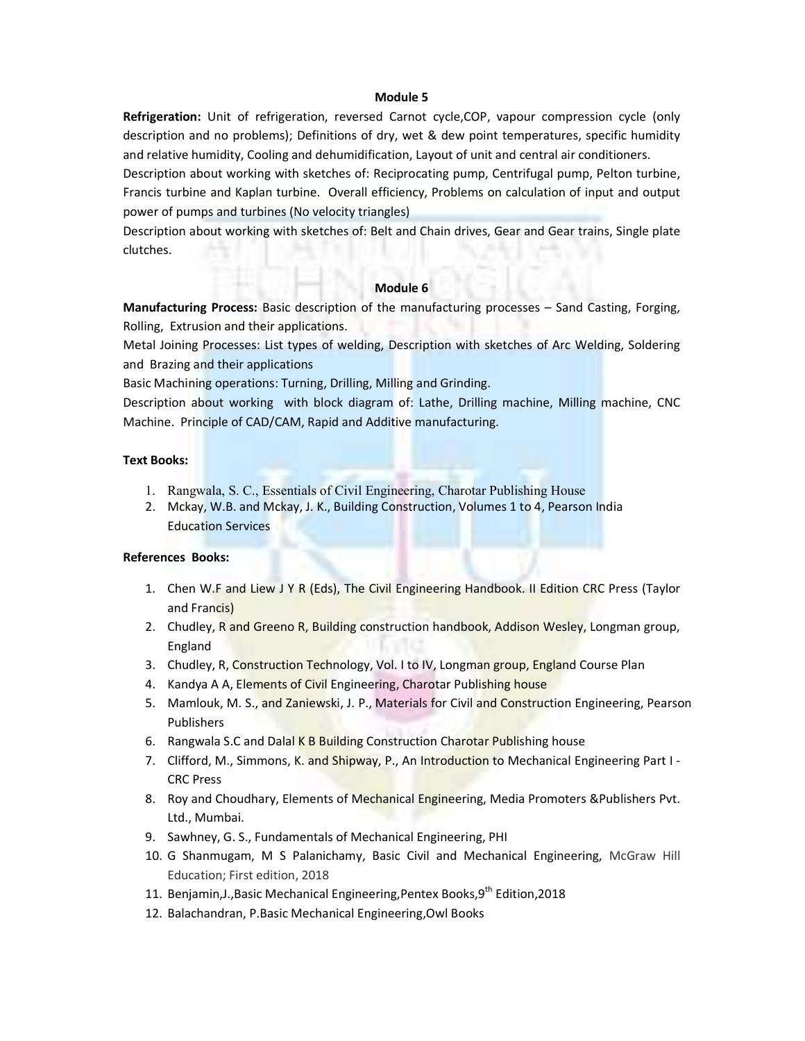#### Module 5

Refrigeration: Unit of refrigeration, reversed Carnot cycle, COP, vapour compression cycle (only description and no problems); Definitions of dry, wet & dew point temperatures, specific humidity and relative humidity, Cooling and dehumidification, Layout of unit and central air conditioners.

Description about working with sketches of: Reciprocating pump, Centrifugal pump, Pelton turbine, Francis turbine and Kaplan turbine. Overall efficiency, Problems on calculation of input and output power of pumps and turbines (No velocity triangles)

Description about working with sketches of: Belt and Chain drives, Gear and Gear trains, Single plate clutches.

## Module 6

Manufacturing Process: Basic description of the manufacturing processes – Sand Casting, Forging, Rolling, Extrusion and their applications.

Metal Joining Processes: List types of welding, Description with sketches of Arc Welding, Soldering and Brazing and their applications

Basic Machining operations: Turning, Drilling, Milling and Grinding.

Description about working with block diagram of: Lathe, Drilling machine, Milling machine, CNC Machine. Principle of CAD/CAM, Rapid and Additive manufacturing.

# Text Books:

- 1. Rangwala, S. C., Essentials of Civil Engineering, Charotar Publishing House
- 2. Mckay, W.B. and Mckay, J. K., Building Construction, Volumes 1 to 4, Pearson India Education Services

#### References Books:

- 1. Chen W.F and Liew J Y R (Eds), The Civil Engineering Handbook. II Edition CRC Press (Taylor and Francis)
- 2. Chudley, R and Greeno R, Building construction handbook, Addison Wesley, Longman group, England
- 3. Chudley, R, Construction Technology, Vol. I to IV, Longman group, England Course Plan
- 4. Kandya A A, Elements of Civil Engineering, Charotar Publishing house
- 5. Mamlouk, M. S., and Zaniewski, J. P., Materials for Civil and Construction Engineering, Pearson Publishers
- 6. Rangwala S.C and Dalal K B Building Construction Charotar Publishing house
- 7. Clifford, M., Simmons, K. and Shipway, P., An Introduction to Mechanical Engineering Part I -CRC Press
- 8. Roy and Choudhary, Elements of Mechanical Engineering, Media Promoters &Publishers Pvt. Ltd., Mumbai.
- 9. Sawhney, G. S., Fundamentals of Mechanical Engineering, PHI
- 10. G Shanmugam, M S Palanichamy, Basic Civil and Mechanical Engineering, McGraw Hill Education; First edition, 2018
- 11. Benjamin, J., Basic Mechanical Engineering, Pentex Books, 9<sup>th</sup> Edition, 2018
- 12. Balachandran, P.Basic Mechanical Engineering,Owl Books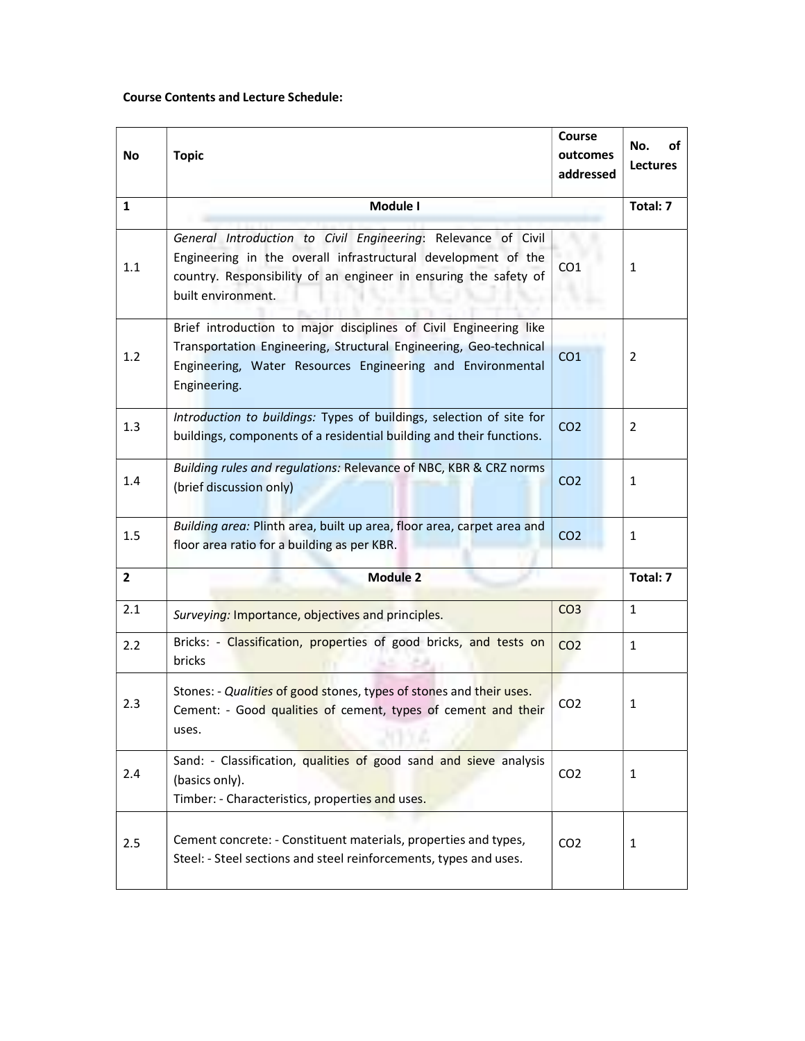# Course Contents and Lecture Schedule:

| <b>No</b>    | <b>Topic</b>                                                                                                                                                                                                             | <b>Course</b><br>outcomes<br>addressed | No.<br>οf<br><b>Lectures</b> |
|--------------|--------------------------------------------------------------------------------------------------------------------------------------------------------------------------------------------------------------------------|----------------------------------------|------------------------------|
| $\mathbf{1}$ | Module I                                                                                                                                                                                                                 |                                        | Total: 7                     |
| 1.1          | General Introduction to Civil Engineering: Relevance of Civil<br>Engineering in the overall infrastructural development of the<br>country. Responsibility of an engineer in ensuring the safety of<br>built environment. | CO1                                    | $\mathbf{1}$                 |
| 1.2          | Brief introduction to major disciplines of Civil Engineering like<br>Transportation Engineering, Structural Engineering, Geo-technical<br>Engineering, Water Resources Engineering and Environmental<br>Engineering.     | CO <sub>1</sub>                        | $\overline{2}$               |
| 1.3          | Introduction to buildings: Types of buildings, selection of site for<br>buildings, components of a residential building and their functions.                                                                             | CO <sub>2</sub>                        | $\overline{2}$               |
| 1.4          | Building rules and regulations: Relevance of NBC, KBR & CRZ norms<br>(brief discussion only)                                                                                                                             | CO <sub>2</sub>                        | 1                            |
| 1.5          | Building area: Plinth area, built up area, floor area, carpet area and<br>floor area ratio for a building as per KBR.                                                                                                    | CO <sub>2</sub>                        | $\mathbf{1}$                 |
| $2^{\circ}$  | <b>Module 2</b>                                                                                                                                                                                                          |                                        | Total: 7                     |
| 2.1          | Surveying: Importance, objectives and principles.                                                                                                                                                                        | CO <sub>3</sub>                        | 1                            |
| 2.2          | Bricks: - Classification, properties of good bricks, and tests on<br>bricks                                                                                                                                              | CO <sub>2</sub>                        | $\mathbf{1}$                 |
| 2.3          | Stones: - Qualities of good stones, types of stones and their uses.<br>Cement: - Good qualities of cement, types of cement and their<br>uses.                                                                            | CO <sub>2</sub>                        | $\mathbf{1}$                 |
| 2.4          | Sand: - Classification, qualities of good sand and sieve analysis<br>(basics only).<br>Timber: - Characteristics, properties and uses.                                                                                   | CO <sub>2</sub>                        | $\mathbf{1}$                 |
| 2.5          | Cement concrete: - Constituent materials, properties and types,<br>Steel: - Steel sections and steel reinforcements, types and uses.                                                                                     | CO <sub>2</sub>                        | $\mathbf{1}$                 |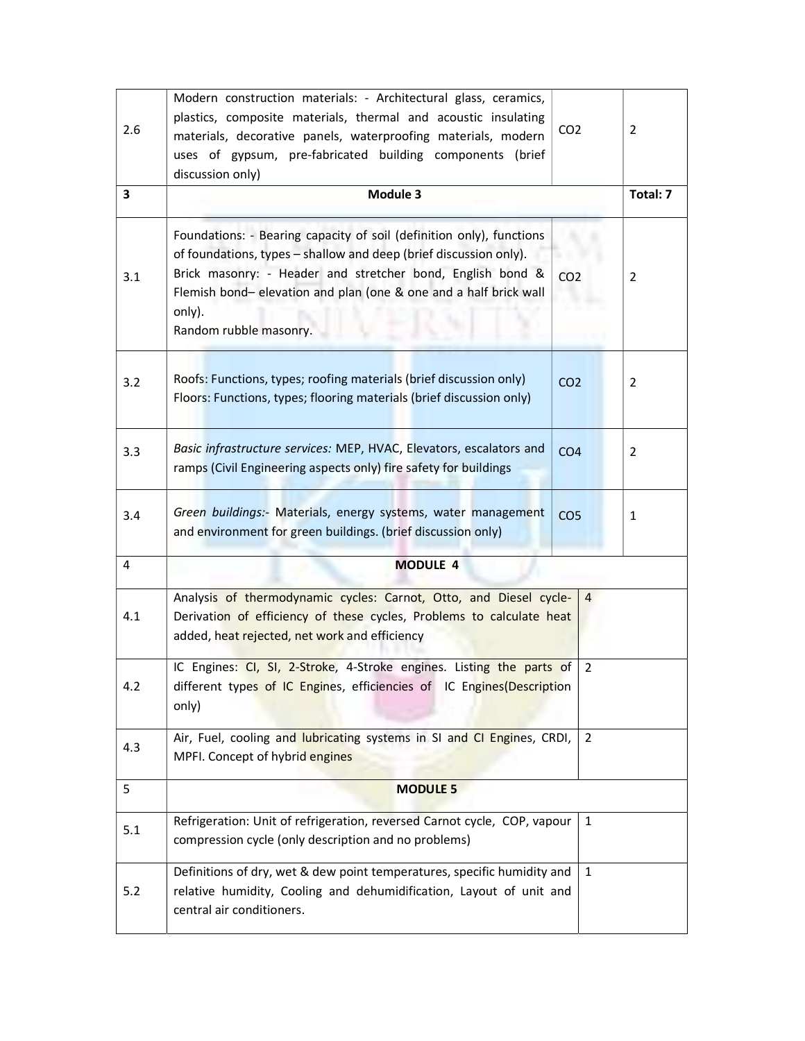| 2.6 | Modern construction materials: - Architectural glass, ceramics,<br>plastics, composite materials, thermal and acoustic insulating<br>materials, decorative panels, waterproofing materials, modern<br>uses of gypsum, pre-fabricated building components (brief<br>discussion only)                                                 | CO <sub>2</sub> | $\overline{2}$ |  |  |  |  |
|-----|-------------------------------------------------------------------------------------------------------------------------------------------------------------------------------------------------------------------------------------------------------------------------------------------------------------------------------------|-----------------|----------------|--|--|--|--|
| 3   | Module 3                                                                                                                                                                                                                                                                                                                            |                 | Total: 7       |  |  |  |  |
| 3.1 | Foundations: - Bearing capacity of soil (definition only), functions<br>of foundations, types - shallow and deep (brief discussion only).<br>Brick masonry: - Header and stretcher bond, English bond &<br>CO <sub>2</sub><br>Flemish bond- elevation and plan (one & one and a half brick wall<br>only).<br>Random rubble masonry. |                 |                |  |  |  |  |
| 3.2 | Roofs: Functions, types; roofing materials (brief discussion only)<br>Floors: Functions, types; flooring materials (brief discussion only)                                                                                                                                                                                          | CO <sub>2</sub> | 2              |  |  |  |  |
| 3.3 | Basic infrastructure services: MEP, HVAC, Elevators, escalators and<br>ramps (Civil Engineering aspects only) fire safety for buildings                                                                                                                                                                                             | CO <sub>4</sub> | $\overline{2}$ |  |  |  |  |
| 3.4 | Green buildings:- Materials, energy systems, water management<br>and environment for green buildings. (brief discussion only)                                                                                                                                                                                                       | CO <sub>5</sub> | $\mathbf{1}$   |  |  |  |  |
| 4   | <b>MODULE 4</b>                                                                                                                                                                                                                                                                                                                     |                 |                |  |  |  |  |
| 4.1 | Analysis of thermodynamic cycles: Carnot, Otto, and Diesel cycle-<br>Derivation of efficiency of these cycles, Problems to calculate heat<br>added, heat rejected, net work and efficiency                                                                                                                                          | 4               |                |  |  |  |  |
| 4.2 | IC Engines: CI, SI, 2-Stroke, 4-Stroke engines. Listing the parts of<br>different types of IC Engines, efficiencies of IC Engines (Description<br>only)                                                                                                                                                                             | 2               |                |  |  |  |  |
| 4.3 | Air, Fuel, cooling and lubricating systems in SI and CI Engines, CRDI,<br>MPFI. Concept of hybrid engines                                                                                                                                                                                                                           | 2               |                |  |  |  |  |
| 5   | <b>MODULE 5</b>                                                                                                                                                                                                                                                                                                                     |                 |                |  |  |  |  |
| 5.1 | Refrigeration: Unit of refrigeration, reversed Carnot cycle, COP, vapour<br>compression cycle (only description and no problems)                                                                                                                                                                                                    | $\mathbf{1}$    |                |  |  |  |  |
| 5.2 | Definitions of dry, wet & dew point temperatures, specific humidity and<br>relative humidity, Cooling and dehumidification, Layout of unit and<br>central air conditioners.                                                                                                                                                         | $\mathbf{1}$    |                |  |  |  |  |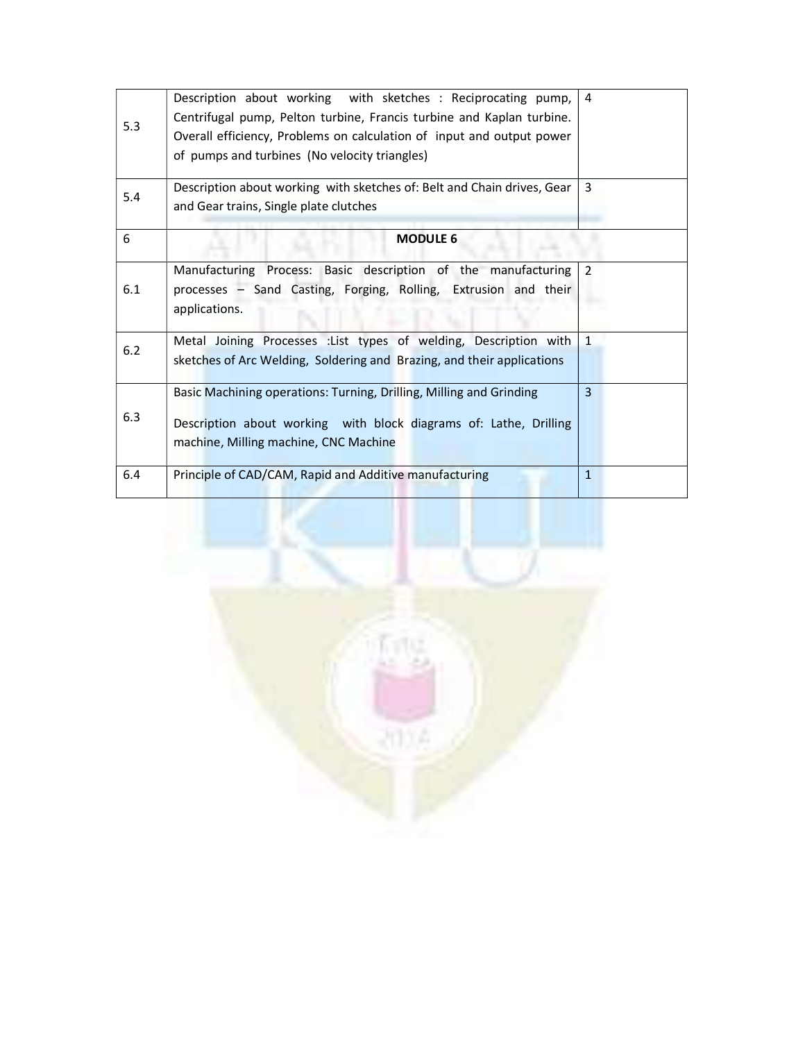| 5.3 | Description about working with sketches : Reciprocating pump,<br>Centrifugal pump, Pelton turbine, Francis turbine and Kaplan turbine.<br>Overall efficiency, Problems on calculation of input and output power<br>of pumps and turbines (No velocity triangles) | 4            |
|-----|------------------------------------------------------------------------------------------------------------------------------------------------------------------------------------------------------------------------------------------------------------------|--------------|
| 5.4 | Description about working with sketches of: Belt and Chain drives, Gear<br>and Gear trains, Single plate clutches                                                                                                                                                | 3            |
| 6   | <b>MODULE 6</b>                                                                                                                                                                                                                                                  |              |
| 6.1 | Manufacturing Process: Basic description of the manufacturing<br>processes - Sand Casting, Forging, Rolling, Extrusion and their<br>applications.                                                                                                                | 2            |
| 6.2 | Metal Joining Processes : List types of welding, Description with<br>sketches of Arc Welding, Soldering and Brazing, and their applications                                                                                                                      | $\mathbf{1}$ |
| 6.3 | Basic Machining operations: Turning, Drilling, Milling and Grinding<br>Description about working with block diagrams of: Lathe, Drilling<br>machine, Milling machine, CNC Machine                                                                                | 3            |
| 6.4 | Principle of CAD/CAM, Rapid and Additive manufacturing                                                                                                                                                                                                           | $\mathbf{1}$ |

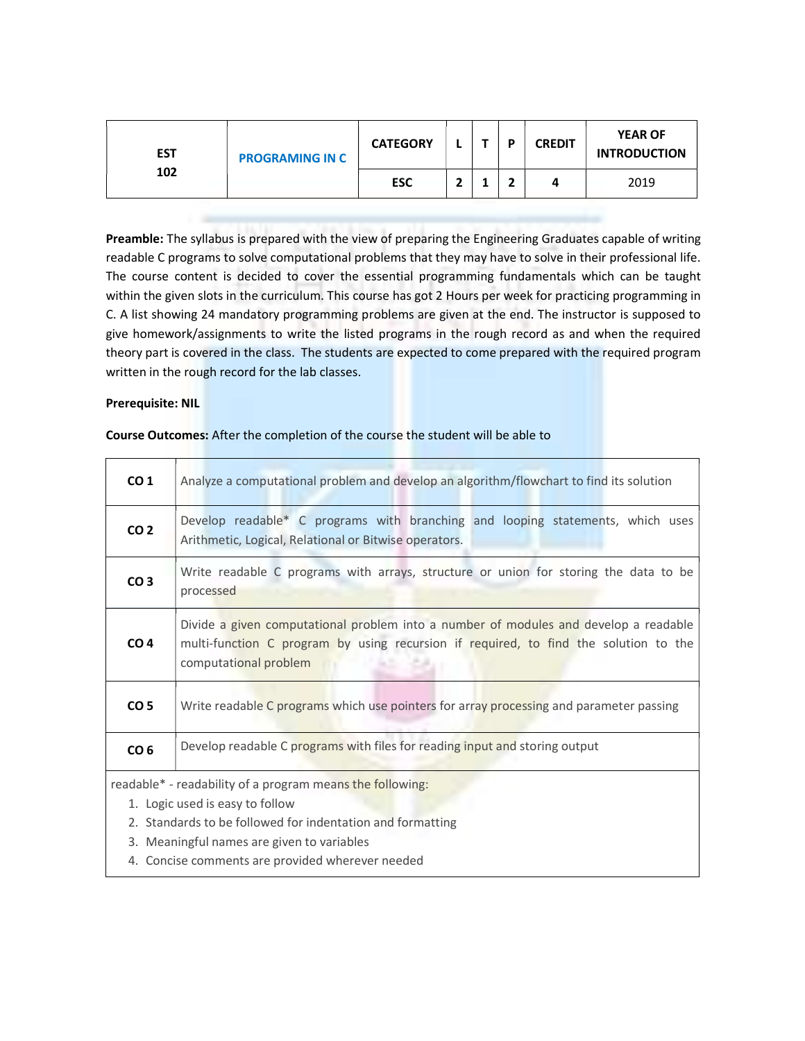| <b>EST</b> | <b>PROGRAMING IN C</b> | <b>CATEGORY</b> |   |   | <b>CREDIT</b> | <b>YEAR OF</b><br><b>INTRODUCTION</b> |
|------------|------------------------|-----------------|---|---|---------------|---------------------------------------|
| 102        |                        | ESC             | ◠ | ∽ |               | 2019                                  |

Preamble: The syllabus is prepared with the view of preparing the Engineering Graduates capable of writing readable C programs to solve computational problems that they may have to solve in their professional life. The course content is decided to cover the essential programming fundamentals which can be taught within the given slots in the curriculum. This course has got 2 Hours per week for practicing programming in C. A list showing 24 mandatory programming problems are given at the end. The instructor is supposed to give homework/assignments to write the listed programs in the rough record as and when the required theory part is covered in the class. The students are expected to come prepared with the required program written in the rough record for the lab classes.

# Prerequisite: NIL

# Course Outcomes: After the completion of the course the student will be able to

| CO <sub>1</sub>                 | Analyze a computational problem and develop an algorithm/flowchart to find its solution                                                                                                               |  |  |  |  |  |  |  |  |
|---------------------------------|-------------------------------------------------------------------------------------------------------------------------------------------------------------------------------------------------------|--|--|--|--|--|--|--|--|
| CO <sub>2</sub>                 | Develop readable* C programs with branching and looping statements, which uses<br>Arithmetic, Logical, Relational or Bitwise operators.                                                               |  |  |  |  |  |  |  |  |
| CO <sub>3</sub>                 | Write readable C programs with arrays, structure or union for storing the data to be<br>processed                                                                                                     |  |  |  |  |  |  |  |  |
| CO <sub>4</sub>                 | Divide a given computational problem into a number of modules and develop a readable<br>multi-function C program by using recursion if required, to find the solution to the<br>computational problem |  |  |  |  |  |  |  |  |
| CO <sub>5</sub>                 | Write readable C programs which use pointers for array processing and parameter passing                                                                                                               |  |  |  |  |  |  |  |  |
| CO <sub>6</sub>                 | Develop readable C programs with files for reading input and storing output                                                                                                                           |  |  |  |  |  |  |  |  |
|                                 | readable* - readability of a program means the following:                                                                                                                                             |  |  |  |  |  |  |  |  |
| 1. Logic used is easy to follow |                                                                                                                                                                                                       |  |  |  |  |  |  |  |  |
|                                 | 2. Standards to be followed for indentation and formatting                                                                                                                                            |  |  |  |  |  |  |  |  |
|                                 | 3. Meaningful names are given to variables                                                                                                                                                            |  |  |  |  |  |  |  |  |
|                                 | 4. Concise comments are provided wherever needed                                                                                                                                                      |  |  |  |  |  |  |  |  |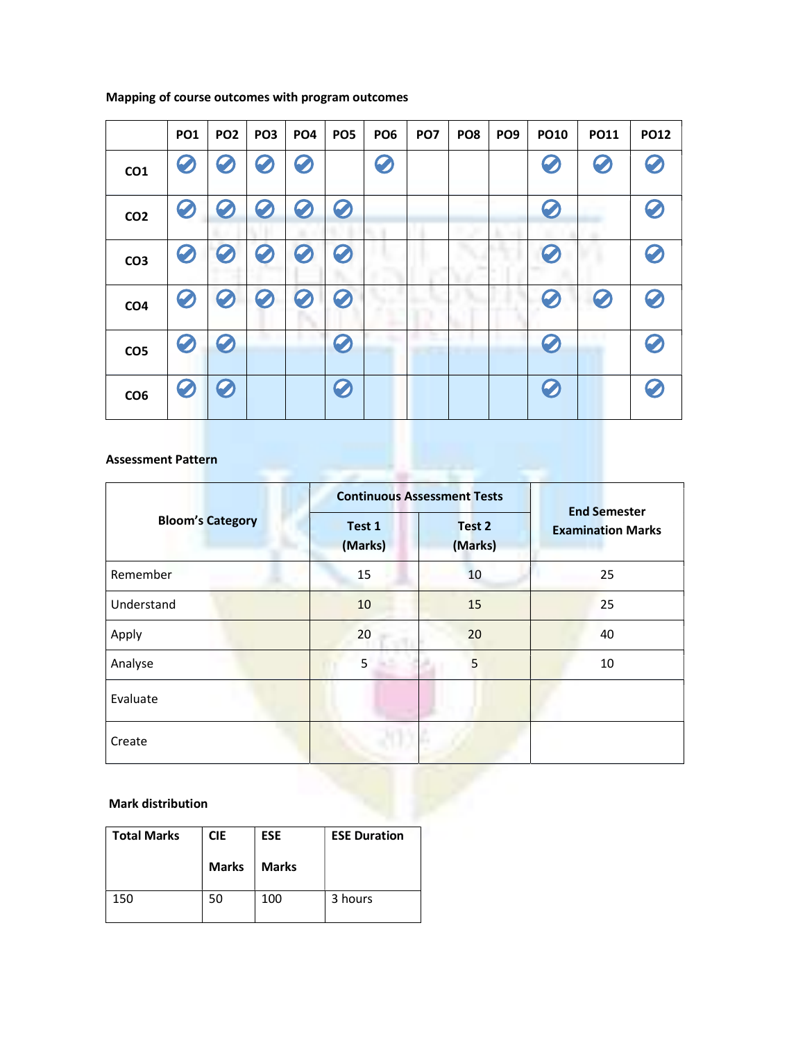# Mapping of course outcomes with program outcomes

|                 | PO <sub>1</sub>      | PO <sub>2</sub> | PO <sub>3</sub> | PO <sub>4</sub>            | PO <sub>5</sub>            | PO <sub>6</sub> | PO <sub>7</sub> | PO <sub>8</sub> | PO <sub>9</sub> | <b>PO10</b>              | <b>PO11</b> | <b>PO12</b> |
|-----------------|----------------------|-----------------|-----------------|----------------------------|----------------------------|-----------------|-----------------|-----------------|-----------------|--------------------------|-------------|-------------|
| CO <sub>1</sub> |                      |                 |                 | $\boldsymbol{\mathcal{Q}}$ |                            |                 |                 |                 |                 |                          |             |             |
| CO <sub>2</sub> |                      |                 |                 |                            | $\boldsymbol{\Theta}$      |                 |                 |                 |                 | 2                        |             |             |
| CO <sub>3</sub> |                      |                 |                 |                            |                            |                 |                 |                 |                 |                          |             |             |
| CO <sub>4</sub> |                      |                 |                 |                            | $\boldsymbol{\mathcal{D}}$ |                 |                 |                 |                 |                          |             |             |
| CO <sub>5</sub> | $\boldsymbol{\odot}$ | $\bullet$       |                 |                            | И                          |                 |                 |                 |                 | $\boldsymbol{\varOmega}$ |             |             |
| CO6             |                      |                 |                 |                            |                            |                 |                 |                 |                 |                          |             |             |

# Assessment Pattern

|                         | <b>Continuous Assessment Tests</b> | <b>End Semester</b> |                          |  |  |
|-------------------------|------------------------------------|---------------------|--------------------------|--|--|
| <b>Bloom's Category</b> | Test 1<br>(Marks)                  | Test 2<br>(Marks)   | <b>Examination Marks</b> |  |  |
| Remember                | 15                                 | 10                  | 25                       |  |  |
| Understand              | 10                                 | 15                  | 25                       |  |  |
| Apply                   | 20                                 | 20                  | 40                       |  |  |
| Analyse                 | 5                                  | 5                   | 10                       |  |  |
| Evaluate                |                                    |                     |                          |  |  |
| Create                  |                                    |                     |                          |  |  |

# Mark distribution

| <b>Total Marks</b> | <b>CIE</b>   | <b>ESE</b>   | <b>ESE Duration</b> |
|--------------------|--------------|--------------|---------------------|
|                    | <b>Marks</b> | <b>Marks</b> |                     |
| 150                | 50           | 100          | 3 hours             |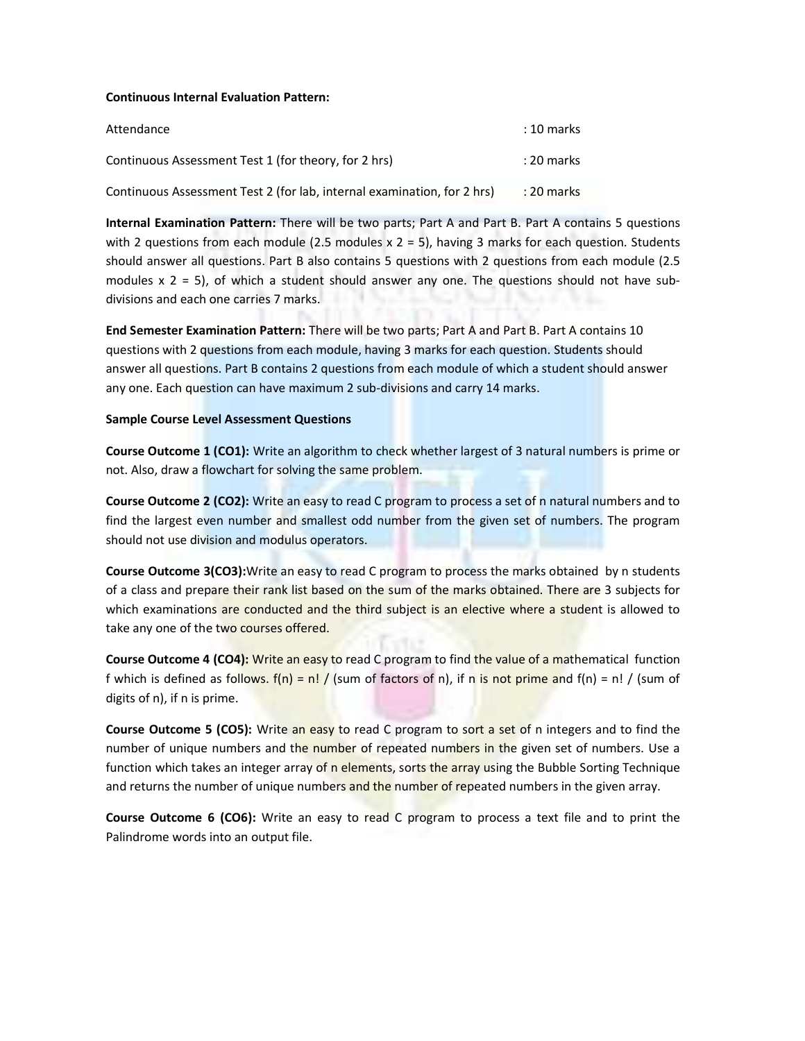#### Continuous Internal Evaluation Pattern:

| Attendance                                                              | : 10 marks |
|-------------------------------------------------------------------------|------------|
| Continuous Assessment Test 1 (for theory, for 2 hrs)                    | : 20 marks |
| Continuous Assessment Test 2 (for lab, internal examination, for 2 hrs) | : 20 marks |

Internal Examination Pattern: There will be two parts; Part A and Part B. Part A contains 5 questions with 2 questions from each module (2.5 modules  $x$  2 = 5), having 3 marks for each question. Students should answer all questions. Part B also contains 5 questions with 2 questions from each module (2.5 modules  $x$  2 = 5), of which a student should answer any one. The questions should not have subdivisions and each one carries 7 marks.

End Semester Examination Pattern: There will be two parts; Part A and Part B. Part A contains 10 questions with 2 questions from each module, having 3 marks for each question. Students should answer all questions. Part B contains 2 questions from each module of which a student should answer any one. Each question can have maximum 2 sub-divisions and carry 14 marks.

#### Sample Course Level Assessment Questions

Course Outcome 1 (CO1): Write an algorithm to check whether largest of 3 natural numbers is prime or not. Also, draw a flowchart for solving the same problem.

Course Outcome 2 (CO2): Write an easy to read C program to process a set of n natural numbers and to find the largest even number and smallest odd number from the given set of numbers. The program should not use division and modulus operators.

Course Outcome 3(CO3):Write an easy to read C program to process the marks obtained by n students of a class and prepare their rank list based on the sum of the marks obtained. There are 3 subjects for which examinations are conducted and the third subject is an elective where a student is allowed to take any one of the two courses offered.

Course Outcome 4 (CO4): Write an easy to read C program to find the value of a mathematical function f which is defined as follows.  $f(n) = n! / (sum$  of factors of n), if n is not prime and  $f(n) = n! / (sum$  of digits of n), if n is prime.

Course Outcome 5 (CO5): Write an easy to read C program to sort a set of n integers and to find the number of unique numbers and the number of repeated numbers in the given set of numbers. Use a function which takes an integer array of n elements, sorts the array using the Bubble Sorting Technique and returns the number of unique numbers and the number of repeated numbers in the given array.

Course Outcome 6 (CO6): Write an easy to read C program to process a text file and to print the Palindrome words into an output file.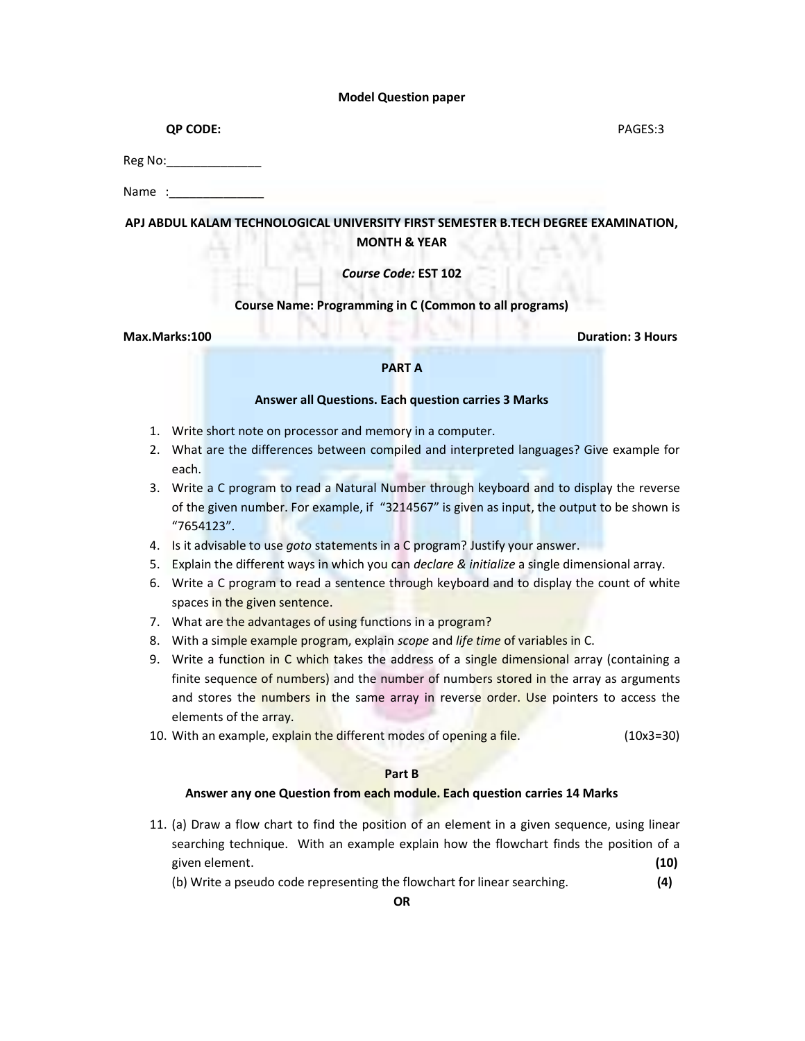#### Model Question paper

| <b>QP CODE:</b> | PAGES:3 |
|-----------------|---------|
|                 |         |

Reg No:

Name :

APJ ABDUL KALAM TECHNOLOGICAL UNIVERSITY FIRST SEMESTER B.TECH DEGREE EXAMINATION, MONTH & YEAR

Course Code: EST 102

#### Course Name: Programming in C (Common to all programs)

Max.Marks:100 Duration: 3 Hours

#### PART A

## Answer all Questions. Each question carries 3 Marks

- 1. Write short note on processor and memory in a computer.
- 2. What are the differences between compiled and interpreted languages? Give example for each.
- 3. Write a C program to read a Natural Number through keyboard and to display the reverse of the given number. For example, if "3214567" is given as input, the output to be shown is "7654123".
- 4. Is it advisable to use goto statements in a C program? Justify your answer.
- 5. Explain the different ways in which you can *declare & initialize* a single dimensional array.
- 6. Write a C program to read a sentence through keyboard and to display the count of white spaces in the given sentence.
- 7. What are the advantages of using functions in a program?
- 8. With a simple example program, explain scope and life time of variables in C.
- 9. Write a function in C which takes the address of a single dimensional array (containing a finite sequence of numbers) and the number of numbers stored in the array as arguments and stores the numbers in the same array in reverse order. Use pointers to access the elements of the array.
- 10. With an example, explain the different modes of opening a file. (10x3=30)

### Part B

#### Answer any one Question from each module. Each question carries 14 Marks

- 11. (a) Draw a flow chart to find the position of an element in a given sequence, using linear searching technique. With an example explain how the flowchart finds the position of a given element. (10) and the contract of the contract of the contract of the contract of the contract of the contract of the contract of the contract of the contract of the contract of the contract of the contract of the co
	- (b) Write a pseudo code representing the flowchart for linear searching. (4)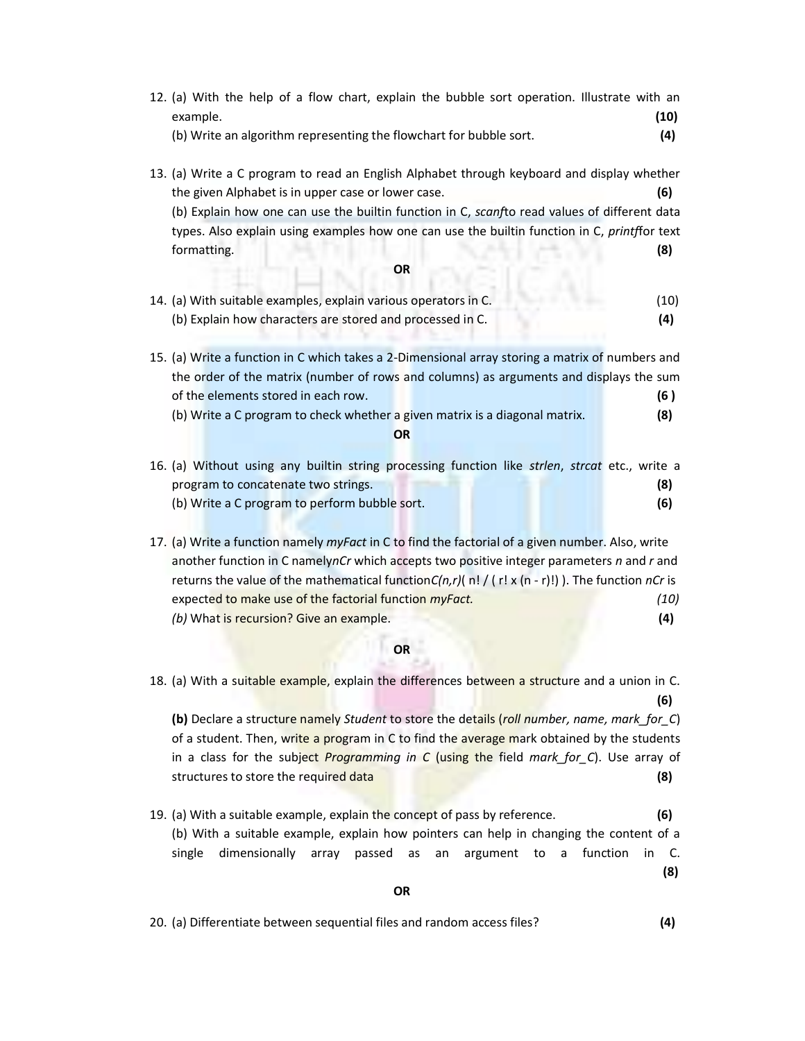|                                                                    |          |  |  |  |  |  |  |     | 12. (a) With the help of a flow chart, explain the bubble sort operation. Illustrate with an |      |
|--------------------------------------------------------------------|----------|--|--|--|--|--|--|-----|----------------------------------------------------------------------------------------------|------|
|                                                                    | example. |  |  |  |  |  |  |     |                                                                                              | (10) |
| (b) Write an algorithm representing the flowchart for bubble sort. |          |  |  |  |  |  |  | (4) |                                                                                              |      |

13. (a) Write a C program to read an English Alphabet through keyboard and display whether the given Alphabet is in upper case or lower case. (6) (b) Explain how one can use the builtin function in C, scanfto read values of different data types. Also explain using examples how one can use the builtin function in C, printffor text formatting. (8)

OR

- 14. (a) With suitable examples, explain various operators in C. (10) (b) Explain how characters are stored and processed in C. (4)
- 15. (a) Write a function in C which takes a 2-Dimensional array storing a matrix of numbers and the order of the matrix (number of rows and columns) as arguments and displays the sum of the elements stored in each row. (6 ) (b) Write a C program to check whether a given matrix is a diagonal matrix. (8)

| w             |  |
|---------------|--|
|               |  |
| ۰,<br>w<br>۰. |  |

- 16. (a) Without using any builtin string processing function like strlen, strcat etc., write a program to concatenate two strings. (8) and the concatenate of  $\sim$  (8) (b) Write a C program to perform bubble sort. (6)
- 17. (a) Write a function namely myFact in C to find the factorial of a given number. Also, write another function in C namelynCr which accepts two positive integer parameters  $n$  and  $r$  and returns the value of the mathematical function  $C(n,r)$  (n! / (r! x (n - r)!)). The function nCr is expected to make use of the factorial function *myFact*. (10) (b) What is recursion? Give an example. (4)

# OR

18. (a) With a suitable example, explain the differences between a structure and a union in C.

 (6) (b) Declare a structure namely Student to store the details (roll number, name, mark\_for\_C) of a student. Then, write a program in C to find the average mark obtained by the students in a class for the subject **Programming in C** (using the field mark\_for\_C). Use array of structures to store the required data (8)

19. (a) With a suitable example, explain the concept of pass by reference. (6) (b) With a suitable example, explain how pointers can help in changing the content of a single dimensionally array passed as an argument to a function in C.

(8)

OR

20. (a) Differentiate between sequential files and random access files? (4)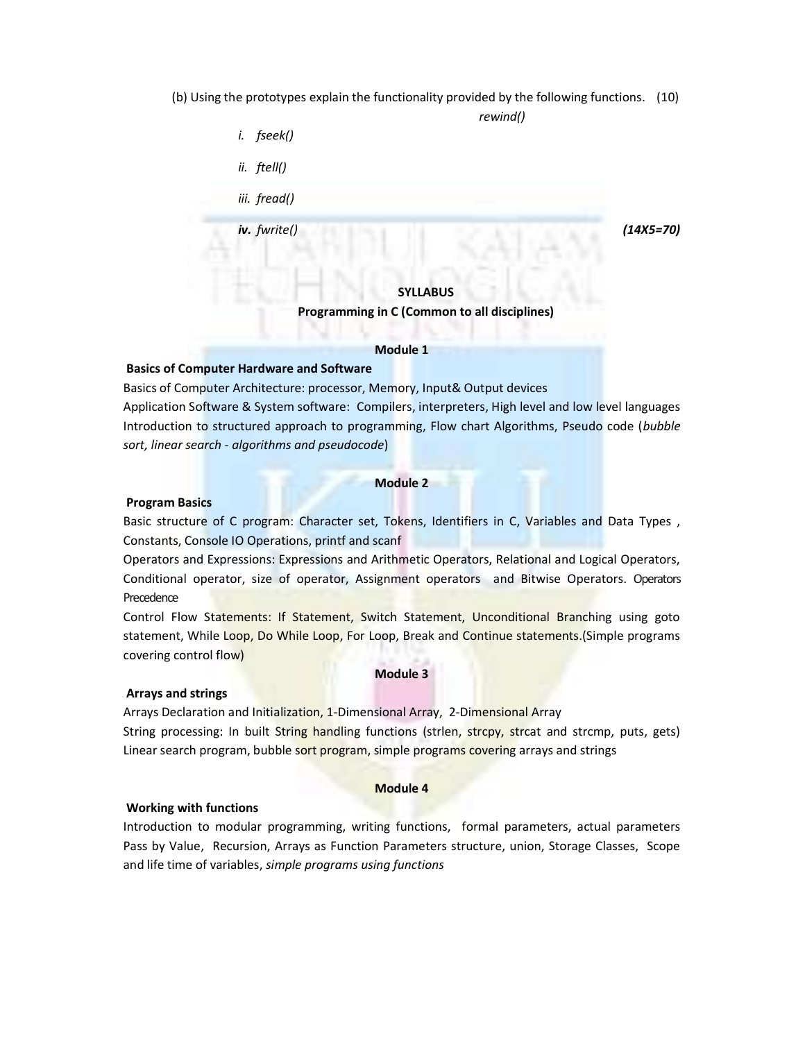(b) Using the prototypes explain the functionality provided by the following functions. (10)

rewind()



# **SYLLABUS** Programming in C (Common to all disciplines)

#### Module 1

## Basics of Computer Hardware and Software

Basics of Computer Architecture: processor, Memory, Input& Output devices Application Software & System software: Compilers, interpreters, High level and low level languages Introduction to structured approach to programming, Flow chart Algorithms, Pseudo code (bubble sort, linear search - algorithms and pseudocode)

### Module 2

#### Program Basics

Basic structure of C program: Character set, Tokens, Identifiers in C, Variables and Data Types , Constants, Console IO Operations, printf and scanf

Operators and Expressions: Expressions and Arithmetic Operators, Relational and Logical Operators, Conditional operator, size of operator, Assignment operators and Bitwise Operators. Operators **Precedence** 

Control Flow Statements: If Statement, Switch Statement, Unconditional Branching using goto statement, While Loop, Do While Loop, For Loop, Break and Continue statements.(Simple programs covering control flow)

## Module 3

# Arrays and strings

Arrays Declaration and Initialization, 1-Dimensional Array, 2-Dimensional Array String processing: In built String handling functions (strlen, strcpy, strcat and strcmp, puts, gets) Linear search program, bubble sort program, simple programs covering arrays and strings

#### Module 4

#### Working with functions

Introduction to modular programming, writing functions, formal parameters, actual parameters Pass by Value, Recursion, Arrays as Function Parameters structure, union, Storage Classes, Scope and life time of variables, simple programs using functions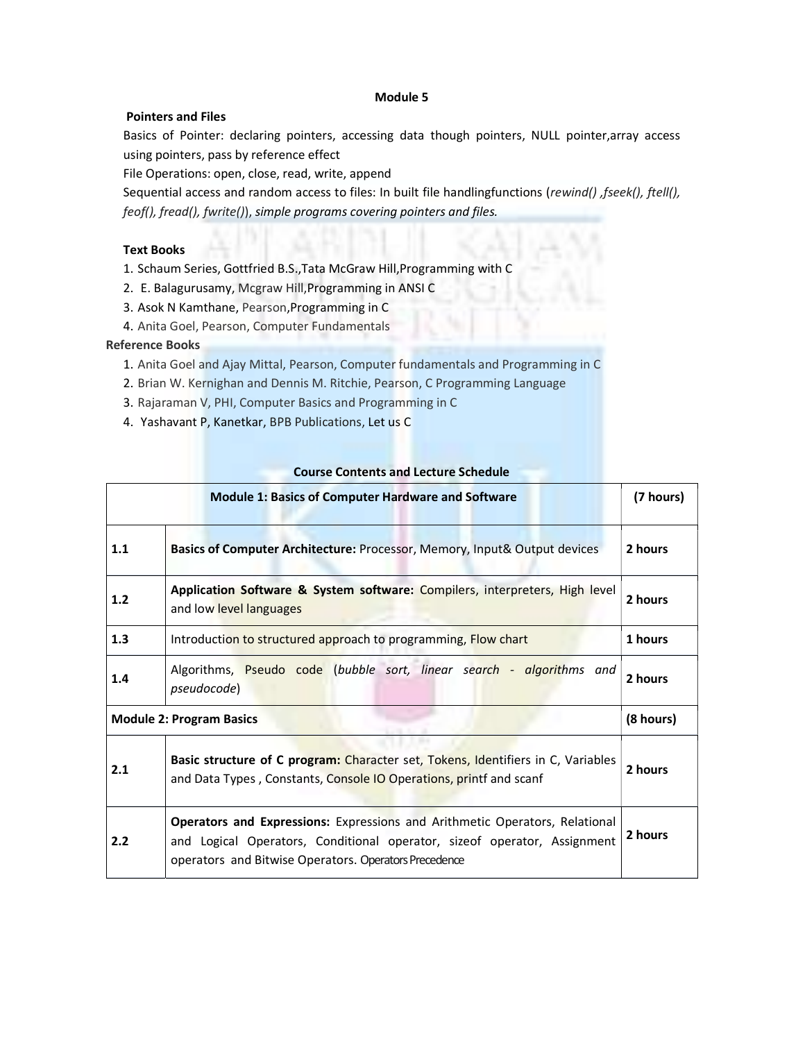## Module 5

# Pointers and Files

Basics of Pointer: declaring pointers, accessing data though pointers, NULL pointer,array access using pointers, pass by reference effect

File Operations: open, close, read, write, append

Sequential access and random access to files: In built file handlingfunctions (rewind(), fseek(), ftell(), feof(), fread(), fwrite()), simple programs covering pointers and files.

# Text Books

- 1. Schaum Series, Gottfried B.S.,Tata McGraw Hill,Programming with C
- 2. E. Balagurusamy, Mcgraw Hill,Programming in ANSI C
- 3. Asok N Kamthane, Pearson,Programming in C
- 4. Anita Goel, Pearson, Computer Fundamentals

## Reference Books

- 1. Anita Goel and Ajay Mittal, Pearson, Computer fundamentals and Programming in C
- 2. Brian W. Kernighan and Dennis M. Ritchie, Pearson, C Programming Language
- 3. Rajaraman V, PHI, Computer Basics and Programming in C
- 4. Yashavant P, Kanetkar, BPB Publications, Let us C

|     | <b>Module 1: Basics of Computer Hardware and Software</b>                                                                                                                                                               | (7 hours) |
|-----|-------------------------------------------------------------------------------------------------------------------------------------------------------------------------------------------------------------------------|-----------|
| 1.1 | Basics of Computer Architecture: Processor, Memory, Input& Output devices                                                                                                                                               | 2 hours   |
| 1.2 | Application Software & System software: Compilers, interpreters, High level<br>and low level languages                                                                                                                  | 2 hours   |
| 1.3 | Introduction to structured approach to programming, Flow chart                                                                                                                                                          | 1 hours   |
| 1.4 | Algorithms, Pseudo code (bubble sort, linear search - algorithms and<br>pseudocode)                                                                                                                                     | 2 hours   |
|     | <b>Module 2: Program Basics</b>                                                                                                                                                                                         | (8 hours) |
| 2.1 | Basic structure of C program: Character set, Tokens, Identifiers in C, Variables<br>and Data Types, Constants, Console IO Operations, printf and scanf                                                                  |           |
| 2.2 | <b>Operators and Expressions:</b> Expressions and Arithmetic Operators, Relational<br>and Logical Operators, Conditional operator, sizeof operator, Assignment<br>operators and Bitwise Operators. Operators Precedence | 2 hours   |

## Course Contents and Lecture Schedule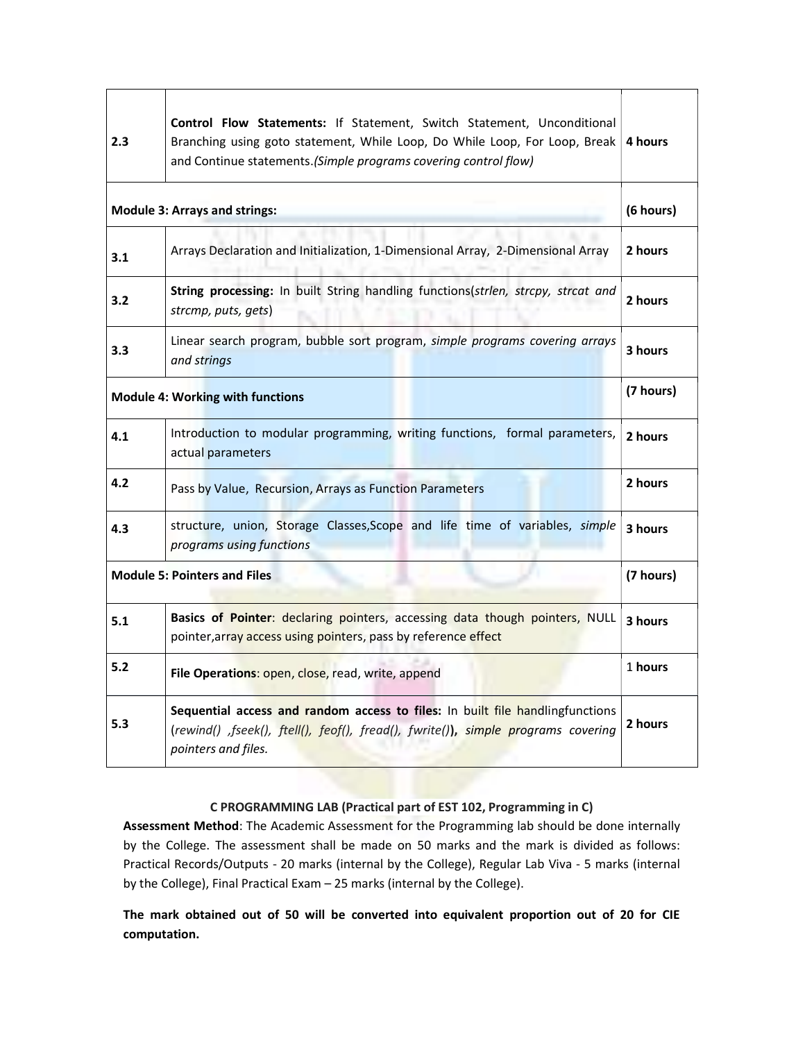| 2.3                                     | Control Flow Statements: If Statement, Switch Statement, Unconditional<br>Branching using goto statement, While Loop, Do While Loop, For Loop, Break<br>and Continue statements. (Simple programs covering control flow) |           |  |
|-----------------------------------------|--------------------------------------------------------------------------------------------------------------------------------------------------------------------------------------------------------------------------|-----------|--|
| <b>Module 3: Arrays and strings:</b>    |                                                                                                                                                                                                                          |           |  |
| 3.1                                     | Arrays Declaration and Initialization, 1-Dimensional Array, 2-Dimensional Array                                                                                                                                          |           |  |
| 3.2                                     | String processing: In built String handling functions(strlen, strcpy, strcat and<br>strcmp, puts, gets)                                                                                                                  | 2 hours   |  |
| 3.3                                     | Linear search program, bubble sort program, simple programs covering arrays<br>and strings                                                                                                                               | 3 hours   |  |
| <b>Module 4: Working with functions</b> |                                                                                                                                                                                                                          |           |  |
| 4.1                                     | Introduction to modular programming, writing functions, formal parameters,<br>actual parameters                                                                                                                          |           |  |
| 4.2                                     | Pass by Value, Recursion, Arrays as Function Parameters                                                                                                                                                                  |           |  |
| 4.3                                     | structure, union, Storage Classes, Scope and life time of variables, simple<br>programs using functions                                                                                                                  |           |  |
|                                         | <b>Module 5: Pointers and Files</b>                                                                                                                                                                                      | (7 hours) |  |
| 5.1                                     | Basics of Pointer: declaring pointers, accessing data though pointers, NULL<br>pointer, array access using pointers, pass by reference effect                                                                            |           |  |
| $5.2$                                   | File Operations: open, close, read, write, append                                                                                                                                                                        |           |  |
| 5.3                                     | Sequential access and random access to files: In built file handlingfunctions<br>(rewind() ,fseek(), ftell(), feof(), fread(), fwrite()), simple programs covering<br>pointers and files.                                |           |  |

# C PROGRAMMING LAB (Practical part of EST 102, Programming in C)

Assessment Method: The Academic Assessment for the Programming lab should be done internally by the College. The assessment shall be made on 50 marks and the mark is divided as follows: Practical Records/Outputs - 20 marks (internal by the College), Regular Lab Viva - 5 marks (internal by the College), Final Practical Exam – 25 marks (internal by the College).

The mark obtained out of 50 will be converted into equivalent proportion out of 20 for CIE computation.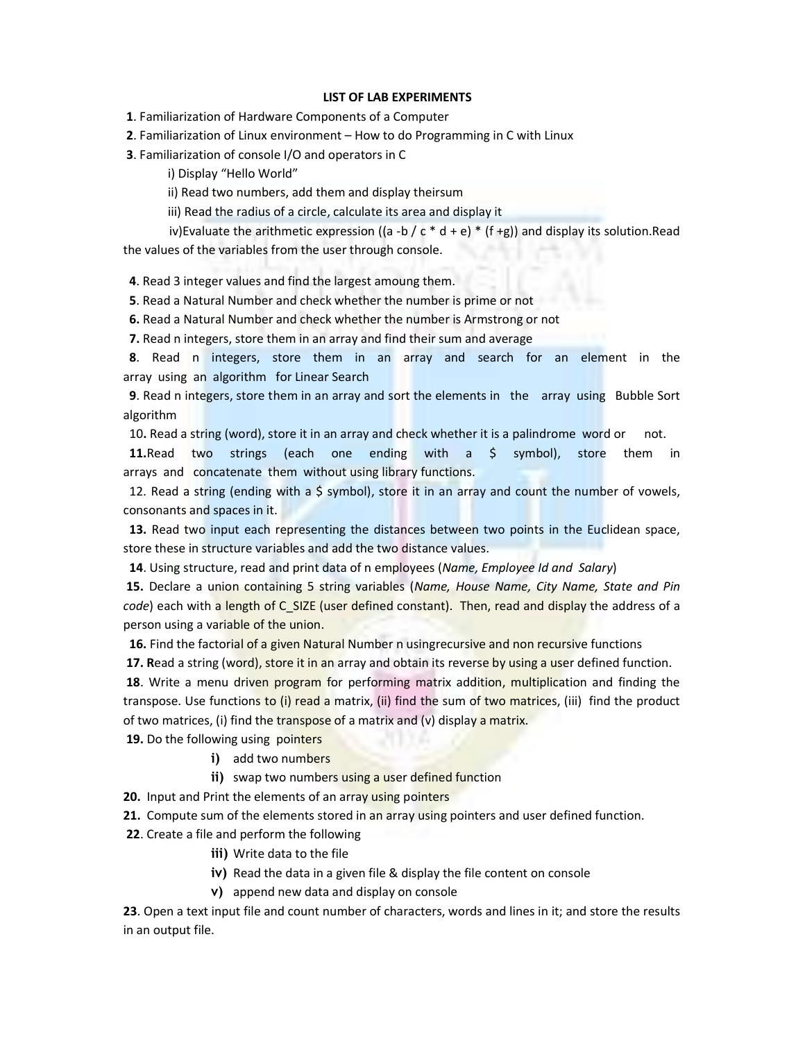### LIST OF LAB EXPERIMENTS

1. Familiarization of Hardware Components of a Computer

2. Familiarization of Linux environment – How to do Programming in C with Linux

3. Familiarization of console I/O and operators in C

i) Display "Hello World"

ii) Read two numbers, add them and display theirsum

iii) Read the radius of a circle, calculate its area and display it

iv)Evaluate the arithmetic expression ((a -b / c \* d + e) \* (f +g)) and display its solution.Read the values of the variables from the user through console.

4. Read 3 integer values and find the largest amoung them.

5. Read a Natural Number and check whether the number is prime or not

6. Read a Natural Number and check whether the number is Armstrong or not

7. Read n integers, store them in an array and find their sum and average

 8. Read n integers, store them in an array and search for an element in the array using an algorithm for Linear Search

 9. Read n integers, store them in an array and sort the elements in the array using Bubble Sort algorithm

10. Read a string (word), store it in an array and check whether it is a palindrome word or not.

11.Read two strings (each one ending with a \$ symbol), store them in arrays and concatenate them without using library functions.

 12. Read a string (ending with a \$ symbol), store it in an array and count the number of vowels, consonants and spaces in it.

13. Read two input each representing the distances between two points in the Euclidean space, store these in structure variables and add the two distance values.

14. Using structure, read and print data of n employees (Name, Employee Id and Salary)

15. Declare a union containing 5 string variables (Name, House Name, City Name, State and Pin code) each with a length of C\_SIZE (user defined constant). Then, read and display the address of a person using a variable of the union.

16. Find the factorial of a given Natural Number n usingrecursive and non recursive functions

17. Read a string (word), store it in an array and obtain its reverse by using a user defined function.

18. Write a menu driven program for performing matrix addition, multiplication and finding the transpose. Use functions to (i) read a matrix, (ii) find the sum of two matrices, (iii) find the product of two matrices, (i) find the transpose of a matrix and (v) display a matrix.

- 19. Do the following using pointers
	- i) add two numbers

ii) swap two numbers using a user defined function

20. Input and Print the elements of an array using pointers

21. Compute sum of the elements stored in an array using pointers and user defined function.

22. Create a file and perform the following

- iii) Write data to the file
- iv) Read the data in a given file & display the file content on console
- v) append new data and display on console

23. Open a text input file and count number of characters, words and lines in it; and store the results in an output file.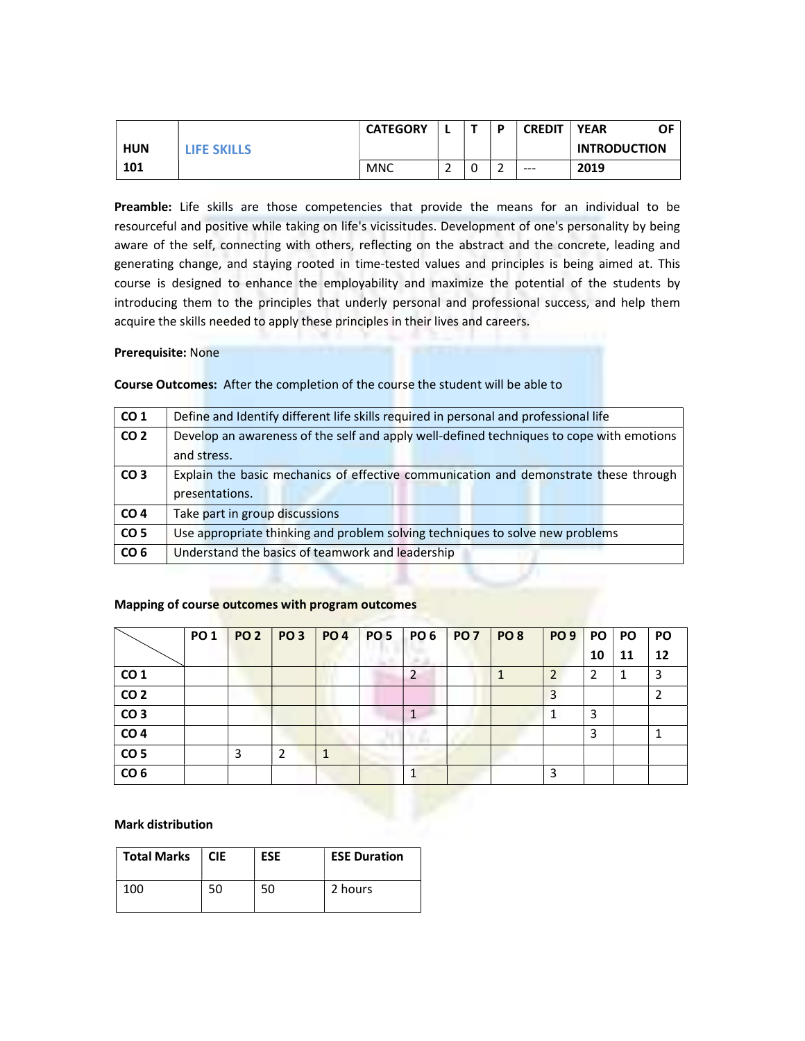|            |                    | <b>CATEGORY</b> | - | D | <b>CREDIT</b> | ΟF<br><b>YEAR</b>   |
|------------|--------------------|-----------------|---|---|---------------|---------------------|
| <b>HUN</b> | <b>LIFE SKILLS</b> |                 |   |   |               | <b>INTRODUCTION</b> |
| 101        |                    | <b>MNC</b>      | - | - | ---           | 2019                |

Preamble: Life skills are those competencies that provide the means for an individual to be resourceful and positive while taking on life's vicissitudes. Development of one's personality by being aware of the self, connecting with others, reflecting on the abstract and the concrete, leading and generating change, and staying rooted in time-tested values and principles is being aimed at. This course is designed to enhance the employability and maximize the potential of the students by introducing them to the principles that underly personal and professional success, and help them acquire the skills needed to apply these principles in their lives and careers.

## Prerequisite: None

Course Outcomes: After the completion of the course the student will be able to

| CO <sub>1</sub> | Define and Identify different life skills required in personal and professional life     |
|-----------------|------------------------------------------------------------------------------------------|
| CO <sub>2</sub> | Develop an awareness of the self and apply well-defined techniques to cope with emotions |
|                 | and stress.                                                                              |
| CO <sub>3</sub> | Explain the basic mechanics of effective communication and demonstrate these through     |
|                 | presentations.                                                                           |
| CO <sub>4</sub> | Take part in group discussions                                                           |
| CO <sub>5</sub> | Use appropriate thinking and problem solving techniques to solve new problems            |
| CO <sub>6</sub> | Understand the basics of teamwork and leadership                                         |

## Mapping of course outcomes with program outcomes

|                 | PO <sub>1</sub> | <b>PO 2</b> | <b>PO3</b> | <b>PO 4</b> | PO <sub>5</sub> | PO <sub>6</sub> | <b>PO 7</b> | PO <sub>8</sub> | <b>PO 9</b> | PO PO |    | <b>PO</b> |
|-----------------|-----------------|-------------|------------|-------------|-----------------|-----------------|-------------|-----------------|-------------|-------|----|-----------|
|                 |                 |             |            |             |                 |                 |             |                 |             | 10    | 11 | 12        |
| CO <sub>1</sub> |                 |             |            |             |                 |                 |             |                 | 2           | 2     |    | 3         |
| CO <sub>2</sub> |                 |             |            |             |                 |                 |             |                 | 3           |       |    |           |
| CO <sub>3</sub> |                 |             |            |             |                 |                 |             |                 |             | 3     |    |           |
| CO <sub>4</sub> |                 |             |            |             |                 |                 |             |                 |             | 3     |    |           |
| CO <sub>5</sub> |                 | 3           | 2          |             |                 |                 |             |                 |             |       |    |           |
| CO <sub>6</sub> |                 |             |            |             |                 |                 |             |                 |             |       |    |           |

# Mark distribution

| <b>Total Marks</b> | <b>CIE</b> | <b>ESE</b> | <b>ESE Duration</b> |
|--------------------|------------|------------|---------------------|
| 100                | 50         | 50         | 2 hours             |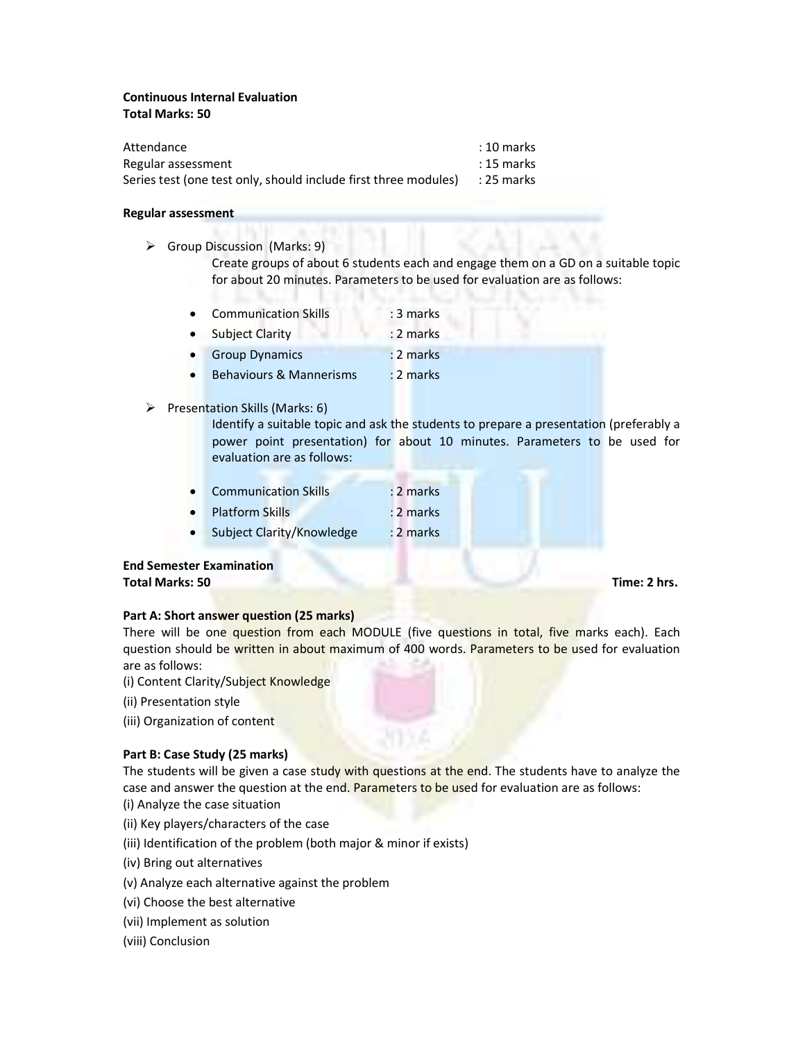# Continuous Internal Evaluation Total Marks: 50

| Attendance                                                                 | : 10 marks |
|----------------------------------------------------------------------------|------------|
| Regular assessment                                                         | : 15 marks |
| Series test (one test only, should include first three modules) : 25 marks |            |

## Regular assessment

 $\triangleright$  Group Discussion (Marks: 9)

Create groups of about 6 students each and engage them on a GD on a suitable topic for about 20 minutes. Parameters to be used for evaluation are as follows:

| <b>Communication Skills</b> | : 3 marks |
|-----------------------------|-----------|
|                             |           |

- Subject Clarity **: 2 marks**
- Group Dynamics : 2 marks
- Behaviours & Mannerisms : 2 marks

# $\triangleright$  Presentation Skills (Marks: 6)

 Identify a suitable topic and ask the students to prepare a presentation (preferably a power point presentation) for about 10 minutes. Parameters to be used for evaluation are as follows:

- Communication Skills : 2 marks
- Platform Skills : 2 marks
- Subject Clarity/Knowledge : 2 marks

# End Semester Examination Total Marks: 50 The Contract of the Contract of the Contract of the Contract of the Contract of the Contract of the Contract of the Contract of the Contract of the Contract of the Contract of the Contract of the Contract o

# Part A: Short answer question (25 marks)

There will be one question from each MODULE (five questions in total, five marks each). Each question should be written in about maximum of 400 words. Parameters to be used for evaluation are as follows:

- (i) Content Clarity/Subject Knowledge
- (ii) Presentation style
- (iii) Organization of content

# Part B: Case Study (25 marks)

The students will be given a case study with questions at the end. The students have to analyze the case and answer the question at the end. Parameters to be used for evaluation are as follows:

- (i) Analyze the case situation
- (ii) Key players/characters of the case
- (iii) Identification of the problem (both major & minor if exists)
- (iv) Bring out alternatives
- (v) Analyze each alternative against the problem
- (vi) Choose the best alternative
- (vii) Implement as solution
- (viii) Conclusion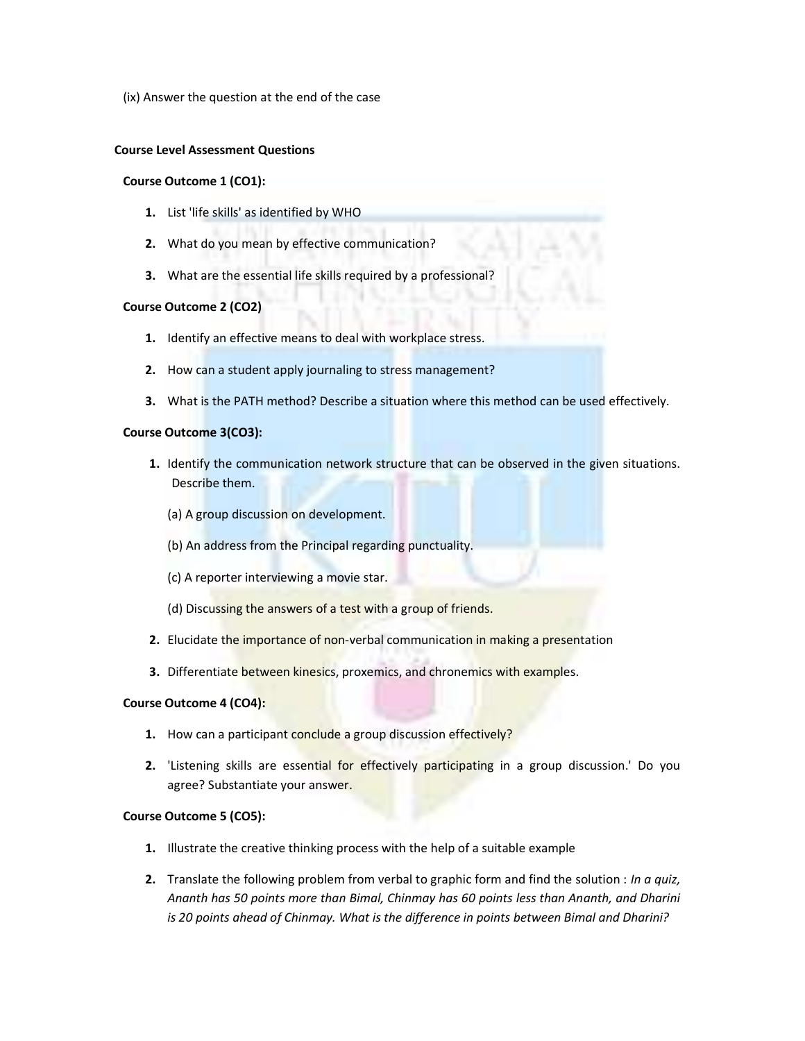(ix) Answer the question at the end of the case

#### Course Level Assessment Questions

### Course Outcome 1 (CO1):

- 1. List 'life skills' as identified by WHO
- 2. What do you mean by effective communication?
- 3. What are the essential life skills required by a professional?

# Course Outcome 2 (CO2)

- 1. Identify an effective means to deal with workplace stress.
- 2. How can a student apply journaling to stress management?
- 3. What is the PATH method? Describe a situation where this method can be used effectively.

## Course Outcome 3(CO3):

- 1. Identify the communication network structure that can be observed in the given situations. Describe them.
	- (a) A group discussion on development.
	- (b) An address from the Principal regarding punctuality.
	- (c) A reporter interviewing a movie star.
	- (d) Discussing the answers of a test with a group of friends.
- 2. Elucidate the importance of non-verbal communication in making a presentation
- 3. Differentiate between kinesics, proxemics, and chronemics with examples.

## Course Outcome 4 (CO4):

- 1. How can a participant conclude a group discussion effectively?
- 2. 'Listening skills are essential for effectively participating in a group discussion.' Do you agree? Substantiate your answer.

# Course Outcome 5 (CO5):

- 1. Illustrate the creative thinking process with the help of a suitable example
- 2. Translate the following problem from verbal to graphic form and find the solution : In a quiz, Ananth has 50 points more than Bimal, Chinmay has 60 points less than Ananth, and Dharini is 20 points ahead of Chinmay. What is the difference in points between Bimal and Dharini?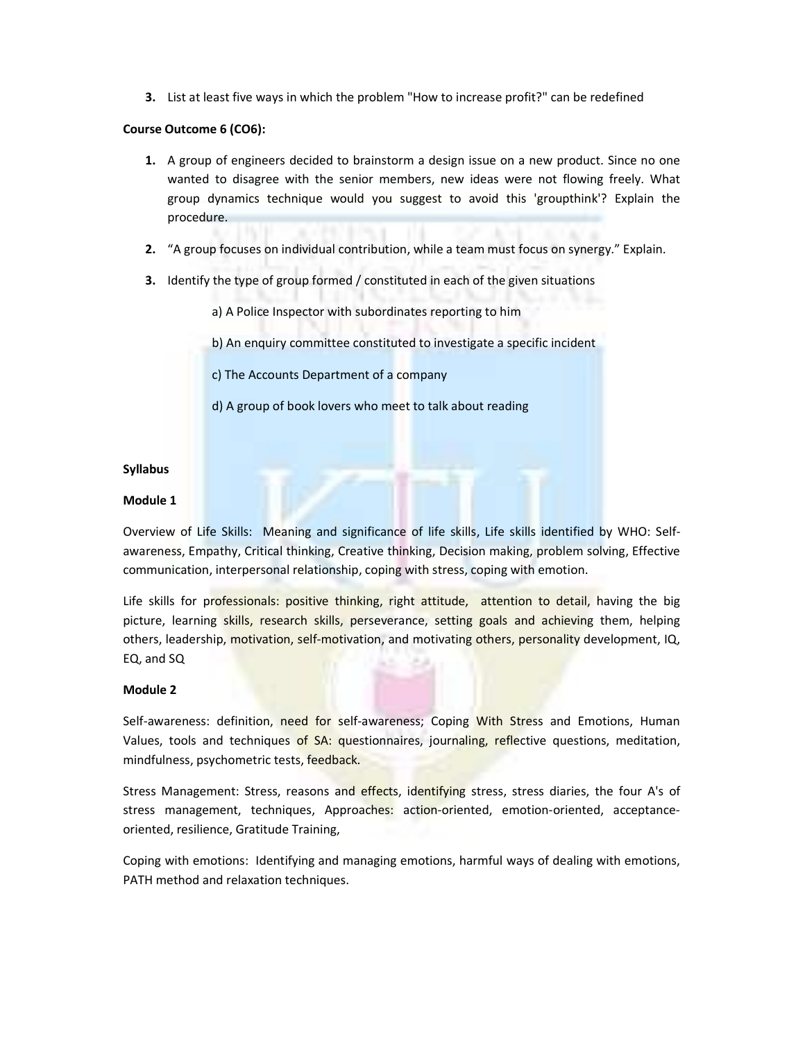3. List at least five ways in which the problem "How to increase profit?" can be redefined

## Course Outcome 6 (CO6):

- 1. A group of engineers decided to brainstorm a design issue on a new product. Since no one wanted to disagree with the senior members, new ideas were not flowing freely. What group dynamics technique would you suggest to avoid this 'groupthink'? Explain the procedure.
- 2. "A group focuses on individual contribution, while a team must focus on synergy." Explain.
- 3. Identify the type of group formed / constituted in each of the given situations
	- a) A Police Inspector with subordinates reporting to him
	- b) An enquiry committee constituted to investigate a specific incident
	- c) The Accounts Department of a company
	- d) A group of book lovers who meet to talk about reading

## Syllabus

#### Module 1

Overview of Life Skills: Meaning and significance of life skills, Life skills identified by WHO: Selfawareness, Empathy, Critical thinking, Creative thinking, Decision making, problem solving, Effective communication, interpersonal relationship, coping with stress, coping with emotion.

Life skills for professionals: positive thinking, right attitude, attention to detail, having the big picture, learning skills, research skills, perseverance, setting goals and achieving them, helping others, leadership, motivation, self-motivation, and motivating others, personality development, IQ, EQ, and SQ

#### Module 2

Self-awareness: definition, need for self-awareness; Coping With Stress and Emotions, Human Values, tools and techniques of SA: questionnaires, journaling, reflective questions, meditation, mindfulness, psychometric tests, feedback.

Stress Management: Stress, reasons and effects, identifying stress, stress diaries, the four A's of stress management, techniques, Approaches: action-oriented, emotion-oriented, acceptanceoriented, resilience, Gratitude Training,

Coping with emotions: Identifying and managing emotions, harmful ways of dealing with emotions, PATH method and relaxation techniques.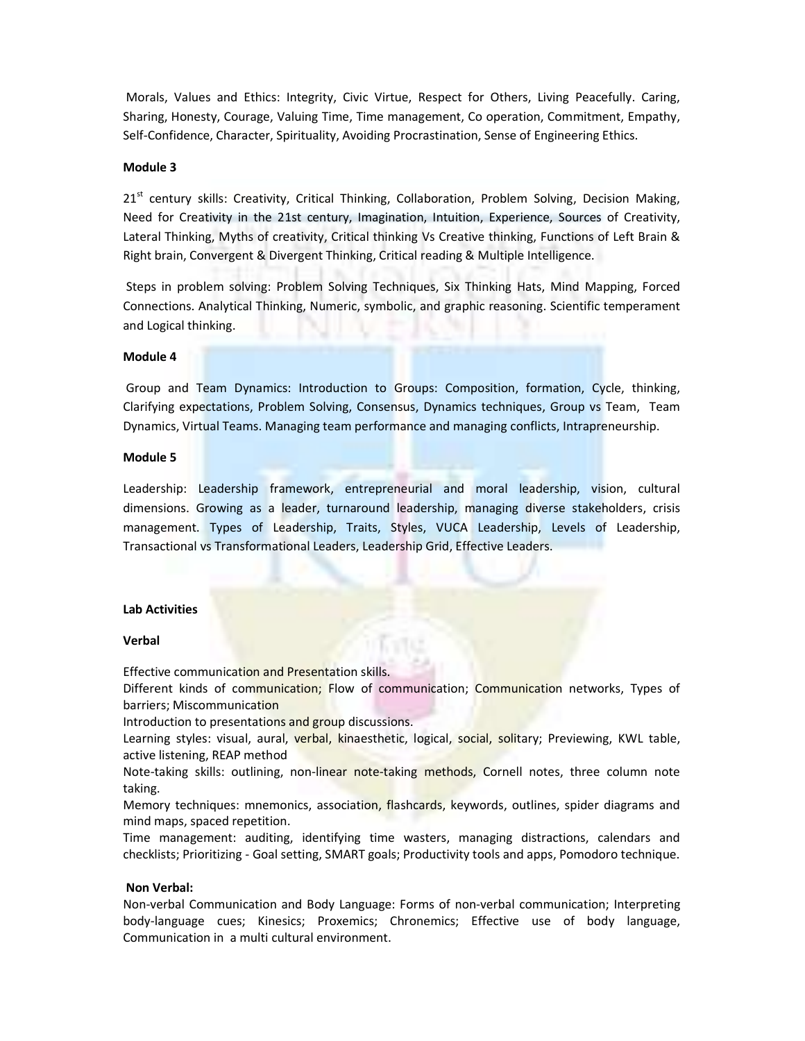Morals, Values and Ethics: Integrity, Civic Virtue, Respect for Others, Living Peacefully. Caring, Sharing, Honesty, Courage, Valuing Time, Time management, Co operation, Commitment, Empathy, Self-Confidence, Character, Spirituality, Avoiding Procrastination, Sense of Engineering Ethics.

# Module 3

21<sup>st</sup> century skills: Creativity, Critical Thinking, Collaboration, Problem Solving, Decision Making, Need for Creativity in the 21st century, Imagination, Intuition, Experience, Sources of Creativity, Lateral Thinking, Myths of creativity, Critical thinking Vs Creative thinking, Functions of Left Brain & Right brain, Convergent & Divergent Thinking, Critical reading & Multiple Intelligence.

Steps in problem solving: Problem Solving Techniques, Six Thinking Hats, Mind Mapping, Forced Connections. Analytical Thinking, Numeric, symbolic, and graphic reasoning. Scientific temperament and Logical thinking.

#### Module 4

 Group and Team Dynamics: Introduction to Groups: Composition, formation, Cycle, thinking, Clarifying expectations, Problem Solving, Consensus, Dynamics techniques, Group vs Team, Team Dynamics, Virtual Teams. Managing team performance and managing conflicts, Intrapreneurship.

#### Module 5

Leadership: Leadership framework, entrepreneurial and moral leadership, vision, cultural dimensions. Growing as a leader, turnaround leadership, managing diverse stakeholders, crisis management. Types of Leadership, Traits, Styles, VUCA Leadership, Levels of Leadership, Transactional vs Transformational Leaders, Leadership Grid, Effective Leaders.

#### Lab Activities

#### Verbal

Effective communication and Presentation skills.

Different kinds of communication; Flow of communication; Communication networks, Types of barriers; Miscommunication

Introduction to presentations and group discussions.

Learning styles: visual, aural, verbal, kinaesthetic, logical, social, solitary; Previewing, KWL table, active listening, REAP method

Note-taking skills: outlining, non-linear note-taking methods, Cornell notes, three column note taking.

Memory techniques: mnemonics, association, flashcards, keywords, outlines, spider diagrams and mind maps, spaced repetition.

Time management: auditing, identifying time wasters, managing distractions, calendars and checklists; Prioritizing - Goal setting, SMART goals; Productivity tools and apps, Pomodoro technique.

#### Non Verbal:

Non-verbal Communication and Body Language: Forms of non-verbal communication; Interpreting body-language cues; Kinesics; Proxemics; Chronemics; Effective use of body language, Communication in a multi cultural environment.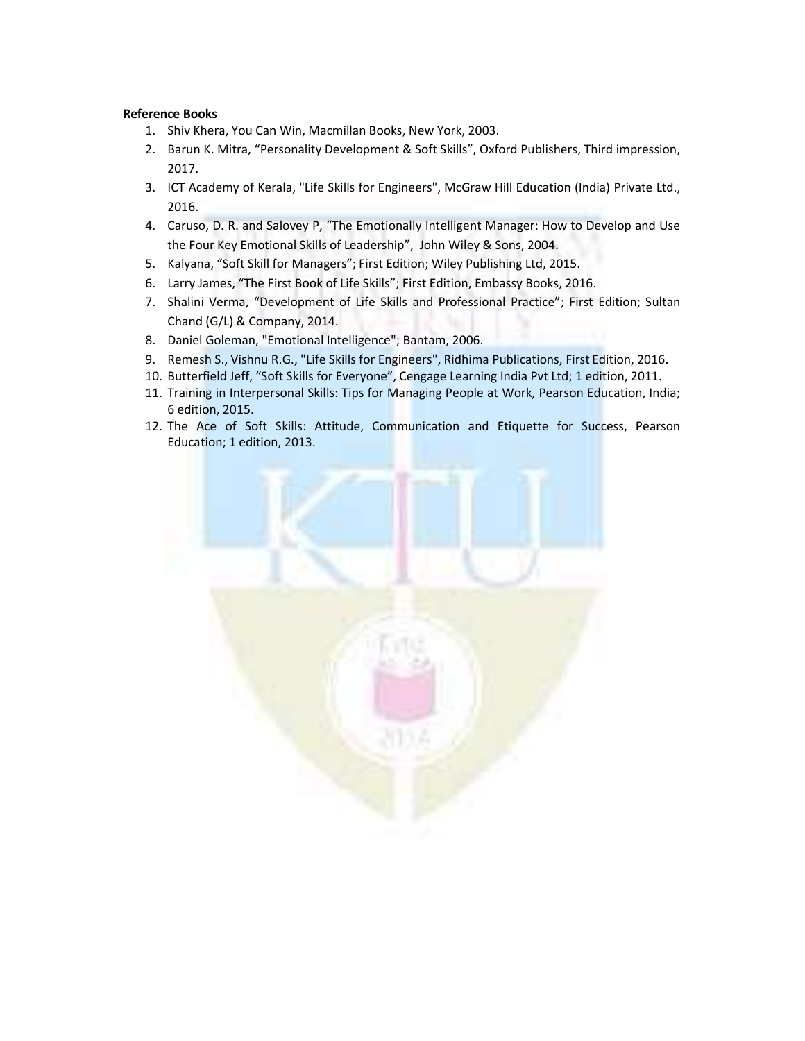# Reference Books

- 1. Shiv Khera, You Can Win, Macmillan Books, New York, 2003.
- 2. Barun K. Mitra, "Personality Development & Soft Skills", Oxford Publishers, Third impression, 2017.
- 3. ICT Academy of Kerala, "Life Skills for Engineers", McGraw Hill Education (India) Private Ltd., 2016.
- 4. Caruso, D. R. and Salovey P, "The Emotionally Intelligent Manager: How to Develop and Use the Four Key Emotional Skills of Leadership", John Wiley & Sons, 2004.
- 5. Kalyana, "Soft Skill for Managers"; First Edition; Wiley Publishing Ltd, 2015.
- 6. Larry James, "The First Book of Life Skills"; First Edition, Embassy Books, 2016.
- 7. Shalini Verma, "Development of Life Skills and Professional Practice"; First Edition; Sultan Chand (G/L) & Company, 2014.
- 8. Daniel Goleman, "Emotional Intelligence"; Bantam, 2006.
- 9. Remesh S., Vishnu R.G., "Life Skills for Engineers", Ridhima Publications, First Edition, 2016.
- 10. Butterfield Jeff, "Soft Skills for Everyone", Cengage Learning India Pvt Ltd; 1 edition, 2011.
- 11. Training in Interpersonal Skills: Tips for Managing People at Work, Pearson Education, India; 6 edition, 2015.
- 12. The Ace of Soft Skills: Attitude, Communication and Etiquette for Success, Pearson Education; 1 edition, 2013.

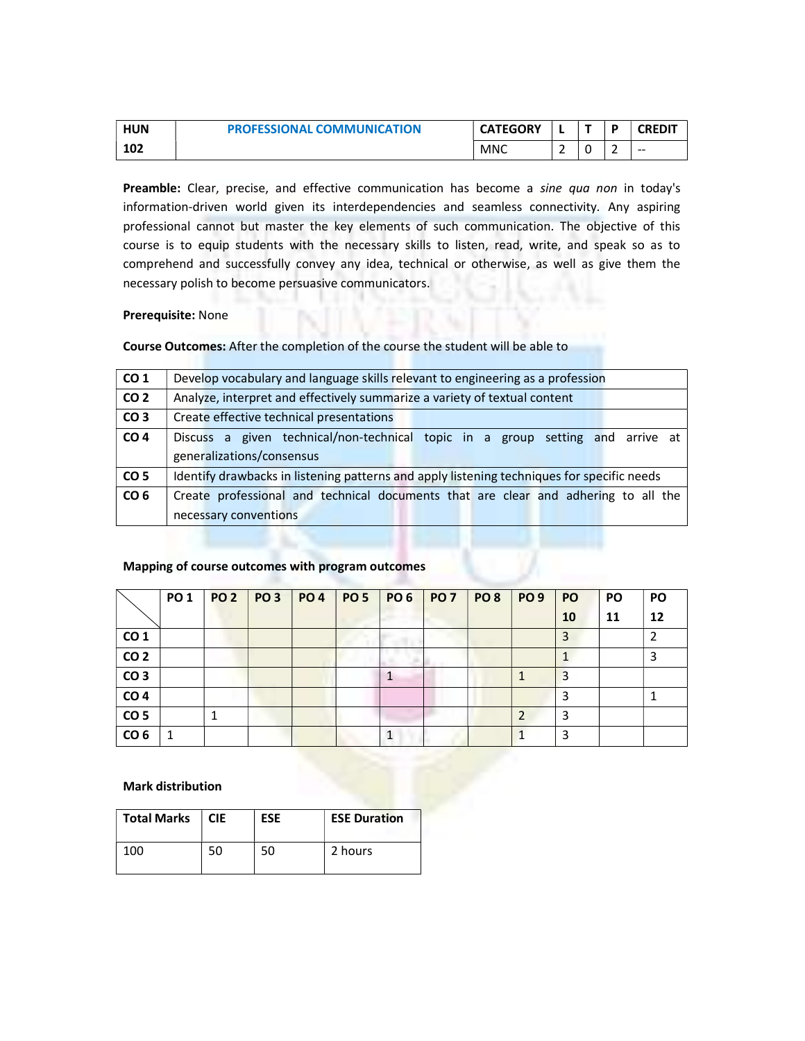| <b>HUN</b> | <b>PROFESSIONAL COMMUNICATION</b> | <b>CATEGORY</b> |                                    |   |   | <b>CREDIT</b> |
|------------|-----------------------------------|-----------------|------------------------------------|---|---|---------------|
| 102        |                                   | <b>MNC</b>      | $\overline{\phantom{a}}$<br>-<br>— | - | - | $- -$         |

Preamble: Clear, precise, and effective communication has become a sine qua non in today's information-driven world given its interdependencies and seamless connectivity. Any aspiring professional cannot but master the key elements of such communication. The objective of this course is to equip students with the necessary skills to listen, read, write, and speak so as to comprehend and successfully convey any idea, technical or otherwise, as well as give them the necessary polish to become persuasive communicators.

## Prerequisite: None

Course Outcomes: After the completion of the course the student will be able to

| CO <sub>1</sub> | Develop vocabulary and language skills relevant to engineering as a profession             |
|-----------------|--------------------------------------------------------------------------------------------|
| CO <sub>2</sub> | Analyze, interpret and effectively summarize a variety of textual content                  |
| CO <sub>3</sub> | Create effective technical presentations                                                   |
| CO <sub>4</sub> | Discuss a given technical/non-technical topic in a group setting and arrive at             |
|                 | generalizations/consensus                                                                  |
| CO <sub>5</sub> | Identify drawbacks in listening patterns and apply listening techniques for specific needs |
| CO <sub>6</sub> | Create professional and technical documents that are clear and adhering to all the         |
|                 | necessary conventions                                                                      |

## Mapping of course outcomes with program outcomes

|                 | PO <sub>1</sub> |  |  | PO2 PO3 PO4 PO5 PO6 PO7 | PO8 | PO9 | <b>PO</b> | PO | PO |
|-----------------|-----------------|--|--|-------------------------|-----|-----|-----------|----|----|
|                 |                 |  |  |                         |     |     | 10        | 11 | 12 |
| CO <sub>1</sub> |                 |  |  |                         |     |     | 3         |    | C  |
| CO <sub>2</sub> |                 |  |  |                         |     |     |           |    | っ  |
| CO <sub>3</sub> |                 |  |  |                         |     |     | ာ         |    |    |
| CO <sub>4</sub> |                 |  |  |                         |     |     |           |    |    |
| CO <sub>5</sub> |                 |  |  |                         |     |     | З         |    |    |
| CO <sub>6</sub> |                 |  |  |                         |     |     | 3         |    |    |

| <b>Total Marks</b> | <b>CIE</b> | <b>ESE</b> | <b>ESE Duration</b> |
|--------------------|------------|------------|---------------------|
| 100                | 50         | 50         | 2 hours             |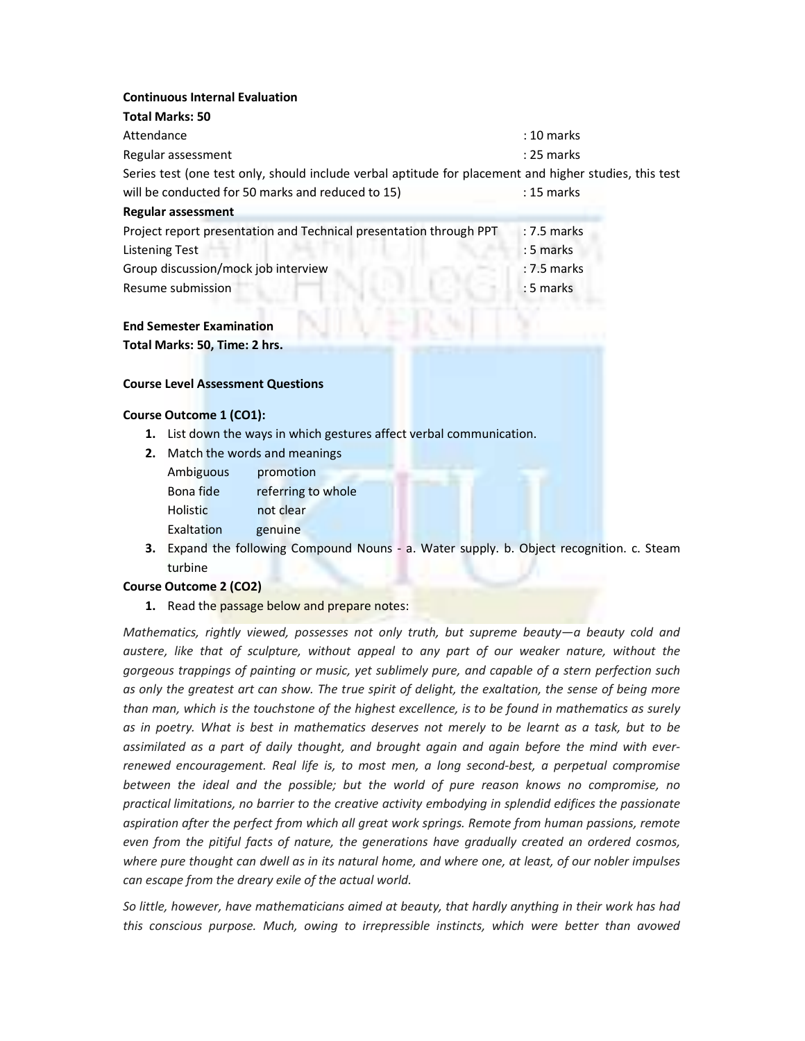#### Continuous Internal Evaluation

| <b>Total Marks: 50</b>                                                                                 |               |
|--------------------------------------------------------------------------------------------------------|---------------|
| Attendance                                                                                             | $: 10$ marks  |
| Regular assessment                                                                                     | : 25 marks    |
| Series test (one test only, should include verbal aptitude for placement and higher studies, this test |               |
| will be conducted for 50 marks and reduced to 15)                                                      | $: 15$ marks  |
| <b>Regular assessment</b>                                                                              |               |
| Project report presentation and Technical presentation through PPT                                     | $: 7.5$ marks |
| <b>Listening Test</b>                                                                                  | : 5 marks     |
| Group discussion/mock job interview                                                                    | : 7.5 marks   |
| Resume submission                                                                                      | : 5 marks     |
|                                                                                                        |               |
| <b>End Semester Examination</b>                                                                        |               |
| Total Marks: 50, Time: 2 hrs.                                                                          |               |
|                                                                                                        |               |
| <b>Course Level Assessment Questions</b>                                                               |               |
|                                                                                                        |               |
| <b>Course Outcome 1 (CO1):</b>                                                                         |               |
| List down the ways in which gestures affect verbal communication.<br>1.                                |               |
| Match the words and meanings<br>2.                                                                     |               |
| Ambiguous<br>promotion                                                                                 |               |
| Bona fide<br>referring to whole                                                                        |               |
| not clear<br><b>Holistic</b>                                                                           |               |

Exaltation genuine

3. Expand the following Compound Nouns - a. Water supply. b. Object recognition. c. Steam turbine

### Course Outcome 2 (CO2)

1. Read the passage below and prepare notes:

Mathematics, rightly viewed, possesses not only truth, but supreme beauty—a beauty cold and austere, like that of sculpture, without appeal to any part of our weaker nature, without the gorgeous trappings of painting or music, yet sublimely pure, and capable of a stern perfection such as only the greatest art can show. The true spirit of delight, the exaltation, the sense of being more than man, which is the touchstone of the highest excellence, is to be found in mathematics as surely as in poetry. What is best in mathematics deserves not merely to be learnt as a task, but to be assimilated as a part of daily thought, and brought again and again before the mind with everrenewed encouragement. Real life is, to most men, a long second-best, a perpetual compromise between the ideal and the possible; but the world of pure reason knows no compromise, no practical limitations, no barrier to the creative activity embodying in splendid edifices the passionate aspiration after the perfect from which all great work springs. Remote from human passions, remote even from the pitiful facts of nature, the generations have gradually created an ordered cosmos, where pure thought can dwell as in its natural home, and where one, at least, of our nobler impulses can escape from the dreary exile of the actual world.

So little, however, have mathematicians aimed at beauty, that hardly anything in their work has had this conscious purpose. Much, owing to irrepressible instincts, which were better than avowed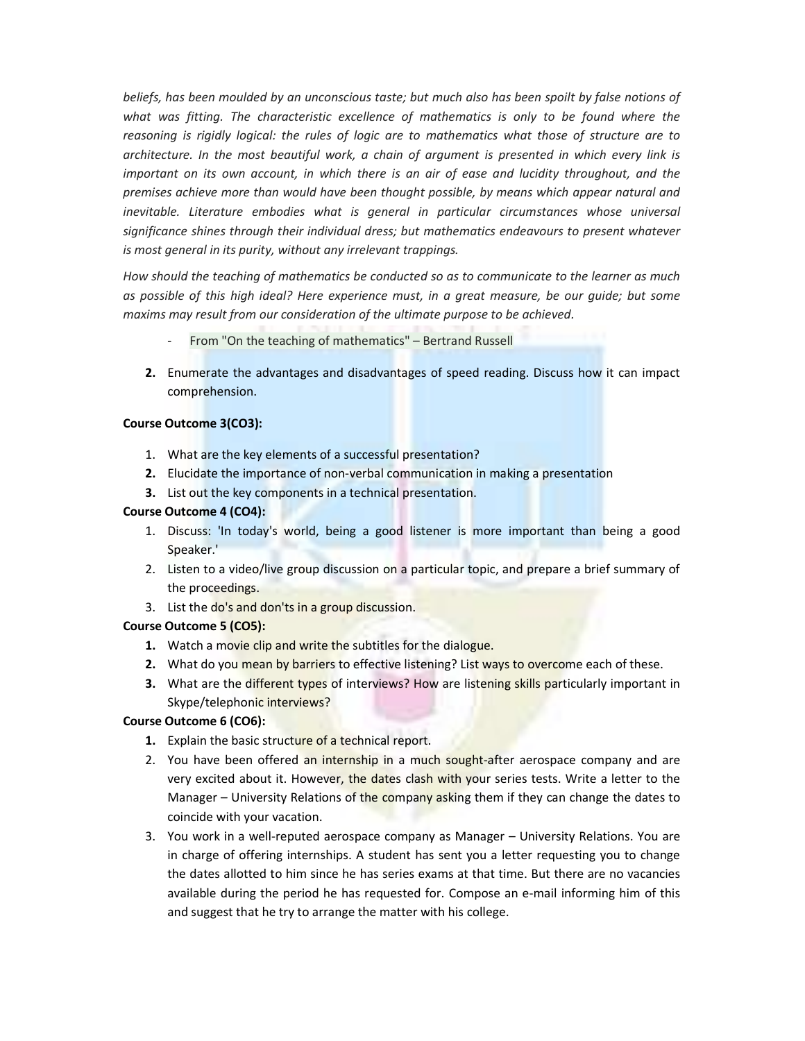beliefs, has been moulded by an unconscious taste; but much also has been spoilt by false notions of what was fitting. The characteristic excellence of mathematics is only to be found where the reasoning is rigidly logical: the rules of logic are to mathematics what those of structure are to architecture. In the most beautiful work, a chain of argument is presented in which every link is important on its own account, in which there is an air of ease and lucidity throughout, and the premises achieve more than would have been thought possible, by means which appear natural and inevitable. Literature embodies what is general in particular circumstances whose universal significance shines through their individual dress; but mathematics endeavours to present whatever is most general in its purity, without any irrelevant trappings.

How should the teaching of mathematics be conducted so as to communicate to the learner as much as possible of this high ideal? Here experience must, in a great measure, be our guide; but some maxims may result from our consideration of the ultimate purpose to be achieved.

- From "On the teaching of mathematics" Bertrand Russell
- 2. Enumerate the advantages and disadvantages of speed reading. Discuss how it can impact comprehension.

## Course Outcome 3(CO3):

- 1. What are the key elements of a successful presentation?
- 2. Elucidate the importance of non-verbal communication in making a presentation
- 3. List out the key components in a technical presentation.

### Course Outcome 4 (CO4):

- 1. Discuss: 'In today's world, being a good listener is more important than being a good Speaker.'
- 2. Listen to a video/live group discussion on a particular topic, and prepare a brief summary of the proceedings.
- 3. List the do's and don'ts in a group discussion.

## Course Outcome 5 (CO5):

- 1. Watch a movie clip and write the subtitles for the dialogue.
- 2. What do you mean by barriers to effective listening? List ways to overcome each of these.
- **3.** What are the different types of interviews? How are listening skills particularly important in Skype/telephonic interviews?

## Course Outcome 6 (CO6):

- 1. Explain the basic structure of a technical report.
- 2. You have been offered an internship in a much sought-after aerospace company and are very excited about it. However, the dates clash with your series tests. Write a letter to the Manager – University Relations of the company asking them if they can change the dates to coincide with your vacation.
- 3. You work in a well-reputed aerospace company as Manager University Relations. You are in charge of offering internships. A student has sent you a letter requesting you to change the dates allotted to him since he has series exams at that time. But there are no vacancies available during the period he has requested for. Compose an e-mail informing him of this and suggest that he try to arrange the matter with his college.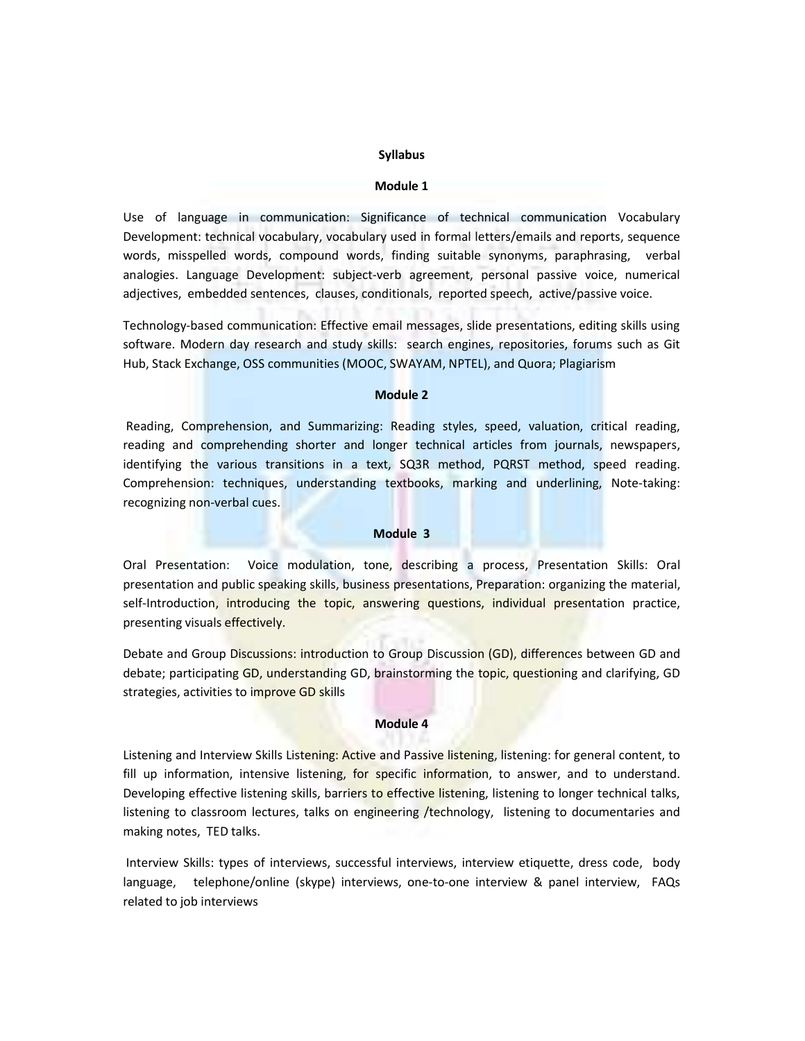#### Syllabus

#### Module 1

Use of language in communication: Significance of technical communication Vocabulary Development: technical vocabulary, vocabulary used in formal letters/emails and reports, sequence words, misspelled words, compound words, finding suitable synonyms, paraphrasing, verbal analogies. Language Development: subject-verb agreement, personal passive voice, numerical adjectives, embedded sentences, clauses, conditionals, reported speech, active/passive voice.

Technology-based communication: Effective email messages, slide presentations, editing skills using software. Modern day research and study skills: search engines, repositories, forums such as Git Hub, Stack Exchange, OSS communities (MOOC, SWAYAM, NPTEL), and Quora; Plagiarism

#### Module 2

 Reading, Comprehension, and Summarizing: Reading styles, speed, valuation, critical reading, reading and comprehending shorter and longer technical articles from journals, newspapers, identifying the various transitions in a text, SQ3R method, PQRST method, speed reading. Comprehension: techniques, understanding textbooks, marking and underlining, Note-taking: recognizing non-verbal cues.

### Module 3

Oral Presentation: Voice modulation, tone, describing a process, Presentation Skills: Oral presentation and public speaking skills, business presentations, Preparation: organizing the material, self-Introduction, introducing the topic, answering questions, individual presentation practice, presenting visuals effectively.

Debate and Group Discussions: introduction to Group Discussion (GD), differences between GD and debate; participating GD, understanding GD, brainstorming the topic, questioning and clarifying, GD strategies, activities to improve GD skills

## Module 4

Listening and Interview Skills Listening: Active and Passive listening, listening: for general content, to fill up information, intensive listening, for specific information, to answer, and to understand. Developing effective listening skills, barriers to effective listening, listening to longer technical talks, listening to classroom lectures, talks on engineering /technology, listening to documentaries and making notes, TED talks.

 Interview Skills: types of interviews, successful interviews, interview etiquette, dress code, body language, telephone/online (skype) interviews, one-to-one interview & panel interview, FAQs related to job interviews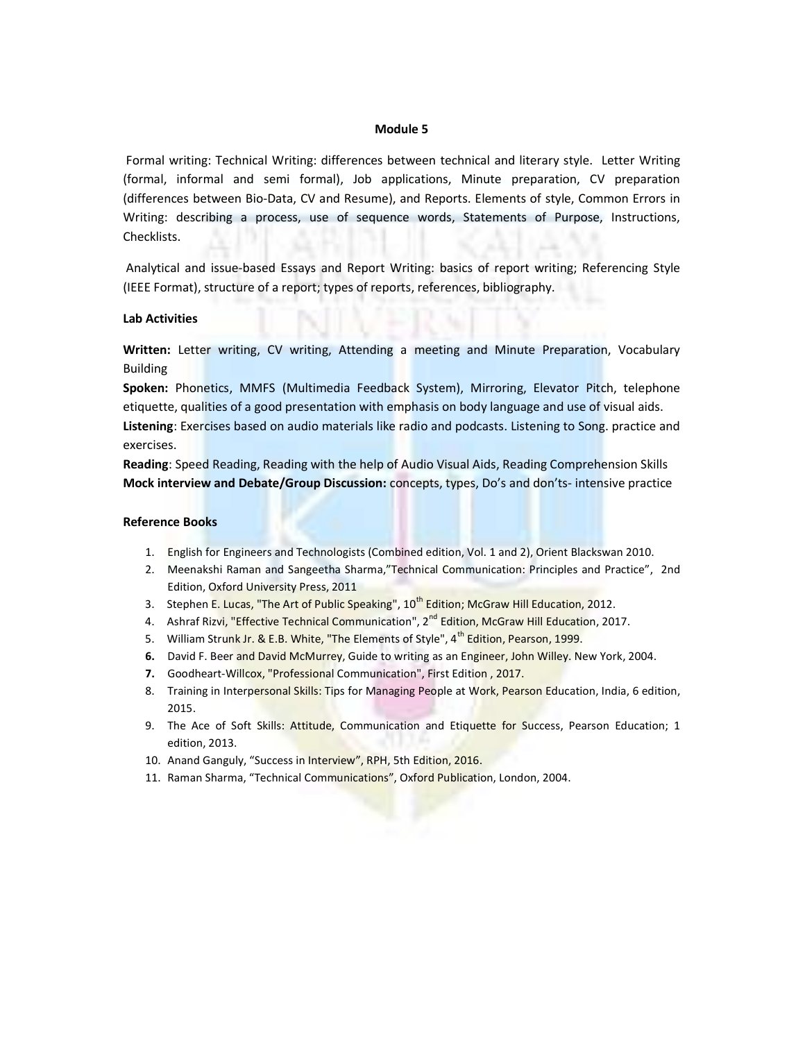#### Module 5

 Formal writing: Technical Writing: differences between technical and literary style. Letter Writing (formal, informal and semi formal), Job applications, Minute preparation, CV preparation (differences between Bio-Data, CV and Resume), and Reports. Elements of style, Common Errors in Writing: describing a process, use of sequence words, Statements of Purpose, Instructions, Checklists.

 Analytical and issue-based Essays and Report Writing: basics of report writing; Referencing Style (IEEE Format), structure of a report; types of reports, references, bibliography.

## Lab Activities

Written: Letter writing, CV writing, Attending a meeting and Minute Preparation, Vocabulary Building

Spoken: Phonetics, MMFS (Multimedia Feedback System), Mirroring, Elevator Pitch, telephone etiquette, qualities of a good presentation with emphasis on body language and use of visual aids. Listening: Exercises based on audio materials like radio and podcasts. Listening to Song. practice and exercises.

Reading: Speed Reading, Reading with the help of Audio Visual Aids, Reading Comprehension Skills Mock interview and Debate/Group Discussion: concepts, types, Do's and don'ts- intensive practice

#### Reference Books

- 1. English for Engineers and Technologists (Combined edition, Vol. 1 and 2), Orient Blackswan 2010.
- 2. Meenakshi Raman and Sangeetha Sharma,"Technical Communication: Principles and Practice", 2nd Edition, Oxford University Press, 2011
- 3. Stephen E. Lucas, "The Art of Public Speaking", 10<sup>th</sup> Edition; McGraw Hill Education, 2012.
- 4. Ashraf Rizvi, "Effective Technical Communication", 2<sup>nd</sup> Edition, McGraw Hill Education, 2017.
- 5. William Strunk Jr. & E.B. White, "The Elements of Style", 4<sup>th</sup> Edition, Pearson, 1999.
- 6. David F. Beer and David McMurrey, Guide to writing as an Engineer, John Willey. New York, 2004.
- 7. Goodheart-Willcox, "Professional Communication", First Edition, 2017.
- 8. Training in Interpersonal Skills: Tips for Managing People at Work, Pearson Education, India, 6 edition, 2015.
- 9. The Ace of Soft Skills: Attitude, Communication and Etiquette for Success, Pearson Education; 1 edition, 2013.
- 10. Anand Ganguly, "Success in Interview", RPH, 5th Edition, 2016.
- 11. Raman Sharma, "Technical Communications", Oxford Publication, London, 2004.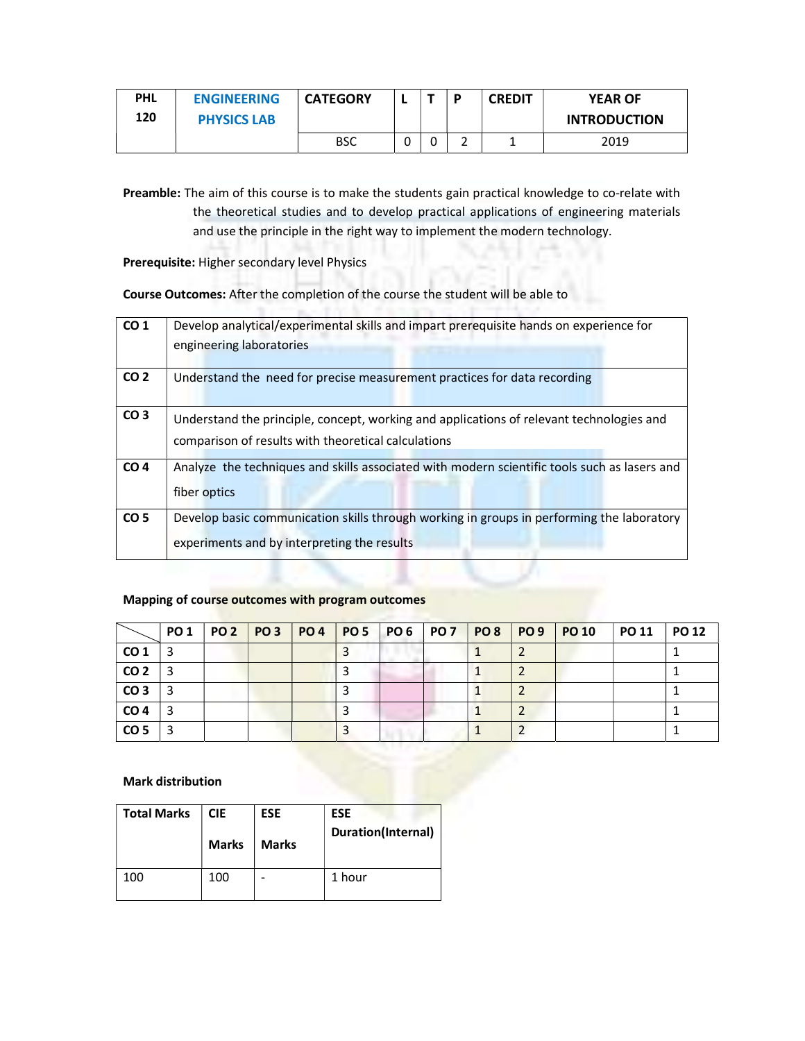| <b>PHL</b> | <b>ENGINEERING</b> | <b>CATEGORY</b> |  | D | <b>CREDIT</b> | <b>YEAR OF</b>      |
|------------|--------------------|-----------------|--|---|---------------|---------------------|
| 120        | <b>PHYSICS LAB</b> |                 |  |   |               | <b>INTRODUCTION</b> |
|            |                    | <b>BSC</b>      |  | - |               | 2019                |

Preamble: The aim of this course is to make the students gain practical knowledge to co-relate with the theoretical studies and to develop practical applications of engineering materials and use the principle in the right way to implement the modern technology.

Prerequisite: Higher secondary level Physics

Course Outcomes: After the completion of the course the student will be able to

| CO <sub>1</sub> | Develop analytical/experimental skills and impart prerequisite hands on experience for<br>engineering laboratories                              |
|-----------------|-------------------------------------------------------------------------------------------------------------------------------------------------|
| CO <sub>2</sub> | Understand the need for precise measurement practices for data recording                                                                        |
| CO <sub>3</sub> | Understand the principle, concept, working and applications of relevant technologies and<br>comparison of results with theoretical calculations |
| CO <sub>4</sub> | Analyze the techniques and skills associated with modern scientific tools such as lasers and<br>fiber optics                                    |
| CO <sub>5</sub> | Develop basic communication skills through working in groups in performing the laboratory<br>experiments and by interpreting the results        |

# Mapping of course outcomes with program outcomes

|                 | PO1 |  |  | PO 2   PO 3   PO 4   PO 5   PO 6   PO 7 |  | $\vert$ PO 8 $\vert$ PO 9 $\vert$ PO 10 | $\vert$ PO 11 | $\mid$ PO 12 |
|-----------------|-----|--|--|-----------------------------------------|--|-----------------------------------------|---------------|--------------|
| CO <sub>1</sub> |     |  |  |                                         |  |                                         |               |              |
| CO <sub>2</sub> |     |  |  |                                         |  |                                         |               |              |
| CO <sub>3</sub> |     |  |  |                                         |  |                                         |               |              |
| CO <sub>4</sub> |     |  |  |                                         |  |                                         |               |              |
| CO <sub>5</sub> |     |  |  |                                         |  |                                         |               |              |

| <b>Total Marks</b> | <b>CIE</b>   | <b>ESE</b>   | <b>ESE</b>         |
|--------------------|--------------|--------------|--------------------|
|                    | <b>Marks</b> | <b>Marks</b> | Duration(Internal) |
| 100                | 100          |              | 1 hour             |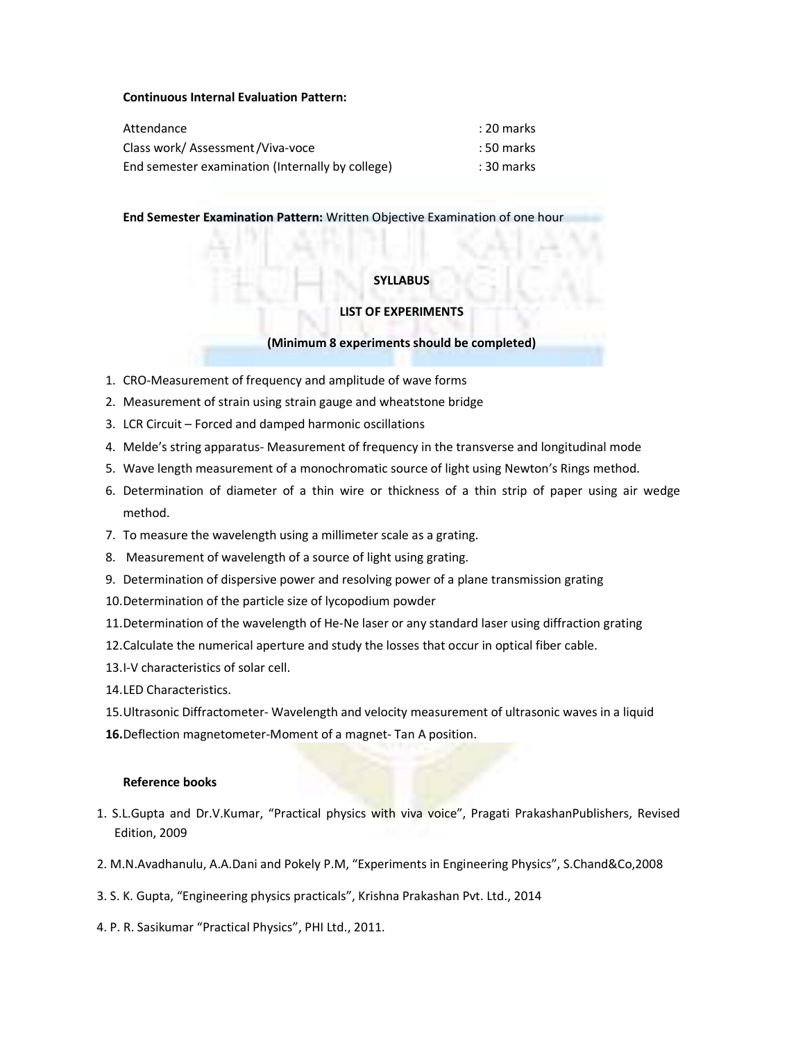## Continuous Internal Evaluation Pattern:

| Attendance                                       | : 20 marks  |
|--------------------------------------------------|-------------|
| Class work/Assessment/Viva-voce                  | : 50 marks  |
| End semester examination (Internally by college) | $:30$ marks |

#### End Semester Examination Pattern: Written Objective Examination of one hour

## **SYLLABUS**

#### LIST OF EXPERIMENTS

#### (Minimum 8 experiments should be completed)

- 1. CRO-Measurement of frequency and amplitude of wave forms
- 2. Measurement of strain using strain gauge and wheatstone bridge
- 3. LCR Circuit Forced and damped harmonic oscillations
- 4. Melde's string apparatus- Measurement of frequency in the transverse and longitudinal mode
- 5. Wave length measurement of a monochromatic source of light using Newton's Rings method.
- 6. Determination of diameter of a thin wire or thickness of a thin strip of paper using air wedge method.
- 7. To measure the wavelength using a millimeter scale as a grating.
- 8. Measurement of wavelength of a source of light using grating.
- 9. Determination of dispersive power and resolving power of a plane transmission grating
- 10.Determination of the particle size of lycopodium powder
- 11.Determination of the wavelength of He-Ne laser or any standard laser using diffraction grating
- 12.Calculate the numerical aperture and study the losses that occur in optical fiber cable.
- 13.I-V characteristics of solar cell.
- 14.LED Characteristics.

15.Ultrasonic Diffractometer- Wavelength and velocity measurement of ultrasonic waves in a liquid 16.Deflection magnetometer-Moment of a magnet- Tan A position.

### Reference books

- 1. S.L.Gupta and Dr.V.Kumar, "Practical physics with viva voice", Pragati PrakashanPublishers, Revised Edition, 2009
- 2. M.N.Avadhanulu, A.A.Dani and Pokely P.M, "Experiments in Engineering Physics", S.Chand&Co,2008
- 3. S. K. Gupta, "Engineering physics practicals", Krishna Prakashan Pvt. Ltd., 2014
- 4. P. R. Sasikumar "Practical Physics", PHI Ltd., 2011.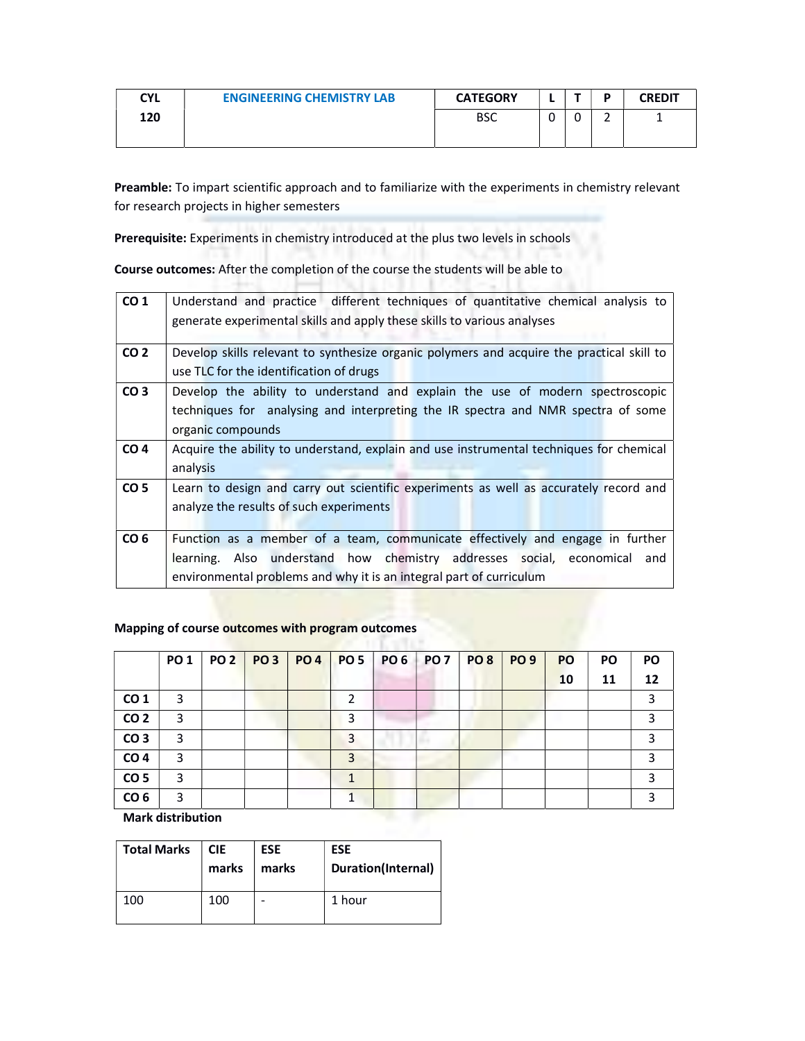| CYL | <b>ENGINEERING CHEMISTRY LAB</b> | <b>CATEGORY</b> | - |   | <b>CREDIT</b> |
|-----|----------------------------------|-----------------|---|---|---------------|
| 120 |                                  | <b>BSC</b>      |   | - | --            |
|     |                                  |                 |   |   |               |

Preamble: To impart scientific approach and to familiarize with the experiments in chemistry relevant for research projects in higher semesters

Prerequisite: Experiments in chemistry introduced at the plus two levels in schools

Course outcomes: After the completion of the course the students will be able to 1. HERNES AT LEASE HE

| CO <sub>1</sub> | Understand and practice different techniques of quantitative chemical analysis to         |
|-----------------|-------------------------------------------------------------------------------------------|
|                 | generate experimental skills and apply these skills to various analyses                   |
|                 |                                                                                           |
| CO <sub>2</sub> | Develop skills relevant to synthesize organic polymers and acquire the practical skill to |
|                 | use TLC for the identification of drugs                                                   |
| CO <sub>3</sub> | Develop the ability to understand and explain the use of modern spectroscopic             |
|                 | techniques for analysing and interpreting the IR spectra and NMR spectra of some          |
|                 | organic compounds                                                                         |
| CO <sub>4</sub> | Acquire the ability to understand, explain and use instrumental techniques for chemical   |
|                 | analysis                                                                                  |
| CO <sub>5</sub> | Learn to design and carry out scientific experiments as well as accurately record and     |
|                 | analyze the results of such experiments                                                   |
|                 |                                                                                           |
| CO <sub>6</sub> | Function as a member of a team, communicate effectively and engage in further             |
|                 | learning. Also understand how chemistry addresses social, economical and                  |
|                 | environmental problems and why it is an integral part of curriculum                       |

#### Mapping of course outcomes with program outcomes and a ser

|                 | <b>PO 1</b> |  | PO 2   PO 3   PO 4   PO 5   PO 6   PO 7   PO 8 |  | <b>PO 9</b> | PO        | <b>PO</b> | PO |
|-----------------|-------------|--|------------------------------------------------|--|-------------|-----------|-----------|----|
|                 |             |  |                                                |  |             | <b>10</b> | 11        | 12 |
| CO <sub>1</sub> | З           |  |                                                |  |             |           |           |    |
| CO <sub>2</sub> | 3           |  |                                                |  |             |           |           |    |
| CO <sub>3</sub> | 3           |  | 3                                              |  |             |           |           |    |
| CO <sub>4</sub> | 3           |  |                                                |  |             |           |           |    |
| CO <sub>5</sub> | 3           |  |                                                |  |             |           |           |    |
| CO <sub>6</sub> | 3           |  |                                                |  |             |           |           |    |

| <b>Total Marks</b> | <b>CIE</b> | <b>ESE</b> | <b>ESE</b>         |
|--------------------|------------|------------|--------------------|
|                    | marks      | marks      | Duration(Internal) |
| 100                | 100        |            | 1 hour             |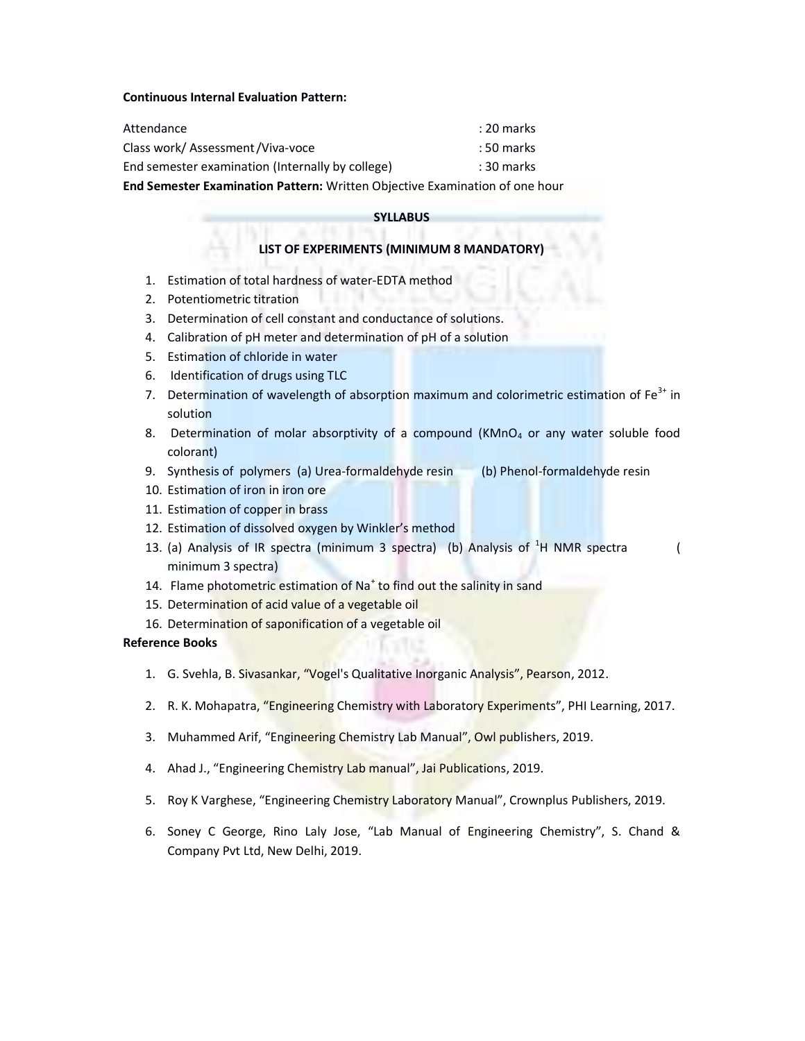#### Continuous Internal Evaluation Pattern:

| End Semester Examination Pattern: Written Objective Examination of one hour |            |
|-----------------------------------------------------------------------------|------------|
| End semester examination (Internally by college)                            | : 30 marks |
| Class work/ Assessment/Viva-voce                                            | : 50 marks |
| Attendance                                                                  | : 20 marks |

# SYLLABUS

## LIST OF EXPERIMENTS (MINIMUM 8 MANDATORY)

- 1. Estimation of total hardness of water-EDTA method
- 2. Potentiometric titration
- 3. Determination of cell constant and conductance of solutions.
- 4. Calibration of pH meter and determination of pH of a solution
- 5. Estimation of chloride in water
- 6. Identification of drugs using TLC
- 7. Determination of wavelength of absorption maximum and colorimetric estimation of  $Fe<sup>3+</sup>$  in solution
- 8. Determination of molar absorptivity of a compound  $(KMnO<sub>4</sub>$  or any water soluble food colorant)
- 9. Synthesis of polymers (a) Urea-formaldehyde resin (b) Phenol-formaldehyde resin
- 10. Estimation of iron in iron ore
- 11. Estimation of copper in brass
- 12. Estimation of dissolved oxygen by Winkler's method
- 13. (a) Analysis of IR spectra (minimum 3 spectra) (b) Analysis of  ${}^{1}H$  NMR spectra minimum 3 spectra)
- 14. Flame photometric estimation of Na<sup>+</sup> to find out the salinity in sand
- 15. Determination of acid value of a vegetable oil
- 16. Determination of saponification of a vegetable oil

## Reference Books

- 1. G. Svehla, B. Sivasankar, "Vogel's Qualitative Inorganic Analysis", Pearson, 2012.
- 2. R. K. Mohapatra, "Engineering Chemistry with Laboratory Experiments", PHI Learning, 2017.
- 3. Muhammed Arif, "Engineering Chemistry Lab Manual", Owl publishers, 2019.
- 4. Ahad J., "Engineering Chemistry Lab manual", Jai Publications, 2019.
- 5. Roy K Varghese, "Engineering Chemistry Laboratory Manual", Crownplus Publishers, 2019.
- 6. Soney C George, Rino Laly Jose, "Lab Manual of Engineering Chemistry", S. Chand & Company Pvt Ltd, New Delhi, 2019.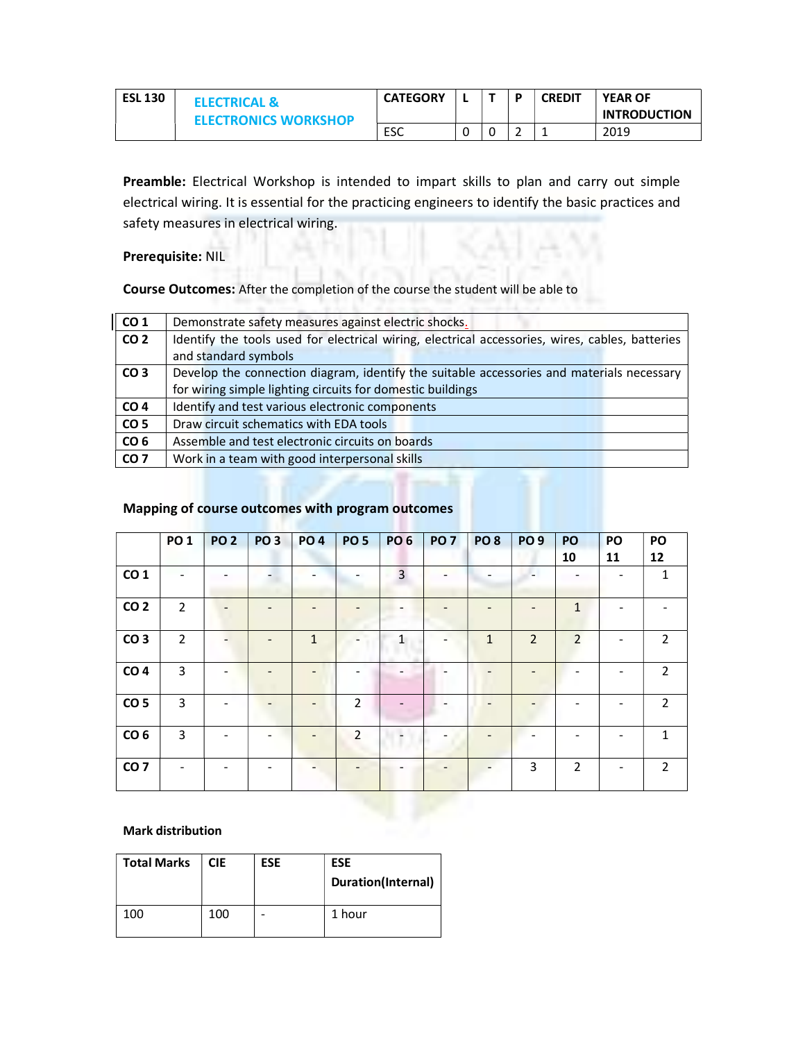| <b>ESL 130</b> | <b>ELECTRICAL &amp;</b><br><b>ELECTRONICS WORKSHOP</b> | <b>CATEGORY</b> |  |   | <b>CREDIT</b> | <b>YEAR OF</b><br><b>INTRODUCTION</b> |
|----------------|--------------------------------------------------------|-----------------|--|---|---------------|---------------------------------------|
|                |                                                        | ESC             |  | - |               | 2019                                  |

Preamble: Electrical Workshop is intended to impart skills to plan and carry out simple electrical wiring. It is essential for the practicing engineers to identify the basic practices and safety measures in electrical wiring.

# Prerequisite: NIL

Course Outcomes: After the completion of the course the student will be able to

| CO <sub>1</sub> | Demonstrate safety measures against electric shocks.                                            |  |  |  |  |  |  |  |  |  |  |
|-----------------|-------------------------------------------------------------------------------------------------|--|--|--|--|--|--|--|--|--|--|
| CO <sub>2</sub> | Identify the tools used for electrical wiring, electrical accessories, wires, cables, batteries |  |  |  |  |  |  |  |  |  |  |
|                 | and standard symbols                                                                            |  |  |  |  |  |  |  |  |  |  |
| CO <sub>3</sub> | Develop the connection diagram, identify the suitable accessories and materials necessary       |  |  |  |  |  |  |  |  |  |  |
|                 | for wiring simple lighting circuits for domestic buildings                                      |  |  |  |  |  |  |  |  |  |  |
| CO <sub>4</sub> | Identify and test various electronic components                                                 |  |  |  |  |  |  |  |  |  |  |
| CO <sub>5</sub> | Draw circuit schematics with EDA tools                                                          |  |  |  |  |  |  |  |  |  |  |
| CO <sub>6</sub> | Assemble and test electronic circuits on boards                                                 |  |  |  |  |  |  |  |  |  |  |
| CO <sub>7</sub> | Work in a team with good interpersonal skills                                                   |  |  |  |  |  |  |  |  |  |  |

# Mapping of course outcomes with program outcomes

|                 | <b>PO 1</b>    | <b>PO 2</b> | <b>PO3</b> | <b>PO 4</b>  | <b>PO 5</b>    | PO <sub>6</sub> | <b>PO 7</b> | PO <sub>8</sub> | PO <sub>9</sub> | PO                       | PO | PO            |
|-----------------|----------------|-------------|------------|--------------|----------------|-----------------|-------------|-----------------|-----------------|--------------------------|----|---------------|
|                 |                |             |            |              |                |                 |             |                 |                 | 10                       | 11 | 12            |
| CO <sub>1</sub> |                |             |            |              |                | $\overline{3}$  |             |                 |                 |                          |    | $\mathbf{1}$  |
| CO <sub>2</sub> | $\mathcal{L}$  |             |            |              |                |                 |             |                 |                 | 1                        |    |               |
| CO <sub>3</sub> | $\overline{2}$ |             |            | $\mathbf{1}$ |                | $\mathbf{1}$    |             | $\mathbf{1}$    | $\overline{2}$  | $\overline{\phantom{0}}$ |    | $\mathcal{P}$ |
| CO <sub>4</sub> | $\overline{3}$ |             |            |              |                |                 |             |                 |                 |                          |    | $\mathcal{L}$ |
| CO <sub>5</sub> | 3              |             |            |              | $\mathfrak{D}$ |                 |             |                 |                 |                          |    | $\mathcal{P}$ |
| CO <sub>6</sub> | 3              |             |            |              | $\mathcal{P}$  |                 |             |                 |                 |                          |    | $\mathbf{1}$  |
| CO <sub>7</sub> |                |             |            |              |                |                 |             |                 | 3               | $\mathcal{P}$            |    | $\mathcal{P}$ |

| <b>Total Marks</b> | <b>CIE</b> | <b>ESE</b> | <b>ESE</b><br>Duration(Internal) |
|--------------------|------------|------------|----------------------------------|
| 100                | 100        |            | 1 hour                           |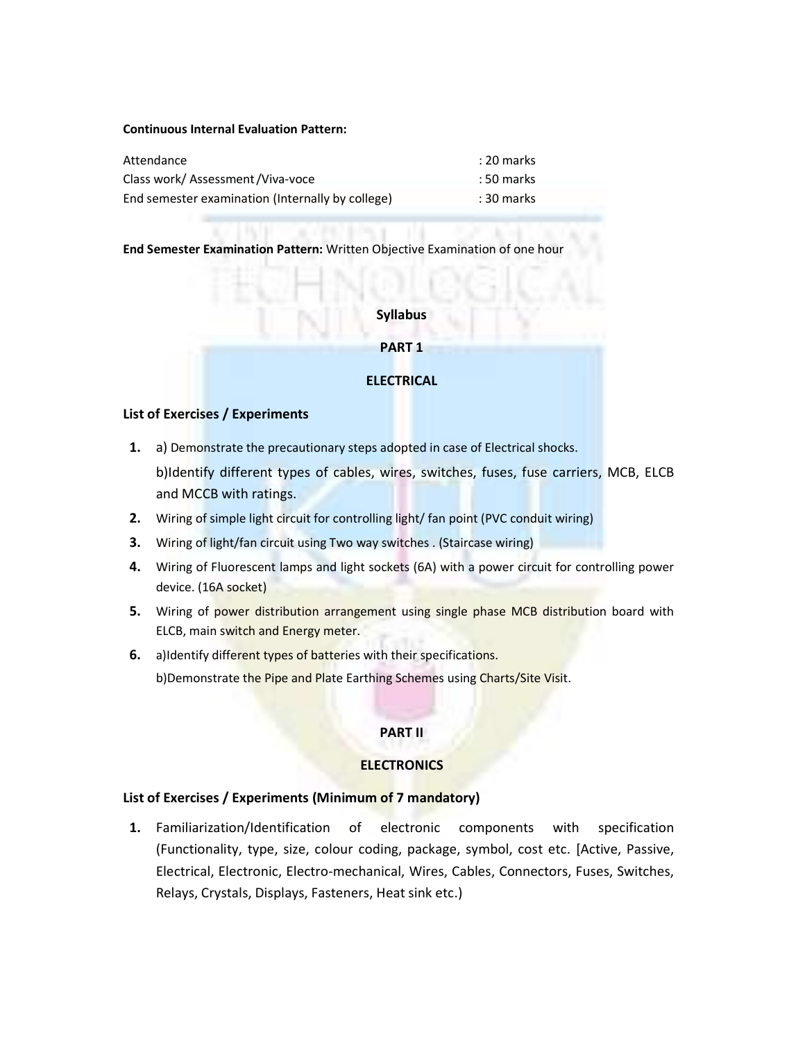### Continuous Internal Evaluation Pattern:

| Attendance                                       | $: 20$ marks |
|--------------------------------------------------|--------------|
| Class work/Assessment/Viva-voce                  | : 50 marks   |
| End semester examination (Internally by college) | : 30 marks   |

End Semester Examination Pattern: Written Objective Examination of one hour

**Syllabus** 

PART 1

## ELECTRICAL

## List of Exercises / Experiments

1. a) Demonstrate the precautionary steps adopted in case of Electrical shocks.

b)Identify different types of cables, wires, switches, fuses, fuse carriers, MCB, ELCB and MCCB with ratings.

- 2. Wiring of simple light circuit for controlling light/ fan point (PVC conduit wiring)
- 3. Wiring of light/fan circuit using Two way switches . (Staircase wiring)
- 4. Wiring of Fluorescent lamps and light sockets (6A) with a power circuit for controlling power device. (16A socket)
- 5. Wiring of power distribution arrangement using single phase MCB distribution board with ELCB, main switch and Energy meter.
- 6. a)Identify different types of batteries with their specifications.

b)Demonstrate the Pipe and Plate Earthing Schemes using Charts/Site Visit.

# PART II

# **ELECTRONICS**

## List of Exercises / Experiments (Minimum of 7 mandatory)

1. Familiarization/Identification of electronic components with specification (Functionality, type, size, colour coding, package, symbol, cost etc. [Active, Passive, Electrical, Electronic, Electro-mechanical, Wires, Cables, Connectors, Fuses, Switches, Relays, Crystals, Displays, Fasteners, Heat sink etc.)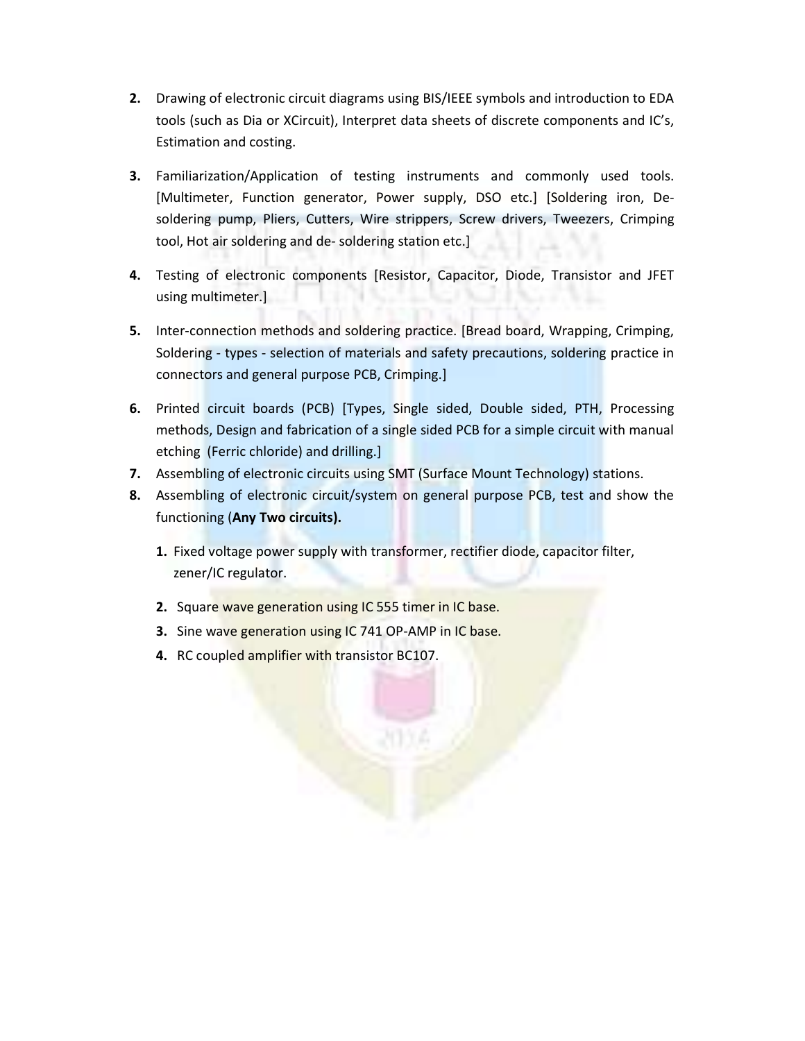- 2. Drawing of electronic circuit diagrams using BIS/IEEE symbols and introduction to EDA tools (such as Dia or XCircuit), Interpret data sheets of discrete components and IC's, Estimation and costing.
- 3. Familiarization/Application of testing instruments and commonly used tools. [Multimeter, Function generator, Power supply, DSO etc.] [Soldering iron, Desoldering pump, Pliers, Cutters, Wire strippers, Screw drivers, Tweezers, Crimping tool, Hot air soldering and de- soldering station etc.]
- 4. Testing of electronic components [Resistor, Capacitor, Diode, Transistor and JFET using multimeter.]
- 5. Inter-connection methods and soldering practice. [Bread board, Wrapping, Crimping, Soldering - types - selection of materials and safety precautions, soldering practice in connectors and general purpose PCB, Crimping.]
- 6. Printed circuit boards (PCB) [Types, Single sided, Double sided, PTH, Processing methods, Design and fabrication of a single sided PCB for a simple circuit with manual etching (Ferric chloride) and drilling.]
- 7. Assembling of electronic circuits using SMT (Surface Mount Technology) stations.
- 8. Assembling of electronic circuit/system on general purpose PCB, test and show the functioning (Any Two circuits).
	- 1. Fixed voltage power supply with transformer, rectifier diode, capacitor filter, zener/IC regulator.
	- 2. Square wave generation using IC 555 timer in IC base.
	- 3. Sine wave generation using IC 741 OP-AMP in IC base.
	- 4. RC coupled amplifier with transistor BC107.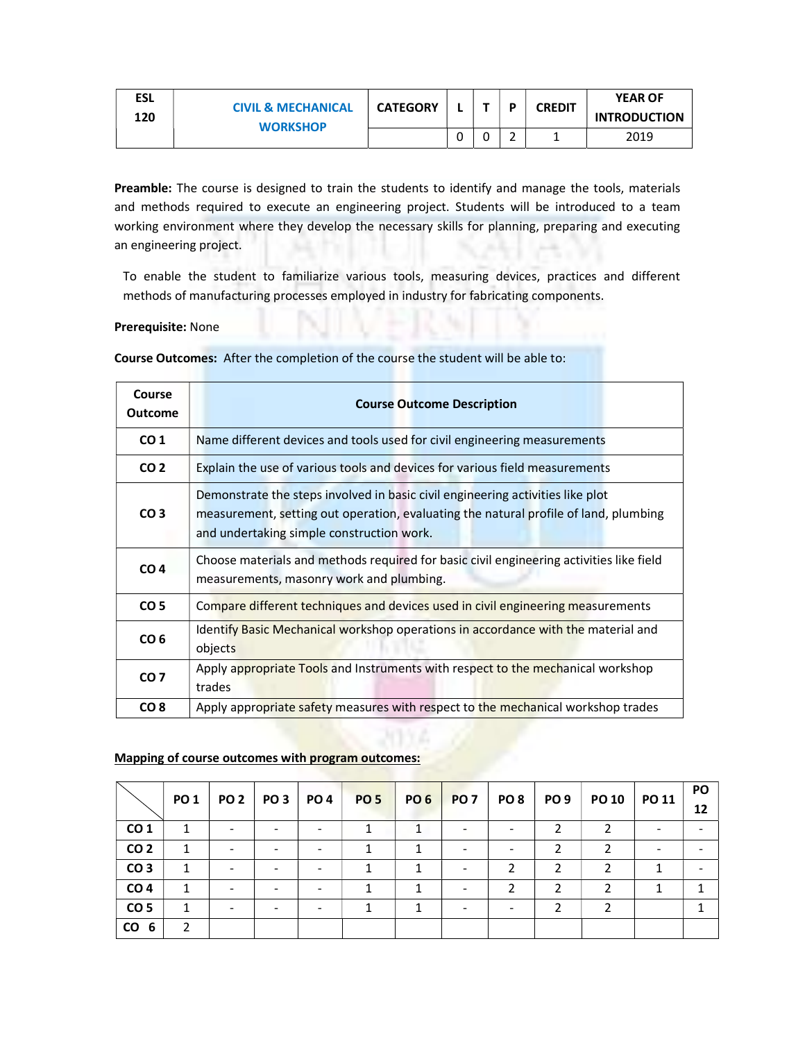| ESL<br>120 | <b>CIVIL &amp; MECHANICAL</b><br><b>WORKSHOP</b> | <b>CATEGORY</b> |  |   | <b>CREDIT</b> | <b>YEAR OF</b><br><b>INTRODUCTION</b> |
|------------|--------------------------------------------------|-----------------|--|---|---------------|---------------------------------------|
|            |                                                  |                 |  | - |               | 2019                                  |

Preamble: The course is designed to train the students to identify and manage the tools, materials and methods required to execute an engineering project. Students will be introduced to a team working environment where they develop the necessary skills for planning, preparing and executing an engineering project.

To enable the student to familiarize various tools, measuring devices, practices and different methods of manufacturing processes employed in industry for fabricating components.

## Prerequisite: None

Course Outcomes: After the completion of the course the student will be able to:

| <b>Course</b><br><b>Outcome</b> | <b>Course Outcome Description</b>                                                                                                                                                                                   |
|---------------------------------|---------------------------------------------------------------------------------------------------------------------------------------------------------------------------------------------------------------------|
| CO <sub>1</sub>                 | Name different devices and tools used for civil engineering measurements                                                                                                                                            |
| CO <sub>2</sub>                 | Explain the use of various tools and devices for various field measurements                                                                                                                                         |
| CO <sub>3</sub>                 | Demonstrate the steps involved in basic civil engineering activities like plot<br>measurement, setting out operation, evaluating the natural profile of land, plumbing<br>and undertaking simple construction work. |
| CO <sub>4</sub>                 | Choose materials and methods required for basic civil engineering activities like field<br>measurements, masonry work and plumbing.                                                                                 |
| CO <sub>5</sub>                 | Compare different techniques and devices used in civil engineering measurements                                                                                                                                     |
| CO <sub>6</sub>                 | Identify Basic Mechanical workshop operations in accordance with the material and<br>objects                                                                                                                        |
| CO <sub>7</sub>                 | Apply appropriate Tools and Instruments with respect to the mechanical workshop<br>trades                                                                                                                           |
| CO <sub>8</sub>                 | Apply appropriate safety measures with respect to the mechanical workshop trades                                                                                                                                    |

# Mapping of course outcomes with program outcomes:

|                 | <b>PO 1</b>   | PO <sub>2</sub> | <b>PO 3</b> | <b>PO 4</b> | <b>PO 5</b> | PO <sub>6</sub> | <b>PO 7</b> | PO <sub>8</sub> | PO <sub>9</sub> | <b>PO 10</b> | <b>PO 11</b> | <b>PO</b> |
|-----------------|---------------|-----------------|-------------|-------------|-------------|-----------------|-------------|-----------------|-----------------|--------------|--------------|-----------|
|                 |               |                 |             |             |             |                 |             |                 |                 |              |              | 12        |
| CO <sub>1</sub> | 1             |                 |             |             |             |                 |             |                 |                 |              |              |           |
| CO <sub>2</sub> |               |                 |             |             |             |                 |             |                 |                 |              |              |           |
| CO <sub>3</sub> |               |                 |             |             |             |                 |             |                 |                 |              |              |           |
| CO <sub>4</sub> |               |                 |             |             |             |                 |             |                 |                 |              |              |           |
| CO <sub>5</sub> |               | -               |             |             |             |                 |             |                 |                 |              |              |           |
| CO <sub>6</sub> | $\mathcal{P}$ |                 |             |             |             |                 |             |                 |                 |              |              |           |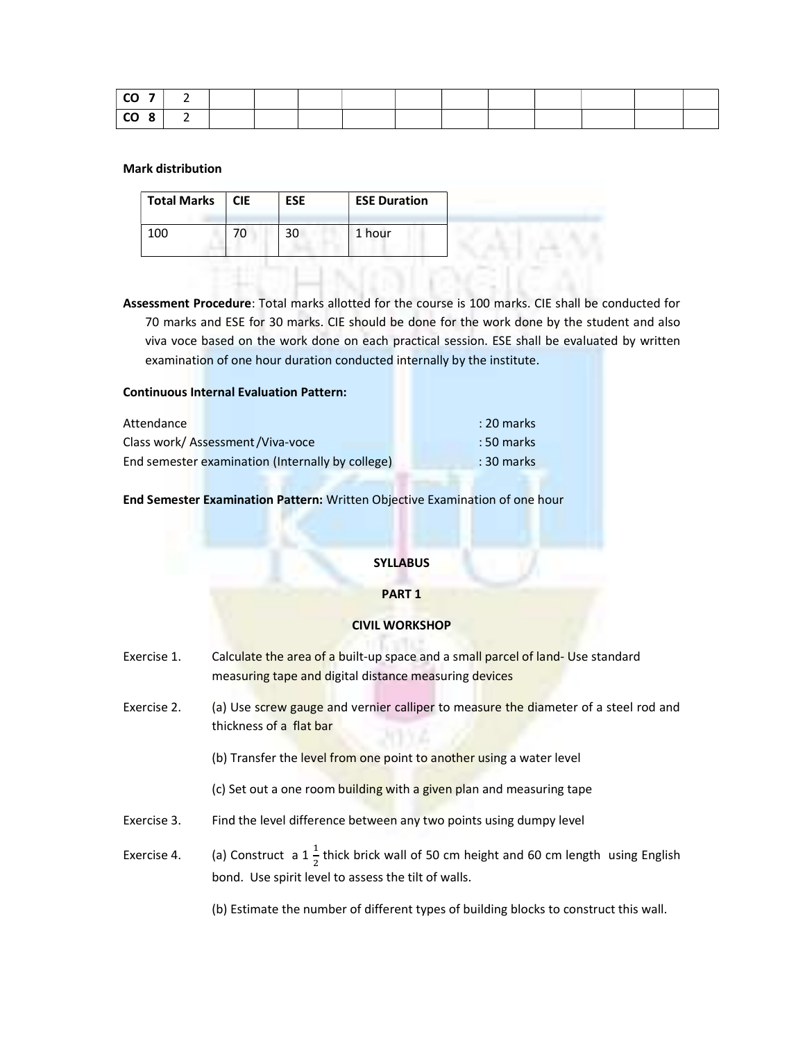| _ന<br>ີ |  |  |  |  |  |  |
|---------|--|--|--|--|--|--|
| CO 8    |  |  |  |  |  |  |

## Mark distribution

Assessment Procedure: Total marks allotted for the course is 100 marks. CIE shall be conducted for 70 marks and ESE for 30 marks. CIE should be done for the work done by the student and also viva voce based on the work done on each practical session. ESE shall be evaluated by written examination of one hour duration conducted internally by the institute.

## Continuous Internal Evaluation Pattern:

| Attendance                                       | : 20 marks |
|--------------------------------------------------|------------|
| Class work/Assessment/Viva-voce                  | : 50 marks |
| End semester examination (Internally by college) | : 30 marks |

End Semester Examination Pattern: Written Objective Examination of one hour

### SYLLABUS

## PART 1

## CIVIL WORKSHOP

| Exercise 1. | Calculate the area of a built-up space and a small parcel of land-Use standard<br>measuring tape and digital distance measuring devices                |
|-------------|--------------------------------------------------------------------------------------------------------------------------------------------------------|
| Exercise 2. | (a) Use screw gauge and vernier calliper to measure the diameter of a steel rod and<br>thickness of a flat bar                                         |
|             | (b) Transfer the level from one point to another using a water level                                                                                   |
|             | (c) Set out a one room building with a given plan and measuring tape                                                                                   |
| Exercise 3. | Find the level difference between any two points using dumpy level                                                                                     |
| Exercise 4. | (a) Construct a 1 $\frac{1}{2}$ thick brick wall of 50 cm height and 60 cm length using English<br>bond. Use spirit level to assess the tilt of walls. |
|             | (b) Estimate the number of different types of building blocks to construct this wall.                                                                  |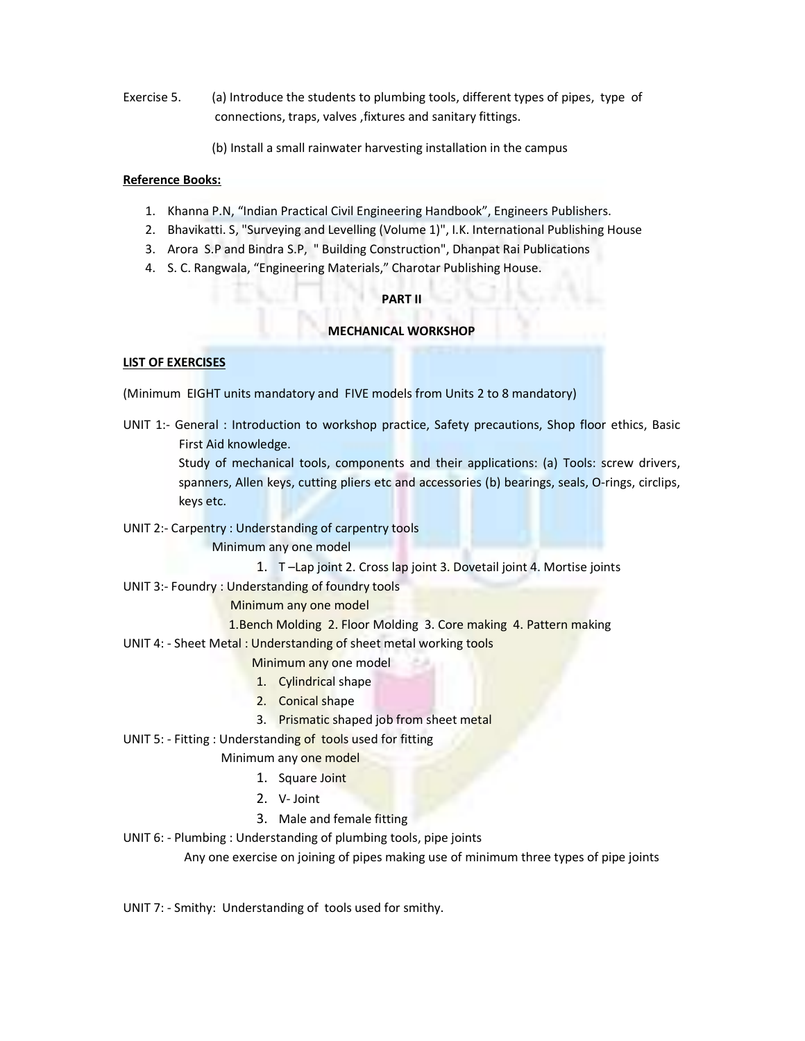Exercise 5. (a) Introduce the students to plumbing tools, different types of pipes, type of connections, traps, valves ,fixtures and sanitary fittings.

(b) Install a small rainwater harvesting installation in the campus

## Reference Books:

- 1. Khanna P.N, "Indian Practical Civil Engineering Handbook", Engineers Publishers.
- 2. Bhavikatti. S, "Surveying and Levelling (Volume 1)", I.K. International Publishing House
- 3. Arora S.P and Bindra S.P, " Building Construction", Dhanpat Rai Publications
- 4. S. C. Rangwala, "Engineering Materials," Charotar Publishing House.

## PART II

## MECHANICAL WORKSHOP

#### LIST OF EXERCISES

(Minimum EIGHT units mandatory and FIVE models from Units 2 to 8 mandatory)

UNIT 1:- General : Introduction to workshop practice, Safety precautions, Shop floor ethics, Basic First Aid knowledge.

Study of mechanical tools, components and their applications: (a) Tools: screw drivers, spanners, Allen keys, cutting pliers etc and accessories (b) bearings, seals, O-rings, circlips, keys etc.

UNIT 2:- Carpentry : Understanding of carpentry tools

Minimum any one model

1. T –Lap joint 2. Cross lap joint 3. Dovetail joint 4. Mortise joints

UNIT 3:- Foundry : Understanding of foundry tools

Minimum any one model

1.Bench Molding 2. Floor Molding 3. Core making 4. Pattern making

UNIT 4: - Sheet Metal : Understanding of sheet metal working tools

Minimum any one model

- 1. Cylindrical shape
- 2. Conical shape
- 3. Prismatic shaped job from sheet metal
- UNIT 5: Fitting : Understanding of tools used for fitting

Minimum any one model

- 1. Square Joint
- 2. V- Joint
- 3. Male and female fitting
- UNIT 6: Plumbing : Understanding of plumbing tools, pipe joints

Any one exercise on joining of pipes making use of minimum three types of pipe joints

UNIT 7: - Smithy: Understanding of tools used for smithy.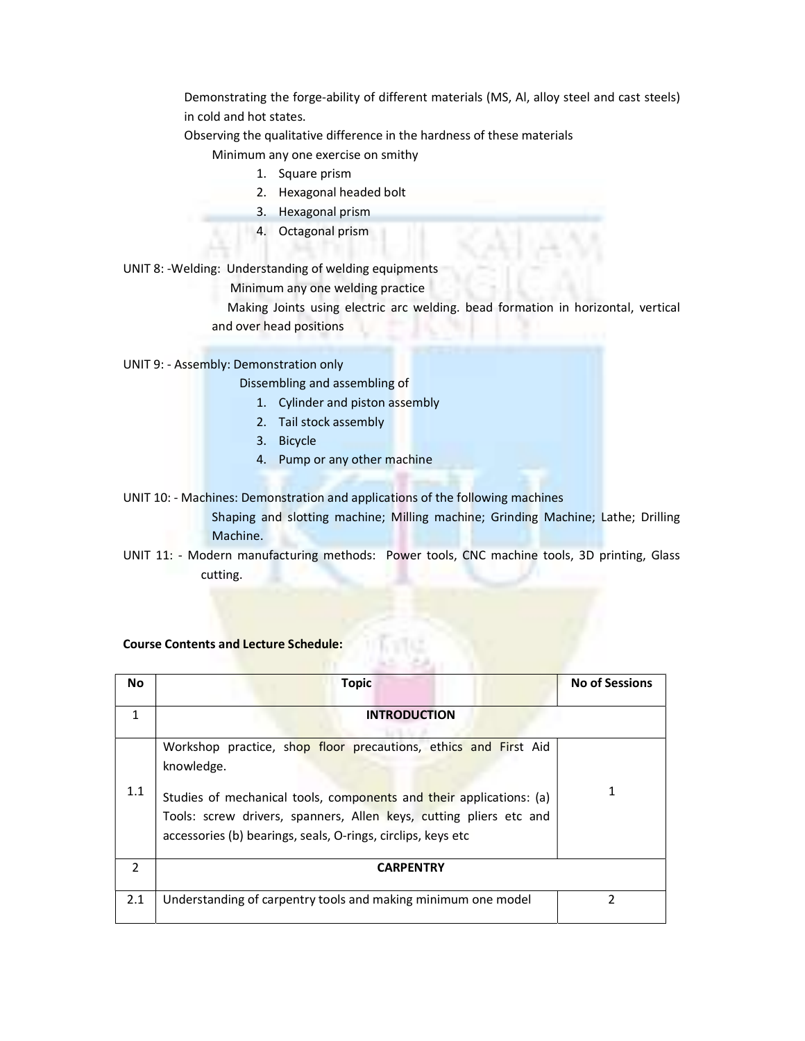Demonstrating the forge-ability of different materials (MS, Al, alloy steel and cast steels) in cold and hot states.

Observing the qualitative difference in the hardness of these materials

Minimum any one exercise on smithy

- 1. Square prism
- 2. Hexagonal headed bolt
- 3. Hexagonal prism
- 4. Octagonal prism

UNIT 8: -Welding: Understanding of welding equipments

Minimum any one welding practice

 Making Joints using electric arc welding. bead formation in horizontal, vertical and over head positions

UNIT 9: - Assembly: Demonstration only

Dissembling and assembling of

- 1. Cylinder and piston assembly
- 2. Tail stock assembly
- 3. Bicycle
- 4. Pump or any other machine

UNIT 10: - Machines: Demonstration and applications of the following machines

Shaping and slotting machine; Milling machine; Grinding Machine; Lathe; Drilling Machine.

UNIT 11: - Modern manufacturing methods: Power tools, CNC machine tools, 3D printing, Glass cutting.

## Course Contents and Lecture Schedule:

| No            | <b>Topic</b>                                                                                                                                                                                              | <b>No of Sessions</b> |
|---------------|-----------------------------------------------------------------------------------------------------------------------------------------------------------------------------------------------------------|-----------------------|
| $\mathbf{1}$  | <b>INTRODUCTION</b>                                                                                                                                                                                       |                       |
|               | Workshop practice, shop floor precautions, ethics and First Aid<br>knowledge.                                                                                                                             |                       |
| 1.1           | Studies of mechanical tools, components and their applications: (a)<br>Tools: screw drivers, spanners, Allen keys, cutting pliers etc and<br>accessories (b) bearings, seals, O-rings, circlips, keys etc |                       |
| $\mathcal{P}$ | <b>CARPENTRY</b>                                                                                                                                                                                          |                       |
| 2.1           | Understanding of carpentry tools and making minimum one model                                                                                                                                             | 2                     |